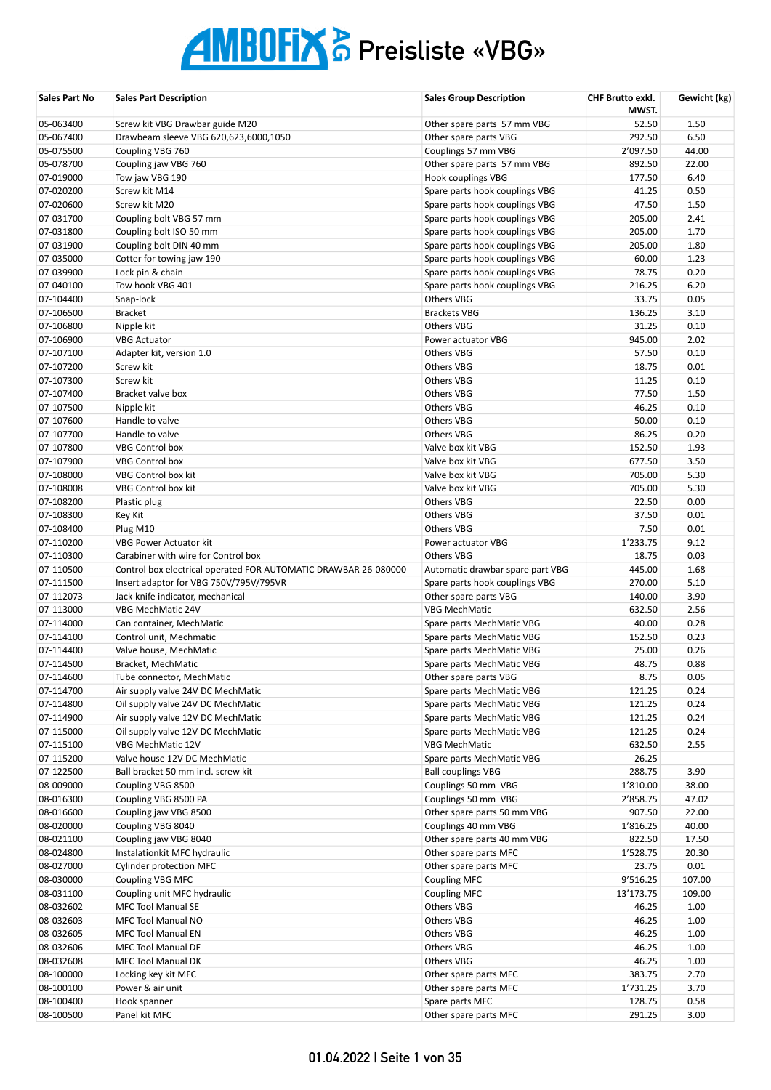| Sales Part No          | <b>Sales Part Description</b>                                   | <b>Sales Group Description</b>             | <b>CHF Brutto exkl.</b><br>MWST. | Gewicht (kg)   |
|------------------------|-----------------------------------------------------------------|--------------------------------------------|----------------------------------|----------------|
| 05-063400              | Screw kit VBG Drawbar guide M20                                 | Other spare parts 57 mm VBG                | 52.50                            | 1.50           |
| 05-067400              | Drawbeam sleeve VBG 620,623,6000,1050                           | Other spare parts VBG                      | 292.50                           | 6.50           |
| 05-075500              | Coupling VBG 760                                                | Couplings 57 mm VBG                        | 2'097.50                         | 44.00          |
| 05-078700              | Coupling jaw VBG 760                                            | Other spare parts 57 mm VBG                | 892.50                           | 22.00          |
| 07-019000              | Tow jaw VBG 190                                                 | Hook couplings VBG                         | 177.50                           | 6.40           |
| 07-020200              | Screw kit M14                                                   | Spare parts hook couplings VBG             | 41.25                            | 0.50           |
| 07-020600              | Screw kit M20                                                   | Spare parts hook couplings VBG             | 47.50                            | 1.50           |
| 07-031700              | Coupling bolt VBG 57 mm                                         | Spare parts hook couplings VBG             | 205.00                           | 2.41           |
| 07-031800              | Coupling bolt ISO 50 mm                                         | Spare parts hook couplings VBG             | 205.00                           | 1.70           |
| 07-031900              | Coupling bolt DIN 40 mm                                         | Spare parts hook couplings VBG             | 205.00                           | 1.80           |
| 07-035000              | Cotter for towing jaw 190                                       | Spare parts hook couplings VBG             | 60.00                            | 1.23           |
| 07-039900              | Lock pin & chain                                                | Spare parts hook couplings VBG             | 78.75                            | 0.20           |
| 07-040100              | Tow hook VBG 401                                                | Spare parts hook couplings VBG             | 216.25                           | 6.20           |
| 07-104400              | Snap-lock                                                       | <b>Others VBG</b>                          | 33.75                            | 0.05           |
| 07-106500              | <b>Bracket</b>                                                  | <b>Brackets VBG</b>                        | 136.25                           | 3.10           |
| 07-106800              | Nipple kit                                                      | <b>Others VBG</b>                          | 31.25                            | 0.10           |
| 07-106900              | <b>VBG Actuator</b>                                             | Power actuator VBG                         | 945.00                           | 2.02           |
| 07-107100              | Adapter kit, version 1.0                                        | Others VBG                                 | 57.50                            | 0.10           |
| 07-107200              | Screw kit                                                       | <b>Others VBG</b>                          | 18.75                            | 0.01           |
| 07-107300              | Screw kit                                                       | Others VBG                                 | 11.25                            | 0.10           |
| 07-107400              | Bracket valve box                                               | Others VBG                                 | 77.50                            | 1.50           |
| 07-107500              | Nipple kit                                                      | Others VBG                                 | 46.25                            | 0.10           |
| 07-107600              | Handle to valve                                                 | <b>Others VBG</b>                          | 50.00                            | 0.10           |
| 07-107700              | Handle to valve                                                 | <b>Others VBG</b>                          | 86.25                            | 0.20           |
| 07-107800              | <b>VBG Control box</b>                                          | Valve box kit VBG                          | 152.50                           | 1.93           |
| 07-107900              | <b>VBG Control box</b>                                          | Valve box kit VBG                          | 677.50                           | 3.50           |
| 07-108000              | VBG Control box kit                                             | Valve box kit VBG                          | 705.00                           | 5.30           |
| 07-108008              | VBG Control box kit                                             | Valve box kit VBG                          | 705.00                           | 5.30           |
| 07-108200              | Plastic plug                                                    | <b>Others VBG</b>                          | 22.50                            | 0.00           |
| 07-108300              | Key Kit                                                         | <b>Others VBG</b>                          | 37.50                            | 0.01           |
| 07-108400              | Plug M10                                                        | Others VBG                                 | 7.50                             | 0.01           |
| 07-110200              | VBG Power Actuator kit                                          | Power actuator VBG                         | 1'233.75                         | 9.12           |
| 07-110300              | Carabiner with wire for Control box                             | <b>Others VBG</b>                          | 18.75                            | 0.03           |
| 07-110500              | Control box electrical operated FOR AUTOMATIC DRAWBAR 26-080000 | Automatic drawbar spare part VBG           | 445.00                           | 1.68           |
| 07-111500              | Insert adaptor for VBG 750V/795V/795VR                          | Spare parts hook couplings VBG             | 270.00                           | 5.10           |
| 07-112073              | Jack-knife indicator, mechanical                                | Other spare parts VBG                      | 140.00                           | 3.90           |
| 07-113000              | VBG MechMatic 24V                                               | <b>VBG MechMatic</b>                       | 632.50                           | 2.56           |
| 07-114000              | Can container, MechMatic                                        | Spare parts MechMatic VBG                  | 40.00                            | 0.28           |
| 07-114100              | Control unit, Mechmatic                                         | Spare parts MechMatic VBG                  | 152.50                           | 0.23           |
| 07-114400              | Valve house, MechMatic                                          | Spare parts MechMatic VBG                  | 25.00                            | 0.26           |
| 07-114500              | Bracket, MechMatic                                              | Spare parts MechMatic VBG                  | 48.75                            | 0.88           |
| 07-114600              | Tube connector, MechMatic                                       | Other spare parts VBG                      | 8.75                             | 0.05           |
| 07-114700              | Air supply valve 24V DC MechMatic                               | Spare parts MechMatic VBG                  | 121.25                           | 0.24           |
| 07-114800              | Oil supply valve 24V DC MechMatic                               | Spare parts MechMatic VBG                  | 121.25                           | 0.24           |
| 07-114900              | Air supply valve 12V DC MechMatic                               | Spare parts MechMatic VBG                  | 121.25                           | 0.24           |
| 07-115000              | Oil supply valve 12V DC MechMatic                               | Spare parts MechMatic VBG                  | 121.25                           | 0.24           |
| 07-115100              | VBG MechMatic 12V                                               | <b>VBG MechMatic</b>                       | 632.50                           | 2.55           |
| 07-115200              | Valve house 12V DC MechMatic                                    | Spare parts MechMatic VBG                  | 26.25                            |                |
| 07-122500              | Ball bracket 50 mm incl. screw kit                              | <b>Ball couplings VBG</b>                  | 288.75                           | 3.90           |
| 08-009000              | Coupling VBG 8500                                               | Couplings 50 mm VBG                        | 1'810.00                         | 38.00          |
| 08-016300              | Coupling VBG 8500 PA                                            | Couplings 50 mm VBG                        | 2'858.75                         | 47.02          |
| 08-016600              | Coupling jaw VBG 8500                                           | Other spare parts 50 mm VBG                | 907.50                           | 22.00          |
| 08-020000              | Coupling VBG 8040                                               | Couplings 40 mm VBG                        | 1'816.25                         | 40.00          |
| 08-021100<br>08-024800 | Coupling jaw VBG 8040                                           | Other spare parts 40 mm VBG                | 822.50                           | 17.50<br>20.30 |
|                        | Instalationkit MFC hydraulic                                    | Other spare parts MFC                      | 1'528.75                         |                |
| 08-027000<br>08-030000 | Cylinder protection MFC                                         | Other spare parts MFC                      | 23.75<br>9'516.25                | 0.01<br>107.00 |
| 08-031100              | Coupling VBG MFC<br>Coupling unit MFC hydraulic                 | <b>Coupling MFC</b><br><b>Coupling MFC</b> | 13'173.75                        | 109.00         |
| 08-032602              | <b>MFC Tool Manual SE</b>                                       | Others VBG                                 | 46.25                            | 1.00           |
| 08-032603              | MFC Tool Manual NO                                              | <b>Others VBG</b>                          | 46.25                            | 1.00           |
| 08-032605              | MFC Tool Manual EN                                              | Others VBG                                 | 46.25                            | 1.00           |
| 08-032606              | <b>MFC Tool Manual DE</b>                                       | Others VBG                                 | 46.25                            | 1.00           |
| 08-032608              | MFC Tool Manual DK                                              | Others VBG                                 | 46.25                            | 1.00           |
| 08-100000              | Locking key kit MFC                                             | Other spare parts MFC                      | 383.75                           | 2.70           |
| 08-100100              | Power & air unit                                                | Other spare parts MFC                      | 1'731.25                         | 3.70           |
| 08-100400              | Hook spanner                                                    | Spare parts MFC                            | 128.75                           | 0.58           |
| 08-100500              | Panel kit MFC                                                   | Other spare parts MFC                      | 291.25                           | 3.00           |
|                        |                                                                 |                                            |                                  |                |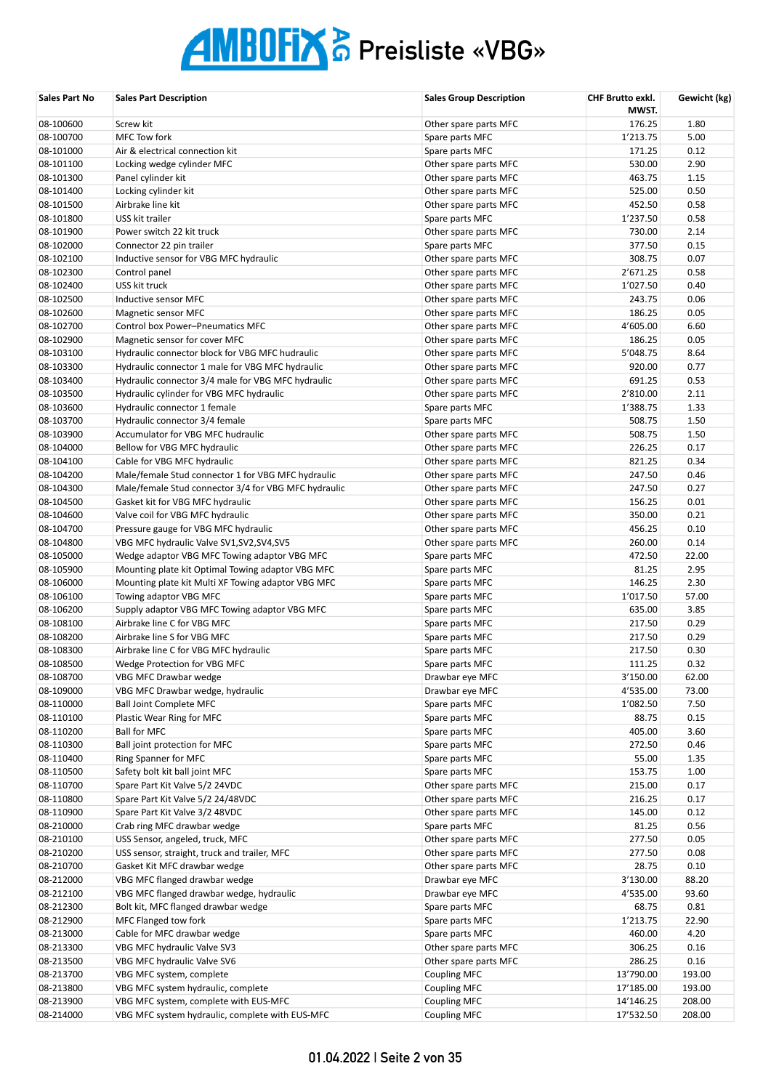| Sales Part No          | <b>Sales Part Description</b>                                           | <b>Sales Group Description</b>     | CHF Brutto exkl.<br>MWST. | Gewicht (kg)  |
|------------------------|-------------------------------------------------------------------------|------------------------------------|---------------------------|---------------|
| 08-100600              | Screw kit                                                               | Other spare parts MFC              | 176.25                    | 1.80          |
| 08-100700              | MFC Tow fork                                                            | Spare parts MFC                    | 1'213.75                  | 5.00          |
| 08-101000              | Air & electrical connection kit                                         | Spare parts MFC                    | 171.25                    | 0.12          |
| 08-101100              | Locking wedge cylinder MFC                                              | Other spare parts MFC              | 530.00                    | 2.90          |
| 08-101300              | Panel cylinder kit                                                      | Other spare parts MFC              | 463.75                    | 1.15          |
| 08-101400              | Locking cylinder kit                                                    | Other spare parts MFC              | 525.00                    | 0.50          |
| 08-101500              | Airbrake line kit                                                       | Other spare parts MFC              | 452.50                    | 0.58          |
| 08-101800              | USS kit trailer                                                         | Spare parts MFC                    | 1'237.50                  | 0.58          |
| 08-101900              | Power switch 22 kit truck                                               | Other spare parts MFC              | 730.00                    | 2.14          |
| 08-102000              | Connector 22 pin trailer                                                | Spare parts MFC                    | 377.50                    | 0.15          |
| 08-102100              | Inductive sensor for VBG MFC hydraulic                                  | Other spare parts MFC              | 308.75                    | 0.07          |
| 08-102300              | Control panel                                                           | Other spare parts MFC              | 2'671.25                  | 0.58          |
| 08-102400              | USS kit truck                                                           | Other spare parts MFC              | 1'027.50                  | 0.40          |
| 08-102500              | Inductive sensor MFC                                                    | Other spare parts MFC              | 243.75                    | 0.06          |
| 08-102600              | Magnetic sensor MFC                                                     | Other spare parts MFC              | 186.25                    | 0.05          |
| 08-102700              | Control box Power-Pneumatics MFC                                        | Other spare parts MFC              | 4'605.00                  | 6.60          |
| 08-102900              | Magnetic sensor for cover MFC                                           | Other spare parts MFC              | 186.25                    | 0.05          |
| 08-103100              | Hydraulic connector block for VBG MFC hudraulic                         | Other spare parts MFC              | 5'048.75                  | 8.64          |
| 08-103300              | Hydraulic connector 1 male for VBG MFC hydraulic                        | Other spare parts MFC              | 920.00                    | 0.77          |
| 08-103400              | Hydraulic connector 3/4 male for VBG MFC hydraulic                      | Other spare parts MFC              | 691.25                    | 0.53          |
| 08-103500              | Hydraulic cylinder for VBG MFC hydraulic                                | Other spare parts MFC              | 2'810.00                  | 2.11          |
| 08-103600              | Hydraulic connector 1 female                                            | Spare parts MFC                    | 1'388.75                  | 1.33          |
| 08-103700              | Hydraulic connector 3/4 female                                          | Spare parts MFC                    | 508.75                    | 1.50          |
| 08-103900              | Accumulator for VBG MFC hudraulic                                       | Other spare parts MFC              | 508.75                    | 1.50          |
| 08-104000              | Bellow for VBG MFC hydraulic                                            | Other spare parts MFC              | 226.25                    | 0.17          |
| 08-104100              | Cable for VBG MFC hydraulic                                             | Other spare parts MFC              | 821.25                    | 0.34          |
| 08-104200              | Male/female Stud connector 1 for VBG MFC hydraulic                      | Other spare parts MFC              | 247.50                    | 0.46          |
| 08-104300              | Male/female Stud connector 3/4 for VBG MFC hydraulic                    | Other spare parts MFC              | 247.50                    | 0.27          |
| 08-104500              | Gasket kit for VBG MFC hydraulic                                        | Other spare parts MFC              | 156.25                    | 0.01          |
| 08-104600              | Valve coil for VBG MFC hydraulic                                        | Other spare parts MFC              | 350.00                    | 0.21          |
| 08-104700              | Pressure gauge for VBG MFC hydraulic                                    | Other spare parts MFC              | 456.25                    | 0.10          |
| 08-104800              | VBG MFC hydraulic Valve SV1, SV2, SV4, SV5                              | Other spare parts MFC              | 260.00                    | 0.14          |
| 08-105000              | Wedge adaptor VBG MFC Towing adaptor VBG MFC                            | Spare parts MFC                    | 472.50                    | 22.00         |
| 08-105900              | Mounting plate kit Optimal Towing adaptor VBG MFC                       | Spare parts MFC                    | 81.25                     | 2.95          |
| 08-106000              | Mounting plate kit Multi XF Towing adaptor VBG MFC                      | Spare parts MFC                    | 146.25                    | 2.30          |
| 08-106100<br>08-106200 | Towing adaptor VBG MFC<br>Supply adaptor VBG MFC Towing adaptor VBG MFC | Spare parts MFC                    | 1'017.50                  | 57.00<br>3.85 |
| 08-108100              | Airbrake line C for VBG MFC                                             | Spare parts MFC<br>Spare parts MFC | 635.00<br>217.50          | 0.29          |
| 08-108200              | Airbrake line S for VBG MFC                                             | Spare parts MFC                    | 217.50                    | 0.29          |
| 08-108300              | Airbrake line C for VBG MFC hydraulic                                   | Spare parts MFC                    | 217.50                    | 0.30          |
| 08-108500              | Wedge Protection for VBG MFC                                            | Spare parts MFC                    | 111.25                    | 0.32          |
| 08-108700              | VBG MFC Drawbar wedge                                                   | Drawbar eye MFC                    | 3'150.00                  | 62.00         |
| 08-109000              | VBG MFC Drawbar wedge, hydraulic                                        | Drawbar eye MFC                    | 4'535.00                  | 73.00         |
| 08-110000              | <b>Ball Joint Complete MFC</b>                                          | Spare parts MFC                    | 1'082.50                  | 7.50          |
| 08-110100              | Plastic Wear Ring for MFC                                               | Spare parts MFC                    | 88.75                     | 0.15          |
| 08-110200              | <b>Ball for MFC</b>                                                     | Spare parts MFC                    | 405.00                    | 3.60          |
| 08-110300              | Ball joint protection for MFC                                           | Spare parts MFC                    | 272.50                    | 0.46          |
| 08-110400              | Ring Spanner for MFC                                                    | Spare parts MFC                    | 55.00                     | 1.35          |
| 08-110500              | Safety bolt kit ball joint MFC                                          | Spare parts MFC                    | 153.75                    | 1.00          |
| 08-110700              | Spare Part Kit Valve 5/2 24VDC                                          | Other spare parts MFC              | 215.00                    | 0.17          |
| 08-110800              | Spare Part Kit Valve 5/2 24/48VDC                                       | Other spare parts MFC              | 216.25                    | 0.17          |
| 08-110900              | Spare Part Kit Valve 3/2 48VDC                                          | Other spare parts MFC              | 145.00                    | 0.12          |
| 08-210000              | Crab ring MFC drawbar wedge                                             | Spare parts MFC                    | 81.25                     | 0.56          |
| 08-210100              | USS Sensor, angeled, truck, MFC                                         | Other spare parts MFC              | 277.50                    | 0.05          |
| 08-210200              | USS sensor, straight, truck and trailer, MFC                            | Other spare parts MFC              | 277.50                    | 0.08          |
| 08-210700              | Gasket Kit MFC drawbar wedge                                            | Other spare parts MFC              | 28.75                     | 0.10          |
| 08-212000              | VBG MFC flanged drawbar wedge                                           | Drawbar eye MFC                    | 3'130.00                  | 88.20         |
| 08-212100              | VBG MFC flanged drawbar wedge, hydraulic                                | Drawbar eye MFC                    | 4'535.00                  | 93.60         |
| 08-212300              | Bolt kit, MFC flanged drawbar wedge                                     | Spare parts MFC                    | 68.75                     | 0.81          |
| 08-212900              | MFC Flanged tow fork                                                    | Spare parts MFC                    | 1'213.75                  | 22.90         |
| 08-213000              | Cable for MFC drawbar wedge                                             | Spare parts MFC                    | 460.00                    | 4.20          |
| 08-213300              | VBG MFC hydraulic Valve SV3                                             | Other spare parts MFC              | 306.25                    | 0.16          |
| 08-213500              | VBG MFC hydraulic Valve SV6                                             | Other spare parts MFC              | 286.25                    | 0.16          |
| 08-213700              | VBG MFC system, complete                                                | <b>Coupling MFC</b>                | 13'790.00                 | 193.00        |
| 08-213800              | VBG MFC system hydraulic, complete                                      | <b>Coupling MFC</b>                | 17'185.00                 | 193.00        |
| 08-213900              | VBG MFC system, complete with EUS-MFC                                   | <b>Coupling MFC</b>                | 14'146.25                 | 208.00        |
| 08-214000              | VBG MFC system hydraulic, complete with EUS-MFC                         | <b>Coupling MFC</b>                | 17'532.50                 | 208.00        |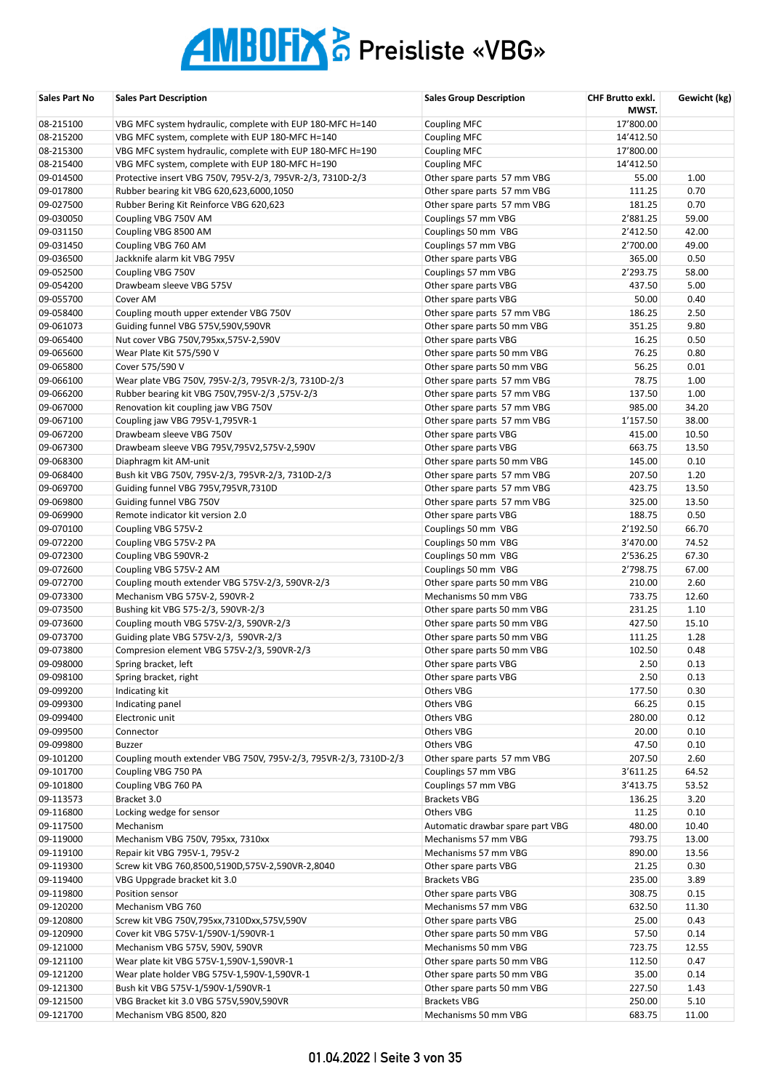| Sales Part No | <b>Sales Part Description</b>                                    | <b>Sales Group Description</b>   | CHF Brutto exkl.<br>MWST. | Gewicht (kg) |
|---------------|------------------------------------------------------------------|----------------------------------|---------------------------|--------------|
| 08-215100     | VBG MFC system hydraulic, complete with EUP 180-MFC H=140        | <b>Coupling MFC</b>              | 17'800.00                 |              |
| 08-215200     | VBG MFC system, complete with EUP 180-MFC H=140                  | <b>Coupling MFC</b>              | 14'412.50                 |              |
| 08-215300     | VBG MFC system hydraulic, complete with EUP 180-MFC H=190        | <b>Coupling MFC</b>              | 17'800.00                 |              |
| 08-215400     | VBG MFC system, complete with EUP 180-MFC H=190                  | <b>Coupling MFC</b>              | 14'412.50                 |              |
| 09-014500     | Protective insert VBG 750V, 795V-2/3, 795VR-2/3, 7310D-2/3       | Other spare parts 57 mm VBG      | 55.00                     | 1.00         |
| 09-017800     | Rubber bearing kit VBG 620,623,6000,1050                         | Other spare parts 57 mm VBG      | 111.25                    | 0.70         |
| 09-027500     | Rubber Bering Kit Reinforce VBG 620,623                          | Other spare parts 57 mm VBG      | 181.25                    | 0.70         |
| 09-030050     | Coupling VBG 750V AM                                             | Couplings 57 mm VBG              | 2'881.25                  | 59.00        |
| 09-031150     | Coupling VBG 8500 AM                                             | Couplings 50 mm VBG              | 2'412.50                  | 42.00        |
| 09-031450     | Coupling VBG 760 AM                                              | Couplings 57 mm VBG              | 2'700.00                  | 49.00        |
| 09-036500     | Jackknife alarm kit VBG 795V                                     | Other spare parts VBG            | 365.00                    | 0.50         |
| 09-052500     | Coupling VBG 750V                                                | Couplings 57 mm VBG              | 2'293.75                  | 58.00        |
| 09-054200     | Drawbeam sleeve VBG 575V                                         | Other spare parts VBG            | 437.50                    | 5.00         |
| 09-055700     | Cover AM                                                         | Other spare parts VBG            | 50.00                     | 0.40         |
| 09-058400     | Coupling mouth upper extender VBG 750V                           | Other spare parts 57 mm VBG      | 186.25                    | 2.50         |
| 09-061073     | Guiding funnel VBG 575V,590V,590VR                               | Other spare parts 50 mm VBG      | 351.25                    | 9.80         |
| 09-065400     | Nut cover VBG 750V,795xx,575V-2,590V                             | Other spare parts VBG            | 16.25                     | 0.50         |
| 09-065600     | Wear Plate Kit 575/590 V                                         | Other spare parts 50 mm VBG      | 76.25                     | 0.80         |
| 09-065800     | Cover 575/590 V                                                  | Other spare parts 50 mm VBG      | 56.25                     | 0.01         |
| 09-066100     | Wear plate VBG 750V, 795V-2/3, 795VR-2/3, 7310D-2/3              | Other spare parts 57 mm VBG      | 78.75                     | 1.00         |
| 09-066200     | 575V-2/3, Rubber bearing kit VBG 750V, 795V-2/3                  | Other spare parts 57 mm VBG      | 137.50                    | 1.00         |
| 09-067000     | Renovation kit coupling jaw VBG 750V                             | Other spare parts 57 mm VBG      | 985.00                    | 34.20        |
| 09-067100     | Coupling jaw VBG 795V-1,795VR-1                                  | Other spare parts 57 mm VBG      | 1'157.50                  | 38.00        |
| 09-067200     | Drawbeam sleeve VBG 750V                                         | Other spare parts VBG            | 415.00                    | 10.50        |
| 09-067300     | Drawbeam sleeve VBG 795V,795V2,575V-2,590V                       | Other spare parts VBG            | 663.75                    | 13.50        |
| 09-068300     | Diaphragm kit AM-unit                                            | Other spare parts 50 mm VBG      | 145.00                    | 0.10         |
| 09-068400     | Bush kit VBG 750V, 795V-2/3, 795VR-2/3, 7310D-2/3                | Other spare parts 57 mm VBG      | 207.50                    | 1.20         |
| 09-069700     | Guiding funnel VBG 795V,795VR,7310D                              | Other spare parts 57 mm VBG      | 423.75                    | 13.50        |
| 09-069800     | Guiding funnel VBG 750V                                          | Other spare parts 57 mm VBG      | 325.00                    | 13.50        |
| 09-069900     | Remote indicator kit version 2.0                                 | Other spare parts VBG            | 188.75                    | 0.50         |
| 09-070100     | Coupling VBG 575V-2                                              | Couplings 50 mm VBG              | 2'192.50                  | 66.70        |
| 09-072200     | Coupling VBG 575V-2 PA                                           | Couplings 50 mm VBG              | 3'470.00                  | 74.52        |
| 09-072300     | Coupling VBG 590VR-2                                             | Couplings 50 mm VBG              | 2'536.25                  | 67.30        |
| 09-072600     | Coupling VBG 575V-2 AM                                           | Couplings 50 mm VBG              | 2'798.75                  | 67.00        |
| 09-072700     | Coupling mouth extender VBG 575V-2/3, 590VR-2/3                  | Other spare parts 50 mm VBG      | 210.00                    | 2.60         |
| 09-073300     | Mechanism VBG 575V-2, 590VR-2                                    | Mechanisms 50 mm VBG             | 733.75                    | 12.60        |
| 09-073500     | Bushing kit VBG 575-2/3, 590VR-2/3                               | Other spare parts 50 mm VBG      | 231.25                    | 1.10         |
| 09-073600     | Coupling mouth VBG 575V-2/3, 590VR-2/3                           | Other spare parts 50 mm VBG      | 427.50                    | 15.10        |
| 09-073700     | Guiding plate VBG 575V-2/3, 590VR-2/3                            | Other spare parts 50 mm VBG      | 111.25                    | 1.28         |
| 09-073800     | Compresion element VBG 575V-2/3, 590VR-2/3                       | Other spare parts 50 mm VBG      | 102.50                    | 0.48         |
| 09-098000     | Spring bracket, left                                             | Other spare parts VBG            | 2.50                      | 0.13         |
| 09-098100     | Spring bracket, right                                            | Other spare parts VBG            | 2.50                      | 0.13         |
| 09-099200     | Indicating kit                                                   | Others VBG                       | 177.50                    | 0.30         |
| 09-099300     | Indicating panel                                                 | Others VBG                       | 66.25                     | 0.15         |
| 09-099400     | Electronic unit                                                  | Others VBG                       | 280.00                    | 0.12         |
| 09-099500     | Connector                                                        | Others VBG                       | 20.00                     | 0.10         |
| 09-099800     | <b>Buzzer</b>                                                    | Others VBG                       | 47.50                     | 0.10         |
| 09-101200     | Coupling mouth extender VBG 750V, 795V-2/3, 795VR-2/3, 7310D-2/3 | Other spare parts 57 mm VBG      | 207.50                    | 2.60         |
| 09-101700     | Coupling VBG 750 PA                                              | Couplings 57 mm VBG              | 3'611.25                  | 64.52        |
| 09-101800     | Coupling VBG 760 PA                                              | Couplings 57 mm VBG              | 3'413.75                  | 53.52        |
| 09-113573     | Bracket 3.0                                                      | <b>Brackets VBG</b>              | 136.25                    | 3.20         |
| 09-116800     | Locking wedge for sensor                                         | Others VBG                       | 11.25                     | 0.10         |
| 09-117500     | Mechanism                                                        | Automatic drawbar spare part VBG | 480.00                    | 10.40        |
| 09-119000     | Mechanism VBG 750V, 795xx, 7310xx                                | Mechanisms 57 mm VBG             | 793.75                    | 13.00        |
| 09-119100     | Repair kit VBG 795V-1, 795V-2                                    | Mechanisms 57 mm VBG             | 890.00                    | 13.56        |
| 09-119300     | Screw kit VBG 760,8500,5190D,575V-2,590VR-2,8040                 | Other spare parts VBG            | 21.25                     | 0.30         |
| 09-119400     | VBG Uppgrade bracket kit 3.0                                     | <b>Brackets VBG</b>              | 235.00                    | 3.89         |
| 09-119800     | Position sensor                                                  | Other spare parts VBG            | 308.75                    | 0.15         |
| 09-120200     | Mechanism VBG 760                                                | Mechanisms 57 mm VBG             | 632.50                    | 11.30        |
| 09-120800     | Screw kit VBG 750V, 795xx, 7310Dxx, 575V, 590V                   | Other spare parts VBG            | 25.00                     | 0.43         |
| 09-120900     | Cover kit VBG 575V-1/590V-1/590VR-1                              | Other spare parts 50 mm VBG      | 57.50                     | 0.14         |
| 09-121000     | Mechanism VBG 575V, 590V, 590VR                                  | Mechanisms 50 mm VBG             | 723.75                    | 12.55        |
| 09-121100     | Wear plate kit VBG 575V-1,590V-1,590VR-1                         | Other spare parts 50 mm VBG      | 112.50                    | 0.47         |
| 09-121200     | Wear plate holder VBG 575V-1,590V-1,590VR-1                      | Other spare parts 50 mm VBG      | 35.00                     | 0.14         |
| 09-121300     | Bush kit VBG 575V-1/590V-1/590VR-1                               | Other spare parts 50 mm VBG      | 227.50                    | 1.43         |
| 09-121500     | VBG Bracket kit 3.0 VBG 575V,590V,590VR                          | <b>Brackets VBG</b>              | 250.00                    | 5.10         |
| 09-121700     | Mechanism VBG 8500, 820                                          | Mechanisms 50 mm VBG             | 683.75                    | 11.00        |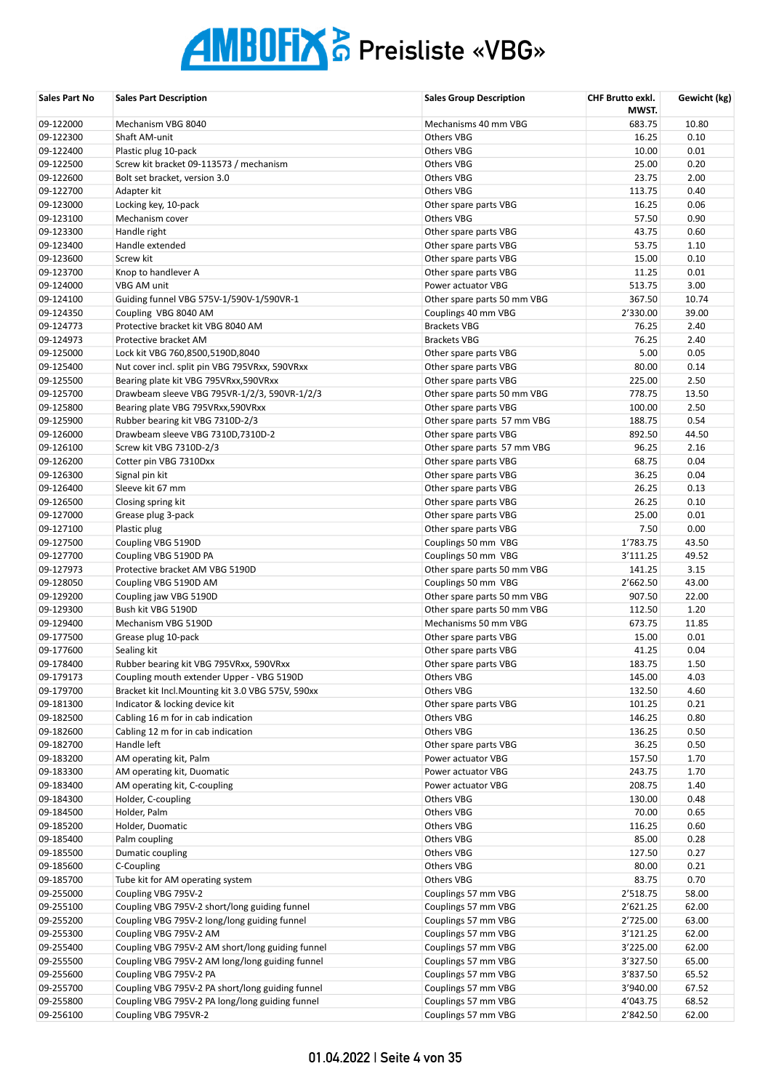| Sales Part No          | <b>Sales Part Description</b>                                                                       | <b>Sales Group Description</b>             | CHF Brutto exkl.<br>MWST. | Gewicht (kg)   |
|------------------------|-----------------------------------------------------------------------------------------------------|--------------------------------------------|---------------------------|----------------|
| 09-122000              | Mechanism VBG 8040                                                                                  | Mechanisms 40 mm VBG                       | 683.75                    | 10.80          |
| 09-122300              | Shaft AM-unit                                                                                       | <b>Others VBG</b>                          | 16.25                     | 0.10           |
| 09-122400              | Plastic plug 10-pack                                                                                | <b>Others VBG</b>                          | 10.00                     | 0.01           |
| 09-122500              | Screw kit bracket 09-113573 / mechanism                                                             | <b>Others VBG</b>                          | 25.00                     | 0.20           |
| 09-122600              | Bolt set bracket, version 3.0                                                                       | <b>Others VBG</b>                          | 23.75                     | 2.00           |
| 09-122700              | Adapter kit                                                                                         | <b>Others VBG</b>                          | 113.75                    | 0.40           |
| 09-123000              | Locking key, 10-pack                                                                                | Other spare parts VBG                      | 16.25                     | 0.06           |
| 09-123100              | Mechanism cover                                                                                     | Others VBG                                 | 57.50                     | 0.90           |
| 09-123300              | Handle right                                                                                        | Other spare parts VBG                      | 43.75                     | 0.60           |
| 09-123400              | Handle extended                                                                                     | Other spare parts VBG                      | 53.75                     | 1.10           |
| 09-123600              | Screw kit                                                                                           | Other spare parts VBG                      | 15.00                     | 0.10           |
| 09-123700              | Knop to handlever A                                                                                 | Other spare parts VBG                      | 11.25                     | 0.01           |
| 09-124000              | VBG AM unit                                                                                         | Power actuator VBG                         | 513.75                    | 3.00           |
| 09-124100              | Guiding funnel VBG 575V-1/590V-1/590VR-1                                                            | Other spare parts 50 mm VBG                | 367.50                    | 10.74          |
| 09-124350              | Coupling VBG 8040 AM                                                                                | Couplings 40 mm VBG                        | 2'330.00                  | 39.00          |
| 09-124773              | Protective bracket kit VBG 8040 AM                                                                  | <b>Brackets VBG</b>                        | 76.25                     | 2.40           |
| 09-124973              | Protective bracket AM                                                                               | <b>Brackets VBG</b>                        | 76.25                     | 2.40           |
| 09-125000              | Lock kit VBG 760,8500,5190D,8040                                                                    | Other spare parts VBG                      | 5.00                      | 0.05           |
| 09-125400              | Nut cover incl. split pin VBG 795VRxx, 590VRxx                                                      | Other spare parts VBG                      | 80.00                     | 0.14           |
| 09-125500              | Bearing plate kit VBG 795VRxx,590VRxx                                                               | Other spare parts VBG                      | 225.00                    | 2.50           |
| 09-125700              | Drawbeam sleeve VBG 795VR-1/2/3, 590VR-1/2/3                                                        | Other spare parts 50 mm VBG                | 778.75                    | 13.50          |
| 09-125800              | Bearing plate VBG 795VRxx,590VRxx                                                                   | Other spare parts VBG                      | 100.00                    | 2.50           |
| 09-125900              | Rubber bearing kit VBG 7310D-2/3                                                                    | Other spare parts 57 mm VBG                | 188.75                    | 0.54           |
| 09-126000              | Drawbeam sleeve VBG 7310D,7310D-2                                                                   | Other spare parts VBG                      | 892.50                    | 44.50          |
| 09-126100              | Screw kit VBG 7310D-2/3                                                                             | Other spare parts 57 mm VBG                | 96.25                     | 2.16           |
| 09-126200              | Cotter pin VBG 7310Dxx                                                                              | Other spare parts VBG                      | 68.75                     | 0.04           |
| 09-126300              | Signal pin kit                                                                                      | Other spare parts VBG                      | 36.25                     | 0.04           |
| 09-126400              | Sleeve kit 67 mm                                                                                    | Other spare parts VBG                      | 26.25                     | 0.13           |
| 09-126500              | Closing spring kit                                                                                  | Other spare parts VBG                      | 26.25                     | 0.10           |
| 09-127000              | Grease plug 3-pack                                                                                  | Other spare parts VBG                      | 25.00                     | 0.01           |
| 09-127100              | Plastic plug                                                                                        | Other spare parts VBG                      | 7.50                      | 0.00           |
| 09-127500              | Coupling VBG 5190D                                                                                  | Couplings 50 mm VBG                        | 1'783.75                  | 43.50          |
| 09-127700              | Coupling VBG 5190D PA                                                                               | Couplings 50 mm VBG                        | 3'111.25                  | 49.52          |
| 09-127973              | Protective bracket AM VBG 5190D                                                                     | Other spare parts 50 mm VBG                | 141.25                    | 3.15           |
| 09-128050              | Coupling VBG 5190D AM                                                                               | Couplings 50 mm VBG                        | 2'662.50                  | 43.00          |
| 09-129200              | Coupling jaw VBG 5190D                                                                              | Other spare parts 50 mm VBG                | 907.50                    | 22.00          |
| 09-129300              | Bush kit VBG 5190D                                                                                  | Other spare parts 50 mm VBG                | 112.50                    | 1.20           |
| 09-129400              | Mechanism VBG 5190D                                                                                 | Mechanisms 50 mm VBG                       | 673.75                    | 11.85          |
| 09-177500              | Grease plug 10-pack                                                                                 | Other spare parts VBG                      | 15.00                     | 0.01           |
| 09-177600              | Sealing kit                                                                                         | Other spare parts VBG                      | 41.25                     | 0.04           |
| 09-178400              | Rubber bearing kit VBG 795VRxx, 590VRxx                                                             | Other spare parts VBG                      | 183.75                    | 1.50           |
| 09-179173              | Coupling mouth extender Upper - VBG 5190D                                                           | Others VBG                                 | 145.00                    | 4.03           |
| 09-179700              | Bracket kit Incl. Mounting kit 3.0 VBG 575V, 590xx                                                  | Others VBG                                 | 132.50                    | 4.60           |
| 09-181300              | Indicator & locking device kit                                                                      | Other spare parts VBG                      | 101.25                    | 0.21           |
| 09-182500              | Cabling 16 m for in cab indication                                                                  | Others VBG                                 | 146.25                    | 0.80           |
| 09-182600              | Cabling 12 m for in cab indication                                                                  | Others VBG                                 | 136.25                    | 0.50           |
| 09-182700              | Handle left                                                                                         | Other spare parts VBG                      | 36.25                     | 0.50           |
| 09-183200              | AM operating kit, Palm                                                                              | Power actuator VBG                         | 157.50                    | 1.70           |
| 09-183300              | AM operating kit, Duomatic                                                                          | Power actuator VBG                         | 243.75                    | 1.70           |
| 09-183400              | AM operating kit, C-coupling                                                                        | Power actuator VBG                         | 208.75                    | 1.40           |
| 09-184300              | Holder, C-coupling                                                                                  | Others VBG                                 | 130.00                    | 0.48           |
| 09-184500              | Holder, Palm                                                                                        | Others VBG                                 | 70.00                     | 0.65           |
| 09-185200              | Holder, Duomatic                                                                                    | Others VBG                                 | 116.25                    | 0.60           |
| 09-185400              | Palm coupling                                                                                       | Others VBG                                 | 85.00                     | 0.28           |
| 09-185500              | Dumatic coupling                                                                                    | Others VBG                                 | 127.50                    | 0.27           |
| 09-185600              | C-Coupling                                                                                          | Others VBG                                 | 80.00                     | 0.21           |
| 09-185700              | Tube kit for AM operating system                                                                    | Others VBG                                 | 83.75                     | 0.70           |
| 09-255000              | Coupling VBG 795V-2                                                                                 | Couplings 57 mm VBG                        | 2'518.75                  | 58.00          |
| 09-255100              | Coupling VBG 795V-2 short/long guiding funnel                                                       | Couplings 57 mm VBG                        | 2'621.25                  | 62.00          |
| 09-255200              | Coupling VBG 795V-2 long/long guiding funnel                                                        | Couplings 57 mm VBG                        | 2'725.00                  | 63.00          |
| 09-255300              | Coupling VBG 795V-2 AM                                                                              | Couplings 57 mm VBG                        | 3'121.25                  | 62.00          |
| 09-255400              | Coupling VBG 795V-2 AM short/long guiding funnel                                                    | Couplings 57 mm VBG                        | 3'225.00                  | 62.00          |
| 09-255500              | Coupling VBG 795V-2 AM long/long guiding funnel                                                     | Couplings 57 mm VBG                        | 3'327.50                  | 65.00          |
| 09-255600              | Coupling VBG 795V-2 PA                                                                              | Couplings 57 mm VBG                        | 3'837.50                  | 65.52          |
| 09-255700<br>09-255800 | Coupling VBG 795V-2 PA short/long guiding funnel<br>Coupling VBG 795V-2 PA long/long guiding funnel | Couplings 57 mm VBG<br>Couplings 57 mm VBG | 3'940.00<br>4'043.75      | 67.52<br>68.52 |
| 09-256100              | Coupling VBG 795VR-2                                                                                | Couplings 57 mm VBG                        | 2'842.50                  | 62.00          |
|                        |                                                                                                     |                                            |                           |                |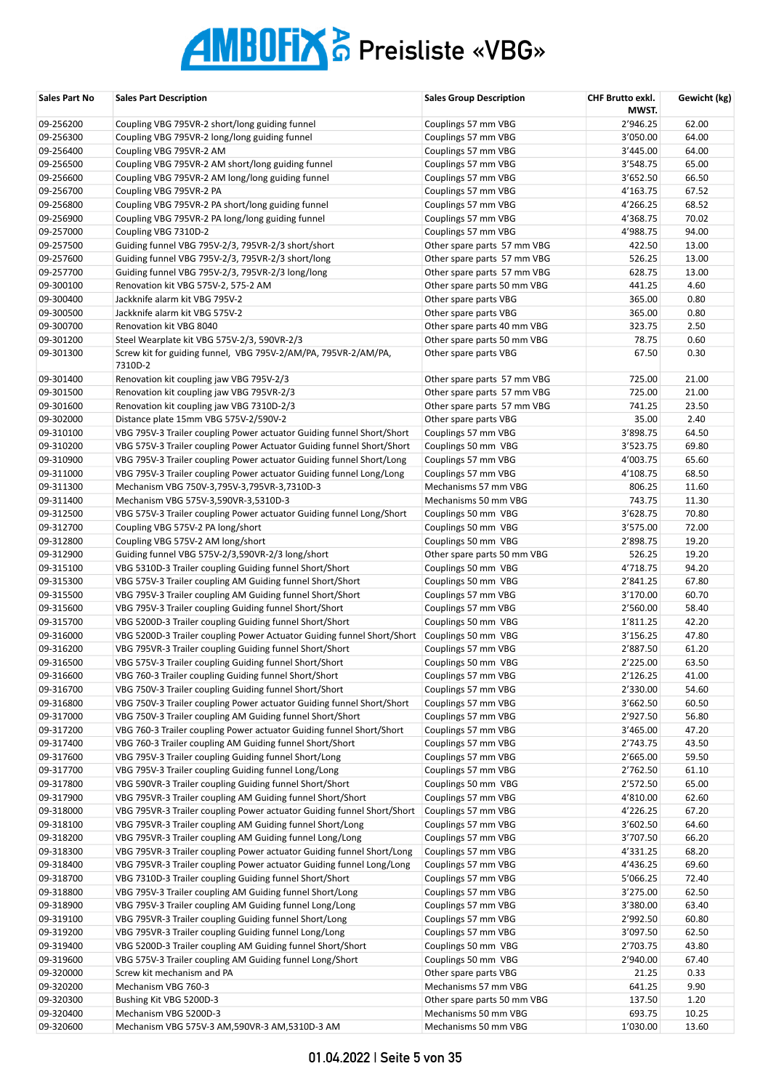| Sales Part No | <b>Sales Part Description</b>                                          | <b>Sales Group Description</b> | CHF Brutto exkl.<br>MWST. | Gewicht (kg) |
|---------------|------------------------------------------------------------------------|--------------------------------|---------------------------|--------------|
| 09-256200     | Coupling VBG 795VR-2 short/long guiding funnel                         | Couplings 57 mm VBG            | 2'946.25                  | 62.00        |
| 09-256300     | Coupling VBG 795VR-2 long/long guiding funnel                          | Couplings 57 mm VBG            | 3'050.00                  | 64.00        |
| 09-256400     | Coupling VBG 795VR-2 AM                                                | Couplings 57 mm VBG            | 3'445.00                  | 64.00        |
| 09-256500     | Coupling VBG 795VR-2 AM short/long guiding funnel                      | Couplings 57 mm VBG            | 3'548.75                  | 65.00        |
| 09-256600     | Coupling VBG 795VR-2 AM long/long guiding funnel                       | Couplings 57 mm VBG            | 3'652.50                  | 66.50        |
| 09-256700     | Coupling VBG 795VR-2 PA                                                | Couplings 57 mm VBG            | 4'163.75                  | 67.52        |
| 09-256800     |                                                                        |                                | 4'266.25                  | 68.52        |
|               | Coupling VBG 795VR-2 PA short/long guiding funnel                      | Couplings 57 mm VBG            |                           |              |
| 09-256900     | Coupling VBG 795VR-2 PA long/long guiding funnel                       | Couplings 57 mm VBG            | 4'368.75                  | 70.02        |
| 09-257000     | Coupling VBG 7310D-2                                                   | Couplings 57 mm VBG            | 4'988.75                  | 94.00        |
| 09-257500     | Guiding funnel VBG 795V-2/3, 795VR-2/3 short/short                     | Other spare parts 57 mm VBG    | 422.50                    | 13.00        |
| 09-257600     | Guiding funnel VBG 795V-2/3, 795VR-2/3 short/long                      | Other spare parts 57 mm VBG    | 526.25                    | 13.00        |
| 09-257700     | Guiding funnel VBG 795V-2/3, 795VR-2/3 long/long                       | Other spare parts 57 mm VBG    | 628.75                    | 13.00        |
| 09-300100     | Renovation kit VBG 575V-2, 575-2 AM                                    | Other spare parts 50 mm VBG    | 441.25                    | 4.60         |
| 09-300400     | Jackknife alarm kit VBG 795V-2                                         | Other spare parts VBG          | 365.00                    | 0.80         |
| 09-300500     | Jackknife alarm kit VBG 575V-2                                         | Other spare parts VBG          | 365.00                    | 0.80         |
| 09-300700     | Renovation kit VBG 8040                                                | Other spare parts 40 mm VBG    | 323.75                    | 2.50         |
| 09-301200     | Steel Wearplate kit VBG 575V-2/3, 590VR-2/3                            | Other spare parts 50 mm VBG    | 78.75                     | 0.60         |
| 09-301300     | Screw kit for guiding funnel, VBG 795V-2/AM/PA, 795VR-2/AM/PA,         | Other spare parts VBG          | 67.50                     | 0.30         |
|               | 7310D-2                                                                |                                |                           |              |
| 09-301400     | Renovation kit coupling jaw VBG 795V-2/3                               | Other spare parts 57 mm VBG    | 725.00                    | 21.00        |
| 09-301500     | Renovation kit coupling jaw VBG 795VR-2/3                              | Other spare parts 57 mm VBG    | 725.00                    | 21.00        |
| 09-301600     | Renovation kit coupling jaw VBG 7310D-2/3                              | Other spare parts 57 mm VBG    | 741.25                    | 23.50        |
| 09-302000     | Distance plate 15mm VBG 575V-2/590V-2                                  | Other spare parts VBG          | 35.00                     | 2.40         |
| 09-310100     | VBG 795V-3 Trailer coupling Power actuator Guiding funnel Short/Short  | Couplings 57 mm VBG            | 3'898.75                  | 64.50        |
| 09-310200     | VBG 575V-3 Trailer coupling Power Actuator Guiding funnel Short/Short  | Couplings 50 mm VBG            | 3'523.75                  | 69.80        |
| 09-310900     | VBG 795V-3 Trailer coupling Power actuator Guiding funnel Short/Long   | Couplings 57 mm VBG            | 4'003.75                  | 65.60        |
| 09-311000     | VBG 795V-3 Trailer coupling Power actuator Guiding funnel Long/Long    | Couplings 57 mm VBG            | 4'108.75                  | 68.50        |
| 09-311300     | Mechanism VBG 750V-3,795V-3,795VR-3,7310D-3                            | Mechanisms 57 mm VBG           | 806.25                    | 11.60        |
| 09-311400     | Mechanism VBG 575V-3,590VR-3,5310D-3                                   | Mechanisms 50 mm VBG           | 743.75                    | 11.30        |
| 09-312500     | VBG 575V-3 Trailer coupling Power actuator Guiding funnel Long/Short   | Couplings 50 mm VBG            | 3'628.75                  | 70.80        |
| 09-312700     | Coupling VBG 575V-2 PA long/short                                      | Couplings 50 mm VBG            | 3'575.00                  | 72.00        |
| 09-312800     | Coupling VBG 575V-2 AM long/short                                      | Couplings 50 mm VBG            | 2'898.75                  | 19.20        |
| 09-312900     | Guiding funnel VBG 575V-2/3,590VR-2/3 long/short                       | Other spare parts 50 mm VBG    | 526.25                    | 19.20        |
| 09-315100     | VBG 5310D-3 Trailer coupling Guiding funnel Short/Short                | Couplings 50 mm VBG            | 4'718.75                  | 94.20        |
| 09-315300     | VBG 575V-3 Trailer coupling AM Guiding funnel Short/Short              | Couplings 50 mm VBG            | 2'841.25                  | 67.80        |
| 09-315500     | VBG 795V-3 Trailer coupling AM Guiding funnel Short/Short              | Couplings 57 mm VBG            | 3'170.00                  | 60.70        |
| 09-315600     | VBG 795V-3 Trailer coupling Guiding funnel Short/Short                 | Couplings 57 mm VBG            | 2'560.00                  | 58.40        |
| 09-315700     | VBG 5200D-3 Trailer coupling Guiding funnel Short/Short                | Couplings 50 mm VBG            | 1'811.25                  | 42.20        |
| 09-316000     | VBG 5200D-3 Trailer coupling Power Actuator Guiding funnel Short/Short | Couplings 50 mm VBG            | 3'156.25                  | 47.80        |
| 09-316200     | VBG 795VR-3 Trailer coupling Guiding funnel Short/Short                | Couplings 57 mm VBG            | 2'887.50                  | 61.20        |
| 09-316500     | VBG 575V-3 Trailer coupling Guiding funnel Short/Short                 | Couplings 50 mm VBG            | 2'225.00                  | 63.50        |
| 09-316600     | VBG 760-3 Trailer coupling Guiding funnel Short/Short                  | Couplings 57 mm VBG            | 2'126.25                  | 41.00        |
| 09-316700     | VBG 750V-3 Trailer coupling Guiding funnel Short/Short                 | Couplings 57 mm VBG            | 2'330.00                  | 54.60        |
| 09-316800     | VBG 750V-3 Trailer coupling Power actuator Guiding funnel Short/Short  | Couplings 57 mm VBG            | 3'662.50                  | 60.50        |
| 09-317000     | VBG 750V-3 Trailer coupling AM Guiding funnel Short/Short              | Couplings 57 mm VBG            | 2'927.50                  | 56.80        |
| 09-317200     | VBG 760-3 Trailer coupling Power actuator Guiding funnel Short/Short   | Couplings 57 mm VBG            | 3'465.00                  | 47.20        |
|               |                                                                        |                                |                           |              |
| 09-317400     | VBG 760-3 Trailer coupling AM Guiding funnel Short/Short               | Couplings 57 mm VBG            | 2'743.75                  | 43.50        |
| 09-317600     | VBG 795V-3 Trailer coupling Guiding funnel Short/Long                  | Couplings 57 mm VBG            | 2'665.00                  | 59.50        |
| 09-317700     | VBG 795V-3 Trailer coupling Guiding funnel Long/Long                   | Couplings 57 mm VBG            | 2'762.50                  | 61.10        |
| 09-317800     | VBG 590VR-3 Trailer coupling Guiding funnel Short/Short                | Couplings 50 mm VBG            | 2'572.50                  | 65.00        |
| 09-317900     | VBG 795VR-3 Trailer coupling AM Guiding funnel Short/Short             | Couplings 57 mm VBG            | 4'810.00                  | 62.60        |
| 09-318000     | VBG 795VR-3 Trailer coupling Power actuator Guiding funnel Short/Short | Couplings 57 mm VBG            | 4'226.25                  | 67.20        |
| 09-318100     | VBG 795VR-3 Trailer coupling AM Guiding funnel Short/Long              | Couplings 57 mm VBG            | 3'602.50                  | 64.60        |
| 09-318200     | VBG 795VR-3 Trailer coupling AM Guiding funnel Long/Long               | Couplings 57 mm VBG            | 3'707.50                  | 66.20        |
| 09-318300     | VBG 795VR-3 Trailer coupling Power actuator Guiding funnel Short/Long  | Couplings 57 mm VBG            | 4'331.25                  | 68.20        |
| 09-318400     | VBG 795VR-3 Trailer coupling Power actuator Guiding funnel Long/Long   | Couplings 57 mm VBG            | 4'436.25                  | 69.60        |
| 09-318700     | VBG 7310D-3 Trailer coupling Guiding funnel Short/Short                | Couplings 57 mm VBG            | 5'066.25                  | 72.40        |
| 09-318800     | VBG 795V-3 Trailer coupling AM Guiding funnel Short/Long               | Couplings 57 mm VBG            | 3'275.00                  | 62.50        |
| 09-318900     | VBG 795V-3 Trailer coupling AM Guiding funnel Long/Long                | Couplings 57 mm VBG            | 3'380.00                  | 63.40        |
| 09-319100     | VBG 795VR-3 Trailer coupling Guiding funnel Short/Long                 | Couplings 57 mm VBG            | 2'992.50                  | 60.80        |
| 09-319200     | VBG 795VR-3 Trailer coupling Guiding funnel Long/Long                  | Couplings 57 mm VBG            | 3'097.50                  | 62.50        |
| 09-319400     | VBG 5200D-3 Trailer coupling AM Guiding funnel Short/Short             | Couplings 50 mm VBG            | 2'703.75                  | 43.80        |
| 09-319600     | VBG 575V-3 Trailer coupling AM Guiding funnel Long/Short               | Couplings 50 mm VBG            | 2'940.00                  | 67.40        |
| 09-320000     | Screw kit mechanism and PA                                             | Other spare parts VBG          | 21.25                     | 0.33         |
| 09-320200     | Mechanism VBG 760-3                                                    | Mechanisms 57 mm VBG           | 641.25                    | 9.90         |
| 09-320300     | Bushing Kit VBG 5200D-3                                                | Other spare parts 50 mm VBG    | 137.50                    | 1.20         |
| 09-320400     | Mechanism VBG 5200D-3                                                  | Mechanisms 50 mm VBG           | 693.75                    | 10.25        |
| 09-320600     | Mechanism VBG 575V-3 AM, 590VR-3 AM, 5310D-3 AM                        | Mechanisms 50 mm VBG           | 1'030.00                  | 13.60        |
|               |                                                                        |                                |                           |              |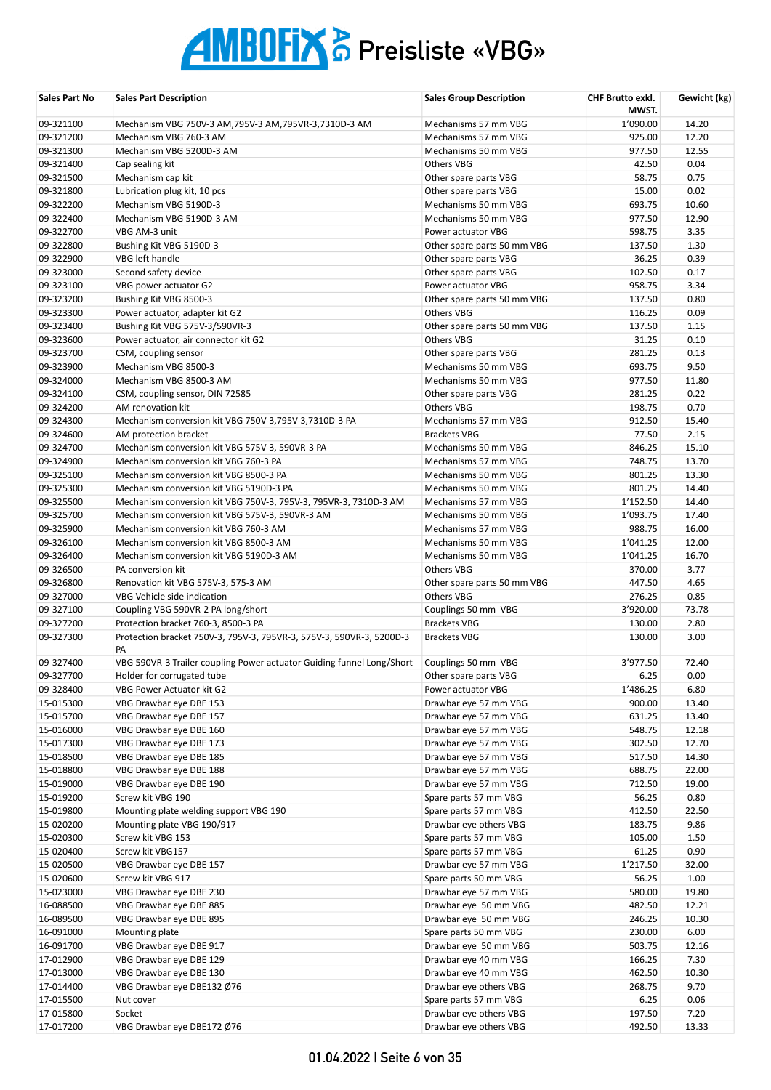| Sales Part No          | <b>Sales Part Description</b>                                              | <b>Sales Group Description</b>                   | CHF Brutto exkl.<br>MWST. | Gewicht (kg) |
|------------------------|----------------------------------------------------------------------------|--------------------------------------------------|---------------------------|--------------|
| 09-321100              | Mechanism VBG 750V-3 AM, 795V-3 AM, 795VR-3, 7310D-3 AM                    | Mechanisms 57 mm VBG                             | 1'090.00                  | 14.20        |
| 09-321200              | Mechanism VBG 760-3 AM                                                     | Mechanisms 57 mm VBG                             | 925.00                    | 12.20        |
| 09-321300              | Mechanism VBG 5200D-3 AM                                                   | Mechanisms 50 mm VBG                             | 977.50                    | 12.55        |
| 09-321400              | Cap sealing kit                                                            | Others VBG                                       | 42.50                     | 0.04         |
| 09-321500              | Mechanism cap kit                                                          | Other spare parts VBG                            | 58.75                     | 0.75         |
| 09-321800              | Lubrication plug kit, 10 pcs                                               | Other spare parts VBG                            | 15.00                     | 0.02         |
| 09-322200              | Mechanism VBG 5190D-3                                                      | Mechanisms 50 mm VBG                             | 693.75                    | 10.60        |
| 09-322400              | Mechanism VBG 5190D-3 AM                                                   | Mechanisms 50 mm VBG                             | 977.50                    | 12.90        |
| 09-322700              | VBG AM-3 unit                                                              | Power actuator VBG                               | 598.75                    | 3.35         |
| 09-322800              | Bushing Kit VBG 5190D-3                                                    | Other spare parts 50 mm VBG                      | 137.50                    | 1.30         |
| 09-322900              | VBG left handle                                                            | Other spare parts VBG                            | 36.25                     | 0.39         |
| 09-323000              | Second safety device                                                       | Other spare parts VBG                            | 102.50                    | 0.17         |
| 09-323100              | VBG power actuator G2                                                      | Power actuator VBG                               | 958.75                    | 3.34         |
| 09-323200              | Bushing Kit VBG 8500-3                                                     | Other spare parts 50 mm VBG                      | 137.50                    | 0.80         |
| 09-323300<br>09-323400 | Power actuator, adapter kit G2                                             | Others VBG                                       | 116.25<br>137.50          | 0.09<br>1.15 |
| 09-323600              | Bushing Kit VBG 575V-3/590VR-3                                             | Other spare parts 50 mm VBG<br><b>Others VBG</b> | 31.25                     | 0.10         |
| 09-323700              | Power actuator, air connector kit G2                                       | Other spare parts VBG                            | 281.25                    | 0.13         |
| 09-323900              | CSM, coupling sensor<br>Mechanism VBG 8500-3                               | Mechanisms 50 mm VBG                             | 693.75                    | 9.50         |
| 09-324000              | Mechanism VBG 8500-3 AM                                                    | Mechanisms 50 mm VBG                             | 977.50                    | 11.80        |
| 09-324100              | CSM, coupling sensor, DIN 72585                                            | Other spare parts VBG                            | 281.25                    | 0.22         |
| 09-324200              | AM renovation kit                                                          | Others VBG                                       | 198.75                    | 0.70         |
| 09-324300              | Mechanism conversion kit VBG 750V-3,795V-3,7310D-3 PA                      | Mechanisms 57 mm VBG                             | 912.50                    | 15.40        |
| 09-324600              | AM protection bracket                                                      | <b>Brackets VBG</b>                              | 77.50                     | 2.15         |
| 09-324700              | Mechanism conversion kit VBG 575V-3, 590VR-3 PA                            | Mechanisms 50 mm VBG                             | 846.25                    | 15.10        |
| 09-324900              | Mechanism conversion kit VBG 760-3 PA                                      | Mechanisms 57 mm VBG                             | 748.75                    | 13.70        |
| 09-325100              | Mechanism conversion kit VBG 8500-3 PA                                     | Mechanisms 50 mm VBG                             | 801.25                    | 13.30        |
| 09-325300              | Mechanism conversion kit VBG 5190D-3 PA                                    | Mechanisms 50 mm VBG                             | 801.25                    | 14.40        |
| 09-325500              | Mechanism conversion kit VBG 750V-3, 795V-3, 795VR-3, 7310D-3 AM           | Mechanisms 57 mm VBG                             | 1'152.50                  | 14.40        |
| 09-325700              | Mechanism conversion kit VBG 575V-3, 590VR-3 AM                            | Mechanisms 50 mm VBG                             | 1'093.75                  | 17.40        |
| 09-325900              | Mechanism conversion kit VBG 760-3 AM                                      | Mechanisms 57 mm VBG                             | 988.75                    | 16.00        |
| 09-326100              | Mechanism conversion kit VBG 8500-3 AM                                     | Mechanisms 50 mm VBG                             | 1'041.25                  | 12.00        |
| 09-326400              | Mechanism conversion kit VBG 5190D-3 AM                                    | Mechanisms 50 mm VBG                             | 1'041.25                  | 16.70        |
| 09-326500              | PA conversion kit                                                          | <b>Others VBG</b>                                | 370.00                    | 3.77         |
| 09-326800              | Renovation kit VBG 575V-3, 575-3 AM                                        | Other spare parts 50 mm VBG                      | 447.50                    | 4.65         |
| 09-327000              | VBG Vehicle side indication                                                | <b>Others VBG</b>                                | 276.25                    | 0.85         |
| 09-327100              | Coupling VBG 590VR-2 PA long/short                                         | Couplings 50 mm VBG                              | 3'920.00                  | 73.78        |
| 09-327200              | Protection bracket 760-3, 8500-3 PA                                        | <b>Brackets VBG</b>                              | 130.00                    | 2.80         |
| 09-327300              | Protection bracket 750V-3, 795V-3, 795VR-3, 575V-3, 590VR-3, 5200D-3<br>PA | <b>Brackets VBG</b>                              | 130.00                    | 3.00         |
| 09-327400              | VBG 590VR-3 Trailer coupling Power actuator Guiding funnel Long/Short      | Couplings 50 mm VBG                              | 3'977.50                  | 72.40        |
| 09-327700              | Holder for corrugated tube                                                 | Other spare parts VBG                            | 6.25                      | 0.00         |
| 09-328400              | VBG Power Actuator kit G2                                                  | Power actuator VBG                               | 1'486.25                  | 6.80         |
| 15-015300              | VBG Drawbar eye DBE 153                                                    | Drawbar eye 57 mm VBG                            | 900.00                    | 13.40        |
| 15-015700              | VBG Drawbar eye DBE 157                                                    | Drawbar eye 57 mm VBG                            | 631.25                    | 13.40        |
| 15-016000              | VBG Drawbar eye DBE 160                                                    | Drawbar eye 57 mm VBG                            | 548.75                    | 12.18        |
| 15-017300              | VBG Drawbar eye DBE 173                                                    | Drawbar eye 57 mm VBG                            | 302.50                    | 12.70        |
| 15-018500              | VBG Drawbar eye DBE 185                                                    | Drawbar eye 57 mm VBG                            | 517.50                    | 14.30        |
| 15-018800              | VBG Drawbar eye DBE 188                                                    | Drawbar eye 57 mm VBG                            | 688.75                    | 22.00        |
| 15-019000              | VBG Drawbar eye DBE 190                                                    | Drawbar eye 57 mm VBG                            | 712.50                    | 19.00        |
| 15-019200              | Screw kit VBG 190                                                          | Spare parts 57 mm VBG                            | 56.25                     | 0.80         |
| 15-019800              | Mounting plate welding support VBG 190                                     | Spare parts 57 mm VBG                            | 412.50                    | 22.50        |
| 15-020200              | Mounting plate VBG 190/917                                                 | Drawbar eye others VBG                           | 183.75                    | 9.86         |
| 15-020300              | Screw kit VBG 153                                                          | Spare parts 57 mm VBG                            | 105.00                    | 1.50         |
| 15-020400              | Screw kit VBG157                                                           | Spare parts 57 mm VBG                            | 61.25                     | 0.90         |
| 15-020500              | VBG Drawbar eye DBE 157                                                    | Drawbar eye 57 mm VBG                            | 1'217.50                  | 32.00        |
| 15-020600              | Screw kit VBG 917                                                          | Spare parts 50 mm VBG                            | 56.25                     | 1.00         |
| 15-023000              | VBG Drawbar eye DBE 230                                                    | Drawbar eye 57 mm VBG                            | 580.00                    | 19.80        |
| 16-088500              | VBG Drawbar eye DBE 885                                                    | Drawbar eye 50 mm VBG                            | 482.50                    | 12.21        |
| 16-089500              | VBG Drawbar eye DBE 895                                                    | Drawbar eye 50 mm VBG                            | 246.25                    | 10.30        |
| 16-091000              | Mounting plate                                                             | Spare parts 50 mm VBG                            | 230.00                    | 6.00         |
| 16-091700              | VBG Drawbar eye DBE 917                                                    | Drawbar eye 50 mm VBG                            | 503.75                    | 12.16        |
| 17-012900              | VBG Drawbar eye DBE 129                                                    | Drawbar eye 40 mm VBG                            | 166.25                    | 7.30         |
| 17-013000              | VBG Drawbar eye DBE 130                                                    | Drawbar eye 40 mm VBG                            | 462.50                    | 10.30        |
| 17-014400              | VBG Drawbar eye DBE132 Ø76                                                 | Drawbar eye others VBG                           | 268.75                    | 9.70         |
| 17-015500<br>17-015800 | Nut cover                                                                  | Spare parts 57 mm VBG<br>Drawbar eye others VBG  | 6.25<br>197.50            | 0.06<br>7.20 |
| 17-017200              | Socket<br>VBG Drawbar eye DBE172 Ø76                                       |                                                  | 492.50                    | 13.33        |
|                        |                                                                            | Drawbar eye others VBG                           |                           |              |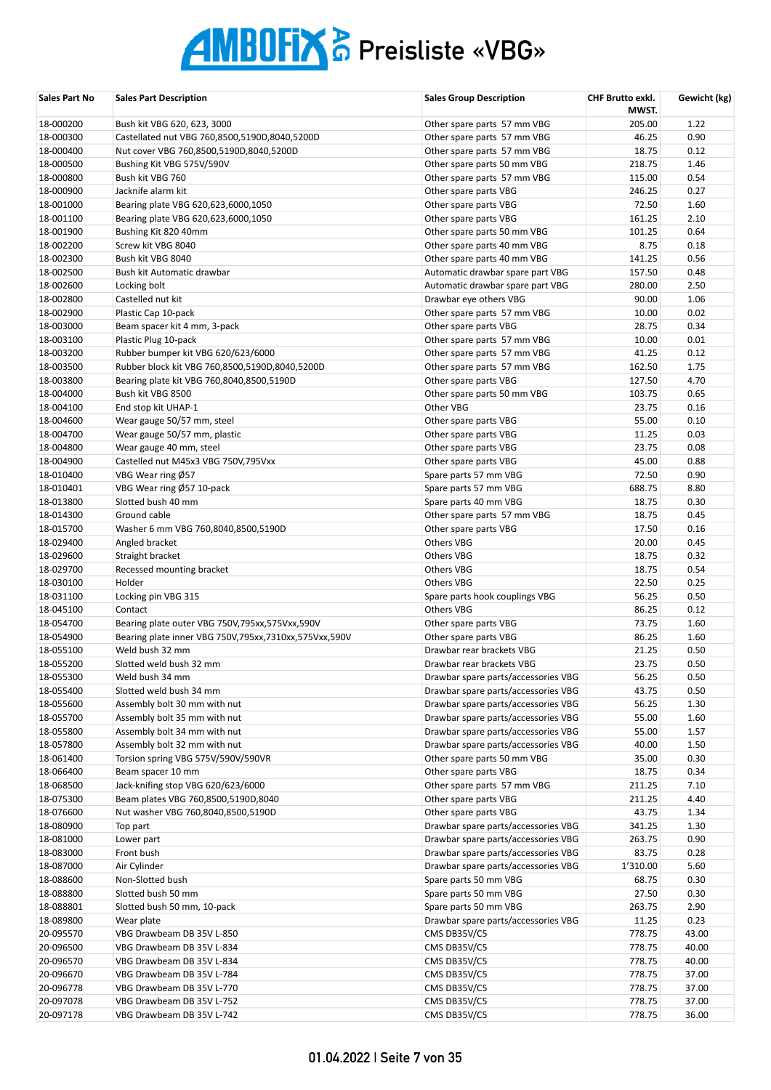| Sales Part No          | <b>Sales Part Description</b>                             | <b>Sales Group Description</b>      | <b>CHF Brutto exkl.</b><br>MWST. | Gewicht (kg) |
|------------------------|-----------------------------------------------------------|-------------------------------------|----------------------------------|--------------|
| 18-000200              | Bush kit VBG 620, 623, 3000                               | Other spare parts 57 mm VBG         | 205.00                           | 1.22         |
| 18-000300              | Castellated nut VBG 760,8500,5190D,8040,5200D             | Other spare parts 57 mm VBG         | 46.25                            | 0.90         |
| 18-000400              | Nut cover VBG 760,8500,5190D,8040,5200D                   | Other spare parts 57 mm VBG         | 18.75                            | 0.12         |
| 18-000500              | Bushing Kit VBG 575V/590V                                 | Other spare parts 50 mm VBG         | 218.75                           | 1.46         |
| 18-000800              | Bush kit VBG 760                                          | Other spare parts 57 mm VBG         | 115.00                           | 0.54         |
| 18-000900              | Jacknife alarm kit                                        | Other spare parts VBG               | 246.25                           | 0.27         |
| 18-001000              | Bearing plate VBG 620,623,6000,1050                       | Other spare parts VBG               | 72.50                            | 1.60         |
| 18-001100              | Bearing plate VBG 620,623,6000,1050                       | Other spare parts VBG               | 161.25                           | 2.10         |
| 18-001900              | Bushing Kit 820 40mm                                      | Other spare parts 50 mm VBG         | 101.25                           | 0.64         |
| 18-002200              | Screw kit VBG 8040                                        | Other spare parts 40 mm VBG         | 8.75                             | 0.18         |
| 18-002300              | Bush kit VBG 8040                                         | Other spare parts 40 mm VBG         | 141.25                           | 0.56         |
| 18-002500              | Bush kit Automatic drawbar                                | Automatic drawbar spare part VBG    | 157.50                           | 0.48         |
| 18-002600              | Locking bolt                                              | Automatic drawbar spare part VBG    | 280.00                           | 2.50         |
| 18-002800              | Castelled nut kit                                         | Drawbar eye others VBG              | 90.00                            | 1.06         |
| 18-002900              | Plastic Cap 10-pack                                       | Other spare parts 57 mm VBG         | 10.00                            | 0.02         |
| 18-003000              | Beam spacer kit 4 mm, 3-pack                              | Other spare parts VBG               | 28.75                            | 0.34         |
| 18-003100              | Plastic Plug 10-pack                                      | Other spare parts 57 mm VBG         | 10.00                            | 0.01         |
| 18-003200              | Rubber bumper kit VBG 620/623/6000                        | Other spare parts 57 mm VBG         | 41.25                            | 0.12         |
| 18-003500              | Rubber block kit VBG 760,8500,5190D,8040,5200D            | Other spare parts 57 mm VBG         | 162.50                           | 1.75         |
| 18-003800              | Bearing plate kit VBG 760,8040,8500,5190D                 | Other spare parts VBG               | 127.50                           | 4.70         |
| 18-004000              | Bush kit VBG 8500                                         | Other spare parts 50 mm VBG         | 103.75                           | 0.65         |
| 18-004100              | End stop kit UHAP-1                                       | Other VBG                           | 23.75                            | 0.16         |
| 18-004600              | Wear gauge 50/57 mm, steel                                | Other spare parts VBG               | 55.00                            | 0.10         |
| 18-004700              | Wear gauge 50/57 mm, plastic                              | Other spare parts VBG               | 11.25                            | 0.03         |
| 18-004800              | Wear gauge 40 mm, steel                                   | Other spare parts VBG               | 23.75                            | 0.08         |
| 18-004900              | Castelled nut M45x3 VBG 750V,795Vxx                       | Other spare parts VBG               | 45.00                            | 0.88         |
| 18-010400              | VBG Wear ring Ø57                                         | Spare parts 57 mm VBG               | 72.50                            | 0.90         |
| 18-010401              | VBG Wear ring Ø57 10-pack                                 | Spare parts 57 mm VBG               | 688.75                           | 8.80         |
| 18-013800              | Slotted bush 40 mm                                        | Spare parts 40 mm VBG               | 18.75                            | 0.30         |
| 18-014300<br>18-015700 | Ground cable                                              | Other spare parts 57 mm VBG         | 18.75<br>17.50                   | 0.45         |
| 18-029400              | Washer 6 mm VBG 760,8040,8500,5190D                       | Other spare parts VBG<br>Others VBG | 20.00                            | 0.16<br>0.45 |
| 18-029600              | Angled bracket<br>Straight bracket                        | Others VBG                          | 18.75                            | 0.32         |
| 18-029700              | Recessed mounting bracket                                 | Others VBG                          | 18.75                            | 0.54         |
| 18-030100              | Holder                                                    | <b>Others VBG</b>                   | 22.50                            | 0.25         |
| 18-031100              | Locking pin VBG 315                                       | Spare parts hook couplings VBG      | 56.25                            | 0.50         |
| 18-045100              | Contact                                                   | <b>Others VBG</b>                   | 86.25                            | 0.12         |
| 18-054700              | Bearing plate outer VBG 750V,795xx,575Vxx,590V            | Other spare parts VBG               | 73.75                            | 1.60         |
| 18-054900              | Bearing plate inner VBG 750V, 795xx, 7310xx, 575Vxx, 590V | Other spare parts VBG               | 86.25                            | 1.60         |
| 18-055100              | Weld bush 32 mm                                           | Drawbar rear brackets VBG           | 21.25                            | 0.50         |
| 18-055200              | Slotted weld bush 32 mm                                   | Drawbar rear brackets VBG           | 23.75                            | 0.50         |
| 18-055300              | Weld bush 34 mm                                           | Drawbar spare parts/accessories VBG | 56.25                            | 0.50         |
| 18-055400              | Slotted weld bush 34 mm                                   | Drawbar spare parts/accessories VBG | 43.75                            | 0.50         |
| 18-055600              | Assembly bolt 30 mm with nut                              | Drawbar spare parts/accessories VBG | 56.25                            | 1.30         |
| 18-055700              | Assembly bolt 35 mm with nut                              | Drawbar spare parts/accessories VBG | 55.00                            | 1.60         |
| 18-055800              | Assembly bolt 34 mm with nut                              | Drawbar spare parts/accessories VBG | 55.00                            | 1.57         |
| 18-057800              | Assembly bolt 32 mm with nut                              | Drawbar spare parts/accessories VBG | 40.00                            | 1.50         |
| 18-061400              | Torsion spring VBG 575V/590V/590VR                        | Other spare parts 50 mm VBG         | 35.00                            | 0.30         |
| 18-066400              | Beam spacer 10 mm                                         | Other spare parts VBG               | 18.75                            | 0.34         |
| 18-068500              | Jack-knifing stop VBG 620/623/6000                        | Other spare parts 57 mm VBG         | 211.25                           | 7.10         |
| 18-075300              | Beam plates VBG 760,8500,5190D,8040                       | Other spare parts VBG               | 211.25                           | 4.40         |
| 18-076600              | Nut washer VBG 760,8040,8500,5190D                        | Other spare parts VBG               | 43.75                            | 1.34         |
| 18-080900              | Top part                                                  | Drawbar spare parts/accessories VBG | 341.25                           | 1.30         |
| 18-081000              | Lower part                                                | Drawbar spare parts/accessories VBG | 263.75                           | 0.90         |
| 18-083000              | Front bush                                                | Drawbar spare parts/accessories VBG | 83.75                            | 0.28         |
| 18-087000              | Air Cylinder                                              | Drawbar spare parts/accessories VBG | 1'310.00                         | 5.60         |
| 18-088600              | Non-Slotted bush                                          | Spare parts 50 mm VBG               | 68.75                            | 0.30         |
| 18-088800              | Slotted bush 50 mm                                        | Spare parts 50 mm VBG               | 27.50                            | 0.30         |
| 18-088801              | Slotted bush 50 mm, 10-pack                               | Spare parts 50 mm VBG               | 263.75                           | 2.90         |
| 18-089800              | Wear plate                                                | Drawbar spare parts/accessories VBG | 11.25                            | 0.23         |
| 20-095570              | VBG Drawbeam DB 35V L-850                                 | CMS DB35V/C5                        | 778.75                           | 43.00        |
| 20-096500              | VBG Drawbeam DB 35V L-834                                 | CMS DB35V/C5                        | 778.75                           | 40.00        |
| 20-096570              | VBG Drawbeam DB 35V L-834                                 | CMS DB35V/C5                        | 778.75                           | 40.00        |
| 20-096670              | VBG Drawbeam DB 35V L-784                                 | CMS DB35V/C5                        | 778.75                           | 37.00        |
| 20-096778              | VBG Drawbeam DB 35V L-770                                 | CMS DB35V/C5                        | 778.75                           | 37.00        |
| 20-097078              | VBG Drawbeam DB 35V L-752                                 | CMS DB35V/C5                        | 778.75                           | 37.00        |
| 20-097178              | VBG Drawbeam DB 35V L-742                                 | CMS DB35V/C5                        | 778.75                           | 36.00        |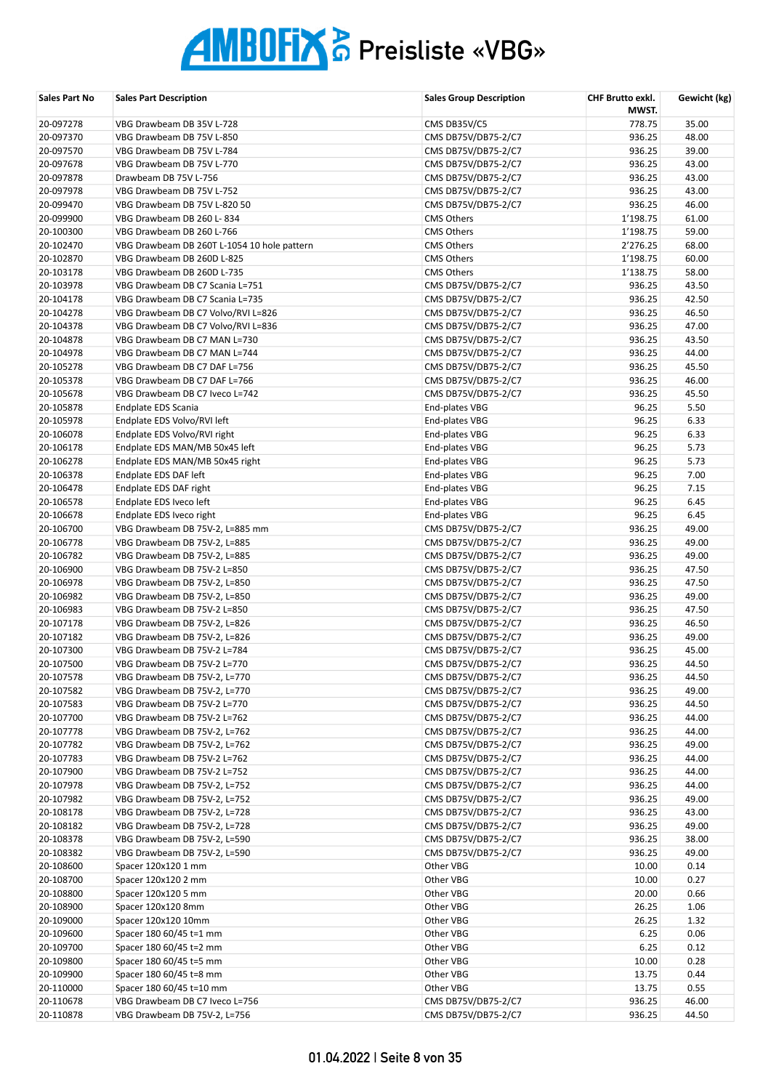| Sales Part No | <b>Sales Part Description</b>               | <b>Sales Group Description</b> | <b>CHF Brutto exkl.</b><br>MWST. | Gewicht (kg) |
|---------------|---------------------------------------------|--------------------------------|----------------------------------|--------------|
| 20-097278     | VBG Drawbeam DB 35V L-728                   | CMS DB35V/C5                   | 778.75                           | 35.00        |
| 20-097370     | VBG Drawbeam DB 75V L-850                   | CMS DB75V/DB75-2/C7            | 936.25                           | 48.00        |
| 20-097570     | VBG Drawbeam DB 75V L-784                   | CMS DB75V/DB75-2/C7            | 936.25                           | 39.00        |
| 20-097678     | VBG Drawbeam DB 75V L-770                   | CMS DB75V/DB75-2/C7            | 936.25                           | 43.00        |
| 20-097878     | Drawbeam DB 75V L-756                       | CMS DB75V/DB75-2/C7            | 936.25                           | 43.00        |
| 20-097978     | VBG Drawbeam DB 75V L-752                   | CMS DB75V/DB75-2/C7            | 936.25                           | 43.00        |
| 20-099470     | VBG Drawbeam DB 75V L-820 50                | CMS DB75V/DB75-2/C7            | 936.25                           | 46.00        |
| 20-099900     | VBG Drawbeam DB 260 L-834                   | <b>CMS Others</b>              | 1'198.75                         | 61.00        |
| 20-100300     | VBG Drawbeam DB 260 L-766                   | <b>CMS Others</b>              | 1'198.75                         | 59.00        |
| 20-102470     | VBG Drawbeam DB 260T L-1054 10 hole pattern | <b>CMS Others</b>              | 2'276.25                         | 68.00        |
| 20-102870     | VBG Drawbeam DB 260D L-825                  | <b>CMS Others</b>              | 1'198.75                         | 60.00        |
| 20-103178     | VBG Drawbeam DB 260D L-735                  | <b>CMS Others</b>              | 1'138.75                         | 58.00        |
| 20-103978     | VBG Drawbeam DB C7 Scania L=751             | CMS DB75V/DB75-2/C7            | 936.25                           | 43.50        |
| 20-104178     | VBG Drawbeam DB C7 Scania L=735             | CMS DB75V/DB75-2/C7            | 936.25                           | 42.50        |
| 20-104278     | VBG Drawbeam DB C7 Volvo/RVI L=826          | CMS DB75V/DB75-2/C7            | 936.25                           | 46.50        |
| 20-104378     | VBG Drawbeam DB C7 Volvo/RVI L=836          | CMS DB75V/DB75-2/C7            | 936.25                           | 47.00        |
| 20-104878     | VBG Drawbeam DB C7 MAN L=730                | CMS DB75V/DB75-2/C7            | 936.25                           | 43.50        |
| 20-104978     | VBG Drawbeam DB C7 MAN L=744                | CMS DB75V/DB75-2/C7            | 936.25                           | 44.00        |
| 20-105278     | VBG Drawbeam DB C7 DAF L=756                | CMS DB75V/DB75-2/C7            | 936.25                           | 45.50        |
| 20-105378     | VBG Drawbeam DB C7 DAF L=766                | CMS DB75V/DB75-2/C7            | 936.25                           | 46.00        |
| 20-105678     | VBG Drawbeam DB C7 Iveco L=742              | CMS DB75V/DB75-2/C7            | 936.25                           | 45.50        |
| 20-105878     | Endplate EDS Scania                         | End-plates VBG                 | 96.25                            | 5.50         |
| 20-105978     | Endplate EDS Volvo/RVI left                 | End-plates VBG                 | 96.25                            | 6.33         |
| 20-106078     | Endplate EDS Volvo/RVI right                | End-plates VBG                 | 96.25                            | 6.33         |
| 20-106178     | Endplate EDS MAN/MB 50x45 left              | End-plates VBG                 | 96.25                            | 5.73         |
| 20-106278     | Endplate EDS MAN/MB 50x45 right             | End-plates VBG                 | 96.25                            | 5.73         |
| 20-106378     | Endplate EDS DAF left                       | End-plates VBG                 | 96.25                            | 7.00         |
| 20-106478     | Endplate EDS DAF right                      | End-plates VBG                 | 96.25                            | 7.15         |
| 20-106578     | Endplate EDS Iveco left                     | End-plates VBG                 | 96.25                            | 6.45         |
| 20-106678     | Endplate EDS Iveco right                    | End-plates VBG                 | 96.25                            | 6.45         |
| 20-106700     | VBG Drawbeam DB 75V-2, L=885 mm             | CMS DB75V/DB75-2/C7            | 936.25                           | 49.00        |
| 20-106778     | VBG Drawbeam DB 75V-2, L=885                | CMS DB75V/DB75-2/C7            | 936.25                           | 49.00        |
| 20-106782     | VBG Drawbeam DB 75V-2, L=885                | CMS DB75V/DB75-2/C7            | 936.25                           | 49.00        |
| 20-106900     | VBG Drawbeam DB 75V-2 L=850                 | CMS DB75V/DB75-2/C7            | 936.25                           | 47.50        |
| 20-106978     | VBG Drawbeam DB 75V-2, L=850                | CMS DB75V/DB75-2/C7            | 936.25                           | 47.50        |
| 20-106982     | VBG Drawbeam DB 75V-2, L=850                | CMS DB75V/DB75-2/C7            | 936.25                           | 49.00        |
| 20-106983     | VBG Drawbeam DB 75V-2 L=850                 | CMS DB75V/DB75-2/C7            | 936.25                           | 47.50        |
| 20-107178     | VBG Drawbeam DB 75V-2, L=826                | CMS DB75V/DB75-2/C7            | 936.25                           | 46.50        |
| 20-107182     | VBG Drawbeam DB 75V-2, L=826                | CMS DB75V/DB75-2/C7            | 936.25                           | 49.00        |
| 20-107300     | VBG Drawbeam DB 75V-2 L=784                 | CMS DB75V/DB75-2/C7            | 936.25                           | 45.00        |
| 20-107500     | VBG Drawbeam DB 75V-2 L=770                 | CMS DB75V/DB75-2/C7            | 936.25                           | 44.50        |
| 20-107578     | VBG Drawbeam DB 75V-2, L=770                | CMS DB75V/DB75-2/C7            | 936.25                           | 44.50        |
| 20-107582     | VBG Drawbeam DB 75V-2, L=770                | CMS DB75V/DB75-2/C7            | 936.25                           | 49.00        |
| 20-107583     | VBG Drawbeam DB 75V-2 L=770                 | CMS DB75V/DB75-2/C7            | 936.25                           | 44.50        |
| 20-107700     | VBG Drawbeam DB 75V-2 L=762                 | CMS DB75V/DB75-2/C7            | 936.25                           | 44.00        |
| 20-107778     | VBG Drawbeam DB 75V-2, L=762                | CMS DB75V/DB75-2/C7            | 936.25                           | 44.00        |
| 20-107782     | VBG Drawbeam DB 75V-2, L=762                | CMS DB75V/DB75-2/C7            | 936.25                           | 49.00        |
| 20-107783     | VBG Drawbeam DB 75V-2 L=762                 | CMS DB75V/DB75-2/C7            | 936.25                           | 44.00        |
| 20-107900     | VBG Drawbeam DB 75V-2 L=752                 | CMS DB75V/DB75-2/C7            | 936.25                           | 44.00        |
| 20-107978     | VBG Drawbeam DB 75V-2, L=752                | CMS DB75V/DB75-2/C7            | 936.25                           | 44.00        |
| 20-107982     | VBG Drawbeam DB 75V-2, L=752                | CMS DB75V/DB75-2/C7            | 936.25                           | 49.00        |
| 20-108178     | VBG Drawbeam DB 75V-2, L=728                | CMS DB75V/DB75-2/C7            | 936.25                           | 43.00        |
| 20-108182     | VBG Drawbeam DB 75V-2, L=728                | CMS DB75V/DB75-2/C7            | 936.25                           | 49.00        |
| 20-108378     | VBG Drawbeam DB 75V-2, L=590                | CMS DB75V/DB75-2/C7            | 936.25                           | 38.00        |
| 20-108382     | VBG Drawbeam DB 75V-2, L=590                | CMS DB75V/DB75-2/C7            | 936.25                           | 49.00        |
| 20-108600     | Spacer 120x120 1 mm                         | Other VBG                      | 10.00                            | 0.14         |
| 20-108700     | Spacer 120x120 2 mm                         | Other VBG                      | 10.00                            | 0.27         |
| 20-108800     | Spacer 120x120 5 mm                         | Other VBG                      | 20.00                            | 0.66         |
| 20-108900     | Spacer 120x120 8mm                          | Other VBG                      | 26.25                            | 1.06         |
| 20-109000     | Spacer 120x120 10mm                         | Other VBG                      | 26.25                            | 1.32         |
| 20-109600     | Spacer 180 60/45 t=1 mm                     | Other VBG                      | 6.25                             | 0.06         |
| 20-109700     | Spacer 180 60/45 t=2 mm                     | Other VBG                      | 6.25                             | 0.12         |
| 20-109800     | Spacer 180 60/45 t=5 mm                     | Other VBG                      | 10.00                            | 0.28         |
| 20-109900     | Spacer 180 60/45 t=8 mm                     | Other VBG                      | 13.75                            | 0.44         |
| 20-110000     | Spacer 180 60/45 t=10 mm                    | Other VBG                      | 13.75                            | 0.55         |
| 20-110678     | VBG Drawbeam DB C7 Iveco L=756              | CMS DB75V/DB75-2/C7            | 936.25                           | 46.00        |
| 20-110878     | VBG Drawbeam DB 75V-2, L=756                | CMS DB75V/DB75-2/C7            | 936.25                           | 44.50        |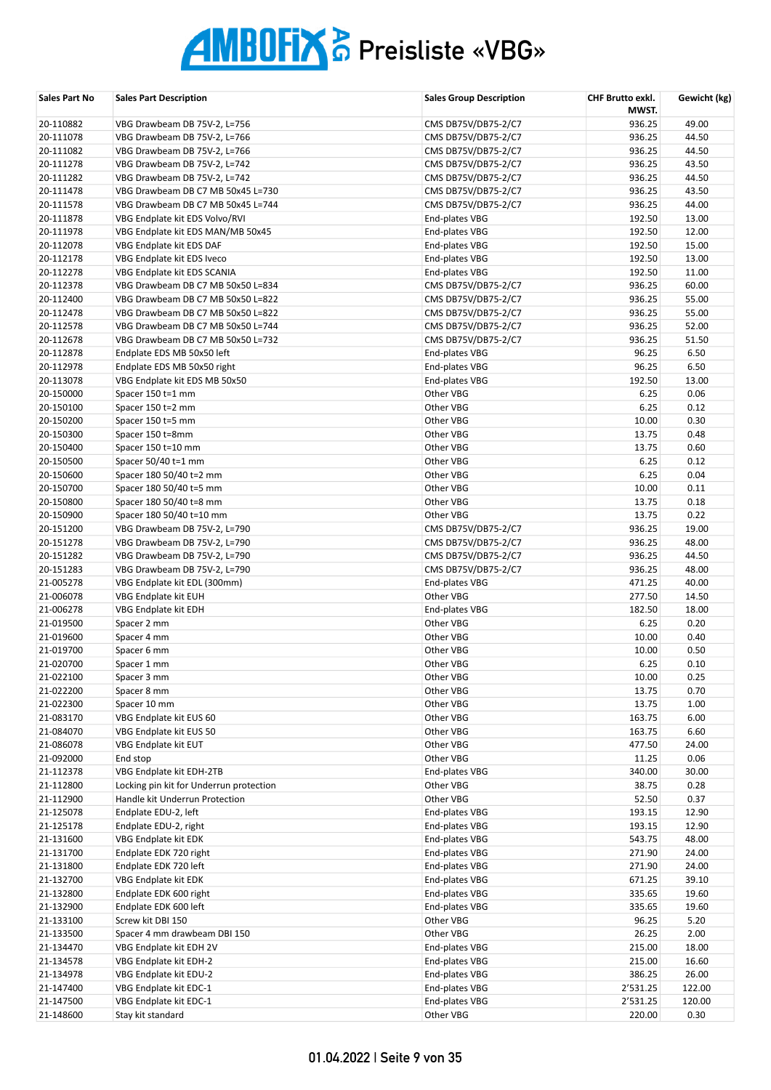| Sales Part No          | <b>Sales Part Description</b>                                          | <b>Sales Group Description</b>             | CHF Brutto exkl.<br>MWST. | Gewicht (kg)   |
|------------------------|------------------------------------------------------------------------|--------------------------------------------|---------------------------|----------------|
| 20-110882              | VBG Drawbeam DB 75V-2, L=756                                           | CMS DB75V/DB75-2/C7                        | 936.25                    | 49.00          |
| 20-111078              | VBG Drawbeam DB 75V-2, L=766                                           | CMS DB75V/DB75-2/C7                        | 936.25                    | 44.50          |
| 20-111082              | VBG Drawbeam DB 75V-2, L=766                                           | CMS DB75V/DB75-2/C7                        | 936.25                    | 44.50          |
| 20-111278              | VBG Drawbeam DB 75V-2, L=742                                           | CMS DB75V/DB75-2/C7                        | 936.25                    | 43.50          |
| 20-111282              | VBG Drawbeam DB 75V-2, L=742                                           | CMS DB75V/DB75-2/C7                        | 936.25                    | 44.50          |
| 20-111478              | VBG Drawbeam DB C7 MB 50x45 L=730                                      | CMS DB75V/DB75-2/C7                        | 936.25                    | 43.50          |
| 20-111578              | VBG Drawbeam DB C7 MB 50x45 L=744                                      | CMS DB75V/DB75-2/C7                        | 936.25                    | 44.00          |
| 20-111878              | VBG Endplate kit EDS Volvo/RVI                                         | End-plates VBG                             | 192.50                    | 13.00          |
| 20-111978              | VBG Endplate kit EDS MAN/MB 50x45                                      | End-plates VBG                             | 192.50                    | 12.00          |
| 20-112078              | VBG Endplate kit EDS DAF                                               | End-plates VBG                             | 192.50                    | 15.00          |
| 20-112178              | VBG Endplate kit EDS Iveco                                             | End-plates VBG                             | 192.50                    | 13.00          |
| 20-112278              | VBG Endplate kit EDS SCANIA                                            | End-plates VBG                             | 192.50                    | 11.00          |
| 20-112378              | VBG Drawbeam DB C7 MB 50x50 L=834                                      | CMS DB75V/DB75-2/C7                        | 936.25                    | 60.00          |
| 20-112400              | VBG Drawbeam DB C7 MB 50x50 L=822                                      | CMS DB75V/DB75-2/C7                        | 936.25                    | 55.00          |
| 20-112478<br>20-112578 | VBG Drawbeam DB C7 MB 50x50 L=822<br>VBG Drawbeam DB C7 MB 50x50 L=744 | CMS DB75V/DB75-2/C7                        | 936.25<br>936.25          | 55.00<br>52.00 |
| 20-112678              | VBG Drawbeam DB C7 MB 50x50 L=732                                      | CMS DB75V/DB75-2/C7<br>CMS DB75V/DB75-2/C7 | 936.25                    | 51.50          |
| 20-112878              | Endplate EDS MB 50x50 left                                             | End-plates VBG                             | 96.25                     | 6.50           |
| 20-112978              | Endplate EDS MB 50x50 right                                            | End-plates VBG                             | 96.25                     | 6.50           |
| 20-113078              | VBG Endplate kit EDS MB 50x50                                          | End-plates VBG                             | 192.50                    | 13.00          |
| 20-150000              | Spacer 150 t=1 mm                                                      | Other VBG                                  | 6.25                      | 0.06           |
| 20-150100              | Spacer 150 t=2 mm                                                      | Other VBG                                  | 6.25                      | 0.12           |
| 20-150200              | Spacer 150 t=5 mm                                                      | Other VBG                                  | 10.00                     | 0.30           |
| 20-150300              | Spacer 150 t=8mm                                                       | Other VBG                                  | 13.75                     | 0.48           |
| 20-150400              | Spacer 150 t=10 mm                                                     | Other VBG                                  | 13.75                     | 0.60           |
| 20-150500              | Spacer $50/40$ t=1 mm                                                  | Other VBG                                  | 6.25                      | 0.12           |
| 20-150600              | Spacer 180 50/40 t=2 mm                                                | Other VBG                                  | 6.25                      | 0.04           |
| 20-150700              | Spacer 180 50/40 t=5 mm                                                | Other VBG                                  | 10.00                     | 0.11           |
| 20-150800              | Spacer 180 50/40 t=8 mm                                                | Other VBG                                  | 13.75                     | 0.18           |
| 20-150900              | Spacer 180 50/40 t=10 mm                                               | Other VBG                                  | 13.75                     | 0.22           |
| 20-151200              | VBG Drawbeam DB 75V-2, L=790                                           | CMS DB75V/DB75-2/C7                        | 936.25                    | 19.00          |
| 20-151278              | VBG Drawbeam DB 75V-2, L=790                                           | CMS DB75V/DB75-2/C7                        | 936.25                    | 48.00          |
| 20-151282              | VBG Drawbeam DB 75V-2, L=790                                           | CMS DB75V/DB75-2/C7                        | 936.25                    | 44.50          |
| 20-151283              | VBG Drawbeam DB 75V-2, L=790                                           | CMS DB75V/DB75-2/C7                        | 936.25                    | 48.00          |
| 21-005278              | VBG Endplate kit EDL (300mm)                                           | End-plates VBG                             | 471.25                    | 40.00          |
| 21-006078              | VBG Endplate kit EUH                                                   | Other VBG                                  | 277.50                    | 14.50          |
| 21-006278              | VBG Endplate kit EDH                                                   | End-plates VBG                             | 182.50                    | 18.00          |
| 21-019500              | Spacer 2 mm                                                            | Other VBG                                  | 6.25                      | 0.20           |
| 21-019600              | Spacer 4 mm                                                            | Other VBG                                  | 10.00                     | 0.40           |
| 21-019700              | Spacer 6 mm                                                            | Other VBG                                  | 10.00                     | 0.50           |
| 21-020700              | Spacer 1 mm                                                            | Other VBG                                  | 6.25                      | 0.10           |
| 21-022100              | Spacer 3 mm                                                            | Other VBG                                  | 10.00                     | 0.25           |
| 21-022200              | Spacer 8 mm                                                            | Other VBG                                  | 13.75                     | 0.70           |
| 21-022300              | Spacer 10 mm                                                           | Other VBG                                  | 13.75                     | 1.00           |
| 21-083170              | VBG Endplate kit EUS 60                                                | Other VBG                                  | 163.75                    | 6.00           |
| 21-084070              | VBG Endplate kit EUS 50                                                | Other VBG                                  | 163.75                    | 6.60           |
| 21-086078              | VBG Endplate kit EUT                                                   | Other VBG                                  | 477.50                    | 24.00          |
| 21-092000              | End stop                                                               | Other VBG                                  | 11.25                     | 0.06           |
| 21-112378<br>21-112800 | VBG Endplate kit EDH-2TB<br>Locking pin kit for Underrun protection    | End-plates VBG<br>Other VBG                | 340.00<br>38.75           | 30.00<br>0.28  |
| 21-112900              | Handle kit Underrun Protection                                         | Other VBG                                  | 52.50                     | 0.37           |
| 21-125078              | Endplate EDU-2, left                                                   | End-plates VBG                             | 193.15                    | 12.90          |
| 21-125178              | Endplate EDU-2, right                                                  | End-plates VBG                             | 193.15                    | 12.90          |
| 21-131600              | VBG Endplate kit EDK                                                   | End-plates VBG                             | 543.75                    | 48.00          |
| 21-131700              | Endplate EDK 720 right                                                 | End-plates VBG                             | 271.90                    | 24.00          |
| 21-131800              | Endplate EDK 720 left                                                  | End-plates VBG                             | 271.90                    | 24.00          |
| 21-132700              | VBG Endplate kit EDK                                                   | End-plates VBG                             | 671.25                    | 39.10          |
| 21-132800              | Endplate EDK 600 right                                                 | End-plates VBG                             | 335.65                    | 19.60          |
| 21-132900              | Endplate EDK 600 left                                                  | End-plates VBG                             | 335.65                    | 19.60          |
| 21-133100              | Screw kit DBI 150                                                      | Other VBG                                  | 96.25                     | 5.20           |
| 21-133500              | Spacer 4 mm drawbeam DBI 150                                           | Other VBG                                  | 26.25                     | 2.00           |
| 21-134470              | VBG Endplate kit EDH 2V                                                | End-plates VBG                             | 215.00                    | 18.00          |
| 21-134578              | VBG Endplate kit EDH-2                                                 | End-plates VBG                             | 215.00                    | 16.60          |
| 21-134978              | VBG Endplate kit EDU-2                                                 | End-plates VBG                             | 386.25                    | 26.00          |
| 21-147400              | VBG Endplate kit EDC-1                                                 | End-plates VBG                             | 2'531.25                  | 122.00         |
| 21-147500              | VBG Endplate kit EDC-1                                                 | End-plates VBG                             | 2'531.25                  | 120.00         |
| 21-148600              | Stay kit standard                                                      | Other VBG                                  | 220.00                    | 0.30           |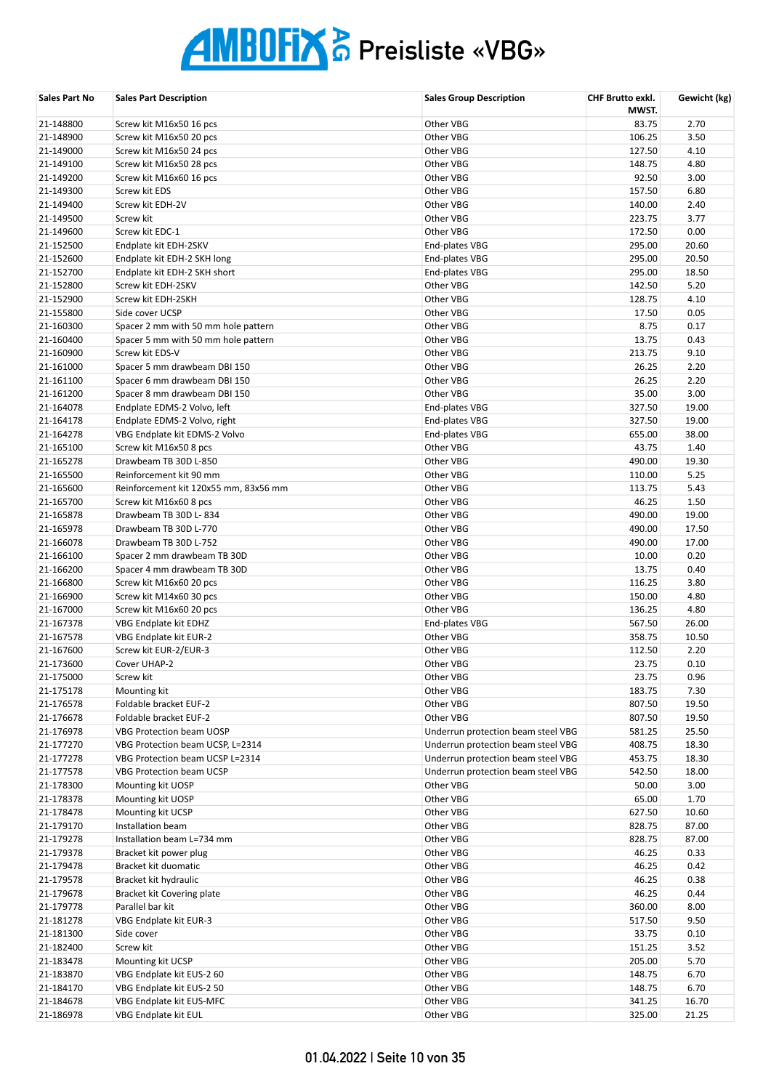| Sales Part No          | <b>Sales Part Description</b>                                       | <b>Sales Group Description</b>                                           | CHF Brutto exkl.<br>MWST. | Gewicht (kg)   |
|------------------------|---------------------------------------------------------------------|--------------------------------------------------------------------------|---------------------------|----------------|
| 21-148800              | Screw kit M16x50 16 pcs                                             | Other VBG                                                                | 83.75                     | 2.70           |
| 21-148900              | Screw kit M16x50 20 pcs                                             | Other VBG                                                                | 106.25                    | 3.50           |
| 21-149000              | Screw kit M16x50 24 pcs                                             | Other VBG                                                                | 127.50                    | 4.10           |
| 21-149100              | Screw kit M16x50 28 pcs                                             | Other VBG                                                                | 148.75                    | 4.80           |
| 21-149200              | Screw kit M16x60 16 pcs                                             | Other VBG                                                                | 92.50                     | 3.00           |
| 21-149300              | Screw kit EDS                                                       | Other VBG                                                                | 157.50                    | 6.80           |
| 21-149400              | Screw kit EDH-2V                                                    | Other VBG                                                                | 140.00                    | 2.40           |
| 21-149500              | Screw kit                                                           | Other VBG                                                                | 223.75                    | 3.77           |
| 21-149600              | Screw kit EDC-1                                                     | Other VBG                                                                | 172.50                    | 0.00           |
| 21-152500              | Endplate kit EDH-2SKV                                               | End-plates VBG                                                           | 295.00                    | 20.60          |
| 21-152600              | Endplate kit EDH-2 SKH long                                         | End-plates VBG                                                           | 295.00                    | 20.50          |
| 21-152700              | Endplate kit EDH-2 SKH short                                        | End-plates VBG                                                           | 295.00                    | 18.50          |
| 21-152800              | Screw kit EDH-2SKV                                                  | Other VBG                                                                | 142.50                    | 5.20           |
| 21-152900              | Screw kit EDH-2SKH                                                  | Other VBG                                                                | 128.75                    | 4.10           |
| 21-155800              | Side cover UCSP                                                     | Other VBG                                                                | 17.50                     | 0.05           |
| 21-160300              | Spacer 2 mm with 50 mm hole pattern                                 | Other VBG                                                                | 8.75<br>13.75             | 0.17<br>0.43   |
| 21-160400<br>21-160900 | Spacer 5 mm with 50 mm hole pattern<br>Screw kit EDS-V              | Other VBG<br>Other VBG                                                   | 213.75                    | 9.10           |
| 21-161000              | Spacer 5 mm drawbeam DBI 150                                        | Other VBG                                                                | 26.25                     | 2.20           |
| 21-161100              | Spacer 6 mm drawbeam DBI 150                                        | Other VBG                                                                | 26.25                     | 2.20           |
| 21-161200              | Spacer 8 mm drawbeam DBI 150                                        | Other VBG                                                                | 35.00                     | 3.00           |
| 21-164078              | Endplate EDMS-2 Volvo, left                                         | End-plates VBG                                                           | 327.50                    | 19.00          |
| 21-164178              | Endplate EDMS-2 Volvo, right                                        | End-plates VBG                                                           | 327.50                    | 19.00          |
| 21-164278              | VBG Endplate kit EDMS-2 Volvo                                       | End-plates VBG                                                           | 655.00                    | 38.00          |
| 21-165100              | Screw kit M16x50 8 pcs                                              | Other VBG                                                                | 43.75                     | 1.40           |
| 21-165278              | Drawbeam TB 30D L-850                                               | Other VBG                                                                | 490.00                    | 19.30          |
| 21-165500              | Reinforcement kit 90 mm                                             | Other VBG                                                                | 110.00                    | 5.25           |
| 21-165600              | Reinforcement kit 120x55 mm, 83x56 mm                               | Other VBG                                                                | 113.75                    | 5.43           |
| 21-165700              | Screw kit M16x60 8 pcs                                              | Other VBG                                                                | 46.25                     | 1.50           |
| 21-165878              | Drawbeam TB 30D L-834                                               | Other VBG                                                                | 490.00                    | 19.00          |
| 21-165978              | Drawbeam TB 30D L-770                                               | Other VBG                                                                | 490.00                    | 17.50          |
| 21-166078              | Drawbeam TB 30D L-752                                               | Other VBG                                                                | 490.00                    | 17.00          |
| 21-166100              | Spacer 2 mm drawbeam TB 30D                                         | Other VBG                                                                | 10.00                     | 0.20           |
| 21-166200              | Spacer 4 mm drawbeam TB 30D                                         | Other VBG                                                                | 13.75                     | 0.40           |
| 21-166800              | Screw kit M16x60 20 pcs                                             | Other VBG                                                                | 116.25                    | 3.80           |
| 21-166900              | Screw kit M14x60 30 pcs                                             | Other VBG                                                                | 150.00                    | 4.80           |
| 21-167000              | Screw kit M16x60 20 pcs                                             | Other VBG                                                                | 136.25                    | 4.80           |
| 21-167378              | VBG Endplate kit EDHZ                                               | End-plates VBG                                                           | 567.50                    | 26.00          |
| 21-167578              | VBG Endplate kit EUR-2                                              | Other VBG                                                                | 358.75                    | 10.50          |
| 21-167600              | Screw kit EUR-2/EUR-3                                               | Other VBG                                                                | 112.50                    | 2.20           |
| 21-173600              | Cover UHAP-2                                                        | Other VBG                                                                | 23.75                     | 0.10           |
| 21-175000              | Screw kit                                                           | Other VBG                                                                | 23.75                     | 0.96           |
| 21-175178              | Mounting kit                                                        | Other VBG                                                                | 183.75                    | 7.30           |
| 21-176578              | Foldable bracket EUF-2                                              | Other VBG                                                                | 807.50                    | 19.50          |
| 21-176678              | Foldable bracket EUF-2                                              | Other VBG                                                                | 807.50                    | 19.50          |
| 21-176978<br>21-177270 | <b>VBG Protection beam UOSP</b>                                     | Underrun protection beam steel VBG                                       | 581.25                    | 25.50          |
| 21-177278              | VBG Protection beam UCSP, L=2314<br>VBG Protection beam UCSP L=2314 | Underrun protection beam steel VBG<br>Underrun protection beam steel VBG | 408.75<br>453.75          | 18.30<br>18.30 |
| 21-177578              | <b>VBG Protection beam UCSP</b>                                     | Underrun protection beam steel VBG                                       | 542.50                    | 18.00          |
| 21-178300              | Mounting kit UOSP                                                   | Other VBG                                                                | 50.00                     | 3.00           |
| 21-178378              | Mounting kit UOSP                                                   | Other VBG                                                                | 65.00                     | 1.70           |
| 21-178478              | Mounting kit UCSP                                                   | Other VBG                                                                | 627.50                    | 10.60          |
| 21-179170              | Installation beam                                                   | Other VBG                                                                | 828.75                    | 87.00          |
| 21-179278              | Installation beam L=734 mm                                          | Other VBG                                                                | 828.75                    | 87.00          |
| 21-179378              | Bracket kit power plug                                              | Other VBG                                                                | 46.25                     | 0.33           |
| 21-179478              | Bracket kit duomatic                                                | Other VBG                                                                | 46.25                     | 0.42           |
| 21-179578              | Bracket kit hydraulic                                               | Other VBG                                                                | 46.25                     | 0.38           |
| 21-179678              | Bracket kit Covering plate                                          | Other VBG                                                                | 46.25                     | 0.44           |
| 21-179778              | Parallel bar kit                                                    | Other VBG                                                                | 360.00                    | 8.00           |
| 21-181278              | VBG Endplate kit EUR-3                                              | Other VBG                                                                | 517.50                    | 9.50           |
| 21-181300              | Side cover                                                          | Other VBG                                                                | 33.75                     | 0.10           |
| 21-182400              | Screw kit                                                           | Other VBG                                                                | 151.25                    | 3.52           |
| 21-183478              | Mounting kit UCSP                                                   | Other VBG                                                                | 205.00                    | 5.70           |
| 21-183870              | VBG Endplate kit EUS-2 60                                           | Other VBG                                                                | 148.75                    | 6.70           |
| 21-184170              | VBG Endplate kit EUS-2 50                                           | Other VBG                                                                | 148.75                    | 6.70           |
| 21-184678              | VBG Endplate kit EUS-MFC                                            | Other VBG                                                                | 341.25                    | 16.70          |
| 21-186978              | VBG Endplate kit EUL                                                | Other VBG                                                                | 325.00                    | 21.25          |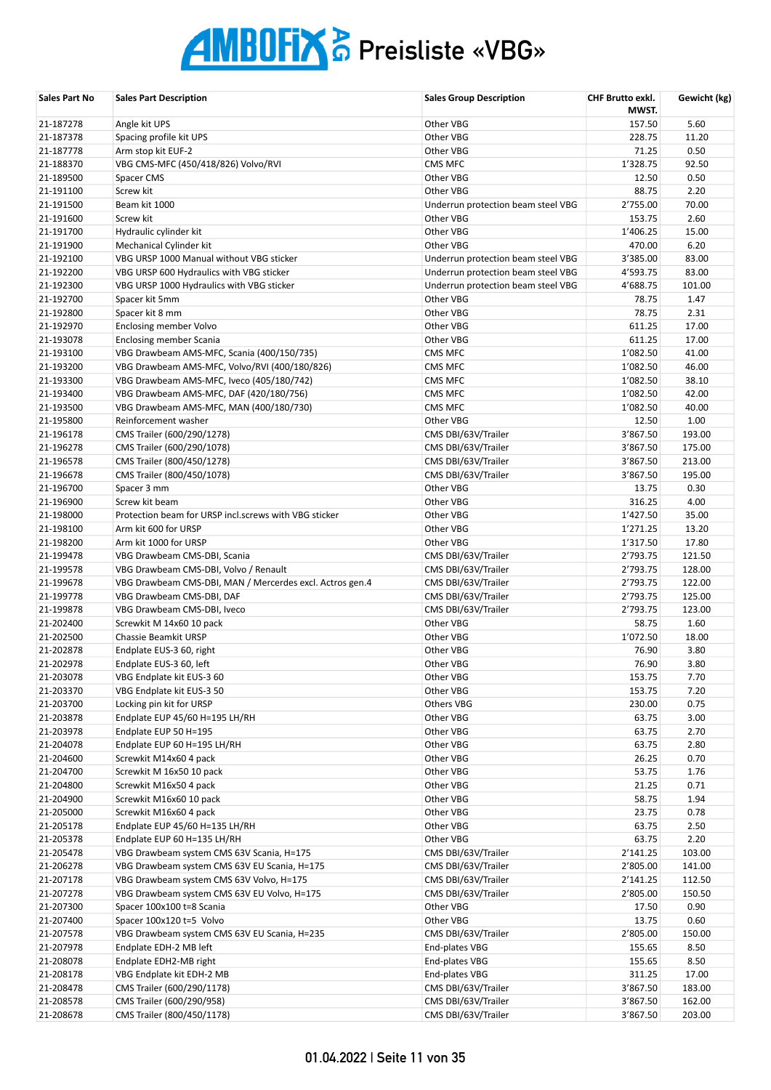| <b>Sales Part No</b> | <b>Sales Part Description</b>                            | <b>Sales Group Description</b>     | <b>CHF Brutto exkl.</b><br>MWST. | Gewicht (kg) |
|----------------------|----------------------------------------------------------|------------------------------------|----------------------------------|--------------|
| 21-187278            | Angle kit UPS                                            | Other VBG                          | 157.50                           | 5.60         |
| 21-187378            | Spacing profile kit UPS                                  | Other VBG                          | 228.75                           | 11.20        |
| 21-187778            | Arm stop kit EUF-2                                       | Other VBG                          | 71.25                            | 0.50         |
| 21-188370            | VBG CMS-MFC (450/418/826) Volvo/RVI                      | <b>CMS MFC</b>                     | 1'328.75                         | 92.50        |
| 21-189500            | Spacer CMS                                               | Other VBG                          | 12.50                            | 0.50         |
| 21-191100            | Screw kit                                                | Other VBG                          | 88.75                            | 2.20         |
| 21-191500            | Beam kit 1000                                            | Underrun protection beam steel VBG | 2'755.00                         | 70.00        |
| 21-191600            | Screw kit                                                | Other VBG                          | 153.75                           | 2.60         |
| 21-191700            | Hydraulic cylinder kit                                   | Other VBG                          | 1'406.25                         | 15.00        |
| 21-191900            | Mechanical Cylinder kit                                  | Other VBG                          | 470.00                           | 6.20         |
| 21-192100            | VBG URSP 1000 Manual without VBG sticker                 | Underrun protection beam steel VBG | 3'385.00                         | 83.00        |
| 21-192200            | VBG URSP 600 Hydraulics with VBG sticker                 | Underrun protection beam steel VBG | 4'593.75                         | 83.00        |
| 21-192300            | VBG URSP 1000 Hydraulics with VBG sticker                | Underrun protection beam steel VBG | 4'688.75                         | 101.00       |
| 21-192700            | Spacer kit 5mm                                           | Other VBG                          | 78.75                            | 1.47         |
| 21-192800            | Spacer kit 8 mm                                          | Other VBG                          | 78.75                            | 2.31         |
| 21-192970            | <b>Enclosing member Volvo</b>                            | Other VBG                          | 611.25                           | 17.00        |
| 21-193078            | <b>Enclosing member Scania</b>                           | Other VBG                          | 611.25                           | 17.00        |
| 21-193100            | VBG Drawbeam AMS-MFC, Scania (400/150/735)               | CMS MFC                            | 1'082.50                         | 41.00        |
| 21-193200            | VBG Drawbeam AMS-MFC, Volvo/RVI (400/180/826)            | CMS MFC                            | 1'082.50                         | 46.00        |
| 21-193300            | VBG Drawbeam AMS-MFC, Iveco (405/180/742)                | CMS MFC                            | 1'082.50                         | 38.10        |
| 21-193400            | VBG Drawbeam AMS-MFC, DAF (420/180/756)                  | CMS MFC                            | 1'082.50                         | 42.00        |
| 21-193500            | VBG Drawbeam AMS-MFC, MAN (400/180/730)                  | <b>CMS MFC</b>                     | 1'082.50                         | 40.00        |
| 21-195800            | Reinforcement washer                                     | Other VBG                          | 12.50                            | 1.00         |
| 21-196178            | CMS Trailer (600/290/1278)                               | CMS DBI/63V/Trailer                | 3'867.50                         | 193.00       |
| 21-196278            | CMS Trailer (600/290/1078)                               | CMS DBI/63V/Trailer                | 3'867.50                         | 175.00       |
| 21-196578            | CMS Trailer (800/450/1278)                               | CMS DBI/63V/Trailer                | 3'867.50                         | 213.00       |
| 21-196678            | CMS Trailer (800/450/1078)                               | CMS DBI/63V/Trailer                | 3'867.50                         | 195.00       |
| 21-196700            | Spacer 3 mm                                              | Other VBG                          | 13.75                            | 0.30         |
| 21-196900            | Screw kit beam                                           | Other VBG                          | 316.25                           | 4.00         |
| 21-198000            | Protection beam for URSP incl.screws with VBG sticker    | Other VBG                          | 1'427.50                         | 35.00        |
| 21-198100            | Arm kit 600 for URSP                                     | Other VBG                          | 1'271.25                         | 13.20        |
| 21-198200            | Arm kit 1000 for URSP                                    | Other VBG                          | 1'317.50                         | 17.80        |
| 21-199478            | VBG Drawbeam CMS-DBI, Scania                             | CMS DBI/63V/Trailer                | 2'793.75                         | 121.50       |
| 21-199578            | VBG Drawbeam CMS-DBI, Volvo / Renault                    | CMS DBI/63V/Trailer                | 2'793.75                         | 128.00       |
| 21-199678            | VBG Drawbeam CMS-DBI, MAN / Mercerdes excl. Actros gen.4 | CMS DBI/63V/Trailer                | 2'793.75                         | 122.00       |
| 21-199778            | VBG Drawbeam CMS-DBI, DAF                                | CMS DBI/63V/Trailer                | 2'793.75                         | 125.00       |
| 21-199878            | VBG Drawbeam CMS-DBI, Iveco                              | CMS DBI/63V/Trailer                | 2'793.75                         | 123.00       |
| 21-202400            | Screwkit M 14x60 10 pack                                 | Other VBG                          | 58.75                            | 1.60         |
| 21-202500            | <b>Chassie Beamkit URSP</b>                              | Other VBG                          | 1'072.50                         | 18.00        |
| 21-202878            | Endplate EUS-3 60, right                                 | Other VBG                          | 76.90                            | 3.80         |
| 21-202978            | Endplate EUS-3 60, left                                  | Other VBG                          | 76.90                            | 3.80         |
| 21-203078            | VBG Endplate kit EUS-3 60                                | Other VBG                          | 153.75                           | 7.70         |
| 21-203370            | VBG Endplate kit EUS-3 50                                | Other VBG                          | 153.75                           | 7.20         |
| 21-203700            | Locking pin kit for URSP                                 | Others VBG                         | 230.00                           | 0.75         |
| 21-203878            | Endplate EUP 45/60 H=195 LH/RH                           | Other VBG                          | 63.75                            | 3.00         |
| 21-203978            | Endplate EUP 50 H=195                                    | Other VBG                          | 63.75                            | 2.70         |
| 21-204078            | Endplate EUP 60 H=195 LH/RH                              | Other VBG                          | 63.75                            | 2.80         |
| 21-204600            | Screwkit M14x60 4 pack                                   | Other VBG                          | 26.25                            | 0.70         |
| 21-204700            | Screwkit M 16x50 10 pack                                 | Other VBG                          | 53.75                            | 1.76         |
| 21-204800            | Screwkit M16x50 4 pack                                   | Other VBG                          | 21.25                            | 0.71         |
| 21-204900            | Screwkit M16x60 10 pack                                  | Other VBG                          | 58.75                            | 1.94         |
| 21-205000            | Screwkit M16x60 4 pack                                   | Other VBG                          | 23.75                            | 0.78         |
| 21-205178            | Endplate EUP 45/60 H=135 LH/RH                           | Other VBG                          | 63.75                            | 2.50         |
| 21-205378            | Endplate EUP 60 H=135 LH/RH                              | Other VBG                          | 63.75                            | 2.20         |
| 21-205478            | VBG Drawbeam system CMS 63V Scania, H=175                | CMS DBI/63V/Trailer                | 2'141.25                         | 103.00       |
| 21-206278            | VBG Drawbeam system CMS 63V EU Scania, H=175             | CMS DBI/63V/Trailer                | 2'805.00                         | 141.00       |
| 21-207178            | VBG Drawbeam system CMS 63V Volvo, H=175                 | CMS DBI/63V/Trailer                | 2'141.25                         | 112.50       |
| 21-207278            | VBG Drawbeam system CMS 63V EU Volvo, H=175              | CMS DBI/63V/Trailer                | 2'805.00                         | 150.50       |
| 21-207300            | Spacer 100x100 t=8 Scania                                | Other VBG                          | 17.50                            | 0.90         |
| 21-207400            | Spacer 100x120 t=5 Volvo                                 | Other VBG                          | 13.75                            | 0.60         |
| 21-207578            | VBG Drawbeam system CMS 63V EU Scania, H=235             | CMS DBI/63V/Trailer                | 2'805.00                         | 150.00       |
| 21-207978            | Endplate EDH-2 MB left                                   | End-plates VBG                     | 155.65                           | 8.50         |
| 21-208078            | Endplate EDH2-MB right                                   | End-plates VBG                     | 155.65                           | 8.50         |
| 21-208178            | VBG Endplate kit EDH-2 MB                                | End-plates VBG                     | 311.25                           | 17.00        |
| 21-208478            | CMS Trailer (600/290/1178)                               | CMS DBI/63V/Trailer                | 3'867.50                         | 183.00       |
| 21-208578            | CMS Trailer (600/290/958)                                | CMS DBI/63V/Trailer                | 3'867.50                         | 162.00       |
| 21-208678            | CMS Trailer (800/450/1178)                               | CMS DBI/63V/Trailer                | 3'867.50                         | 203.00       |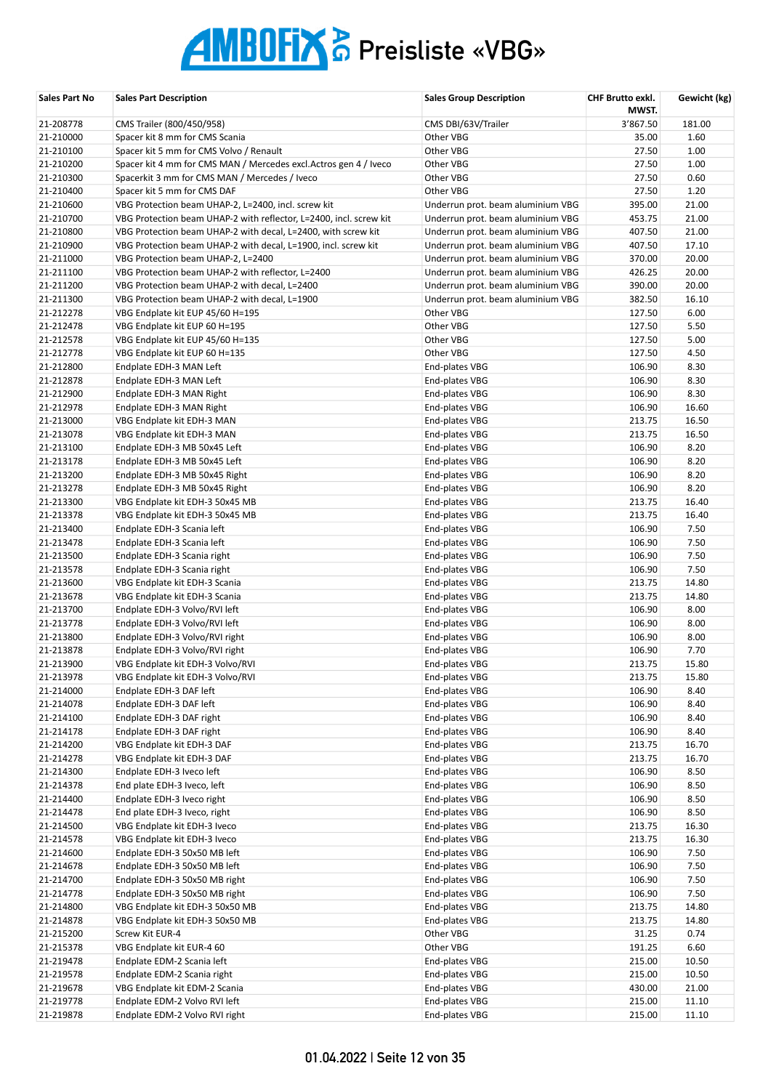| <b>Sales Part No</b>   | <b>Sales Part Description</b>                                      | <b>Sales Group Description</b>    | CHF Brutto exkl.<br>MWST. | Gewicht (kg) |
|------------------------|--------------------------------------------------------------------|-----------------------------------|---------------------------|--------------|
| 21-208778              | CMS Trailer (800/450/958)                                          | CMS DBI/63V/Trailer               | 3'867.50                  | 181.00       |
| 21-210000              | Spacer kit 8 mm for CMS Scania                                     | Other VBG                         | 35.00                     | 1.60         |
| 21-210100              | Spacer kit 5 mm for CMS Volvo / Renault                            | Other VBG                         | 27.50                     | 1.00         |
| 21-210200              | Spacer kit 4 mm for CMS MAN / Mercedes excl. Actros gen 4 / Iveco  | Other VBG                         | 27.50                     | 1.00         |
| 21-210300              | Spacerkit 3 mm for CMS MAN / Mercedes / Iveco                      | Other VBG                         | 27.50                     | 0.60         |
| 21-210400              | Spacer kit 5 mm for CMS DAF                                        | Other VBG                         | 27.50                     | 1.20         |
| 21-210600              | VBG Protection beam UHAP-2, L=2400, incl. screw kit                | Underrun prot. beam aluminium VBG | 395.00                    | 21.00        |
| 21-210700              | VBG Protection beam UHAP-2 with reflector, L=2400, incl. screw kit | Underrun prot. beam aluminium VBG | 453.75                    | 21.00        |
| 21-210800              | VBG Protection beam UHAP-2 with decal, L=2400, with screw kit      | Underrun prot. beam aluminium VBG | 407.50                    | 21.00        |
| 21-210900              | VBG Protection beam UHAP-2 with decal, L=1900, incl. screw kit     | Underrun prot. beam aluminium VBG | 407.50                    | 17.10        |
| 21-211000              | VBG Protection beam UHAP-2, L=2400                                 | Underrun prot. beam aluminium VBG | 370.00                    | 20.00        |
| 21-211100              | VBG Protection beam UHAP-2 with reflector, L=2400                  | Underrun prot. beam aluminium VBG | 426.25                    | 20.00        |
| 21-211200              | VBG Protection beam UHAP-2 with decal, L=2400                      | Underrun prot. beam aluminium VBG | 390.00                    | 20.00        |
| 21-211300              | VBG Protection beam UHAP-2 with decal, L=1900                      | Underrun prot. beam aluminium VBG | 382.50                    | 16.10        |
| 21-212278              | VBG Endplate kit EUP 45/60 H=195                                   | Other VBG                         | 127.50                    | 6.00         |
| 21-212478              | VBG Endplate kit EUP 60 H=195                                      | Other VBG                         | 127.50                    | 5.50         |
| 21-212578              | VBG Endplate kit EUP 45/60 H=135                                   | Other VBG                         | 127.50                    | 5.00         |
| 21-212778              | VBG Endplate kit EUP 60 H=135                                      | Other VBG                         | 127.50                    | 4.50         |
| 21-212800              | Endplate EDH-3 MAN Left                                            | End-plates VBG                    | 106.90                    | 8.30         |
| 21-212878              | Endplate EDH-3 MAN Left                                            | End-plates VBG                    | 106.90                    | 8.30         |
| 21-212900              | Endplate EDH-3 MAN Right                                           | End-plates VBG                    | 106.90                    | 8.30         |
| 21-212978              | Endplate EDH-3 MAN Right                                           | End-plates VBG                    | 106.90                    | 16.60        |
| 21-213000              | VBG Endplate kit EDH-3 MAN                                         | End-plates VBG                    | 213.75                    | 16.50        |
| 21-213078              | VBG Endplate kit EDH-3 MAN                                         | End-plates VBG                    | 213.75                    | 16.50        |
| 21-213100              | Endplate EDH-3 MB 50x45 Left                                       | End-plates VBG                    | 106.90                    | 8.20         |
| 21-213178              | Endplate EDH-3 MB 50x45 Left                                       | End-plates VBG                    | 106.90                    | 8.20         |
| 21-213200              | Endplate EDH-3 MB 50x45 Right                                      | End-plates VBG                    | 106.90                    | 8.20         |
| 21-213278              | Endplate EDH-3 MB 50x45 Right                                      | End-plates VBG                    | 106.90                    | 8.20         |
| 21-213300              | VBG Endplate kit EDH-3 50x45 MB                                    | End-plates VBG                    | 213.75                    | 16.40        |
| 21-213378              | VBG Endplate kit EDH-3 50x45 MB                                    | End-plates VBG                    | 213.75                    | 16.40        |
| 21-213400              | Endplate EDH-3 Scania left                                         | End-plates VBG                    | 106.90                    | 7.50         |
| 21-213478              | Endplate EDH-3 Scania left                                         | End-plates VBG                    | 106.90                    | 7.50         |
| 21-213500              | Endplate EDH-3 Scania right                                        | End-plates VBG                    | 106.90                    | 7.50         |
| 21-213578              | Endplate EDH-3 Scania right                                        | End-plates VBG                    | 106.90                    | 7.50         |
| 21-213600              | VBG Endplate kit EDH-3 Scania                                      | End-plates VBG                    | 213.75                    | 14.80        |
| 21-213678              | VBG Endplate kit EDH-3 Scania                                      | End-plates VBG                    | 213.75                    | 14.80        |
| 21-213700              | Endplate EDH-3 Volvo/RVI left                                      | End-plates VBG                    | 106.90                    | 8.00         |
| 21-213778              | Endplate EDH-3 Volvo/RVI left                                      | End-plates VBG                    | 106.90                    | 8.00         |
| 21-213800<br>21-213878 | Endplate EDH-3 Volvo/RVI right                                     | End-plates VBG                    | 106.90<br>106.90          | 8.00<br>7.70 |
|                        | Endplate EDH-3 Volvo/RVI right                                     | End-plates VBG                    | 213.75                    | 15.80        |
| 21-213900<br>21-213978 | VBG Endplate kit EDH-3 Volvo/RVI                                   | End-plates VBG                    | 213.75                    | 15.80        |
| 21-214000              | VBG Endplate kit EDH-3 Volvo/RVI<br>Endplate EDH-3 DAF left        | End-plates VBG<br>End-plates VBG  | 106.90                    | 8.40         |
| 21-214078              | Endplate EDH-3 DAF left                                            | End-plates VBG                    | 106.90                    | 8.40         |
| 21-214100              | Endplate EDH-3 DAF right                                           | End-plates VBG                    | 106.90                    | 8.40         |
| 21-214178              | Endplate EDH-3 DAF right                                           | End-plates VBG                    | 106.90                    | 8.40         |
| 21-214200              | VBG Endplate kit EDH-3 DAF                                         | End-plates VBG                    | 213.75                    | 16.70        |
| 21-214278              | VBG Endplate kit EDH-3 DAF                                         | End-plates VBG                    | 213.75                    | 16.70        |
| 21-214300              | Endplate EDH-3 Iveco left                                          | End-plates VBG                    | 106.90                    | 8.50         |
| 21-214378              | End plate EDH-3 Iveco, left                                        | End-plates VBG                    | 106.90                    | 8.50         |
| 21-214400              | Endplate EDH-3 Iveco right                                         | End-plates VBG                    | 106.90                    | 8.50         |
| 21-214478              | End plate EDH-3 Iveco, right                                       | End-plates VBG                    | 106.90                    | 8.50         |
| 21-214500              | VBG Endplate kit EDH-3 Iveco                                       | End-plates VBG                    | 213.75                    | 16.30        |
| 21-214578              | VBG Endplate kit EDH-3 Iveco                                       | End-plates VBG                    | 213.75                    | 16.30        |
| 21-214600              | Endplate EDH-3 50x50 MB left                                       | End-plates VBG                    | 106.90                    | 7.50         |
| 21-214678              | Endplate EDH-3 50x50 MB left                                       | End-plates VBG                    | 106.90                    | 7.50         |
| 21-214700              | Endplate EDH-3 50x50 MB right                                      | End-plates VBG                    | 106.90                    | 7.50         |
| 21-214778              | Endplate EDH-3 50x50 MB right                                      | End-plates VBG                    | 106.90                    | 7.50         |
| 21-214800              | VBG Endplate kit EDH-3 50x50 MB                                    | End-plates VBG                    | 213.75                    | 14.80        |
| 21-214878              | VBG Endplate kit EDH-3 50x50 MB                                    | End-plates VBG                    | 213.75                    | 14.80        |
| 21-215200              | Screw Kit EUR-4                                                    | Other VBG                         | 31.25                     | 0.74         |
| 21-215378              | VBG Endplate kit EUR-4 60                                          | Other VBG                         | 191.25                    | 6.60         |
| 21-219478              | Endplate EDM-2 Scania left                                         | End-plates VBG                    | 215.00                    | 10.50        |
| 21-219578              | Endplate EDM-2 Scania right                                        | End-plates VBG                    | 215.00                    | 10.50        |
| 21-219678              | VBG Endplate kit EDM-2 Scania                                      | End-plates VBG                    | 430.00                    | 21.00        |
| 21-219778              | Endplate EDM-2 Volvo RVI left                                      | End-plates VBG                    | 215.00                    | 11.10        |
| 21-219878              | Endplate EDM-2 Volvo RVI right                                     | End-plates VBG                    | 215.00                    | 11.10        |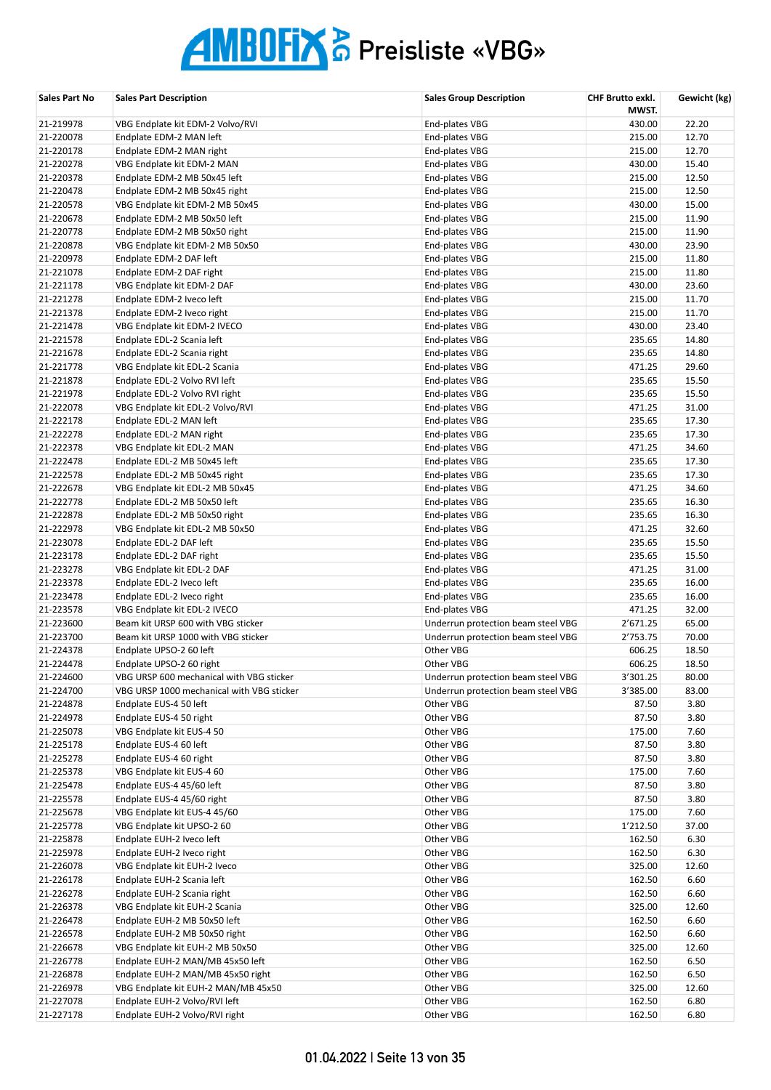| Sales Part No          | <b>Sales Part Description</b>                              | <b>Sales Group Description</b>     | CHF Brutto exkl.<br>MWST. | Gewicht (kg)  |
|------------------------|------------------------------------------------------------|------------------------------------|---------------------------|---------------|
| 21-219978              | VBG Endplate kit EDM-2 Volvo/RVI                           | End-plates VBG                     | 430.00                    | 22.20         |
| 21-220078              | Endplate EDM-2 MAN left                                    | End-plates VBG                     | 215.00                    | 12.70         |
| 21-220178              | Endplate EDM-2 MAN right                                   | End-plates VBG                     | 215.00                    | 12.70         |
| 21-220278              | VBG Endplate kit EDM-2 MAN                                 | End-plates VBG                     | 430.00                    | 15.40         |
| 21-220378              | Endplate EDM-2 MB 50x45 left                               | End-plates VBG                     | 215.00                    | 12.50         |
| 21-220478              | Endplate EDM-2 MB 50x45 right                              | End-plates VBG                     | 215.00                    | 12.50         |
| 21-220578              | VBG Endplate kit EDM-2 MB 50x45                            | End-plates VBG                     | 430.00                    | 15.00         |
| 21-220678              | Endplate EDM-2 MB 50x50 left                               | End-plates VBG                     | 215.00                    | 11.90         |
| 21-220778              | Endplate EDM-2 MB 50x50 right                              | End-plates VBG                     | 215.00                    | 11.90         |
| 21-220878              | VBG Endplate kit EDM-2 MB 50x50                            | End-plates VBG                     | 430.00                    | 23.90         |
| 21-220978              | Endplate EDM-2 DAF left                                    | End-plates VBG                     | 215.00                    | 11.80         |
| 21-221078              | Endplate EDM-2 DAF right                                   | End-plates VBG                     | 215.00                    | 11.80         |
| 21-221178              | VBG Endplate kit EDM-2 DAF                                 | End-plates VBG                     | 430.00                    | 23.60         |
| 21-221278              | Endplate EDM-2 Iveco left                                  | End-plates VBG                     | 215.00                    | 11.70         |
| 21-221378              | Endplate EDM-2 Iveco right                                 | End-plates VBG                     | 215.00                    | 11.70         |
| 21-221478              | VBG Endplate kit EDM-2 IVECO                               | End-plates VBG                     | 430.00                    | 23.40         |
| 21-221578              | Endplate EDL-2 Scania left                                 | End-plates VBG                     | 235.65                    | 14.80         |
| 21-221678              | Endplate EDL-2 Scania right                                | End-plates VBG                     | 235.65                    | 14.80         |
| 21-221778              | VBG Endplate kit EDL-2 Scania                              | End-plates VBG                     | 471.25                    | 29.60         |
| 21-221878              | Endplate EDL-2 Volvo RVI left                              | End-plates VBG                     | 235.65                    | 15.50         |
| 21-221978              | Endplate EDL-2 Volvo RVI right                             | End-plates VBG                     | 235.65                    | 15.50         |
| 21-222078              | VBG Endplate kit EDL-2 Volvo/RVI                           | End-plates VBG                     | 471.25                    | 31.00         |
| 21-222178              | Endplate EDL-2 MAN left                                    | End-plates VBG                     | 235.65                    | 17.30         |
| 21-222278              | Endplate EDL-2 MAN right                                   | End-plates VBG                     | 235.65                    | 17.30         |
| 21-222378              | VBG Endplate kit EDL-2 MAN                                 | End-plates VBG                     | 471.25                    | 34.60         |
| 21-222478              | Endplate EDL-2 MB 50x45 left                               | End-plates VBG                     | 235.65                    | 17.30         |
| 21-222578              | Endplate EDL-2 MB 50x45 right                              | End-plates VBG                     | 235.65                    | 17.30         |
| 21-222678              | VBG Endplate kit EDL-2 MB 50x45                            | End-plates VBG                     | 471.25                    | 34.60         |
| 21-222778              | Endplate EDL-2 MB 50x50 left                               | End-plates VBG                     | 235.65                    | 16.30         |
| 21-222878              | Endplate EDL-2 MB 50x50 right                              | End-plates VBG                     | 235.65                    | 16.30         |
| 21-222978              | VBG Endplate kit EDL-2 MB 50x50                            | End-plates VBG                     | 471.25                    | 32.60         |
| 21-223078              | Endplate EDL-2 DAF left                                    | End-plates VBG                     | 235.65                    | 15.50         |
| 21-223178              | Endplate EDL-2 DAF right                                   | End-plates VBG                     | 235.65                    | 15.50         |
| 21-223278              | VBG Endplate kit EDL-2 DAF                                 | End-plates VBG                     | 471.25                    | 31.00         |
| 21-223378              | Endplate EDL-2 Iveco left                                  | End-plates VBG                     | 235.65                    | 16.00         |
| 21-223478              | Endplate EDL-2 Iveco right                                 | End-plates VBG                     | 235.65                    | 16.00         |
| 21-223578              | VBG Endplate kit EDL-2 IVECO                               | End-plates VBG                     | 471.25                    | 32.00         |
| 21-223600              | Beam kit URSP 600 with VBG sticker                         | Underrun protection beam steel VBG | 2'671.25                  | 65.00         |
| 21-223700              | Beam kit URSP 1000 with VBG sticker                        | Underrun protection beam steel VBG | 2'753.75                  | 70.00         |
| 21-224378              | Endplate UPSO-2 60 left                                    | Other VBG                          | 606.25                    | 18.50         |
| 21-224478              | Endplate UPSO-2 60 right                                   | Other VBG                          | 606.25                    | 18.50         |
| 21-224600              | VBG URSP 600 mechanical with VBG sticker                   | Underrun protection beam steel VBG | 3'301.25                  | 80.00         |
| 21-224700              | VBG URSP 1000 mechanical with VBG sticker                  | Underrun protection beam steel VBG | 3'385.00                  | 83.00         |
| 21-224878              | Endplate EUS-4 50 left                                     | Other VBG                          | 87.50                     | 3.80          |
| 21-224978              | Endplate EUS-4 50 right                                    | Other VBG                          | 87.50                     | 3.80          |
| 21-225078              | VBG Endplate kit EUS-4 50                                  | Other VBG                          | 175.00                    | 7.60          |
| 21-225178              | Endplate EUS-4 60 left                                     | Other VBG                          | 87.50                     | 3.80          |
| 21-225278              | Endplate EUS-4 60 right                                    | Other VBG                          | 87.50                     | 3.80          |
| 21-225378              | VBG Endplate kit EUS-4 60                                  | Other VBG                          | 175.00                    | 7.60          |
| 21-225478<br>21-225578 | Endplate EUS-4 45/60 left<br>Endplate EUS-4 45/60 right    | Other VBG                          | 87.50                     | 3.80          |
|                        |                                                            | Other VBG                          | 87.50                     | 3.80          |
| 21-225678              | VBG Endplate kit EUS-4 45/60                               | Other VBG                          | 175.00                    | 7.60          |
| 21-225778              | VBG Endplate kit UPSO-2 60                                 | Other VBG                          | 1'212.50                  | 37.00         |
| 21-225878<br>21-225978 | Endplate EUH-2 Iveco left                                  | Other VBG<br>Other VBG             | 162.50<br>162.50          | 6.30<br>6.30  |
|                        | Endplate EUH-2 Iveco right                                 |                                    |                           |               |
| 21-226078<br>21-226178 | VBG Endplate kit EUH-2 Iveco<br>Endplate EUH-2 Scania left | Other VBG<br>Other VBG             | 325.00<br>162.50          | 12.60<br>6.60 |
| 21-226278              | Endplate EUH-2 Scania right                                | Other VBG                          | 162.50                    | 6.60          |
| 21-226378              | VBG Endplate kit EUH-2 Scania                              | Other VBG                          | 325.00                    | 12.60         |
| 21-226478              | Endplate EUH-2 MB 50x50 left                               | Other VBG                          | 162.50                    | 6.60          |
| 21-226578              | Endplate EUH-2 MB 50x50 right                              | Other VBG                          | 162.50                    | 6.60          |
| 21-226678              | VBG Endplate kit EUH-2 MB 50x50                            | Other VBG                          | 325.00                    | 12.60         |
| 21-226778              | Endplate EUH-2 MAN/MB 45x50 left                           | Other VBG                          | 162.50                    | 6.50          |
| 21-226878              | Endplate EUH-2 MAN/MB 45x50 right                          | Other VBG                          | 162.50                    | 6.50          |
| 21-226978              | VBG Endplate kit EUH-2 MAN/MB 45x50                        | Other VBG                          | 325.00                    | 12.60         |
| 21-227078              | Endplate EUH-2 Volvo/RVI left                              | Other VBG                          | 162.50                    | 6.80          |
| 21-227178              | Endplate EUH-2 Volvo/RVI right                             | Other VBG                          | 162.50                    | 6.80          |
|                        |                                                            |                                    |                           |               |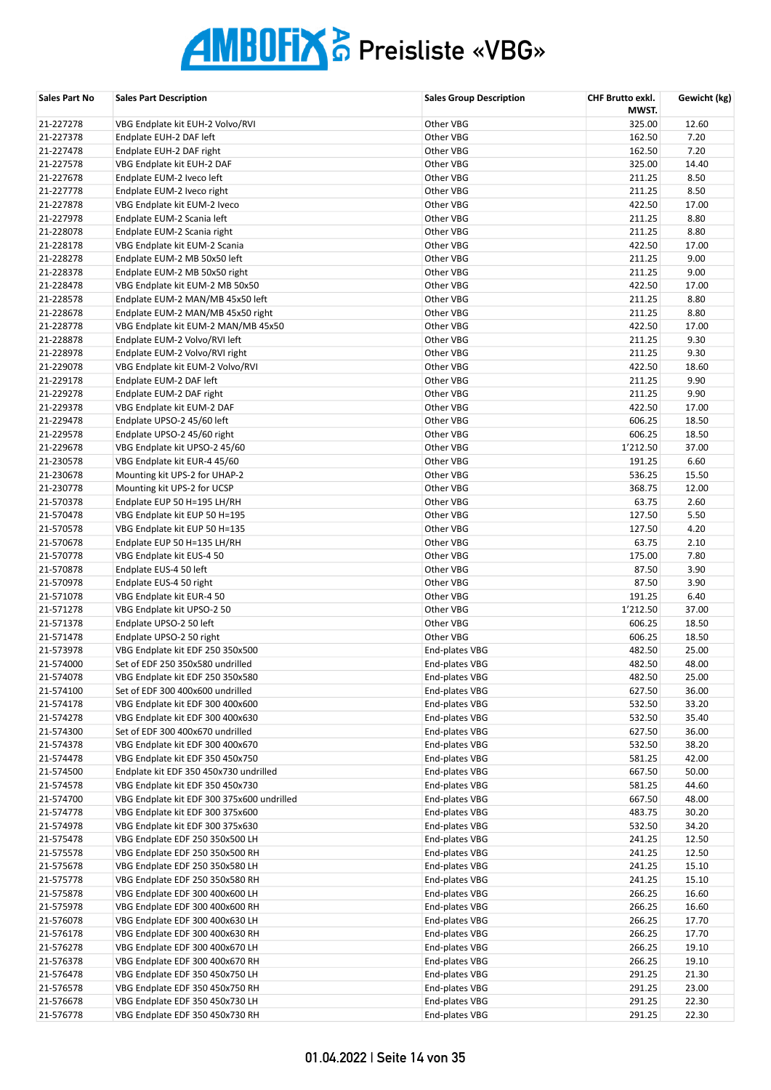| Sales Part No | <b>Sales Part Description</b>              | <b>Sales Group Description</b> | CHF Brutto exkl.<br>MWST. | Gewicht (kg) |
|---------------|--------------------------------------------|--------------------------------|---------------------------|--------------|
| 21-227278     | VBG Endplate kit EUH-2 Volvo/RVI           | Other VBG                      | 325.00                    | 12.60        |
| 21-227378     | Endplate EUH-2 DAF left                    | Other VBG                      | 162.50                    | 7.20         |
| 21-227478     | Endplate EUH-2 DAF right                   | Other VBG                      | 162.50                    | 7.20         |
| 21-227578     | VBG Endplate kit EUH-2 DAF                 | Other VBG                      | 325.00                    | 14.40        |
| 21-227678     | Endplate EUM-2 Iveco left                  | Other VBG                      | 211.25                    | 8.50         |
| 21-227778     | Endplate EUM-2 Iveco right                 | Other VBG                      | 211.25                    | 8.50         |
| 21-227878     | VBG Endplate kit EUM-2 Iveco               | Other VBG                      | 422.50                    | 17.00        |
| 21-227978     | Endplate EUM-2 Scania left                 | Other VBG                      | 211.25                    | 8.80         |
| 21-228078     | Endplate EUM-2 Scania right                | Other VBG                      | 211.25                    | 8.80         |
| 21-228178     | VBG Endplate kit EUM-2 Scania              | Other VBG                      | 422.50                    | 17.00        |
| 21-228278     | Endplate EUM-2 MB 50x50 left               | Other VBG                      | 211.25                    | 9.00         |
| 21-228378     | Endplate EUM-2 MB 50x50 right              | Other VBG                      | 211.25                    | 9.00         |
| 21-228478     | VBG Endplate kit EUM-2 MB 50x50            | Other VBG                      | 422.50                    | 17.00        |
| 21-228578     | Endplate EUM-2 MAN/MB 45x50 left           | Other VBG                      | 211.25                    | 8.80         |
| 21-228678     | Endplate EUM-2 MAN/MB 45x50 right          | Other VBG                      | 211.25                    | 8.80         |
| 21-228778     | VBG Endplate kit EUM-2 MAN/MB 45x50        | Other VBG                      | 422.50                    | 17.00        |
| 21-228878     | Endplate EUM-2 Volvo/RVI left              | Other VBG                      | 211.25                    | 9.30         |
| 21-228978     | Endplate EUM-2 Volvo/RVI right             | Other VBG                      | 211.25                    | 9.30         |
| 21-229078     | VBG Endplate kit EUM-2 Volvo/RVI           | Other VBG                      | 422.50                    | 18.60        |
| 21-229178     | Endplate EUM-2 DAF left                    | Other VBG                      | 211.25                    | 9.90         |
| 21-229278     | Endplate EUM-2 DAF right                   | Other VBG                      | 211.25                    | 9.90         |
| 21-229378     | VBG Endplate kit EUM-2 DAF                 | Other VBG                      | 422.50                    | 17.00        |
| 21-229478     | Endplate UPSO-2 45/60 left                 | Other VBG                      | 606.25                    | 18.50        |
| 21-229578     | Endplate UPSO-2 45/60 right                | Other VBG                      | 606.25                    | 18.50        |
| 21-229678     | VBG Endplate kit UPSO-2 45/60              | Other VBG                      | 1'212.50                  | 37.00        |
| 21-230578     | VBG Endplate kit EUR-4 45/60               | Other VBG                      | 191.25                    | 6.60         |
| 21-230678     | Mounting kit UPS-2 for UHAP-2              | Other VBG                      | 536.25                    | 15.50        |
| 21-230778     | Mounting kit UPS-2 for UCSP                | Other VBG                      | 368.75                    | 12.00        |
| 21-570378     | Endplate EUP 50 H=195 LH/RH                | Other VBG                      | 63.75                     | 2.60         |
| 21-570478     | VBG Endplate kit EUP 50 H=195              | Other VBG                      | 127.50                    | 5.50         |
| 21-570578     | VBG Endplate kit EUP 50 H=135              | Other VBG                      | 127.50                    | 4.20         |
| 21-570678     | Endplate EUP 50 H=135 LH/RH                | Other VBG                      | 63.75                     | 2.10         |
| 21-570778     | VBG Endplate kit EUS-4 50                  | Other VBG                      | 175.00                    | 7.80         |
| 21-570878     | Endplate EUS-4 50 left                     | Other VBG                      | 87.50                     | 3.90         |
| 21-570978     | Endplate EUS-4 50 right                    | Other VBG                      | 87.50                     | 3.90         |
| 21-571078     | VBG Endplate kit EUR-4 50                  | Other VBG                      | 191.25                    | 6.40         |
| 21-571278     | VBG Endplate kit UPSO-2 50                 | Other VBG                      | 1'212.50                  | 37.00        |
| 21-571378     | Endplate UPSO-2 50 left                    | Other VBG                      | 606.25                    | 18.50        |
| 21-571478     | Endplate UPSO-2 50 right                   | Other VBG                      | 606.25                    | 18.50        |
| 21-573978     | VBG Endplate kit EDF 250 350x500           | End-plates VBG                 | 482.50                    | 25.00        |
| 21-574000     | Set of EDF 250 350x580 undrilled           | End-plates VBG                 | 482.50                    | 48.00        |
| 21-574078     | VBG Endplate kit EDF 250 350x580           | End-plates VBG                 | 482.50                    | 25.00        |
| 21-574100     | Set of EDF 300 400x600 undrilled           | End-plates VBG                 | 627.50                    | 36.00        |
| 21-574178     | VBG Endplate kit EDF 300 400x600           | End-plates VBG                 | 532.50                    | 33.20        |
| 21-574278     | VBG Endplate kit EDF 300 400x630           | End-plates VBG                 | 532.50                    | 35.40        |
| 21-574300     | Set of EDF 300 400x670 undrilled           | End-plates VBG                 | 627.50                    | 36.00        |
| 21-574378     | VBG Endplate kit EDF 300 400x670           | End-plates VBG                 | 532.50                    | 38.20        |
| 21-574478     | VBG Endplate kit EDF 350 450x750           | End-plates VBG                 | 581.25                    | 42.00        |
| 21-574500     | Endplate kit EDF 350 450x730 undrilled     | End-plates VBG                 | 667.50                    | 50.00        |
| 21-574578     | VBG Endplate kit EDF 350 450x730           | End-plates VBG                 | 581.25                    | 44.60        |
| 21-574700     | VBG Endplate kit EDF 300 375x600 undrilled | End-plates VBG                 | 667.50                    | 48.00        |
| 21-574778     | VBG Endplate kit EDF 300 375x600           | End-plates VBG                 | 483.75                    | 30.20        |
| 21-574978     | VBG Endplate kit EDF 300 375x630           | End-plates VBG                 | 532.50                    | 34.20        |
| 21-575478     | VBG Endplate EDF 250 350x500 LH            | End-plates VBG                 | 241.25                    | 12.50        |
| 21-575578     | VBG Endplate EDF 250 350x500 RH            | End-plates VBG                 | 241.25                    | 12.50        |
| 21-575678     | VBG Endplate EDF 250 350x580 LH            | End-plates VBG                 | 241.25                    | 15.10        |
| 21-575778     | VBG Endplate EDF 250 350x580 RH            | End-plates VBG                 | 241.25                    | 15.10        |
| 21-575878     | VBG Endplate EDF 300 400x600 LH            | End-plates VBG                 | 266.25                    | 16.60        |
| 21-575978     | VBG Endplate EDF 300 400x600 RH            | End-plates VBG                 | 266.25                    | 16.60        |
| 21-576078     | VBG Endplate EDF 300 400x630 LH            | End-plates VBG                 | 266.25                    | 17.70        |
| 21-576178     | VBG Endplate EDF 300 400x630 RH            | End-plates VBG                 | 266.25                    | 17.70        |
| 21-576278     | VBG Endplate EDF 300 400x670 LH            | End-plates VBG                 | 266.25                    | 19.10        |
| 21-576378     | VBG Endplate EDF 300 400x670 RH            | End-plates VBG                 | 266.25                    | 19.10        |
| 21-576478     | VBG Endplate EDF 350 450x750 LH            | End-plates VBG                 | 291.25                    | 21.30        |
| 21-576578     | VBG Endplate EDF 350 450x750 RH            | End-plates VBG                 | 291.25                    | 23.00        |
| 21-576678     | VBG Endplate EDF 350 450x730 LH            | End-plates VBG                 | 291.25                    | 22.30        |
| 21-576778     | VBG Endplate EDF 350 450x730 RH            | End-plates VBG                 | 291.25                    | 22.30        |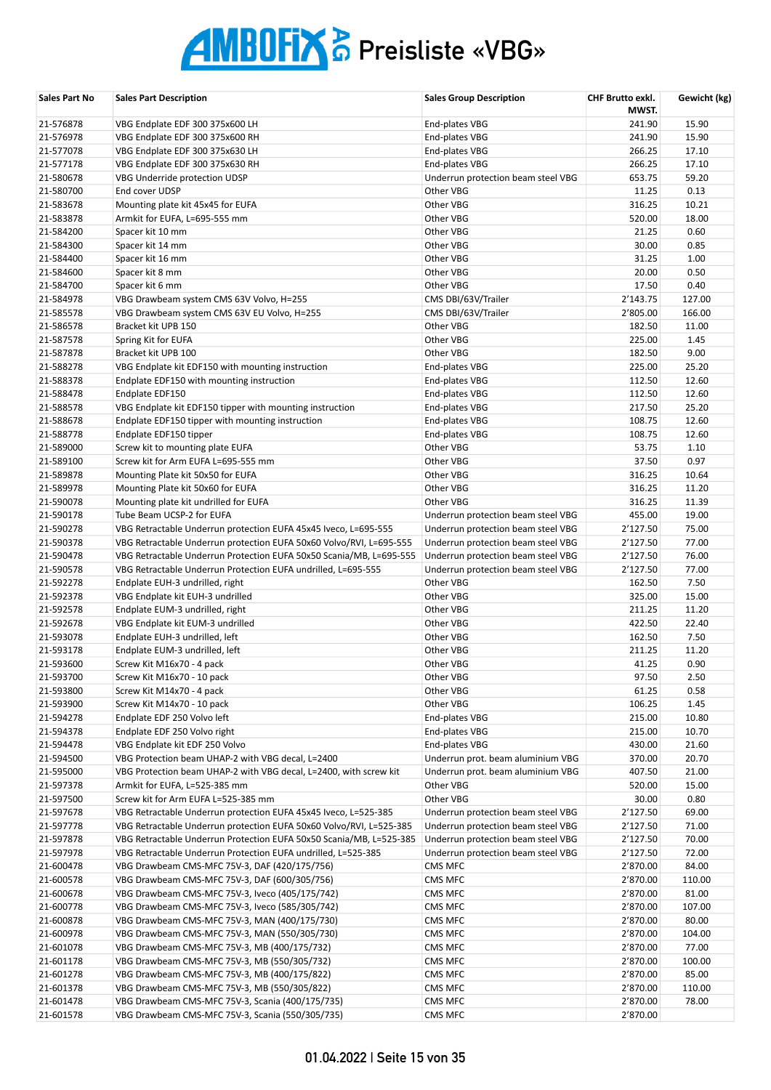| Sales Part No          | <b>Sales Part Description</b>                                                                                | <b>Sales Group Description</b>                                         | CHF Brutto exkl.<br>MWST. | Gewicht (kg)   |
|------------------------|--------------------------------------------------------------------------------------------------------------|------------------------------------------------------------------------|---------------------------|----------------|
| 21-576878              | VBG Endplate EDF 300 375x600 LH                                                                              | End-plates VBG                                                         | 241.90                    | 15.90          |
| 21-576978              | VBG Endplate EDF 300 375x600 RH                                                                              | End-plates VBG                                                         | 241.90                    | 15.90          |
| 21-577078              | VBG Endplate EDF 300 375x630 LH                                                                              | End-plates VBG                                                         | 266.25                    | 17.10          |
| 21-577178              | VBG Endplate EDF 300 375x630 RH                                                                              | End-plates VBG                                                         | 266.25                    | 17.10          |
| 21-580678              | VBG Underride protection UDSP                                                                                | Underrun protection beam steel VBG                                     | 653.75                    | 59.20          |
| 21-580700              | End cover UDSP                                                                                               | Other VBG                                                              | 11.25                     | 0.13           |
| 21-583678              | Mounting plate kit 45x45 for EUFA                                                                            | Other VBG                                                              | 316.25                    | 10.21          |
| 21-583878              | Armkit for EUFA, L=695-555 mm                                                                                | Other VBG                                                              | 520.00                    | 18.00          |
| 21-584200              | Spacer kit 10 mm                                                                                             | Other VBG                                                              | 21.25                     | 0.60           |
| 21-584300              | Spacer kit 14 mm                                                                                             | Other VBG                                                              | 30.00                     | 0.85           |
| 21-584400              | Spacer kit 16 mm                                                                                             | Other VBG                                                              | 31.25                     | 1.00           |
| 21-584600              | Spacer kit 8 mm                                                                                              | Other VBG                                                              | 20.00                     | 0.50           |
| 21-584700              | Spacer kit 6 mm                                                                                              | Other VBG                                                              | 17.50                     | 0.40           |
| 21-584978              | VBG Drawbeam system CMS 63V Volvo, H=255                                                                     | CMS DBI/63V/Trailer                                                    | 2'143.75                  | 127.00         |
| 21-585578              | VBG Drawbeam system CMS 63V EU Volvo, H=255                                                                  | CMS DBI/63V/Trailer                                                    | 2'805.00                  | 166.00         |
| 21-586578              | Bracket kit UPB 150                                                                                          | Other VBG                                                              | 182.50                    | 11.00          |
| 21-587578              | Spring Kit for EUFA                                                                                          | Other VBG                                                              | 225.00                    | 1.45           |
| 21-587878              | Bracket kit UPB 100                                                                                          | Other VBG                                                              | 182.50                    | 9.00           |
| 21-588278              | VBG Endplate kit EDF150 with mounting instruction                                                            | End-plates VBG                                                         | 225.00                    | 25.20          |
| 21-588378              | Endplate EDF150 with mounting instruction                                                                    | End-plates VBG                                                         | 112.50                    | 12.60          |
| 21-588478<br>21-588578 | Endplate EDF150                                                                                              | End-plates VBG                                                         | 112.50<br>217.50          | 12.60<br>25.20 |
| 21-588678              | VBG Endplate kit EDF150 tipper with mounting instruction<br>Endplate EDF150 tipper with mounting instruction | End-plates VBG<br>End-plates VBG                                       | 108.75                    | 12.60          |
| 21-588778              | Endplate EDF150 tipper                                                                                       | End-plates VBG                                                         | 108.75                    | 12.60          |
| 21-589000              | Screw kit to mounting plate EUFA                                                                             | Other VBG                                                              | 53.75                     | 1.10           |
| 21-589100              | Screw kit for Arm EUFA L=695-555 mm                                                                          | Other VBG                                                              | 37.50                     | 0.97           |
| 21-589878              | Mounting Plate kit 50x50 for EUFA                                                                            | Other VBG                                                              | 316.25                    | 10.64          |
| 21-589978              | Mounting Plate kit 50x60 for EUFA                                                                            | Other VBG                                                              | 316.25                    | 11.20          |
| 21-590078              | Mounting plate kit undrilled for EUFA                                                                        | Other VBG                                                              | 316.25                    | 11.39          |
| 21-590178              | Tube Beam UCSP-2 for EUFA                                                                                    | Underrun protection beam steel VBG                                     | 455.00                    | 19.00          |
| 21-590278              | VBG Retractable Underrun protection EUFA 45x45 Iveco, L=695-555                                              | Underrun protection beam steel VBG                                     | 2'127.50                  | 75.00          |
| 21-590378              | VBG Retractable Underrun protection EUFA 50x60 Volvo/RVI, L=695-555                                          | Underrun protection beam steel VBG                                     | 2'127.50                  | 77.00          |
| 21-590478              | VBG Retractable Underrun Protection EUFA 50x50 Scania/MB, L=695-555                                          | Underrun protection beam steel VBG                                     | 2'127.50                  | 76.00          |
| 21-590578              | VBG Retractable Underrun Protection EUFA undrilled, L=695-555                                                | Underrun protection beam steel VBG                                     | 2'127.50                  | 77.00          |
| 21-592278              | Endplate EUH-3 undrilled, right                                                                              | Other VBG                                                              | 162.50                    | 7.50           |
| 21-592378              | VBG Endplate kit EUH-3 undrilled                                                                             | Other VBG                                                              | 325.00                    | 15.00          |
| 21-592578              | Endplate EUM-3 undrilled, right                                                                              | Other VBG                                                              | 211.25                    | 11.20          |
| 21-592678              | VBG Endplate kit EUM-3 undrilled                                                                             | Other VBG                                                              | 422.50                    | 22.40          |
| 21-593078              | Endplate EUH-3 undrilled, left                                                                               | Other VBG                                                              | 162.50                    | 7.50           |
| 21-593178              | Endplate EUM-3 undrilled, left                                                                               | Other VBG                                                              | 211.25                    | 11.20          |
| 21-593600              | Screw Kit M16x70 - 4 pack                                                                                    | Other VBG                                                              | 41.25                     | 0.90           |
| 21-593700              | Screw Kit M16x70 - 10 pack                                                                                   | Other VBG                                                              | 97.50                     | 2.50           |
| 21-593800              | Screw Kit M14x70 - 4 pack                                                                                    | Other VBG                                                              | 61.25                     | 0.58           |
| 21-593900              | Screw Kit M14x70 - 10 pack                                                                                   | Other VBG                                                              | 106.25                    | 1.45           |
| 21-594278              | Endplate EDF 250 Volvo left                                                                                  | End-plates VBG                                                         | 215.00                    | 10.80          |
| 21-594378              | Endplate EDF 250 Volvo right                                                                                 | End-plates VBG                                                         | 215.00                    | 10.70          |
| 21-594478              | VBG Endplate kit EDF 250 Volvo                                                                               | End-plates VBG                                                         | 430.00                    | 21.60          |
| 21-594500              | VBG Protection beam UHAP-2 with VBG decal, L=2400                                                            | Underrun prot. beam aluminium VBG<br>Underrun prot. beam aluminium VBG | 370.00                    | 20.70          |
| 21-595000<br>21-597378 | VBG Protection beam UHAP-2 with VBG decal, L=2400, with screw kit<br>Armkit for EUFA, L=525-385 mm           | Other VBG                                                              | 407.50<br>520.00          | 21.00<br>15.00 |
| 21-597500              | Screw kit for Arm EUFA L=525-385 mm                                                                          | Other VBG                                                              | 30.00                     | 0.80           |
| 21-597678              | VBG Retractable Underrun protection EUFA 45x45 Iveco, L=525-385                                              | Underrun protection beam steel VBG                                     | 2'127.50                  | 69.00          |
| 21-597778              | VBG Retractable Underrun protection EUFA 50x60 Volvo/RVI, L=525-385                                          | Underrun protection beam steel VBG                                     | 2'127.50                  | 71.00          |
| 21-597878              | VBG Retractable Underrun Protection EUFA 50x50 Scania/MB, L=525-385                                          | Underrun protection beam steel VBG                                     | 2'127.50                  | 70.00          |
| 21-597978              | VBG Retractable Underrun Protection EUFA undrilled, L=525-385                                                | Underrun protection beam steel VBG                                     | 2'127.50                  | 72.00          |
| 21-600478              | VBG Drawbeam CMS-MFC 75V-3, DAF (420/175/756)                                                                | CMS MFC                                                                | 2'870.00                  | 84.00          |
| 21-600578              | VBG Drawbeam CMS-MFC 75V-3, DAF (600/305/756)                                                                | CMS MFC                                                                | 2'870.00                  | 110.00         |
| 21-600678              | VBG Drawbeam CMS-MFC 75V-3, Iveco (405/175/742)                                                              | CMS MFC                                                                | 2'870.00                  | 81.00          |
| 21-600778              | VBG Drawbeam CMS-MFC 75V-3, Iveco (585/305/742)                                                              | CMS MFC                                                                | 2'870.00                  | 107.00         |
| 21-600878              | VBG Drawbeam CMS-MFC 75V-3, MAN (400/175/730)                                                                | CMS MFC                                                                | 2'870.00                  | 80.00          |
| 21-600978              | VBG Drawbeam CMS-MFC 75V-3, MAN (550/305/730)                                                                | CMS MFC                                                                | 2'870.00                  | 104.00         |
| 21-601078              | VBG Drawbeam CMS-MFC 75V-3, MB (400/175/732)                                                                 | CMS MFC                                                                | 2'870.00                  | 77.00          |
| 21-601178              | VBG Drawbeam CMS-MFC 75V-3, MB (550/305/732)                                                                 | CMS MFC                                                                | 2'870.00                  | 100.00         |
| 21-601278              | VBG Drawbeam CMS-MFC 75V-3, MB (400/175/822)                                                                 | CMS MFC                                                                | 2'870.00                  | 85.00          |
| 21-601378              | VBG Drawbeam CMS-MFC 75V-3, MB (550/305/822)                                                                 | CMS MFC                                                                | 2'870.00                  | 110.00         |
| 21-601478              | VBG Drawbeam CMS-MFC 75V-3, Scania (400/175/735)                                                             | CMS MFC                                                                | 2'870.00                  | 78.00          |
| 21-601578              | VBG Drawbeam CMS-MFC 75V-3, Scania (550/305/735)                                                             | CMS MFC                                                                | 2'870.00                  |                |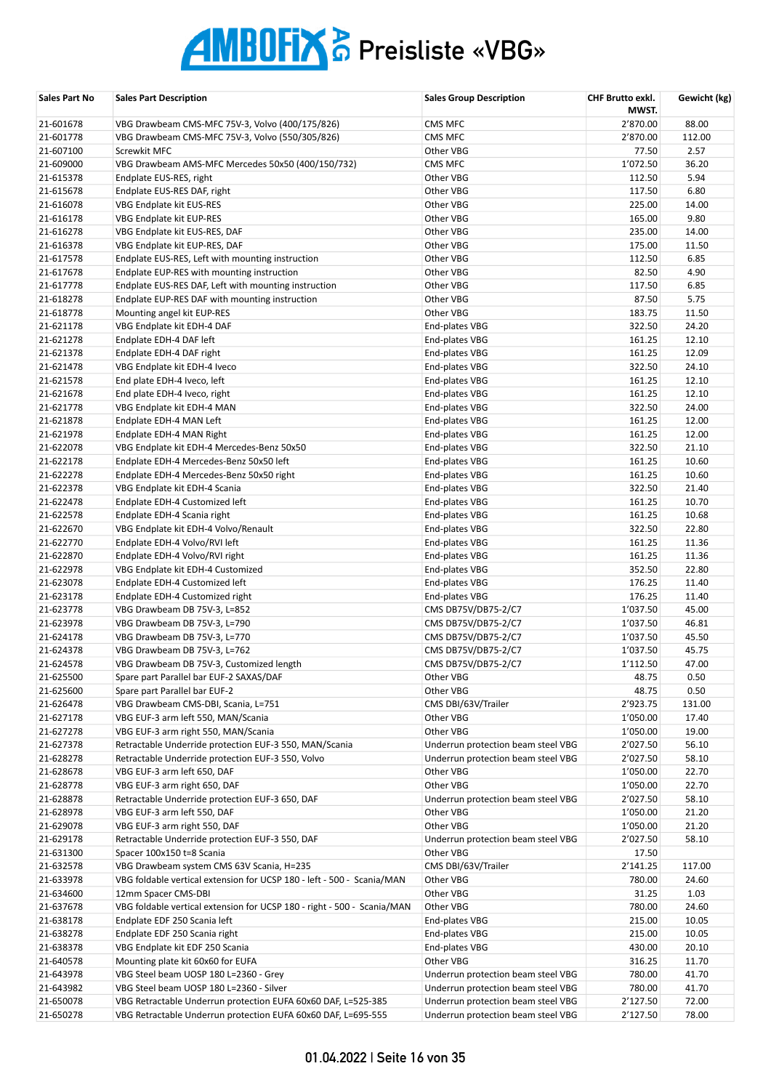| Sales Part No | <b>Sales Part Description</b>                                           | <b>Sales Group Description</b>     | CHF Brutto exkl.<br>MWST. | Gewicht (kg) |
|---------------|-------------------------------------------------------------------------|------------------------------------|---------------------------|--------------|
| 21-601678     | VBG Drawbeam CMS-MFC 75V-3, Volvo (400/175/826)                         | CMS MFC                            | 2'870.00                  | 88.00        |
| 21-601778     | VBG Drawbeam CMS-MFC 75V-3, Volvo (550/305/826)                         | CMS MFC                            | 2'870.00                  | 112.00       |
| 21-607100     | Screwkit MFC                                                            | Other VBG                          | 77.50                     | 2.57         |
| 21-609000     | VBG Drawbeam AMS-MFC Mercedes 50x50 (400/150/732)                       | CMS MFC                            | 1'072.50                  | 36.20        |
| 21-615378     | Endplate EUS-RES, right                                                 | Other VBG                          | 112.50                    | 5.94         |
| 21-615678     | Endplate EUS-RES DAF, right                                             | Other VBG                          | 117.50                    | 6.80         |
| 21-616078     | VBG Endplate kit EUS-RES                                                | Other VBG                          | 225.00                    | 14.00        |
| 21-616178     | VBG Endplate kit EUP-RES                                                | Other VBG                          | 165.00                    | 9.80         |
| 21-616278     | VBG Endplate kit EUS-RES, DAF                                           | Other VBG                          | 235.00                    | 14.00        |
| 21-616378     | VBG Endplate kit EUP-RES, DAF                                           | Other VBG                          | 175.00                    | 11.50        |
| 21-617578     | Endplate EUS-RES, Left with mounting instruction                        | Other VBG                          | 112.50                    | 6.85         |
| 21-617678     | Endplate EUP-RES with mounting instruction                              | Other VBG                          | 82.50                     | 4.90         |
| 21-617778     | Endplate EUS-RES DAF, Left with mounting instruction                    | Other VBG                          | 117.50                    | 6.85         |
| 21-618278     | Endplate EUP-RES DAF with mounting instruction                          | Other VBG                          | 87.50                     | 5.75         |
| 21-618778     | Mounting angel kit EUP-RES                                              | Other VBG                          | 183.75                    | 11.50        |
| 21-621178     | VBG Endplate kit EDH-4 DAF                                              | End-plates VBG                     | 322.50                    | 24.20        |
| 21-621278     | Endplate EDH-4 DAF left                                                 | End-plates VBG                     | 161.25                    | 12.10        |
| 21-621378     | Endplate EDH-4 DAF right                                                | End-plates VBG                     | 161.25                    | 12.09        |
| 21-621478     | VBG Endplate kit EDH-4 Iveco                                            | End-plates VBG                     | 322.50                    | 24.10        |
| 21-621578     | End plate EDH-4 Iveco, left                                             | End-plates VBG                     | 161.25                    | 12.10        |
| 21-621678     | End plate EDH-4 Iveco, right                                            | End-plates VBG                     | 161.25                    | 12.10        |
| 21-621778     | VBG Endplate kit EDH-4 MAN                                              | End-plates VBG                     | 322.50                    | 24.00        |
| 21-621878     | Endplate EDH-4 MAN Left                                                 | End-plates VBG                     | 161.25                    | 12.00        |
| 21-621978     | Endplate EDH-4 MAN Right                                                | End-plates VBG                     | 161.25                    | 12.00        |
| 21-622078     | VBG Endplate kit EDH-4 Mercedes-Benz 50x50                              | End-plates VBG                     | 322.50                    | 21.10        |
| 21-622178     | Endplate EDH-4 Mercedes-Benz 50x50 left                                 | End-plates VBG                     | 161.25                    | 10.60        |
| 21-622278     | Endplate EDH-4 Mercedes-Benz 50x50 right                                | End-plates VBG                     | 161.25                    | 10.60        |
| 21-622378     | VBG Endplate kit EDH-4 Scania                                           | End-plates VBG                     | 322.50                    | 21.40        |
| 21-622478     | Endplate EDH-4 Customized left                                          | End-plates VBG                     | 161.25                    | 10.70        |
| 21-622578     | Endplate EDH-4 Scania right                                             | End-plates VBG                     | 161.25                    | 10.68        |
| 21-622670     | VBG Endplate kit EDH-4 Volvo/Renault                                    | End-plates VBG                     | 322.50                    | 22.80        |
| 21-622770     | Endplate EDH-4 Volvo/RVI left                                           | End-plates VBG                     | 161.25                    | 11.36        |
| 21-622870     | Endplate EDH-4 Volvo/RVI right                                          | End-plates VBG                     | 161.25                    | 11.36        |
| 21-622978     | VBG Endplate kit EDH-4 Customized                                       | End-plates VBG                     | 352.50                    | 22.80        |
| 21-623078     | Endplate EDH-4 Customized left                                          | End-plates VBG                     | 176.25                    | 11.40        |
| 21-623178     | Endplate EDH-4 Customized right                                         | End-plates VBG                     | 176.25                    | 11.40        |
| 21-623778     | VBG Drawbeam DB 75V-3, L=852                                            | CMS DB75V/DB75-2/C7                | 1'037.50                  | 45.00        |
| 21-623978     | VBG Drawbeam DB 75V-3, L=790                                            | CMS DB75V/DB75-2/C7                | 1'037.50                  | 46.81        |
| 21-624178     | VBG Drawbeam DB 75V-3, L=770                                            | CMS DB75V/DB75-2/C7                | 1'037.50                  | 45.50        |
| 21-624378     | VBG Drawbeam DB 75V-3, L=762                                            | CMS DB75V/DB75-2/C7                | 1'037.50                  | 45.75        |
| 21-624578     | VBG Drawbeam DB 75V-3, Customized length                                | CMS DB75V/DB75-2/C7                | 1'112.50                  | 47.00        |
| 21-625500     | Spare part Parallel bar EUF-2 SAXAS/DAF                                 | Other VBG                          | 48.75                     | 0.50         |
| 21-625600     | Spare part Parallel bar EUF-2                                           | Other VBG                          | 48.75                     | 0.50         |
| 21-626478     | VBG Drawbeam CMS-DBI, Scania, L=751                                     | CMS DBI/63V/Trailer                | 2'923.75                  | 131.00       |
| 21-627178     | VBG EUF-3 arm left 550, MAN/Scania                                      | Other VBG                          | 1'050.00                  | 17.40        |
| 21-627278     | VBG EUF-3 arm right 550, MAN/Scania                                     | Other VBG                          | 1'050.00                  | 19.00        |
| 21-627378     | Retractable Underride protection EUF-3 550, MAN/Scania                  | Underrun protection beam steel VBG | 2'027.50                  | 56.10        |
| 21-628278     | Retractable Underride protection EUF-3 550, Volvo                       | Underrun protection beam steel VBG | 2'027.50                  | 58.10        |
| 21-628678     | VBG EUF-3 arm left 650, DAF                                             | Other VBG                          | 1'050.00                  | 22.70        |
| 21-628778     | VBG EUF-3 arm right 650, DAF                                            | Other VBG                          | 1'050.00                  | 22.70        |
| 21-628878     | Retractable Underride protection EUF-3 650, DAF                         | Underrun protection beam steel VBG | 2'027.50                  | 58.10        |
| 21-628978     | VBG EUF-3 arm left 550, DAF                                             | Other VBG                          | 1'050.00                  | 21.20        |
| 21-629078     | VBG EUF-3 arm right 550, DAF                                            | Other VBG                          | 1'050.00                  | 21.20        |
| 21-629178     | Retractable Underride protection EUF-3 550, DAF                         | Underrun protection beam steel VBG | 2'027.50                  | 58.10        |
| 21-631300     | Spacer 100x150 t=8 Scania                                               | Other VBG                          | 17.50                     |              |
| 21-632578     | VBG Drawbeam system CMS 63V Scania, H=235                               | CMS DBI/63V/Trailer                | 2'141.25                  | 117.00       |
| 21-633978     | VBG foldable vertical extension for UCSP 180 - left - 500 - Scania/MAN  | Other VBG                          | 780.00                    | 24.60        |
| 21-634600     | 12mm Spacer CMS-DBI                                                     | Other VBG                          | 31.25                     | 1.03         |
| 21-637678     | VBG foldable vertical extension for UCSP 180 - right - 500 - Scania/MAN | Other VBG                          | 780.00                    | 24.60        |
| 21-638178     | Endplate EDF 250 Scania left                                            | End-plates VBG                     | 215.00                    | 10.05        |
| 21-638278     | Endplate EDF 250 Scania right                                           | End-plates VBG                     | 215.00                    | 10.05        |
| 21-638378     | VBG Endplate kit EDF 250 Scania                                         | End-plates VBG                     | 430.00                    | 20.10        |
| 21-640578     | Mounting plate kit 60x60 for EUFA                                       | Other VBG                          | 316.25                    | 11.70        |
| 21-643978     | VBG Steel beam UOSP 180 L=2360 - Grey                                   | Underrun protection beam steel VBG | 780.00                    | 41.70        |
| 21-643982     | VBG Steel beam UOSP 180 L=2360 - Silver                                 | Underrun protection beam steel VBG | 780.00                    | 41.70        |
| 21-650078     | VBG Retractable Underrun protection EUFA 60x60 DAF, L=525-385           | Underrun protection beam steel VBG | 2'127.50                  | 72.00        |
| 21-650278     | VBG Retractable Underrun protection EUFA 60x60 DAF, L=695-555           | Underrun protection beam steel VBG | 2'127.50                  | 78.00        |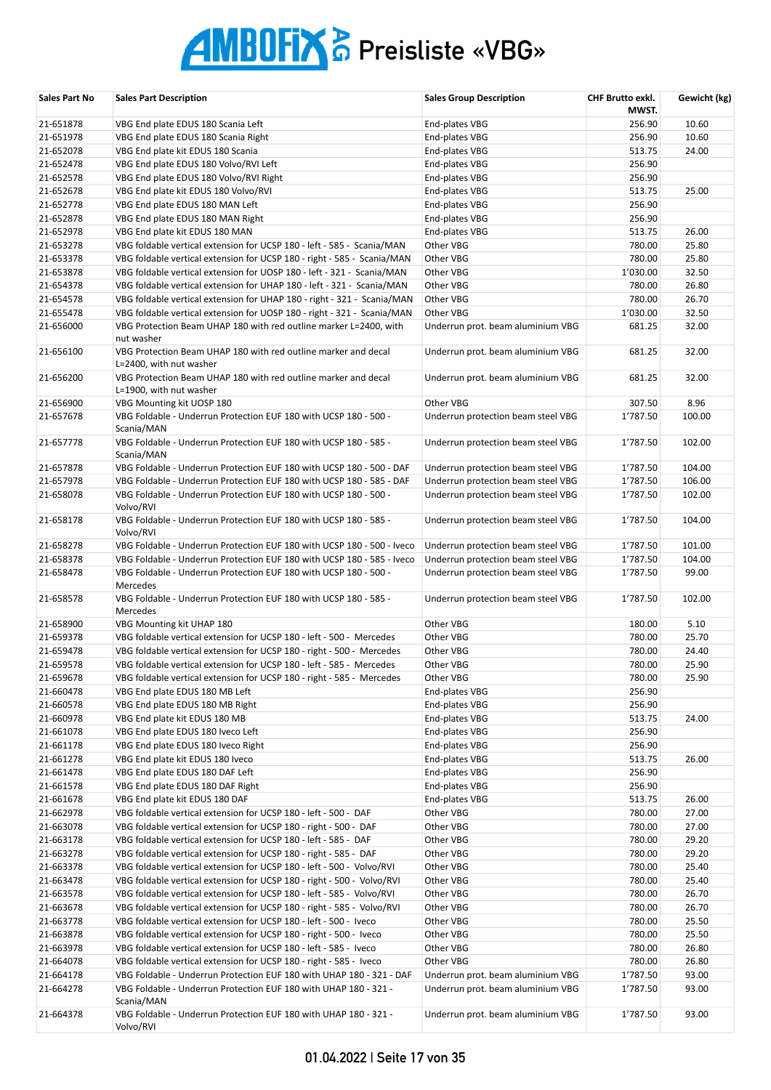| Sales Part No | <b>Sales Part Description</b>                                                             | <b>Sales Group Description</b>     | CHF Brutto exkl.<br>MWST. | Gewicht (kg) |
|---------------|-------------------------------------------------------------------------------------------|------------------------------------|---------------------------|--------------|
| 21-651878     | VBG End plate EDUS 180 Scania Left                                                        | End-plates VBG                     | 256.90                    | 10.60        |
| 21-651978     | VBG End plate EDUS 180 Scania Right                                                       | End-plates VBG                     | 256.90                    | 10.60        |
| 21-652078     | VBG End plate kit EDUS 180 Scania                                                         | End-plates VBG                     | 513.75                    | 24.00        |
| 21-652478     | VBG End plate EDUS 180 Volvo/RVI Left                                                     | End-plates VBG                     | 256.90                    |              |
| 21-652578     | VBG End plate EDUS 180 Volvo/RVI Right                                                    | End-plates VBG                     | 256.90                    |              |
| 21-652678     | VBG End plate kit EDUS 180 Volvo/RVI                                                      | End-plates VBG                     | 513.75                    | 25.00        |
| 21-652778     | VBG End plate EDUS 180 MAN Left                                                           | End-plates VBG                     | 256.90                    |              |
| 21-652878     | VBG End plate EDUS 180 MAN Right                                                          | End-plates VBG                     | 256.90                    |              |
| 21-652978     | VBG End plate kit EDUS 180 MAN                                                            | End-plates VBG                     | 513.75                    | 26.00        |
| 21-653278     | VBG foldable vertical extension for UCSP 180 - left - 585 - Scania/MAN                    | Other VBG                          | 780.00                    | 25.80        |
| 21-653378     | VBG foldable vertical extension for UCSP 180 - right - 585 - Scania/MAN                   | Other VBG                          | 780.00                    | 25.80        |
| 21-653878     | VBG foldable vertical extension for UOSP 180 - left - 321 - Scania/MAN                    | Other VBG                          | 1'030.00                  | 32.50        |
| 21-654378     | VBG foldable vertical extension for UHAP 180 - left - 321 - Scania/MAN                    | Other VBG                          | 780.00                    | 26.80        |
| 21-654578     | VBG foldable vertical extension for UHAP 180 - right - 321 - Scania/MAN                   | Other VBG                          | 780.00                    | 26.70        |
| 21-655478     | VBG foldable vertical extension for UOSP 180 - right - 321 - Scania/MAN                   | Other VBG                          | 1'030.00                  | 32.50        |
| 21-656000     | VBG Protection Beam UHAP 180 with red outline marker L=2400, with                         | Underrun prot. beam aluminium VBG  | 681.25                    | 32.00        |
|               | nut washer                                                                                |                                    |                           |              |
| 21-656100     | VBG Protection Beam UHAP 180 with red outline marker and decal<br>L=2400, with nut washer | Underrun prot. beam aluminium VBG  | 681.25                    | 32.00        |
| 21-656200     | VBG Protection Beam UHAP 180 with red outline marker and decal                            | Underrun prot. beam aluminium VBG  | 681.25                    | 32.00        |
|               | L=1900, with nut washer                                                                   |                                    |                           |              |
| 21-656900     | VBG Mounting kit UOSP 180                                                                 | Other VBG                          | 307.50                    | 8.96         |
| 21-657678     | VBG Foldable - Underrun Protection EUF 180 with UCSP 180 - 500 -<br>Scania/MAN            | Underrun protection beam steel VBG | 1'787.50                  | 100.00       |
| 21-657778     | VBG Foldable - Underrun Protection EUF 180 with UCSP 180 - 585 -<br>Scania/MAN            | Underrun protection beam steel VBG | 1'787.50                  | 102.00       |
| 21-657878     | VBG Foldable - Underrun Protection EUF 180 with UCSP 180 - 500 - DAF                      | Underrun protection beam steel VBG | 1'787.50                  | 104.00       |
| 21-657978     | VBG Foldable - Underrun Protection EUF 180 with UCSP 180 - 585 - DAF                      | Underrun protection beam steel VBG | 1'787.50                  | 106.00       |
| 21-658078     | VBG Foldable - Underrun Protection EUF 180 with UCSP 180 - 500 -<br>Volvo/RVI             | Underrun protection beam steel VBG | 1'787.50                  | 102.00       |
| 21-658178     | VBG Foldable - Underrun Protection EUF 180 with UCSP 180 - 585 -<br>Volvo/RVI             | Underrun protection beam steel VBG | 1'787.50                  | 104.00       |
| 21-658278     | VBG Foldable - Underrun Protection EUF 180 with UCSP 180 - 500 - Iveco                    | Underrun protection beam steel VBG | 1'787.50                  | 101.00       |
| 21-658378     | VBG Foldable - Underrun Protection EUF 180 with UCSP 180 - 585 - Iveco                    | Underrun protection beam steel VBG | 1'787.50                  | 104.00       |
| 21-658478     | VBG Foldable - Underrun Protection EUF 180 with UCSP 180 - 500 -                          | Underrun protection beam steel VBG | 1'787.50                  | 99.00        |
| 21-658578     | Mercedes<br>VBG Foldable - Underrun Protection EUF 180 with UCSP 180 - 585 -              |                                    | 1'787.50                  | 102.00       |
|               | Mercedes                                                                                  | Underrun protection beam steel VBG |                           |              |
| 21-658900     | VBG Mounting kit UHAP 180                                                                 | Other VBG                          | 180.00                    | 5.10         |
| 21-659378     | VBG foldable vertical extension for UCSP 180 - left - 500 - Mercedes                      | Other VBG                          | 780.00                    | 25.70        |
| 21-659478     | VBG foldable vertical extension for UCSP 180 - right - 500 - Mercedes                     | Other VBG                          | 780.00                    | 24.40        |
| 21-659578     | VBG foldable vertical extension for UCSP 180 - left - 585 - Mercedes                      | Other VBG                          | 780.00                    | 25.90        |
| 21-659678     | VBG foldable vertical extension for UCSP 180 - right - 585 - Mercedes                     | Other VBG                          | 780.00                    | 25.90        |
| 21-660478     | VBG End plate EDUS 180 MB Left                                                            | End-plates VBG                     | 256.90                    |              |
| 21-660578     | VBG End plate EDUS 180 MB Right                                                           | End-plates VBG                     | 256.90                    |              |
| 21-660978     | VBG End plate kit EDUS 180 MB                                                             | End-plates VBG                     | 513.75                    | 24.00        |
| 21-661078     | VBG End plate EDUS 180 Iveco Left                                                         | End-plates VBG                     | 256.90                    |              |
| 21-661178     | VBG End plate EDUS 180 Iveco Right                                                        | End-plates VBG                     | 256.90                    |              |
| 21-661278     | VBG End plate kit EDUS 180 Iveco                                                          | End-plates VBG                     | 513.75                    | 26.00        |
| 21-661478     | VBG End plate EDUS 180 DAF Left                                                           | End-plates VBG                     | 256.90                    |              |
| 21-661578     | VBG End plate EDUS 180 DAF Right                                                          | End-plates VBG                     | 256.90                    |              |
| 21-661678     | VBG End plate kit EDUS 180 DAF                                                            | End-plates VBG                     | 513.75                    | 26.00        |
| 21-662978     | VBG foldable vertical extension for UCSP 180 - left - 500 - DAF                           | Other VBG                          | 780.00                    | 27.00        |
| 21-663078     | VBG foldable vertical extension for UCSP 180 - right - 500 - DAF                          | Other VBG                          | 780.00                    | 27.00        |
| 21-663178     | VBG foldable vertical extension for UCSP 180 - left - 585 - DAF                           | Other VBG                          | 780.00                    | 29.20        |
| 21-663278     | VBG foldable vertical extension for UCSP 180 - right - 585 - DAF                          | Other VBG                          | 780.00                    | 29.20        |
| 21-663378     | VBG foldable vertical extension for UCSP 180 - left - 500 - Volvo/RVI                     | Other VBG                          | 780.00                    | 25.40        |
| 21-663478     | VBG foldable vertical extension for UCSP 180 - right - 500 - Volvo/RVI                    | Other VBG                          | 780.00                    | 25.40        |
| 21-663578     | VBG foldable vertical extension for UCSP 180 - left - 585 - Volvo/RVI                     | Other VBG                          | 780.00                    | 26.70        |
| 21-663678     | VBG foldable vertical extension for UCSP 180 - right - 585 - Volvo/RVI                    | Other VBG                          | 780.00                    | 26.70        |
| 21-663778     | VBG foldable vertical extension for UCSP 180 - left - 500 - Iveco                         | Other VBG                          | 780.00                    | 25.50        |
| 21-663878     | VBG foldable vertical extension for UCSP 180 - right - 500 - Iveco                        | Other VBG                          | 780.00                    | 25.50        |
| 21-663978     | VBG foldable vertical extension for UCSP 180 - left - 585 - Iveco                         | Other VBG                          | 780.00                    | 26.80        |
| 21-664078     | VBG foldable vertical extension for UCSP 180 - right - 585 - Iveco                        | Other VBG                          | 780.00                    | 26.80        |
| 21-664178     | VBG Foldable - Underrun Protection EUF 180 with UHAP 180 - 321 - DAF                      | Underrun prot. beam aluminium VBG  | 1'787.50                  | 93.00        |
| 21-664278     | VBG Foldable - Underrun Protection EUF 180 with UHAP 180 - 321 -<br>Scania/MAN            | Underrun prot. beam aluminium VBG  | 1'787.50                  | 93.00        |
| 21-664378     | VBG Foldable - Underrun Protection EUF 180 with UHAP 180 - 321 -<br>Volvo/RVI             | Underrun prot. beam aluminium VBG  | 1'787.50                  | 93.00        |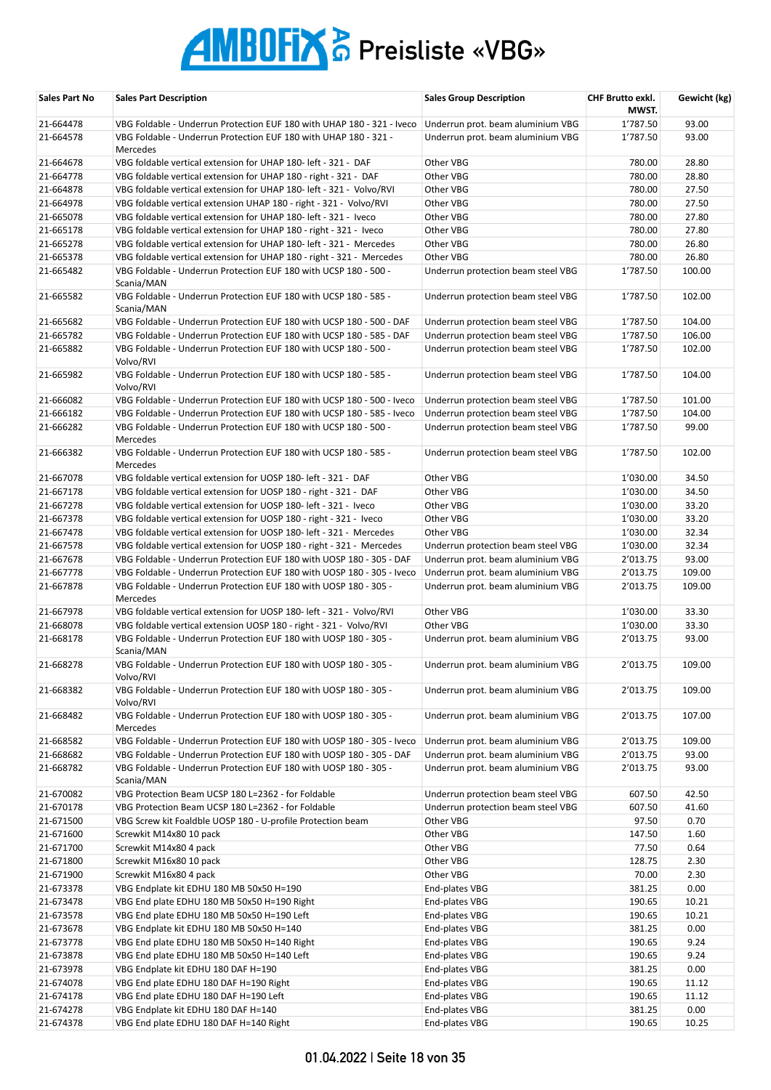| 21-664478<br>1'787.50<br>93.00<br>VBG Foldable - Underrun Protection EUF 180 with UHAP 180 - 321 - Iveco<br>Underrun prot. beam aluminium VBG<br>1'787.50<br>93.00<br>21-664578<br>VBG Foldable - Underrun Protection EUF 180 with UHAP 180 - 321 -<br>Underrun prot. beam aluminium VBG<br>Mercedes<br>21-664678<br>Other VBG<br>VBG foldable vertical extension for UHAP 180- left - 321 - DAF<br>780.00<br>28.80<br>28.80<br>21-664778<br>VBG foldable vertical extension for UHAP 180 - right - 321 - DAF<br>Other VBG<br>780.00<br>780.00<br>27.50<br>21-664878<br>VBG foldable vertical extension for UHAP 180- left - 321 - Volvo/RVI<br>Other VBG<br>780.00<br>27.50<br>21-664978<br>VBG foldable vertical extension UHAP 180 - right - 321 - Volvo/RVI<br>Other VBG<br>780.00<br>27.80<br>21-665078<br>VBG foldable vertical extension for UHAP 180- left - 321 - Iveco<br>Other VBG<br>780.00<br>27.80<br>21-665178<br>VBG foldable vertical extension for UHAP 180 - right - 321 - Iveco<br>Other VBG<br>780.00<br>26.80<br>21-665278<br>VBG foldable vertical extension for UHAP 180- left - 321 - Mercedes<br>Other VBG<br>780.00<br>26.80<br>21-665378<br>VBG foldable vertical extension for UHAP 180 - right - 321 - Mercedes<br>Other VBG<br>1'787.50<br>100.00<br>21-665482<br>VBG Foldable - Underrun Protection EUF 180 with UCSP 180 - 500 -<br>Underrun protection beam steel VBG<br>Scania/MAN<br>102.00<br>21-665582<br>VBG Foldable - Underrun Protection EUF 180 with UCSP 180 - 585 -<br>Underrun protection beam steel VBG<br>1'787.50<br>Scania/MAN<br>104.00<br>21-665682<br>VBG Foldable - Underrun Protection EUF 180 with UCSP 180 - 500 - DAF<br>Underrun protection beam steel VBG<br>1'787.50<br>106.00<br>21-665782<br>VBG Foldable - Underrun Protection EUF 180 with UCSP 180 - 585 - DAF<br>1'787.50<br>Underrun protection beam steel VBG<br>21-665882<br>VBG Foldable - Underrun Protection EUF 180 with UCSP 180 - 500 -<br>Underrun protection beam steel VBG<br>1'787.50<br>102.00<br>Volvo/RVI<br>104.00<br>21-665982<br>VBG Foldable - Underrun Protection EUF 180 with UCSP 180 - 585 -<br>Underrun protection beam steel VBG<br>1'787.50<br>Volvo/RVI<br>21-666082<br>101.00<br>VBG Foldable - Underrun Protection EUF 180 with UCSP 180 - 500 - Iveco<br>Underrun protection beam steel VBG<br>1'787.50<br>21-666182<br>VBG Foldable - Underrun Protection EUF 180 with UCSP 180 - 585 - Iveco<br>Underrun protection beam steel VBG<br>1'787.50<br>104.00<br>21-666282<br>VBG Foldable - Underrun Protection EUF 180 with UCSP 180 - 500 -<br>Underrun protection beam steel VBG<br>1'787.50<br>99.00<br>Mercedes<br>21-666382<br>VBG Foldable - Underrun Protection EUF 180 with UCSP 180 - 585 -<br>Underrun protection beam steel VBG<br>1'787.50<br>102.00<br>Mercedes<br>34.50<br>21-667078<br>VBG foldable vertical extension for UOSP 180- left - 321 - DAF<br>Other VBG<br>1'030.00<br>34.50<br>21-667178<br>VBG foldable vertical extension for UOSP 180 - right - 321 - DAF<br>Other VBG<br>1'030.00<br>1'030.00<br>33.20<br>21-667278<br>VBG foldable vertical extension for UOSP 180- left - 321 - Iveco<br>Other VBG<br>1'030.00<br>33.20<br>21-667378<br>VBG foldable vertical extension for UOSP 180 - right - 321 - Iveco<br>Other VBG<br>32.34<br>21-667478<br>VBG foldable vertical extension for UOSP 180- left - 321 - Mercedes<br>Other VBG<br>1'030.00<br>32.34<br>21-667578<br>VBG foldable vertical extension for UOSP 180 - right - 321 - Mercedes<br>Underrun protection beam steel VBG<br>1'030.00<br>21-667678<br>VBG Foldable - Underrun Protection EUF 180 with UOSP 180 - 305 - DAF<br>2'013.75<br>93.00<br>Underrun prot. beam aluminium VBG<br>21-667778<br>VBG Foldable - Underrun Protection EUF 180 with UOSP 180 - 305 - Iveco<br>Underrun prot. beam aluminium VBG<br>2'013.75<br>109.00<br>21-667878<br>VBG Foldable - Underrun Protection EUF 180 with UOSP 180 - 305 -<br>Underrun prot. beam aluminium VBG<br>2'013.75<br>109.00<br>Mercedes<br>VBG foldable vertical extension for UOSP 180- left - 321 - Volvo/RVI<br>Other VBG<br>1'030.00<br>33.30<br>21-667978<br>21-668078<br>VBG foldable vertical extension UOSP 180 - right - 321 - Volvo/RVI<br>Other VBG<br>33.30<br>1'030.00<br>93.00<br>21-668178<br>VBG Foldable - Underrun Protection EUF 180 with UOSP 180 - 305 -<br>Underrun prot. beam aluminium VBG<br>2'013.75<br>Scania/MAN<br>2'013.75<br>109.00<br>21-668278<br>VBG Foldable - Underrun Protection EUF 180 with UOSP 180 - 305 -<br>Underrun prot. beam aluminium VBG<br>Volvo/RVI<br>21-668382<br>VBG Foldable - Underrun Protection EUF 180 with UOSP 180 - 305 -<br>2'013.75<br>109.00<br>Underrun prot. beam aluminium VBG<br>Volvo/RVI<br>21-668482<br>2'013.75<br>107.00<br>VBG Foldable - Underrun Protection EUF 180 with UOSP 180 - 305 -<br>Underrun prot. beam aluminium VBG<br>Mercedes<br>21-668582<br>109.00<br>VBG Foldable - Underrun Protection EUF 180 with UOSP 180 - 305 - Iveco<br>Underrun prot. beam aluminium VBG<br>2'013.75<br>21-668682<br>VBG Foldable - Underrun Protection EUF 180 with UOSP 180 - 305 - DAF<br>Underrun prot. beam aluminium VBG<br>2'013.75<br>93.00<br>21-668782<br>VBG Foldable - Underrun Protection EUF 180 with UOSP 180 - 305 -<br>2'013.75<br>93.00<br>Underrun prot. beam aluminium VBG<br>Scania/MAN<br>21-670082<br>VBG Protection Beam UCSP 180 L=2362 - for Foldable<br>Underrun protection beam steel VBG<br>42.50<br>607.50<br>21-670178<br>607.50<br>41.60<br>VBG Protection Beam UCSP 180 L=2362 - for Foldable<br>Underrun protection beam steel VBG<br>0.70<br>21-671500<br>VBG Screw kit Foaldble UOSP 180 - U-profile Protection beam<br>Other VBG<br>97.50<br>Other VBG<br>21-671600<br>Screwkit M14x80 10 pack<br>147.50<br>1.60<br>77.50<br>0.64<br>21-671700<br>Screwkit M14x80 4 pack<br>Other VBG<br>128.75<br>2.30<br>21-671800<br>Screwkit M16x80 10 pack<br>Other VBG<br>Other VBG<br>70.00<br>2.30<br>21-671900<br>Screwkit M16x80 4 pack<br>381.25<br>0.00<br>21-673378<br>VBG Endplate kit EDHU 180 MB 50x50 H=190<br>End-plates VBG<br>190.65<br>10.21<br>21-673478<br>VBG End plate EDHU 180 MB 50x50 H=190 Right<br>End-plates VBG<br>VBG End plate EDHU 180 MB 50x50 H=190 Left<br>190.65<br>10.21<br>21-673578<br>End-plates VBG<br>21-673678<br>VBG Endplate kit EDHU 180 MB 50x50 H=140<br>End-plates VBG<br>381.25<br>0.00<br>21-673778<br>End-plates VBG<br>190.65<br>9.24<br>VBG End plate EDHU 180 MB 50x50 H=140 Right<br>190.65<br>9.24<br>21-673878<br>VBG End plate EDHU 180 MB 50x50 H=140 Left<br>End-plates VBG<br>381.25<br>0.00<br>21-673978<br>VBG Endplate kit EDHU 180 DAF H=190<br>End-plates VBG<br>190.65<br>11.12<br>21-674078<br>VBG End plate EDHU 180 DAF H=190 Right<br>End-plates VBG<br>190.65<br>11.12<br>21-674178<br>VBG End plate EDHU 180 DAF H=190 Left<br>End-plates VBG<br>21-674278<br>381.25<br>0.00<br>VBG Endplate kit EDHU 180 DAF H=140<br>End-plates VBG<br>21-674378<br>End-plates VBG<br>190.65<br>10.25<br>VBG End plate EDHU 180 DAF H=140 Right | Sales Part No | <b>Sales Part Description</b> | <b>Sales Group Description</b> | <b>CHF Brutto exkl.</b><br>MWST. | Gewicht (kg) |
|-----------------------------------------------------------------------------------------------------------------------------------------------------------------------------------------------------------------------------------------------------------------------------------------------------------------------------------------------------------------------------------------------------------------------------------------------------------------------------------------------------------------------------------------------------------------------------------------------------------------------------------------------------------------------------------------------------------------------------------------------------------------------------------------------------------------------------------------------------------------------------------------------------------------------------------------------------------------------------------------------------------------------------------------------------------------------------------------------------------------------------------------------------------------------------------------------------------------------------------------------------------------------------------------------------------------------------------------------------------------------------------------------------------------------------------------------------------------------------------------------------------------------------------------------------------------------------------------------------------------------------------------------------------------------------------------------------------------------------------------------------------------------------------------------------------------------------------------------------------------------------------------------------------------------------------------------------------------------------------------------------------------------------------------------------------------------------------------------------------------------------------------------------------------------------------------------------------------------------------------------------------------------------------------------------------------------------------------------------------------------------------------------------------------------------------------------------------------------------------------------------------------------------------------------------------------------------------------------------------------------------------------------------------------------------------------------------------------------------------------------------------------------------------------------------------------------------------------------------------------------------------------------------------------------------------------------------------------------------------------------------------------------------------------------------------------------------------------------------------------------------------------------------------------------------------------------------------------------------------------------------------------------------------------------------------------------------------------------------------------------------------------------------------------------------------------------------------------------------------------------------------------------------------------------------------------------------------------------------------------------------------------------------------------------------------------------------------------------------------------------------------------------------------------------------------------------------------------------------------------------------------------------------------------------------------------------------------------------------------------------------------------------------------------------------------------------------------------------------------------------------------------------------------------------------------------------------------------------------------------------------------------------------------------------------------------------------------------------------------------------------------------------------------------------------------------------------------------------------------------------------------------------------------------------------------------------------------------------------------------------------------------------------------------------------------------------------------------------------------------------------------------------------------------------------------------------------------------------------------------------------------------------------------------------------------------------------------------------------------------------------------------------------------------------------------------------------------------------------------------------------------------------------------------------------------------------------------------------------------------------------------------------------------------------------------------------------------------------------------------------------------------------------------------------------------------------------------------------------------------------------------------------------------------------------------------------------------------------------------------------------------------------------------------------------------------------------------------------------------------------------------------------------------------------------------------------------------------------------------------------------------------------------------------------------------------------------------------------------------------------------------------------------------------------------------------------------------------------------------------------------------------------------------------------------------------------------------------------------------------------------------------------------------------------------------------------------------------------------------------------------------------------------------------------------------------------------------------------------------------------------------------------------------------------------------------------------------------------------------------------------------------------------------------------------------------------------------------------------------------------------------------------------------------------------------------------------------------------------------------------------------------------------------------------------------------------------------------------------------------------------------------------------------------------------------------------------------------------------------|---------------|-------------------------------|--------------------------------|----------------------------------|--------------|
|                                                                                                                                                                                                                                                                                                                                                                                                                                                                                                                                                                                                                                                                                                                                                                                                                                                                                                                                                                                                                                                                                                                                                                                                                                                                                                                                                                                                                                                                                                                                                                                                                                                                                                                                                                                                                                                                                                                                                                                                                                                                                                                                                                                                                                                                                                                                                                                                                                                                                                                                                                                                                                                                                                                                                                                                                                                                                                                                                                                                                                                                                                                                                                                                                                                                                                                                                                                                                                                                                                                                                                                                                                                                                                                                                                                                                                                                                                                                                                                                                                                                                                                                                                                                                                                                                                                                                                                                                                                                                                                                                                                                                                                                                                                                                                                                                                                                                                                                                                                                                                                                                                                                                                                                                                                                                                                                                                                                                                                                                                                                                                                                                                                                                                                                                                                                                                                                                                                                                                                                                                                                                                                                                                                                                                                                                                                                                                                                                                                                                                                                                                                                                                                                                                                                                                                                                                                                                                                                                                                                                                                                                                           |               |                               |                                |                                  |              |
|                                                                                                                                                                                                                                                                                                                                                                                                                                                                                                                                                                                                                                                                                                                                                                                                                                                                                                                                                                                                                                                                                                                                                                                                                                                                                                                                                                                                                                                                                                                                                                                                                                                                                                                                                                                                                                                                                                                                                                                                                                                                                                                                                                                                                                                                                                                                                                                                                                                                                                                                                                                                                                                                                                                                                                                                                                                                                                                                                                                                                                                                                                                                                                                                                                                                                                                                                                                                                                                                                                                                                                                                                                                                                                                                                                                                                                                                                                                                                                                                                                                                                                                                                                                                                                                                                                                                                                                                                                                                                                                                                                                                                                                                                                                                                                                                                                                                                                                                                                                                                                                                                                                                                                                                                                                                                                                                                                                                                                                                                                                                                                                                                                                                                                                                                                                                                                                                                                                                                                                                                                                                                                                                                                                                                                                                                                                                                                                                                                                                                                                                                                                                                                                                                                                                                                                                                                                                                                                                                                                                                                                                                                           |               |                               |                                |                                  |              |
|                                                                                                                                                                                                                                                                                                                                                                                                                                                                                                                                                                                                                                                                                                                                                                                                                                                                                                                                                                                                                                                                                                                                                                                                                                                                                                                                                                                                                                                                                                                                                                                                                                                                                                                                                                                                                                                                                                                                                                                                                                                                                                                                                                                                                                                                                                                                                                                                                                                                                                                                                                                                                                                                                                                                                                                                                                                                                                                                                                                                                                                                                                                                                                                                                                                                                                                                                                                                                                                                                                                                                                                                                                                                                                                                                                                                                                                                                                                                                                                                                                                                                                                                                                                                                                                                                                                                                                                                                                                                                                                                                                                                                                                                                                                                                                                                                                                                                                                                                                                                                                                                                                                                                                                                                                                                                                                                                                                                                                                                                                                                                                                                                                                                                                                                                                                                                                                                                                                                                                                                                                                                                                                                                                                                                                                                                                                                                                                                                                                                                                                                                                                                                                                                                                                                                                                                                                                                                                                                                                                                                                                                                                           |               |                               |                                |                                  |              |
|                                                                                                                                                                                                                                                                                                                                                                                                                                                                                                                                                                                                                                                                                                                                                                                                                                                                                                                                                                                                                                                                                                                                                                                                                                                                                                                                                                                                                                                                                                                                                                                                                                                                                                                                                                                                                                                                                                                                                                                                                                                                                                                                                                                                                                                                                                                                                                                                                                                                                                                                                                                                                                                                                                                                                                                                                                                                                                                                                                                                                                                                                                                                                                                                                                                                                                                                                                                                                                                                                                                                                                                                                                                                                                                                                                                                                                                                                                                                                                                                                                                                                                                                                                                                                                                                                                                                                                                                                                                                                                                                                                                                                                                                                                                                                                                                                                                                                                                                                                                                                                                                                                                                                                                                                                                                                                                                                                                                                                                                                                                                                                                                                                                                                                                                                                                                                                                                                                                                                                                                                                                                                                                                                                                                                                                                                                                                                                                                                                                                                                                                                                                                                                                                                                                                                                                                                                                                                                                                                                                                                                                                                                           |               |                               |                                |                                  |              |
|                                                                                                                                                                                                                                                                                                                                                                                                                                                                                                                                                                                                                                                                                                                                                                                                                                                                                                                                                                                                                                                                                                                                                                                                                                                                                                                                                                                                                                                                                                                                                                                                                                                                                                                                                                                                                                                                                                                                                                                                                                                                                                                                                                                                                                                                                                                                                                                                                                                                                                                                                                                                                                                                                                                                                                                                                                                                                                                                                                                                                                                                                                                                                                                                                                                                                                                                                                                                                                                                                                                                                                                                                                                                                                                                                                                                                                                                                                                                                                                                                                                                                                                                                                                                                                                                                                                                                                                                                                                                                                                                                                                                                                                                                                                                                                                                                                                                                                                                                                                                                                                                                                                                                                                                                                                                                                                                                                                                                                                                                                                                                                                                                                                                                                                                                                                                                                                                                                                                                                                                                                                                                                                                                                                                                                                                                                                                                                                                                                                                                                                                                                                                                                                                                                                                                                                                                                                                                                                                                                                                                                                                                                           |               |                               |                                |                                  |              |
|                                                                                                                                                                                                                                                                                                                                                                                                                                                                                                                                                                                                                                                                                                                                                                                                                                                                                                                                                                                                                                                                                                                                                                                                                                                                                                                                                                                                                                                                                                                                                                                                                                                                                                                                                                                                                                                                                                                                                                                                                                                                                                                                                                                                                                                                                                                                                                                                                                                                                                                                                                                                                                                                                                                                                                                                                                                                                                                                                                                                                                                                                                                                                                                                                                                                                                                                                                                                                                                                                                                                                                                                                                                                                                                                                                                                                                                                                                                                                                                                                                                                                                                                                                                                                                                                                                                                                                                                                                                                                                                                                                                                                                                                                                                                                                                                                                                                                                                                                                                                                                                                                                                                                                                                                                                                                                                                                                                                                                                                                                                                                                                                                                                                                                                                                                                                                                                                                                                                                                                                                                                                                                                                                                                                                                                                                                                                                                                                                                                                                                                                                                                                                                                                                                                                                                                                                                                                                                                                                                                                                                                                                                           |               |                               |                                |                                  |              |
|                                                                                                                                                                                                                                                                                                                                                                                                                                                                                                                                                                                                                                                                                                                                                                                                                                                                                                                                                                                                                                                                                                                                                                                                                                                                                                                                                                                                                                                                                                                                                                                                                                                                                                                                                                                                                                                                                                                                                                                                                                                                                                                                                                                                                                                                                                                                                                                                                                                                                                                                                                                                                                                                                                                                                                                                                                                                                                                                                                                                                                                                                                                                                                                                                                                                                                                                                                                                                                                                                                                                                                                                                                                                                                                                                                                                                                                                                                                                                                                                                                                                                                                                                                                                                                                                                                                                                                                                                                                                                                                                                                                                                                                                                                                                                                                                                                                                                                                                                                                                                                                                                                                                                                                                                                                                                                                                                                                                                                                                                                                                                                                                                                                                                                                                                                                                                                                                                                                                                                                                                                                                                                                                                                                                                                                                                                                                                                                                                                                                                                                                                                                                                                                                                                                                                                                                                                                                                                                                                                                                                                                                                                           |               |                               |                                |                                  |              |
|                                                                                                                                                                                                                                                                                                                                                                                                                                                                                                                                                                                                                                                                                                                                                                                                                                                                                                                                                                                                                                                                                                                                                                                                                                                                                                                                                                                                                                                                                                                                                                                                                                                                                                                                                                                                                                                                                                                                                                                                                                                                                                                                                                                                                                                                                                                                                                                                                                                                                                                                                                                                                                                                                                                                                                                                                                                                                                                                                                                                                                                                                                                                                                                                                                                                                                                                                                                                                                                                                                                                                                                                                                                                                                                                                                                                                                                                                                                                                                                                                                                                                                                                                                                                                                                                                                                                                                                                                                                                                                                                                                                                                                                                                                                                                                                                                                                                                                                                                                                                                                                                                                                                                                                                                                                                                                                                                                                                                                                                                                                                                                                                                                                                                                                                                                                                                                                                                                                                                                                                                                                                                                                                                                                                                                                                                                                                                                                                                                                                                                                                                                                                                                                                                                                                                                                                                                                                                                                                                                                                                                                                                                           |               |                               |                                |                                  |              |
|                                                                                                                                                                                                                                                                                                                                                                                                                                                                                                                                                                                                                                                                                                                                                                                                                                                                                                                                                                                                                                                                                                                                                                                                                                                                                                                                                                                                                                                                                                                                                                                                                                                                                                                                                                                                                                                                                                                                                                                                                                                                                                                                                                                                                                                                                                                                                                                                                                                                                                                                                                                                                                                                                                                                                                                                                                                                                                                                                                                                                                                                                                                                                                                                                                                                                                                                                                                                                                                                                                                                                                                                                                                                                                                                                                                                                                                                                                                                                                                                                                                                                                                                                                                                                                                                                                                                                                                                                                                                                                                                                                                                                                                                                                                                                                                                                                                                                                                                                                                                                                                                                                                                                                                                                                                                                                                                                                                                                                                                                                                                                                                                                                                                                                                                                                                                                                                                                                                                                                                                                                                                                                                                                                                                                                                                                                                                                                                                                                                                                                                                                                                                                                                                                                                                                                                                                                                                                                                                                                                                                                                                                                           |               |                               |                                |                                  |              |
|                                                                                                                                                                                                                                                                                                                                                                                                                                                                                                                                                                                                                                                                                                                                                                                                                                                                                                                                                                                                                                                                                                                                                                                                                                                                                                                                                                                                                                                                                                                                                                                                                                                                                                                                                                                                                                                                                                                                                                                                                                                                                                                                                                                                                                                                                                                                                                                                                                                                                                                                                                                                                                                                                                                                                                                                                                                                                                                                                                                                                                                                                                                                                                                                                                                                                                                                                                                                                                                                                                                                                                                                                                                                                                                                                                                                                                                                                                                                                                                                                                                                                                                                                                                                                                                                                                                                                                                                                                                                                                                                                                                                                                                                                                                                                                                                                                                                                                                                                                                                                                                                                                                                                                                                                                                                                                                                                                                                                                                                                                                                                                                                                                                                                                                                                                                                                                                                                                                                                                                                                                                                                                                                                                                                                                                                                                                                                                                                                                                                                                                                                                                                                                                                                                                                                                                                                                                                                                                                                                                                                                                                                                           |               |                               |                                |                                  |              |
|                                                                                                                                                                                                                                                                                                                                                                                                                                                                                                                                                                                                                                                                                                                                                                                                                                                                                                                                                                                                                                                                                                                                                                                                                                                                                                                                                                                                                                                                                                                                                                                                                                                                                                                                                                                                                                                                                                                                                                                                                                                                                                                                                                                                                                                                                                                                                                                                                                                                                                                                                                                                                                                                                                                                                                                                                                                                                                                                                                                                                                                                                                                                                                                                                                                                                                                                                                                                                                                                                                                                                                                                                                                                                                                                                                                                                                                                                                                                                                                                                                                                                                                                                                                                                                                                                                                                                                                                                                                                                                                                                                                                                                                                                                                                                                                                                                                                                                                                                                                                                                                                                                                                                                                                                                                                                                                                                                                                                                                                                                                                                                                                                                                                                                                                                                                                                                                                                                                                                                                                                                                                                                                                                                                                                                                                                                                                                                                                                                                                                                                                                                                                                                                                                                                                                                                                                                                                                                                                                                                                                                                                                                           |               |                               |                                |                                  |              |
|                                                                                                                                                                                                                                                                                                                                                                                                                                                                                                                                                                                                                                                                                                                                                                                                                                                                                                                                                                                                                                                                                                                                                                                                                                                                                                                                                                                                                                                                                                                                                                                                                                                                                                                                                                                                                                                                                                                                                                                                                                                                                                                                                                                                                                                                                                                                                                                                                                                                                                                                                                                                                                                                                                                                                                                                                                                                                                                                                                                                                                                                                                                                                                                                                                                                                                                                                                                                                                                                                                                                                                                                                                                                                                                                                                                                                                                                                                                                                                                                                                                                                                                                                                                                                                                                                                                                                                                                                                                                                                                                                                                                                                                                                                                                                                                                                                                                                                                                                                                                                                                                                                                                                                                                                                                                                                                                                                                                                                                                                                                                                                                                                                                                                                                                                                                                                                                                                                                                                                                                                                                                                                                                                                                                                                                                                                                                                                                                                                                                                                                                                                                                                                                                                                                                                                                                                                                                                                                                                                                                                                                                                                           |               |                               |                                |                                  |              |
|                                                                                                                                                                                                                                                                                                                                                                                                                                                                                                                                                                                                                                                                                                                                                                                                                                                                                                                                                                                                                                                                                                                                                                                                                                                                                                                                                                                                                                                                                                                                                                                                                                                                                                                                                                                                                                                                                                                                                                                                                                                                                                                                                                                                                                                                                                                                                                                                                                                                                                                                                                                                                                                                                                                                                                                                                                                                                                                                                                                                                                                                                                                                                                                                                                                                                                                                                                                                                                                                                                                                                                                                                                                                                                                                                                                                                                                                                                                                                                                                                                                                                                                                                                                                                                                                                                                                                                                                                                                                                                                                                                                                                                                                                                                                                                                                                                                                                                                                                                                                                                                                                                                                                                                                                                                                                                                                                                                                                                                                                                                                                                                                                                                                                                                                                                                                                                                                                                                                                                                                                                                                                                                                                                                                                                                                                                                                                                                                                                                                                                                                                                                                                                                                                                                                                                                                                                                                                                                                                                                                                                                                                                           |               |                               |                                |                                  |              |
|                                                                                                                                                                                                                                                                                                                                                                                                                                                                                                                                                                                                                                                                                                                                                                                                                                                                                                                                                                                                                                                                                                                                                                                                                                                                                                                                                                                                                                                                                                                                                                                                                                                                                                                                                                                                                                                                                                                                                                                                                                                                                                                                                                                                                                                                                                                                                                                                                                                                                                                                                                                                                                                                                                                                                                                                                                                                                                                                                                                                                                                                                                                                                                                                                                                                                                                                                                                                                                                                                                                                                                                                                                                                                                                                                                                                                                                                                                                                                                                                                                                                                                                                                                                                                                                                                                                                                                                                                                                                                                                                                                                                                                                                                                                                                                                                                                                                                                                                                                                                                                                                                                                                                                                                                                                                                                                                                                                                                                                                                                                                                                                                                                                                                                                                                                                                                                                                                                                                                                                                                                                                                                                                                                                                                                                                                                                                                                                                                                                                                                                                                                                                                                                                                                                                                                                                                                                                                                                                                                                                                                                                                                           |               |                               |                                |                                  |              |
|                                                                                                                                                                                                                                                                                                                                                                                                                                                                                                                                                                                                                                                                                                                                                                                                                                                                                                                                                                                                                                                                                                                                                                                                                                                                                                                                                                                                                                                                                                                                                                                                                                                                                                                                                                                                                                                                                                                                                                                                                                                                                                                                                                                                                                                                                                                                                                                                                                                                                                                                                                                                                                                                                                                                                                                                                                                                                                                                                                                                                                                                                                                                                                                                                                                                                                                                                                                                                                                                                                                                                                                                                                                                                                                                                                                                                                                                                                                                                                                                                                                                                                                                                                                                                                                                                                                                                                                                                                                                                                                                                                                                                                                                                                                                                                                                                                                                                                                                                                                                                                                                                                                                                                                                                                                                                                                                                                                                                                                                                                                                                                                                                                                                                                                                                                                                                                                                                                                                                                                                                                                                                                                                                                                                                                                                                                                                                                                                                                                                                                                                                                                                                                                                                                                                                                                                                                                                                                                                                                                                                                                                                                           |               |                               |                                |                                  |              |
|                                                                                                                                                                                                                                                                                                                                                                                                                                                                                                                                                                                                                                                                                                                                                                                                                                                                                                                                                                                                                                                                                                                                                                                                                                                                                                                                                                                                                                                                                                                                                                                                                                                                                                                                                                                                                                                                                                                                                                                                                                                                                                                                                                                                                                                                                                                                                                                                                                                                                                                                                                                                                                                                                                                                                                                                                                                                                                                                                                                                                                                                                                                                                                                                                                                                                                                                                                                                                                                                                                                                                                                                                                                                                                                                                                                                                                                                                                                                                                                                                                                                                                                                                                                                                                                                                                                                                                                                                                                                                                                                                                                                                                                                                                                                                                                                                                                                                                                                                                                                                                                                                                                                                                                                                                                                                                                                                                                                                                                                                                                                                                                                                                                                                                                                                                                                                                                                                                                                                                                                                                                                                                                                                                                                                                                                                                                                                                                                                                                                                                                                                                                                                                                                                                                                                                                                                                                                                                                                                                                                                                                                                                           |               |                               |                                |                                  |              |
|                                                                                                                                                                                                                                                                                                                                                                                                                                                                                                                                                                                                                                                                                                                                                                                                                                                                                                                                                                                                                                                                                                                                                                                                                                                                                                                                                                                                                                                                                                                                                                                                                                                                                                                                                                                                                                                                                                                                                                                                                                                                                                                                                                                                                                                                                                                                                                                                                                                                                                                                                                                                                                                                                                                                                                                                                                                                                                                                                                                                                                                                                                                                                                                                                                                                                                                                                                                                                                                                                                                                                                                                                                                                                                                                                                                                                                                                                                                                                                                                                                                                                                                                                                                                                                                                                                                                                                                                                                                                                                                                                                                                                                                                                                                                                                                                                                                                                                                                                                                                                                                                                                                                                                                                                                                                                                                                                                                                                                                                                                                                                                                                                                                                                                                                                                                                                                                                                                                                                                                                                                                                                                                                                                                                                                                                                                                                                                                                                                                                                                                                                                                                                                                                                                                                                                                                                                                                                                                                                                                                                                                                                                           |               |                               |                                |                                  |              |
|                                                                                                                                                                                                                                                                                                                                                                                                                                                                                                                                                                                                                                                                                                                                                                                                                                                                                                                                                                                                                                                                                                                                                                                                                                                                                                                                                                                                                                                                                                                                                                                                                                                                                                                                                                                                                                                                                                                                                                                                                                                                                                                                                                                                                                                                                                                                                                                                                                                                                                                                                                                                                                                                                                                                                                                                                                                                                                                                                                                                                                                                                                                                                                                                                                                                                                                                                                                                                                                                                                                                                                                                                                                                                                                                                                                                                                                                                                                                                                                                                                                                                                                                                                                                                                                                                                                                                                                                                                                                                                                                                                                                                                                                                                                                                                                                                                                                                                                                                                                                                                                                                                                                                                                                                                                                                                                                                                                                                                                                                                                                                                                                                                                                                                                                                                                                                                                                                                                                                                                                                                                                                                                                                                                                                                                                                                                                                                                                                                                                                                                                                                                                                                                                                                                                                                                                                                                                                                                                                                                                                                                                                                           |               |                               |                                |                                  |              |
|                                                                                                                                                                                                                                                                                                                                                                                                                                                                                                                                                                                                                                                                                                                                                                                                                                                                                                                                                                                                                                                                                                                                                                                                                                                                                                                                                                                                                                                                                                                                                                                                                                                                                                                                                                                                                                                                                                                                                                                                                                                                                                                                                                                                                                                                                                                                                                                                                                                                                                                                                                                                                                                                                                                                                                                                                                                                                                                                                                                                                                                                                                                                                                                                                                                                                                                                                                                                                                                                                                                                                                                                                                                                                                                                                                                                                                                                                                                                                                                                                                                                                                                                                                                                                                                                                                                                                                                                                                                                                                                                                                                                                                                                                                                                                                                                                                                                                                                                                                                                                                                                                                                                                                                                                                                                                                                                                                                                                                                                                                                                                                                                                                                                                                                                                                                                                                                                                                                                                                                                                                                                                                                                                                                                                                                                                                                                                                                                                                                                                                                                                                                                                                                                                                                                                                                                                                                                                                                                                                                                                                                                                                           |               |                               |                                |                                  |              |
|                                                                                                                                                                                                                                                                                                                                                                                                                                                                                                                                                                                                                                                                                                                                                                                                                                                                                                                                                                                                                                                                                                                                                                                                                                                                                                                                                                                                                                                                                                                                                                                                                                                                                                                                                                                                                                                                                                                                                                                                                                                                                                                                                                                                                                                                                                                                                                                                                                                                                                                                                                                                                                                                                                                                                                                                                                                                                                                                                                                                                                                                                                                                                                                                                                                                                                                                                                                                                                                                                                                                                                                                                                                                                                                                                                                                                                                                                                                                                                                                                                                                                                                                                                                                                                                                                                                                                                                                                                                                                                                                                                                                                                                                                                                                                                                                                                                                                                                                                                                                                                                                                                                                                                                                                                                                                                                                                                                                                                                                                                                                                                                                                                                                                                                                                                                                                                                                                                                                                                                                                                                                                                                                                                                                                                                                                                                                                                                                                                                                                                                                                                                                                                                                                                                                                                                                                                                                                                                                                                                                                                                                                                           |               |                               |                                |                                  |              |
|                                                                                                                                                                                                                                                                                                                                                                                                                                                                                                                                                                                                                                                                                                                                                                                                                                                                                                                                                                                                                                                                                                                                                                                                                                                                                                                                                                                                                                                                                                                                                                                                                                                                                                                                                                                                                                                                                                                                                                                                                                                                                                                                                                                                                                                                                                                                                                                                                                                                                                                                                                                                                                                                                                                                                                                                                                                                                                                                                                                                                                                                                                                                                                                                                                                                                                                                                                                                                                                                                                                                                                                                                                                                                                                                                                                                                                                                                                                                                                                                                                                                                                                                                                                                                                                                                                                                                                                                                                                                                                                                                                                                                                                                                                                                                                                                                                                                                                                                                                                                                                                                                                                                                                                                                                                                                                                                                                                                                                                                                                                                                                                                                                                                                                                                                                                                                                                                                                                                                                                                                                                                                                                                                                                                                                                                                                                                                                                                                                                                                                                                                                                                                                                                                                                                                                                                                                                                                                                                                                                                                                                                                                           |               |                               |                                |                                  |              |
|                                                                                                                                                                                                                                                                                                                                                                                                                                                                                                                                                                                                                                                                                                                                                                                                                                                                                                                                                                                                                                                                                                                                                                                                                                                                                                                                                                                                                                                                                                                                                                                                                                                                                                                                                                                                                                                                                                                                                                                                                                                                                                                                                                                                                                                                                                                                                                                                                                                                                                                                                                                                                                                                                                                                                                                                                                                                                                                                                                                                                                                                                                                                                                                                                                                                                                                                                                                                                                                                                                                                                                                                                                                                                                                                                                                                                                                                                                                                                                                                                                                                                                                                                                                                                                                                                                                                                                                                                                                                                                                                                                                                                                                                                                                                                                                                                                                                                                                                                                                                                                                                                                                                                                                                                                                                                                                                                                                                                                                                                                                                                                                                                                                                                                                                                                                                                                                                                                                                                                                                                                                                                                                                                                                                                                                                                                                                                                                                                                                                                                                                                                                                                                                                                                                                                                                                                                                                                                                                                                                                                                                                                                           |               |                               |                                |                                  |              |
|                                                                                                                                                                                                                                                                                                                                                                                                                                                                                                                                                                                                                                                                                                                                                                                                                                                                                                                                                                                                                                                                                                                                                                                                                                                                                                                                                                                                                                                                                                                                                                                                                                                                                                                                                                                                                                                                                                                                                                                                                                                                                                                                                                                                                                                                                                                                                                                                                                                                                                                                                                                                                                                                                                                                                                                                                                                                                                                                                                                                                                                                                                                                                                                                                                                                                                                                                                                                                                                                                                                                                                                                                                                                                                                                                                                                                                                                                                                                                                                                                                                                                                                                                                                                                                                                                                                                                                                                                                                                                                                                                                                                                                                                                                                                                                                                                                                                                                                                                                                                                                                                                                                                                                                                                                                                                                                                                                                                                                                                                                                                                                                                                                                                                                                                                                                                                                                                                                                                                                                                                                                                                                                                                                                                                                                                                                                                                                                                                                                                                                                                                                                                                                                                                                                                                                                                                                                                                                                                                                                                                                                                                                           |               |                               |                                |                                  |              |
|                                                                                                                                                                                                                                                                                                                                                                                                                                                                                                                                                                                                                                                                                                                                                                                                                                                                                                                                                                                                                                                                                                                                                                                                                                                                                                                                                                                                                                                                                                                                                                                                                                                                                                                                                                                                                                                                                                                                                                                                                                                                                                                                                                                                                                                                                                                                                                                                                                                                                                                                                                                                                                                                                                                                                                                                                                                                                                                                                                                                                                                                                                                                                                                                                                                                                                                                                                                                                                                                                                                                                                                                                                                                                                                                                                                                                                                                                                                                                                                                                                                                                                                                                                                                                                                                                                                                                                                                                                                                                                                                                                                                                                                                                                                                                                                                                                                                                                                                                                                                                                                                                                                                                                                                                                                                                                                                                                                                                                                                                                                                                                                                                                                                                                                                                                                                                                                                                                                                                                                                                                                                                                                                                                                                                                                                                                                                                                                                                                                                                                                                                                                                                                                                                                                                                                                                                                                                                                                                                                                                                                                                                                           |               |                               |                                |                                  |              |
|                                                                                                                                                                                                                                                                                                                                                                                                                                                                                                                                                                                                                                                                                                                                                                                                                                                                                                                                                                                                                                                                                                                                                                                                                                                                                                                                                                                                                                                                                                                                                                                                                                                                                                                                                                                                                                                                                                                                                                                                                                                                                                                                                                                                                                                                                                                                                                                                                                                                                                                                                                                                                                                                                                                                                                                                                                                                                                                                                                                                                                                                                                                                                                                                                                                                                                                                                                                                                                                                                                                                                                                                                                                                                                                                                                                                                                                                                                                                                                                                                                                                                                                                                                                                                                                                                                                                                                                                                                                                                                                                                                                                                                                                                                                                                                                                                                                                                                                                                                                                                                                                                                                                                                                                                                                                                                                                                                                                                                                                                                                                                                                                                                                                                                                                                                                                                                                                                                                                                                                                                                                                                                                                                                                                                                                                                                                                                                                                                                                                                                                                                                                                                                                                                                                                                                                                                                                                                                                                                                                                                                                                                                           |               |                               |                                |                                  |              |
|                                                                                                                                                                                                                                                                                                                                                                                                                                                                                                                                                                                                                                                                                                                                                                                                                                                                                                                                                                                                                                                                                                                                                                                                                                                                                                                                                                                                                                                                                                                                                                                                                                                                                                                                                                                                                                                                                                                                                                                                                                                                                                                                                                                                                                                                                                                                                                                                                                                                                                                                                                                                                                                                                                                                                                                                                                                                                                                                                                                                                                                                                                                                                                                                                                                                                                                                                                                                                                                                                                                                                                                                                                                                                                                                                                                                                                                                                                                                                                                                                                                                                                                                                                                                                                                                                                                                                                                                                                                                                                                                                                                                                                                                                                                                                                                                                                                                                                                                                                                                                                                                                                                                                                                                                                                                                                                                                                                                                                                                                                                                                                                                                                                                                                                                                                                                                                                                                                                                                                                                                                                                                                                                                                                                                                                                                                                                                                                                                                                                                                                                                                                                                                                                                                                                                                                                                                                                                                                                                                                                                                                                                                           |               |                               |                                |                                  |              |
|                                                                                                                                                                                                                                                                                                                                                                                                                                                                                                                                                                                                                                                                                                                                                                                                                                                                                                                                                                                                                                                                                                                                                                                                                                                                                                                                                                                                                                                                                                                                                                                                                                                                                                                                                                                                                                                                                                                                                                                                                                                                                                                                                                                                                                                                                                                                                                                                                                                                                                                                                                                                                                                                                                                                                                                                                                                                                                                                                                                                                                                                                                                                                                                                                                                                                                                                                                                                                                                                                                                                                                                                                                                                                                                                                                                                                                                                                                                                                                                                                                                                                                                                                                                                                                                                                                                                                                                                                                                                                                                                                                                                                                                                                                                                                                                                                                                                                                                                                                                                                                                                                                                                                                                                                                                                                                                                                                                                                                                                                                                                                                                                                                                                                                                                                                                                                                                                                                                                                                                                                                                                                                                                                                                                                                                                                                                                                                                                                                                                                                                                                                                                                                                                                                                                                                                                                                                                                                                                                                                                                                                                                                           |               |                               |                                |                                  |              |
|                                                                                                                                                                                                                                                                                                                                                                                                                                                                                                                                                                                                                                                                                                                                                                                                                                                                                                                                                                                                                                                                                                                                                                                                                                                                                                                                                                                                                                                                                                                                                                                                                                                                                                                                                                                                                                                                                                                                                                                                                                                                                                                                                                                                                                                                                                                                                                                                                                                                                                                                                                                                                                                                                                                                                                                                                                                                                                                                                                                                                                                                                                                                                                                                                                                                                                                                                                                                                                                                                                                                                                                                                                                                                                                                                                                                                                                                                                                                                                                                                                                                                                                                                                                                                                                                                                                                                                                                                                                                                                                                                                                                                                                                                                                                                                                                                                                                                                                                                                                                                                                                                                                                                                                                                                                                                                                                                                                                                                                                                                                                                                                                                                                                                                                                                                                                                                                                                                                                                                                                                                                                                                                                                                                                                                                                                                                                                                                                                                                                                                                                                                                                                                                                                                                                                                                                                                                                                                                                                                                                                                                                                                           |               |                               |                                |                                  |              |
|                                                                                                                                                                                                                                                                                                                                                                                                                                                                                                                                                                                                                                                                                                                                                                                                                                                                                                                                                                                                                                                                                                                                                                                                                                                                                                                                                                                                                                                                                                                                                                                                                                                                                                                                                                                                                                                                                                                                                                                                                                                                                                                                                                                                                                                                                                                                                                                                                                                                                                                                                                                                                                                                                                                                                                                                                                                                                                                                                                                                                                                                                                                                                                                                                                                                                                                                                                                                                                                                                                                                                                                                                                                                                                                                                                                                                                                                                                                                                                                                                                                                                                                                                                                                                                                                                                                                                                                                                                                                                                                                                                                                                                                                                                                                                                                                                                                                                                                                                                                                                                                                                                                                                                                                                                                                                                                                                                                                                                                                                                                                                                                                                                                                                                                                                                                                                                                                                                                                                                                                                                                                                                                                                                                                                                                                                                                                                                                                                                                                                                                                                                                                                                                                                                                                                                                                                                                                                                                                                                                                                                                                                                           |               |                               |                                |                                  |              |
|                                                                                                                                                                                                                                                                                                                                                                                                                                                                                                                                                                                                                                                                                                                                                                                                                                                                                                                                                                                                                                                                                                                                                                                                                                                                                                                                                                                                                                                                                                                                                                                                                                                                                                                                                                                                                                                                                                                                                                                                                                                                                                                                                                                                                                                                                                                                                                                                                                                                                                                                                                                                                                                                                                                                                                                                                                                                                                                                                                                                                                                                                                                                                                                                                                                                                                                                                                                                                                                                                                                                                                                                                                                                                                                                                                                                                                                                                                                                                                                                                                                                                                                                                                                                                                                                                                                                                                                                                                                                                                                                                                                                                                                                                                                                                                                                                                                                                                                                                                                                                                                                                                                                                                                                                                                                                                                                                                                                                                                                                                                                                                                                                                                                                                                                                                                                                                                                                                                                                                                                                                                                                                                                                                                                                                                                                                                                                                                                                                                                                                                                                                                                                                                                                                                                                                                                                                                                                                                                                                                                                                                                                                           |               |                               |                                |                                  |              |
|                                                                                                                                                                                                                                                                                                                                                                                                                                                                                                                                                                                                                                                                                                                                                                                                                                                                                                                                                                                                                                                                                                                                                                                                                                                                                                                                                                                                                                                                                                                                                                                                                                                                                                                                                                                                                                                                                                                                                                                                                                                                                                                                                                                                                                                                                                                                                                                                                                                                                                                                                                                                                                                                                                                                                                                                                                                                                                                                                                                                                                                                                                                                                                                                                                                                                                                                                                                                                                                                                                                                                                                                                                                                                                                                                                                                                                                                                                                                                                                                                                                                                                                                                                                                                                                                                                                                                                                                                                                                                                                                                                                                                                                                                                                                                                                                                                                                                                                                                                                                                                                                                                                                                                                                                                                                                                                                                                                                                                                                                                                                                                                                                                                                                                                                                                                                                                                                                                                                                                                                                                                                                                                                                                                                                                                                                                                                                                                                                                                                                                                                                                                                                                                                                                                                                                                                                                                                                                                                                                                                                                                                                                           |               |                               |                                |                                  |              |
|                                                                                                                                                                                                                                                                                                                                                                                                                                                                                                                                                                                                                                                                                                                                                                                                                                                                                                                                                                                                                                                                                                                                                                                                                                                                                                                                                                                                                                                                                                                                                                                                                                                                                                                                                                                                                                                                                                                                                                                                                                                                                                                                                                                                                                                                                                                                                                                                                                                                                                                                                                                                                                                                                                                                                                                                                                                                                                                                                                                                                                                                                                                                                                                                                                                                                                                                                                                                                                                                                                                                                                                                                                                                                                                                                                                                                                                                                                                                                                                                                                                                                                                                                                                                                                                                                                                                                                                                                                                                                                                                                                                                                                                                                                                                                                                                                                                                                                                                                                                                                                                                                                                                                                                                                                                                                                                                                                                                                                                                                                                                                                                                                                                                                                                                                                                                                                                                                                                                                                                                                                                                                                                                                                                                                                                                                                                                                                                                                                                                                                                                                                                                                                                                                                                                                                                                                                                                                                                                                                                                                                                                                                           |               |                               |                                |                                  |              |
|                                                                                                                                                                                                                                                                                                                                                                                                                                                                                                                                                                                                                                                                                                                                                                                                                                                                                                                                                                                                                                                                                                                                                                                                                                                                                                                                                                                                                                                                                                                                                                                                                                                                                                                                                                                                                                                                                                                                                                                                                                                                                                                                                                                                                                                                                                                                                                                                                                                                                                                                                                                                                                                                                                                                                                                                                                                                                                                                                                                                                                                                                                                                                                                                                                                                                                                                                                                                                                                                                                                                                                                                                                                                                                                                                                                                                                                                                                                                                                                                                                                                                                                                                                                                                                                                                                                                                                                                                                                                                                                                                                                                                                                                                                                                                                                                                                                                                                                                                                                                                                                                                                                                                                                                                                                                                                                                                                                                                                                                                                                                                                                                                                                                                                                                                                                                                                                                                                                                                                                                                                                                                                                                                                                                                                                                                                                                                                                                                                                                                                                                                                                                                                                                                                                                                                                                                                                                                                                                                                                                                                                                                                           |               |                               |                                |                                  |              |
|                                                                                                                                                                                                                                                                                                                                                                                                                                                                                                                                                                                                                                                                                                                                                                                                                                                                                                                                                                                                                                                                                                                                                                                                                                                                                                                                                                                                                                                                                                                                                                                                                                                                                                                                                                                                                                                                                                                                                                                                                                                                                                                                                                                                                                                                                                                                                                                                                                                                                                                                                                                                                                                                                                                                                                                                                                                                                                                                                                                                                                                                                                                                                                                                                                                                                                                                                                                                                                                                                                                                                                                                                                                                                                                                                                                                                                                                                                                                                                                                                                                                                                                                                                                                                                                                                                                                                                                                                                                                                                                                                                                                                                                                                                                                                                                                                                                                                                                                                                                                                                                                                                                                                                                                                                                                                                                                                                                                                                                                                                                                                                                                                                                                                                                                                                                                                                                                                                                                                                                                                                                                                                                                                                                                                                                                                                                                                                                                                                                                                                                                                                                                                                                                                                                                                                                                                                                                                                                                                                                                                                                                                                           |               |                               |                                |                                  |              |
|                                                                                                                                                                                                                                                                                                                                                                                                                                                                                                                                                                                                                                                                                                                                                                                                                                                                                                                                                                                                                                                                                                                                                                                                                                                                                                                                                                                                                                                                                                                                                                                                                                                                                                                                                                                                                                                                                                                                                                                                                                                                                                                                                                                                                                                                                                                                                                                                                                                                                                                                                                                                                                                                                                                                                                                                                                                                                                                                                                                                                                                                                                                                                                                                                                                                                                                                                                                                                                                                                                                                                                                                                                                                                                                                                                                                                                                                                                                                                                                                                                                                                                                                                                                                                                                                                                                                                                                                                                                                                                                                                                                                                                                                                                                                                                                                                                                                                                                                                                                                                                                                                                                                                                                                                                                                                                                                                                                                                                                                                                                                                                                                                                                                                                                                                                                                                                                                                                                                                                                                                                                                                                                                                                                                                                                                                                                                                                                                                                                                                                                                                                                                                                                                                                                                                                                                                                                                                                                                                                                                                                                                                                           |               |                               |                                |                                  |              |
|                                                                                                                                                                                                                                                                                                                                                                                                                                                                                                                                                                                                                                                                                                                                                                                                                                                                                                                                                                                                                                                                                                                                                                                                                                                                                                                                                                                                                                                                                                                                                                                                                                                                                                                                                                                                                                                                                                                                                                                                                                                                                                                                                                                                                                                                                                                                                                                                                                                                                                                                                                                                                                                                                                                                                                                                                                                                                                                                                                                                                                                                                                                                                                                                                                                                                                                                                                                                                                                                                                                                                                                                                                                                                                                                                                                                                                                                                                                                                                                                                                                                                                                                                                                                                                                                                                                                                                                                                                                                                                                                                                                                                                                                                                                                                                                                                                                                                                                                                                                                                                                                                                                                                                                                                                                                                                                                                                                                                                                                                                                                                                                                                                                                                                                                                                                                                                                                                                                                                                                                                                                                                                                                                                                                                                                                                                                                                                                                                                                                                                                                                                                                                                                                                                                                                                                                                                                                                                                                                                                                                                                                                                           |               |                               |                                |                                  |              |
|                                                                                                                                                                                                                                                                                                                                                                                                                                                                                                                                                                                                                                                                                                                                                                                                                                                                                                                                                                                                                                                                                                                                                                                                                                                                                                                                                                                                                                                                                                                                                                                                                                                                                                                                                                                                                                                                                                                                                                                                                                                                                                                                                                                                                                                                                                                                                                                                                                                                                                                                                                                                                                                                                                                                                                                                                                                                                                                                                                                                                                                                                                                                                                                                                                                                                                                                                                                                                                                                                                                                                                                                                                                                                                                                                                                                                                                                                                                                                                                                                                                                                                                                                                                                                                                                                                                                                                                                                                                                                                                                                                                                                                                                                                                                                                                                                                                                                                                                                                                                                                                                                                                                                                                                                                                                                                                                                                                                                                                                                                                                                                                                                                                                                                                                                                                                                                                                                                                                                                                                                                                                                                                                                                                                                                                                                                                                                                                                                                                                                                                                                                                                                                                                                                                                                                                                                                                                                                                                                                                                                                                                                                           |               |                               |                                |                                  |              |
|                                                                                                                                                                                                                                                                                                                                                                                                                                                                                                                                                                                                                                                                                                                                                                                                                                                                                                                                                                                                                                                                                                                                                                                                                                                                                                                                                                                                                                                                                                                                                                                                                                                                                                                                                                                                                                                                                                                                                                                                                                                                                                                                                                                                                                                                                                                                                                                                                                                                                                                                                                                                                                                                                                                                                                                                                                                                                                                                                                                                                                                                                                                                                                                                                                                                                                                                                                                                                                                                                                                                                                                                                                                                                                                                                                                                                                                                                                                                                                                                                                                                                                                                                                                                                                                                                                                                                                                                                                                                                                                                                                                                                                                                                                                                                                                                                                                                                                                                                                                                                                                                                                                                                                                                                                                                                                                                                                                                                                                                                                                                                                                                                                                                                                                                                                                                                                                                                                                                                                                                                                                                                                                                                                                                                                                                                                                                                                                                                                                                                                                                                                                                                                                                                                                                                                                                                                                                                                                                                                                                                                                                                                           |               |                               |                                |                                  |              |
|                                                                                                                                                                                                                                                                                                                                                                                                                                                                                                                                                                                                                                                                                                                                                                                                                                                                                                                                                                                                                                                                                                                                                                                                                                                                                                                                                                                                                                                                                                                                                                                                                                                                                                                                                                                                                                                                                                                                                                                                                                                                                                                                                                                                                                                                                                                                                                                                                                                                                                                                                                                                                                                                                                                                                                                                                                                                                                                                                                                                                                                                                                                                                                                                                                                                                                                                                                                                                                                                                                                                                                                                                                                                                                                                                                                                                                                                                                                                                                                                                                                                                                                                                                                                                                                                                                                                                                                                                                                                                                                                                                                                                                                                                                                                                                                                                                                                                                                                                                                                                                                                                                                                                                                                                                                                                                                                                                                                                                                                                                                                                                                                                                                                                                                                                                                                                                                                                                                                                                                                                                                                                                                                                                                                                                                                                                                                                                                                                                                                                                                                                                                                                                                                                                                                                                                                                                                                                                                                                                                                                                                                                                           |               |                               |                                |                                  |              |
|                                                                                                                                                                                                                                                                                                                                                                                                                                                                                                                                                                                                                                                                                                                                                                                                                                                                                                                                                                                                                                                                                                                                                                                                                                                                                                                                                                                                                                                                                                                                                                                                                                                                                                                                                                                                                                                                                                                                                                                                                                                                                                                                                                                                                                                                                                                                                                                                                                                                                                                                                                                                                                                                                                                                                                                                                                                                                                                                                                                                                                                                                                                                                                                                                                                                                                                                                                                                                                                                                                                                                                                                                                                                                                                                                                                                                                                                                                                                                                                                                                                                                                                                                                                                                                                                                                                                                                                                                                                                                                                                                                                                                                                                                                                                                                                                                                                                                                                                                                                                                                                                                                                                                                                                                                                                                                                                                                                                                                                                                                                                                                                                                                                                                                                                                                                                                                                                                                                                                                                                                                                                                                                                                                                                                                                                                                                                                                                                                                                                                                                                                                                                                                                                                                                                                                                                                                                                                                                                                                                                                                                                                                           |               |                               |                                |                                  |              |
|                                                                                                                                                                                                                                                                                                                                                                                                                                                                                                                                                                                                                                                                                                                                                                                                                                                                                                                                                                                                                                                                                                                                                                                                                                                                                                                                                                                                                                                                                                                                                                                                                                                                                                                                                                                                                                                                                                                                                                                                                                                                                                                                                                                                                                                                                                                                                                                                                                                                                                                                                                                                                                                                                                                                                                                                                                                                                                                                                                                                                                                                                                                                                                                                                                                                                                                                                                                                                                                                                                                                                                                                                                                                                                                                                                                                                                                                                                                                                                                                                                                                                                                                                                                                                                                                                                                                                                                                                                                                                                                                                                                                                                                                                                                                                                                                                                                                                                                                                                                                                                                                                                                                                                                                                                                                                                                                                                                                                                                                                                                                                                                                                                                                                                                                                                                                                                                                                                                                                                                                                                                                                                                                                                                                                                                                                                                                                                                                                                                                                                                                                                                                                                                                                                                                                                                                                                                                                                                                                                                                                                                                                                           |               |                               |                                |                                  |              |
|                                                                                                                                                                                                                                                                                                                                                                                                                                                                                                                                                                                                                                                                                                                                                                                                                                                                                                                                                                                                                                                                                                                                                                                                                                                                                                                                                                                                                                                                                                                                                                                                                                                                                                                                                                                                                                                                                                                                                                                                                                                                                                                                                                                                                                                                                                                                                                                                                                                                                                                                                                                                                                                                                                                                                                                                                                                                                                                                                                                                                                                                                                                                                                                                                                                                                                                                                                                                                                                                                                                                                                                                                                                                                                                                                                                                                                                                                                                                                                                                                                                                                                                                                                                                                                                                                                                                                                                                                                                                                                                                                                                                                                                                                                                                                                                                                                                                                                                                                                                                                                                                                                                                                                                                                                                                                                                                                                                                                                                                                                                                                                                                                                                                                                                                                                                                                                                                                                                                                                                                                                                                                                                                                                                                                                                                                                                                                                                                                                                                                                                                                                                                                                                                                                                                                                                                                                                                                                                                                                                                                                                                                                           |               |                               |                                |                                  |              |
|                                                                                                                                                                                                                                                                                                                                                                                                                                                                                                                                                                                                                                                                                                                                                                                                                                                                                                                                                                                                                                                                                                                                                                                                                                                                                                                                                                                                                                                                                                                                                                                                                                                                                                                                                                                                                                                                                                                                                                                                                                                                                                                                                                                                                                                                                                                                                                                                                                                                                                                                                                                                                                                                                                                                                                                                                                                                                                                                                                                                                                                                                                                                                                                                                                                                                                                                                                                                                                                                                                                                                                                                                                                                                                                                                                                                                                                                                                                                                                                                                                                                                                                                                                                                                                                                                                                                                                                                                                                                                                                                                                                                                                                                                                                                                                                                                                                                                                                                                                                                                                                                                                                                                                                                                                                                                                                                                                                                                                                                                                                                                                                                                                                                                                                                                                                                                                                                                                                                                                                                                                                                                                                                                                                                                                                                                                                                                                                                                                                                                                                                                                                                                                                                                                                                                                                                                                                                                                                                                                                                                                                                                                           |               |                               |                                |                                  |              |
|                                                                                                                                                                                                                                                                                                                                                                                                                                                                                                                                                                                                                                                                                                                                                                                                                                                                                                                                                                                                                                                                                                                                                                                                                                                                                                                                                                                                                                                                                                                                                                                                                                                                                                                                                                                                                                                                                                                                                                                                                                                                                                                                                                                                                                                                                                                                                                                                                                                                                                                                                                                                                                                                                                                                                                                                                                                                                                                                                                                                                                                                                                                                                                                                                                                                                                                                                                                                                                                                                                                                                                                                                                                                                                                                                                                                                                                                                                                                                                                                                                                                                                                                                                                                                                                                                                                                                                                                                                                                                                                                                                                                                                                                                                                                                                                                                                                                                                                                                                                                                                                                                                                                                                                                                                                                                                                                                                                                                                                                                                                                                                                                                                                                                                                                                                                                                                                                                                                                                                                                                                                                                                                                                                                                                                                                                                                                                                                                                                                                                                                                                                                                                                                                                                                                                                                                                                                                                                                                                                                                                                                                                                           |               |                               |                                |                                  |              |
|                                                                                                                                                                                                                                                                                                                                                                                                                                                                                                                                                                                                                                                                                                                                                                                                                                                                                                                                                                                                                                                                                                                                                                                                                                                                                                                                                                                                                                                                                                                                                                                                                                                                                                                                                                                                                                                                                                                                                                                                                                                                                                                                                                                                                                                                                                                                                                                                                                                                                                                                                                                                                                                                                                                                                                                                                                                                                                                                                                                                                                                                                                                                                                                                                                                                                                                                                                                                                                                                                                                                                                                                                                                                                                                                                                                                                                                                                                                                                                                                                                                                                                                                                                                                                                                                                                                                                                                                                                                                                                                                                                                                                                                                                                                                                                                                                                                                                                                                                                                                                                                                                                                                                                                                                                                                                                                                                                                                                                                                                                                                                                                                                                                                                                                                                                                                                                                                                                                                                                                                                                                                                                                                                                                                                                                                                                                                                                                                                                                                                                                                                                                                                                                                                                                                                                                                                                                                                                                                                                                                                                                                                                           |               |                               |                                |                                  |              |
|                                                                                                                                                                                                                                                                                                                                                                                                                                                                                                                                                                                                                                                                                                                                                                                                                                                                                                                                                                                                                                                                                                                                                                                                                                                                                                                                                                                                                                                                                                                                                                                                                                                                                                                                                                                                                                                                                                                                                                                                                                                                                                                                                                                                                                                                                                                                                                                                                                                                                                                                                                                                                                                                                                                                                                                                                                                                                                                                                                                                                                                                                                                                                                                                                                                                                                                                                                                                                                                                                                                                                                                                                                                                                                                                                                                                                                                                                                                                                                                                                                                                                                                                                                                                                                                                                                                                                                                                                                                                                                                                                                                                                                                                                                                                                                                                                                                                                                                                                                                                                                                                                                                                                                                                                                                                                                                                                                                                                                                                                                                                                                                                                                                                                                                                                                                                                                                                                                                                                                                                                                                                                                                                                                                                                                                                                                                                                                                                                                                                                                                                                                                                                                                                                                                                                                                                                                                                                                                                                                                                                                                                                                           |               |                               |                                |                                  |              |
|                                                                                                                                                                                                                                                                                                                                                                                                                                                                                                                                                                                                                                                                                                                                                                                                                                                                                                                                                                                                                                                                                                                                                                                                                                                                                                                                                                                                                                                                                                                                                                                                                                                                                                                                                                                                                                                                                                                                                                                                                                                                                                                                                                                                                                                                                                                                                                                                                                                                                                                                                                                                                                                                                                                                                                                                                                                                                                                                                                                                                                                                                                                                                                                                                                                                                                                                                                                                                                                                                                                                                                                                                                                                                                                                                                                                                                                                                                                                                                                                                                                                                                                                                                                                                                                                                                                                                                                                                                                                                                                                                                                                                                                                                                                                                                                                                                                                                                                                                                                                                                                                                                                                                                                                                                                                                                                                                                                                                                                                                                                                                                                                                                                                                                                                                                                                                                                                                                                                                                                                                                                                                                                                                                                                                                                                                                                                                                                                                                                                                                                                                                                                                                                                                                                                                                                                                                                                                                                                                                                                                                                                                                           |               |                               |                                |                                  |              |
|                                                                                                                                                                                                                                                                                                                                                                                                                                                                                                                                                                                                                                                                                                                                                                                                                                                                                                                                                                                                                                                                                                                                                                                                                                                                                                                                                                                                                                                                                                                                                                                                                                                                                                                                                                                                                                                                                                                                                                                                                                                                                                                                                                                                                                                                                                                                                                                                                                                                                                                                                                                                                                                                                                                                                                                                                                                                                                                                                                                                                                                                                                                                                                                                                                                                                                                                                                                                                                                                                                                                                                                                                                                                                                                                                                                                                                                                                                                                                                                                                                                                                                                                                                                                                                                                                                                                                                                                                                                                                                                                                                                                                                                                                                                                                                                                                                                                                                                                                                                                                                                                                                                                                                                                                                                                                                                                                                                                                                                                                                                                                                                                                                                                                                                                                                                                                                                                                                                                                                                                                                                                                                                                                                                                                                                                                                                                                                                                                                                                                                                                                                                                                                                                                                                                                                                                                                                                                                                                                                                                                                                                                                           |               |                               |                                |                                  |              |
|                                                                                                                                                                                                                                                                                                                                                                                                                                                                                                                                                                                                                                                                                                                                                                                                                                                                                                                                                                                                                                                                                                                                                                                                                                                                                                                                                                                                                                                                                                                                                                                                                                                                                                                                                                                                                                                                                                                                                                                                                                                                                                                                                                                                                                                                                                                                                                                                                                                                                                                                                                                                                                                                                                                                                                                                                                                                                                                                                                                                                                                                                                                                                                                                                                                                                                                                                                                                                                                                                                                                                                                                                                                                                                                                                                                                                                                                                                                                                                                                                                                                                                                                                                                                                                                                                                                                                                                                                                                                                                                                                                                                                                                                                                                                                                                                                                                                                                                                                                                                                                                                                                                                                                                                                                                                                                                                                                                                                                                                                                                                                                                                                                                                                                                                                                                                                                                                                                                                                                                                                                                                                                                                                                                                                                                                                                                                                                                                                                                                                                                                                                                                                                                                                                                                                                                                                                                                                                                                                                                                                                                                                                           |               |                               |                                |                                  |              |
|                                                                                                                                                                                                                                                                                                                                                                                                                                                                                                                                                                                                                                                                                                                                                                                                                                                                                                                                                                                                                                                                                                                                                                                                                                                                                                                                                                                                                                                                                                                                                                                                                                                                                                                                                                                                                                                                                                                                                                                                                                                                                                                                                                                                                                                                                                                                                                                                                                                                                                                                                                                                                                                                                                                                                                                                                                                                                                                                                                                                                                                                                                                                                                                                                                                                                                                                                                                                                                                                                                                                                                                                                                                                                                                                                                                                                                                                                                                                                                                                                                                                                                                                                                                                                                                                                                                                                                                                                                                                                                                                                                                                                                                                                                                                                                                                                                                                                                                                                                                                                                                                                                                                                                                                                                                                                                                                                                                                                                                                                                                                                                                                                                                                                                                                                                                                                                                                                                                                                                                                                                                                                                                                                                                                                                                                                                                                                                                                                                                                                                                                                                                                                                                                                                                                                                                                                                                                                                                                                                                                                                                                                                           |               |                               |                                |                                  |              |
|                                                                                                                                                                                                                                                                                                                                                                                                                                                                                                                                                                                                                                                                                                                                                                                                                                                                                                                                                                                                                                                                                                                                                                                                                                                                                                                                                                                                                                                                                                                                                                                                                                                                                                                                                                                                                                                                                                                                                                                                                                                                                                                                                                                                                                                                                                                                                                                                                                                                                                                                                                                                                                                                                                                                                                                                                                                                                                                                                                                                                                                                                                                                                                                                                                                                                                                                                                                                                                                                                                                                                                                                                                                                                                                                                                                                                                                                                                                                                                                                                                                                                                                                                                                                                                                                                                                                                                                                                                                                                                                                                                                                                                                                                                                                                                                                                                                                                                                                                                                                                                                                                                                                                                                                                                                                                                                                                                                                                                                                                                                                                                                                                                                                                                                                                                                                                                                                                                                                                                                                                                                                                                                                                                                                                                                                                                                                                                                                                                                                                                                                                                                                                                                                                                                                                                                                                                                                                                                                                                                                                                                                                                           |               |                               |                                |                                  |              |
|                                                                                                                                                                                                                                                                                                                                                                                                                                                                                                                                                                                                                                                                                                                                                                                                                                                                                                                                                                                                                                                                                                                                                                                                                                                                                                                                                                                                                                                                                                                                                                                                                                                                                                                                                                                                                                                                                                                                                                                                                                                                                                                                                                                                                                                                                                                                                                                                                                                                                                                                                                                                                                                                                                                                                                                                                                                                                                                                                                                                                                                                                                                                                                                                                                                                                                                                                                                                                                                                                                                                                                                                                                                                                                                                                                                                                                                                                                                                                                                                                                                                                                                                                                                                                                                                                                                                                                                                                                                                                                                                                                                                                                                                                                                                                                                                                                                                                                                                                                                                                                                                                                                                                                                                                                                                                                                                                                                                                                                                                                                                                                                                                                                                                                                                                                                                                                                                                                                                                                                                                                                                                                                                                                                                                                                                                                                                                                                                                                                                                                                                                                                                                                                                                                                                                                                                                                                                                                                                                                                                                                                                                                           |               |                               |                                |                                  |              |
|                                                                                                                                                                                                                                                                                                                                                                                                                                                                                                                                                                                                                                                                                                                                                                                                                                                                                                                                                                                                                                                                                                                                                                                                                                                                                                                                                                                                                                                                                                                                                                                                                                                                                                                                                                                                                                                                                                                                                                                                                                                                                                                                                                                                                                                                                                                                                                                                                                                                                                                                                                                                                                                                                                                                                                                                                                                                                                                                                                                                                                                                                                                                                                                                                                                                                                                                                                                                                                                                                                                                                                                                                                                                                                                                                                                                                                                                                                                                                                                                                                                                                                                                                                                                                                                                                                                                                                                                                                                                                                                                                                                                                                                                                                                                                                                                                                                                                                                                                                                                                                                                                                                                                                                                                                                                                                                                                                                                                                                                                                                                                                                                                                                                                                                                                                                                                                                                                                                                                                                                                                                                                                                                                                                                                                                                                                                                                                                                                                                                                                                                                                                                                                                                                                                                                                                                                                                                                                                                                                                                                                                                                                           |               |                               |                                |                                  |              |
|                                                                                                                                                                                                                                                                                                                                                                                                                                                                                                                                                                                                                                                                                                                                                                                                                                                                                                                                                                                                                                                                                                                                                                                                                                                                                                                                                                                                                                                                                                                                                                                                                                                                                                                                                                                                                                                                                                                                                                                                                                                                                                                                                                                                                                                                                                                                                                                                                                                                                                                                                                                                                                                                                                                                                                                                                                                                                                                                                                                                                                                                                                                                                                                                                                                                                                                                                                                                                                                                                                                                                                                                                                                                                                                                                                                                                                                                                                                                                                                                                                                                                                                                                                                                                                                                                                                                                                                                                                                                                                                                                                                                                                                                                                                                                                                                                                                                                                                                                                                                                                                                                                                                                                                                                                                                                                                                                                                                                                                                                                                                                                                                                                                                                                                                                                                                                                                                                                                                                                                                                                                                                                                                                                                                                                                                                                                                                                                                                                                                                                                                                                                                                                                                                                                                                                                                                                                                                                                                                                                                                                                                                                           |               |                               |                                |                                  |              |
|                                                                                                                                                                                                                                                                                                                                                                                                                                                                                                                                                                                                                                                                                                                                                                                                                                                                                                                                                                                                                                                                                                                                                                                                                                                                                                                                                                                                                                                                                                                                                                                                                                                                                                                                                                                                                                                                                                                                                                                                                                                                                                                                                                                                                                                                                                                                                                                                                                                                                                                                                                                                                                                                                                                                                                                                                                                                                                                                                                                                                                                                                                                                                                                                                                                                                                                                                                                                                                                                                                                                                                                                                                                                                                                                                                                                                                                                                                                                                                                                                                                                                                                                                                                                                                                                                                                                                                                                                                                                                                                                                                                                                                                                                                                                                                                                                                                                                                                                                                                                                                                                                                                                                                                                                                                                                                                                                                                                                                                                                                                                                                                                                                                                                                                                                                                                                                                                                                                                                                                                                                                                                                                                                                                                                                                                                                                                                                                                                                                                                                                                                                                                                                                                                                                                                                                                                                                                                                                                                                                                                                                                                                           |               |                               |                                |                                  |              |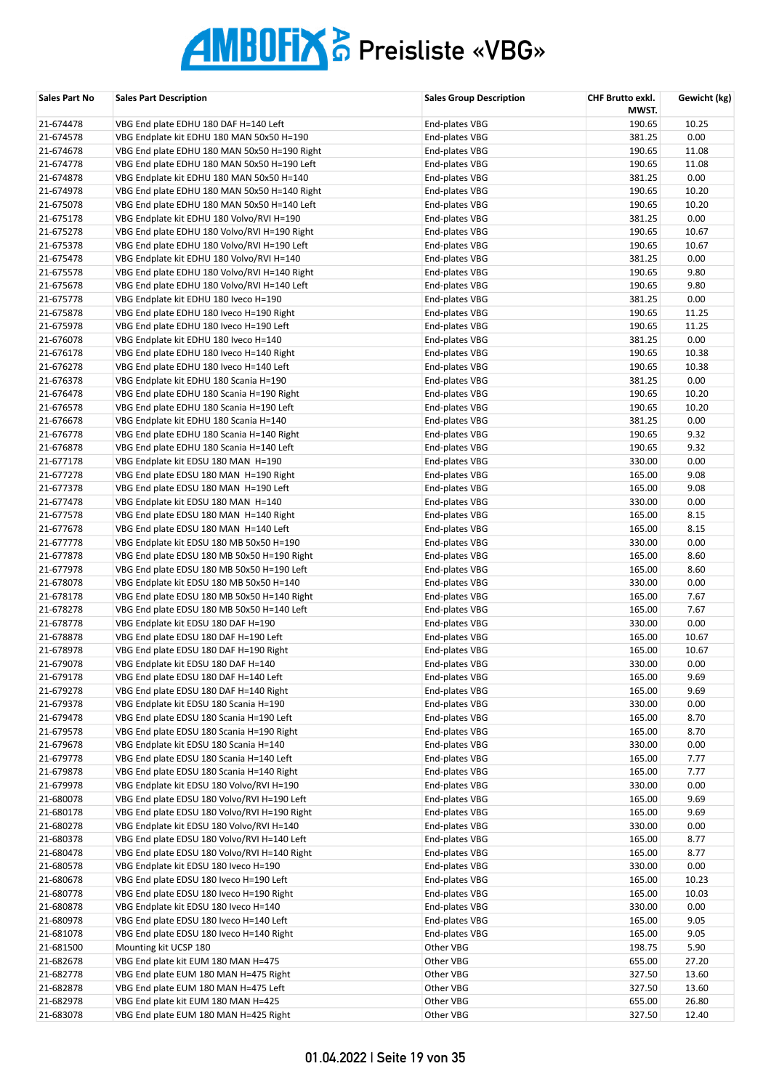| Sales Part No          | <b>Sales Part Description</b>                                                           | <b>Sales Group Description</b>   | CHF Brutto exkl.<br>MWST. | Gewicht (kg) |
|------------------------|-----------------------------------------------------------------------------------------|----------------------------------|---------------------------|--------------|
| 21-674478              | VBG End plate EDHU 180 DAF H=140 Left                                                   | End-plates VBG                   | 190.65                    | 10.25        |
| 21-674578              | VBG Endplate kit EDHU 180 MAN 50x50 H=190                                               | End-plates VBG                   | 381.25                    | 0.00         |
| 21-674678              | VBG End plate EDHU 180 MAN 50x50 H=190 Right                                            | End-plates VBG                   | 190.65                    | 11.08        |
| 21-674778              | VBG End plate EDHU 180 MAN 50x50 H=190 Left                                             | End-plates VBG                   | 190.65                    | 11.08        |
| 21-674878              | VBG Endplate kit EDHU 180 MAN 50x50 H=140                                               | End-plates VBG                   | 381.25                    | 0.00         |
| 21-674978              | VBG End plate EDHU 180 MAN 50x50 H=140 Right                                            | End-plates VBG                   | 190.65                    | 10.20        |
| 21-675078              | VBG End plate EDHU 180 MAN 50x50 H=140 Left                                             | End-plates VBG                   | 190.65                    | 10.20        |
| 21-675178              | VBG Endplate kit EDHU 180 Volvo/RVI H=190                                               | End-plates VBG                   | 381.25                    | 0.00         |
| 21-675278              | VBG End plate EDHU 180 Volvo/RVI H=190 Right                                            | End-plates VBG                   | 190.65                    | 10.67        |
| 21-675378              | VBG End plate EDHU 180 Volvo/RVI H=190 Left                                             | End-plates VBG                   | 190.65                    | 10.67        |
| 21-675478              | VBG Endplate kit EDHU 180 Volvo/RVI H=140                                               | End-plates VBG                   | 381.25                    | 0.00         |
| 21-675578              | VBG End plate EDHU 180 Volvo/RVI H=140 Right                                            | End-plates VBG                   | 190.65                    | 9.80         |
| 21-675678              | VBG End plate EDHU 180 Volvo/RVI H=140 Left                                             | End-plates VBG                   | 190.65                    | 9.80         |
| 21-675778              | VBG Endplate kit EDHU 180 Iveco H=190                                                   | End-plates VBG                   | 381.25                    | 0.00         |
| 21-675878              | VBG End plate EDHU 180 Iveco H=190 Right                                                | End-plates VBG                   | 190.65                    | 11.25        |
| 21-675978              | VBG End plate EDHU 180 Iveco H=190 Left                                                 | End-plates VBG                   | 190.65                    | 11.25        |
| 21-676078              | VBG Endplate kit EDHU 180 Iveco H=140                                                   | End-plates VBG                   | 381.25                    | 0.00         |
| 21-676178              | VBG End plate EDHU 180 Iveco H=140 Right                                                | End-plates VBG                   | 190.65                    | 10.38        |
| 21-676278              | VBG End plate EDHU 180 Iveco H=140 Left                                                 | End-plates VBG                   | 190.65                    | 10.38        |
| 21-676378              | VBG Endplate kit EDHU 180 Scania H=190                                                  | End-plates VBG                   | 381.25                    | 0.00         |
| 21-676478              | VBG End plate EDHU 180 Scania H=190 Right                                               | End-plates VBG                   | 190.65                    | 10.20        |
| 21-676578              | VBG End plate EDHU 180 Scania H=190 Left                                                | End-plates VBG                   | 190.65                    | 10.20        |
| 21-676678              | VBG Endplate kit EDHU 180 Scania H=140                                                  | End-plates VBG                   | 381.25                    | 0.00         |
| 21-676778              | VBG End plate EDHU 180 Scania H=140 Right                                               | End-plates VBG                   | 190.65                    | 9.32         |
| 21-676878              | VBG End plate EDHU 180 Scania H=140 Left                                                | End-plates VBG                   | 190.65                    | 9.32         |
| 21-677178              | VBG Endplate kit EDSU 180 MAN H=190                                                     | End-plates VBG                   | 330.00                    | 0.00         |
| 21-677278              | VBG End plate EDSU 180 MAN H=190 Right                                                  | End-plates VBG                   | 165.00                    | 9.08         |
| 21-677378              | VBG End plate EDSU 180 MAN H=190 Left                                                   | End-plates VBG                   | 165.00                    | 9.08         |
| 21-677478              | VBG Endplate kit EDSU 180 MAN H=140                                                     | End-plates VBG                   | 330.00                    | 0.00         |
| 21-677578              | VBG End plate EDSU 180 MAN H=140 Right                                                  | End-plates VBG                   | 165.00                    | 8.15         |
| 21-677678              | VBG End plate EDSU 180 MAN H=140 Left                                                   | End-plates VBG                   | 165.00                    | 8.15         |
| 21-677778              | VBG Endplate kit EDSU 180 MB 50x50 H=190                                                | End-plates VBG                   | 330.00                    | 0.00         |
| 21-677878              | VBG End plate EDSU 180 MB 50x50 H=190 Right                                             | End-plates VBG                   | 165.00                    | 8.60<br>8.60 |
| 21-677978              | VBG End plate EDSU 180 MB 50x50 H=190 Left                                              | End-plates VBG                   | 165.00<br>330.00          | 0.00         |
| 21-678078<br>21-678178 | VBG Endplate kit EDSU 180 MB 50x50 H=140<br>VBG End plate EDSU 180 MB 50x50 H=140 Right | End-plates VBG<br>End-plates VBG | 165.00                    | 7.67         |
| 21-678278              |                                                                                         | End-plates VBG                   | 165.00                    | 7.67         |
| 21-678778              | VBG End plate EDSU 180 MB 50x50 H=140 Left<br>VBG Endplate kit EDSU 180 DAF H=190       | End-plates VBG                   | 330.00                    | 0.00         |
| 21-678878              | VBG End plate EDSU 180 DAF H=190 Left                                                   | End-plates VBG                   | 165.00                    | 10.67        |
| 21-678978              | VBG End plate EDSU 180 DAF H=190 Right                                                  | End-plates VBG                   | 165.00                    | 10.67        |
| 21-679078              | VBG Endplate kit EDSU 180 DAF H=140                                                     | End-plates VBG                   | 330.00                    | 0.00         |
| 21-679178              | VBG End plate EDSU 180 DAF H=140 Left                                                   | End-plates VBG                   | 165.00                    | 9.69         |
| 21-679278              | VBG End plate EDSU 180 DAF H=140 Right                                                  | End-plates VBG                   | 165.00                    | 9.69         |
| 21-679378              | VBG Endplate kit EDSU 180 Scania H=190                                                  | End-plates VBG                   | 330.00                    | 0.00         |
| 21-679478              | VBG End plate EDSU 180 Scania H=190 Left                                                | End-plates VBG                   | 165.00                    | 8.70         |
| 21-679578              | VBG End plate EDSU 180 Scania H=190 Right                                               | End-plates VBG                   | 165.00                    | 8.70         |
| 21-679678              | VBG Endplate kit EDSU 180 Scania H=140                                                  | End-plates VBG                   | 330.00                    | 0.00         |
| 21-679778              | VBG End plate EDSU 180 Scania H=140 Left                                                | End-plates VBG                   | 165.00                    | 7.77         |
| 21-679878              | VBG End plate EDSU 180 Scania H=140 Right                                               | End-plates VBG                   | 165.00                    | 7.77         |
| 21-679978              | VBG Endplate kit EDSU 180 Volvo/RVI H=190                                               | End-plates VBG                   | 330.00                    | 0.00         |
| 21-680078              | VBG End plate EDSU 180 Volvo/RVI H=190 Left                                             | End-plates VBG                   | 165.00                    | 9.69         |
| 21-680178              | VBG End plate EDSU 180 Volvo/RVI H=190 Right                                            | End-plates VBG                   | 165.00                    | 9.69         |
| 21-680278              | VBG Endplate kit EDSU 180 Volvo/RVI H=140                                               | End-plates VBG                   | 330.00                    | 0.00         |
| 21-680378              | VBG End plate EDSU 180 Volvo/RVI H=140 Left                                             | End-plates VBG                   | 165.00                    | 8.77         |
| 21-680478              | VBG End plate EDSU 180 Volvo/RVI H=140 Right                                            | End-plates VBG                   | 165.00                    | 8.77         |
| 21-680578              | VBG Endplate kit EDSU 180 Iveco H=190                                                   | End-plates VBG                   | 330.00                    | 0.00         |
| 21-680678              | VBG End plate EDSU 180 Iveco H=190 Left                                                 | End-plates VBG                   | 165.00                    | 10.23        |
| 21-680778              | VBG End plate EDSU 180 Iveco H=190 Right                                                | End-plates VBG                   | 165.00                    | 10.03        |
| 21-680878              | VBG Endplate kit EDSU 180 Iveco H=140                                                   | End-plates VBG                   | 330.00                    | 0.00         |
| 21-680978              | VBG End plate EDSU 180 Iveco H=140 Left                                                 | End-plates VBG                   | 165.00                    | 9.05         |
| 21-681078              | VBG End plate EDSU 180 Iveco H=140 Right                                                | End-plates VBG                   | 165.00                    | 9.05         |
| 21-681500              | Mounting kit UCSP 180                                                                   | Other VBG                        | 198.75                    | 5.90         |
| 21-682678              | VBG End plate kit EUM 180 MAN H=475                                                     | Other VBG                        | 655.00                    | 27.20        |
| 21-682778              | VBG End plate EUM 180 MAN H=475 Right                                                   | Other VBG                        | 327.50                    | 13.60        |
| 21-682878              | VBG End plate EUM 180 MAN H=475 Left                                                    | Other VBG                        | 327.50                    | 13.60        |
| 21-682978              | VBG End plate kit EUM 180 MAN H=425                                                     | Other VBG                        | 655.00                    | 26.80        |
| 21-683078              | VBG End plate EUM 180 MAN H=425 Right                                                   | Other VBG                        | 327.50                    | 12.40        |
|                        |                                                                                         |                                  |                           |              |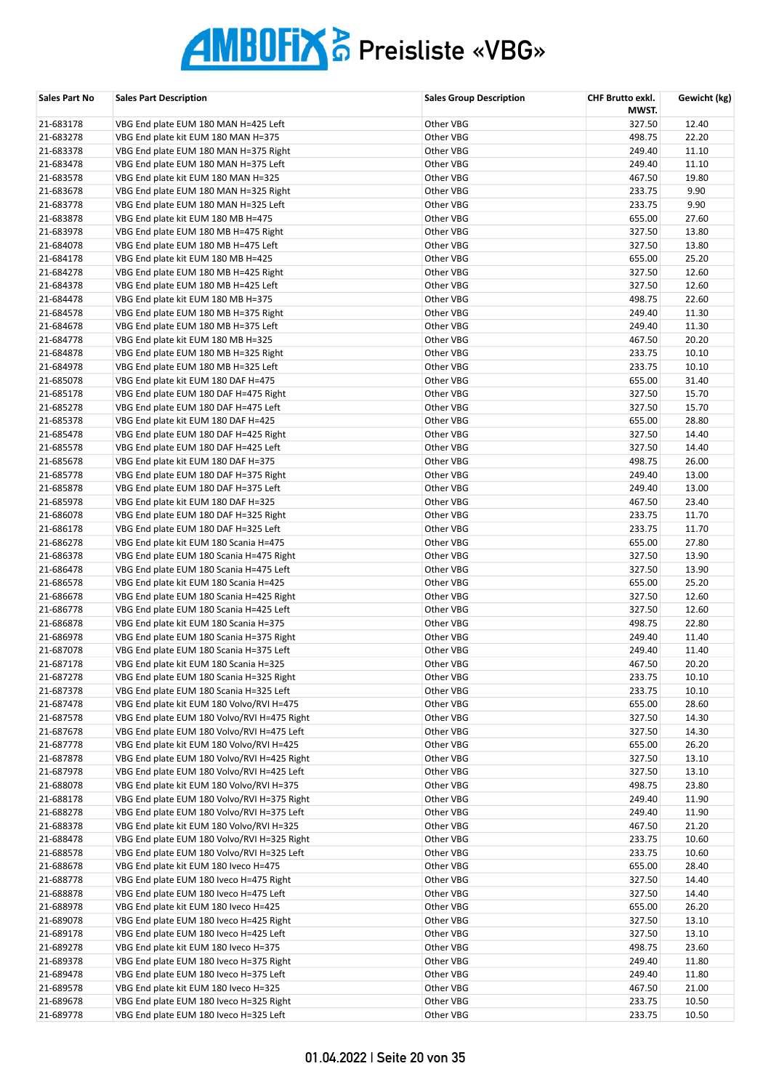| <b>Sales Part No</b>   | <b>Sales Part Description</b>                                                   | <b>Sales Group Description</b> | CHF Brutto exkl.<br>MWST. | Gewicht (kg)   |
|------------------------|---------------------------------------------------------------------------------|--------------------------------|---------------------------|----------------|
| 21-683178              | VBG End plate EUM 180 MAN H=425 Left                                            | Other VBG                      | 327.50                    | 12.40          |
| 21-683278              | VBG End plate kit EUM 180 MAN H=375                                             | Other VBG                      | 498.75                    | 22.20          |
| 21-683378              | VBG End plate EUM 180 MAN H=375 Right                                           | Other VBG                      | 249.40                    | 11.10          |
| 21-683478              | VBG End plate EUM 180 MAN H=375 Left                                            | Other VBG                      | 249.40                    | 11.10          |
| 21-683578              | VBG End plate kit EUM 180 MAN H=325                                             | Other VBG                      | 467.50                    | 19.80          |
| 21-683678              | VBG End plate EUM 180 MAN H=325 Right                                           | Other VBG                      | 233.75                    | 9.90           |
| 21-683778              | VBG End plate EUM 180 MAN H=325 Left                                            | Other VBG                      | 233.75                    | 9.90           |
| 21-683878              | VBG End plate kit EUM 180 MB H=475                                              | Other VBG                      | 655.00                    | 27.60          |
| 21-683978              | VBG End plate EUM 180 MB H=475 Right                                            | Other VBG                      | 327.50                    | 13.80          |
| 21-684078              | VBG End plate EUM 180 MB H=475 Left                                             | Other VBG                      | 327.50                    | 13.80          |
| 21-684178              | VBG End plate kit EUM 180 MB H=425                                              | Other VBG                      | 655.00                    | 25.20          |
| 21-684278              | VBG End plate EUM 180 MB H=425 Right                                            | Other VBG                      | 327.50                    | 12.60          |
| 21-684378              | VBG End plate EUM 180 MB H=425 Left                                             | Other VBG                      | 327.50                    | 12.60          |
| 21-684478              | VBG End plate kit EUM 180 MB H=375                                              | Other VBG                      | 498.75                    | 22.60          |
| 21-684578              | VBG End plate EUM 180 MB H=375 Right                                            | Other VBG                      | 249.40                    | 11.30          |
| 21-684678              | VBG End plate EUM 180 MB H=375 Left                                             | Other VBG                      | 249.40                    | 11.30          |
| 21-684778              | VBG End plate kit EUM 180 MB H=325                                              | Other VBG                      | 467.50                    | 20.20          |
| 21-684878              | VBG End plate EUM 180 MB H=325 Right<br>VBG End plate EUM 180 MB H=325 Left     | Other VBG                      | 233.75                    | 10.10          |
| 21-684978              |                                                                                 | Other VBG                      | 233.75                    | 10.10<br>31.40 |
| 21-685078              | VBG End plate kit EUM 180 DAF H=475                                             | Other VBG                      | 655.00                    |                |
| 21-685178<br>21-685278 | VBG End plate EUM 180 DAF H=475 Right<br>VBG End plate EUM 180 DAF H=475 Left   | Other VBG<br>Other VBG         | 327.50<br>327.50          | 15.70<br>15.70 |
| 21-685378              | VBG End plate kit EUM 180 DAF H=425                                             | Other VBG                      | 655.00                    | 28.80          |
| 21-685478              | VBG End plate EUM 180 DAF H=425 Right                                           | Other VBG                      | 327.50                    | 14.40          |
| 21-685578              | VBG End plate EUM 180 DAF H=425 Left                                            | Other VBG                      | 327.50                    | 14.40          |
| 21-685678              | VBG End plate kit EUM 180 DAF H=375                                             | Other VBG                      | 498.75                    | 26.00          |
| 21-685778              | VBG End plate EUM 180 DAF H=375 Right                                           | Other VBG                      | 249.40                    | 13.00          |
| 21-685878              | VBG End plate EUM 180 DAF H=375 Left                                            | Other VBG                      | 249.40                    | 13.00          |
| 21-685978              | VBG End plate kit EUM 180 DAF H=325                                             | Other VBG                      | 467.50                    | 23.40          |
| 21-686078              | VBG End plate EUM 180 DAF H=325 Right                                           | Other VBG                      | 233.75                    | 11.70          |
| 21-686178              | VBG End plate EUM 180 DAF H=325 Left                                            | Other VBG                      | 233.75                    | 11.70          |
| 21-686278              | VBG End plate kit EUM 180 Scania H=475                                          | Other VBG                      | 655.00                    | 27.80          |
| 21-686378              | VBG End plate EUM 180 Scania H=475 Right                                        | Other VBG                      | 327.50                    | 13.90          |
| 21-686478              | VBG End plate EUM 180 Scania H=475 Left                                         | Other VBG                      | 327.50                    | 13.90          |
| 21-686578              | VBG End plate kit EUM 180 Scania H=425                                          | Other VBG                      | 655.00                    | 25.20          |
| 21-686678              | VBG End plate EUM 180 Scania H=425 Right                                        | Other VBG                      | 327.50                    | 12.60          |
| 21-686778              | VBG End plate EUM 180 Scania H=425 Left                                         | Other VBG                      | 327.50                    | 12.60          |
| 21-686878              | VBG End plate kit EUM 180 Scania H=375                                          | Other VBG                      | 498.75                    | 22.80          |
| 21-686978              | VBG End plate EUM 180 Scania H=375 Right                                        | Other VBG                      | 249.40                    | 11.40          |
| 21-687078              | VBG End plate EUM 180 Scania H=375 Left                                         | Other VBG                      | 249.40                    | 11.40          |
| 21-687178              | VBG End plate kit EUM 180 Scania H=325                                          | Other VBG                      | 467.50                    | 20.20          |
| 21-687278              | VBG End plate EUM 180 Scania H=325 Right                                        | Other VBG                      | 233.75                    | 10.10          |
| 21-687378              | VBG End plate EUM 180 Scania H=325 Left                                         | Other VBG                      | 233.75                    | 10.10          |
| 21-687478              | VBG End plate kit EUM 180 Volvo/RVI H=475                                       | Other VBG                      | 655.00                    | 28.60          |
| 21-687578              | VBG End plate EUM 180 Volvo/RVI H=475 Right                                     | Other VBG                      | 327.50                    | 14.30          |
| 21-687678              | VBG End plate EUM 180 Volvo/RVI H=475 Left                                      | Other VBG                      | 327.50                    | 14.30          |
| 21-687778              | VBG End plate kit EUM 180 Volvo/RVI H=425                                       | Other VBG                      | 655.00                    | 26.20          |
| 21-687878              | VBG End plate EUM 180 Volvo/RVI H=425 Right                                     | Other VBG                      | 327.50                    | 13.10          |
| 21-687978              | VBG End plate EUM 180 Volvo/RVI H=425 Left                                      | Other VBG                      | 327.50                    | 13.10          |
| 21-688078              | VBG End plate kit EUM 180 Volvo/RVI H=375                                       | Other VBG                      | 498.75                    | 23.80          |
| 21-688178              | VBG End plate EUM 180 Volvo/RVI H=375 Right                                     | Other VBG                      | 249.40                    | 11.90          |
| 21-688278              | VBG End plate EUM 180 Volvo/RVI H=375 Left                                      | Other VBG                      | 249.40                    | 11.90          |
| 21-688378              | VBG End plate kit EUM 180 Volvo/RVI H=325                                       | Other VBG                      | 467.50                    | 21.20          |
| 21-688478              | VBG End plate EUM 180 Volvo/RVI H=325 Right                                     | Other VBG                      | 233.75                    | 10.60          |
| 21-688578              | VBG End plate EUM 180 Volvo/RVI H=325 Left                                      | Other VBG                      | 233.75                    | 10.60          |
| 21-688678              | VBG End plate kit EUM 180 Iveco H=475                                           | Other VBG                      | 655.00                    | 28.40          |
| 21-688778              | VBG End plate EUM 180 Iveco H=475 Right                                         | Other VBG                      | 327.50                    | 14.40          |
| 21-688878              | VBG End plate EUM 180 Iveco H=475 Left                                          | Other VBG                      | 327.50                    | 14.40          |
| 21-688978              | VBG End plate kit EUM 180 Iveco H=425                                           | Other VBG                      | 655.00                    | 26.20          |
| 21-689078              | VBG End plate EUM 180 Iveco H=425 Right                                         | Other VBG                      | 327.50<br>327.50          | 13.10<br>13.10 |
| 21-689178              | VBG End plate EUM 180 Iveco H=425 Left<br>VBG End plate kit EUM 180 Iveco H=375 | Other VBG<br>Other VBG         | 498.75                    |                |
| 21-689278              | VBG End plate EUM 180 Iveco H=375 Right                                         | Other VBG                      | 249.40                    | 23.60<br>11.80 |
| 21-689378<br>21-689478 | VBG End plate EUM 180 Iveco H=375 Left                                          | Other VBG                      | 249.40                    | 11.80          |
| 21-689578              | VBG End plate kit EUM 180 Iveco H=325                                           | Other VBG                      | 467.50                    | 21.00          |
| 21-689678              | VBG End plate EUM 180 Iveco H=325 Right                                         | Other VBG                      | 233.75                    | 10.50          |
| 21-689778              | VBG End plate EUM 180 Iveco H=325 Left                                          | Other VBG                      | 233.75                    | 10.50          |
|                        |                                                                                 |                                |                           |                |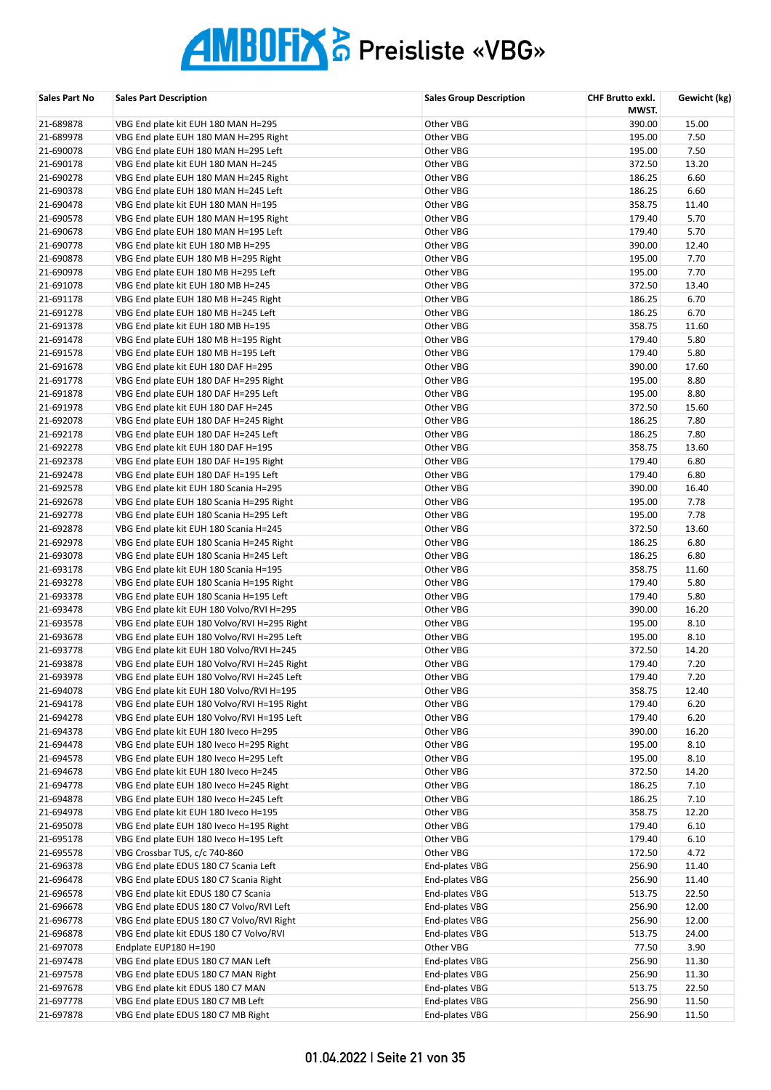| Sales Part No          | <b>Sales Part Description</b>                                                    | <b>Sales Group Description</b> | CHF Brutto exkl.<br>MWST. | Gewicht (kg)  |
|------------------------|----------------------------------------------------------------------------------|--------------------------------|---------------------------|---------------|
| 21-689878              | VBG End plate kit EUH 180 MAN H=295                                              | Other VBG                      | 390.00                    | 15.00         |
| 21-689978              | VBG End plate EUH 180 MAN H=295 Right                                            | Other VBG                      | 195.00                    | 7.50          |
| 21-690078              | VBG End plate EUH 180 MAN H=295 Left                                             | Other VBG                      | 195.00                    | 7.50          |
| 21-690178              | VBG End plate kit EUH 180 MAN H=245                                              | Other VBG                      | 372.50                    | 13.20         |
| 21-690278              | VBG End plate EUH 180 MAN H=245 Right                                            | Other VBG                      | 186.25                    | 6.60          |
| 21-690378              | VBG End plate EUH 180 MAN H=245 Left                                             | Other VBG                      | 186.25                    | 6.60          |
| 21-690478              | VBG End plate kit EUH 180 MAN H=195                                              | Other VBG                      | 358.75                    | 11.40         |
| 21-690578              | VBG End plate EUH 180 MAN H=195 Right                                            | Other VBG                      | 179.40                    | 5.70          |
| 21-690678              | VBG End plate EUH 180 MAN H=195 Left                                             | Other VBG                      | 179.40                    | 5.70          |
| 21-690778              | VBG End plate kit EUH 180 MB H=295                                               | Other VBG                      | 390.00                    | 12.40         |
| 21-690878              | VBG End plate EUH 180 MB H=295 Right                                             | Other VBG                      | 195.00                    | 7.70          |
| 21-690978              | VBG End plate EUH 180 MB H=295 Left                                              | Other VBG                      | 195.00                    | 7.70          |
| 21-691078              | VBG End plate kit EUH 180 MB H=245                                               | Other VBG                      | 372.50                    | 13.40         |
| 21-691178              | VBG End plate EUH 180 MB H=245 Right                                             | Other VBG                      | 186.25                    | 6.70          |
| 21-691278              | VBG End plate EUH 180 MB H=245 Left                                              | Other VBG                      | 186.25                    | 6.70          |
| 21-691378<br>21-691478 | VBG End plate kit EUH 180 MB H=195                                               | Other VBG<br>Other VBG         | 358.75<br>179.40          | 11.60<br>5.80 |
| 21-691578              | VBG End plate EUH 180 MB H=195 Right<br>VBG End plate EUH 180 MB H=195 Left      | Other VBG                      | 179.40                    | 5.80          |
| 21-691678              | VBG End plate kit EUH 180 DAF H=295                                              | Other VBG                      | 390.00                    | 17.60         |
| 21-691778              | VBG End plate EUH 180 DAF H=295 Right                                            | Other VBG                      | 195.00                    | 8.80          |
| 21-691878              | VBG End plate EUH 180 DAF H=295 Left                                             | Other VBG                      | 195.00                    | 8.80          |
| 21-691978              | VBG End plate kit EUH 180 DAF H=245                                              | Other VBG                      | 372.50                    | 15.60         |
| 21-692078              | VBG End plate EUH 180 DAF H=245 Right                                            | Other VBG                      | 186.25                    | 7.80          |
| 21-692178              | VBG End plate EUH 180 DAF H=245 Left                                             | Other VBG                      | 186.25                    | 7.80          |
| 21-692278              | VBG End plate kit EUH 180 DAF H=195                                              | Other VBG                      | 358.75                    | 13.60         |
| 21-692378              | VBG End plate EUH 180 DAF H=195 Right                                            | Other VBG                      | 179.40                    | 6.80          |
| 21-692478              | VBG End plate EUH 180 DAF H=195 Left                                             | Other VBG                      | 179.40                    | 6.80          |
| 21-692578              | VBG End plate kit EUH 180 Scania H=295                                           | Other VBG                      | 390.00                    | 16.40         |
| 21-692678              | VBG End plate EUH 180 Scania H=295 Right                                         | Other VBG                      | 195.00                    | 7.78          |
| 21-692778              | VBG End plate EUH 180 Scania H=295 Left                                          | Other VBG                      | 195.00                    | 7.78          |
| 21-692878              | VBG End plate kit EUH 180 Scania H=245                                           | Other VBG                      | 372.50                    | 13.60         |
| 21-692978              | VBG End plate EUH 180 Scania H=245 Right                                         | Other VBG                      | 186.25                    | 6.80          |
| 21-693078              | VBG End plate EUH 180 Scania H=245 Left                                          | Other VBG                      | 186.25                    | 6.80          |
| 21-693178              | VBG End plate kit EUH 180 Scania H=195                                           | Other VBG                      | 358.75                    | 11.60         |
| 21-693278              | VBG End plate EUH 180 Scania H=195 Right                                         | Other VBG                      | 179.40                    | 5.80          |
| 21-693378              | VBG End plate EUH 180 Scania H=195 Left                                          | Other VBG                      | 179.40                    | 5.80          |
| 21-693478              | VBG End plate kit EUH 180 Volvo/RVI H=295                                        | Other VBG                      | 390.00                    | 16.20         |
| 21-693578              | VBG End plate EUH 180 Volvo/RVI H=295 Right                                      | Other VBG                      | 195.00                    | 8.10          |
| 21-693678              | VBG End plate EUH 180 Volvo/RVI H=295 Left                                       | Other VBG                      | 195.00                    | 8.10          |
| 21-693778              | VBG End plate kit EUH 180 Volvo/RVI H=245                                        | Other VBG                      | 372.50                    | 14.20         |
| 21-693878              | VBG End plate EUH 180 Volvo/RVI H=245 Right                                      | Other VBG                      | 179.40                    | 7.20          |
| 21-693978              | VBG End plate EUH 180 Volvo/RVI H=245 Left                                       | Other VBG                      | 179.40                    | 7.20          |
| 21-694078              | VBG End plate kit EUH 180 Volvo/RVI H=195                                        | Other VBG                      | 358.75                    | 12.40         |
| 21-694178              | VBG End plate EUH 180 Volvo/RVI H=195 Right                                      | Other VBG                      | 179.40                    | 6.20          |
| 21-694278              | VBG End plate EUH 180 Volvo/RVI H=195 Left                                       | Other VBG                      | 179.40                    | 6.20          |
| 21-694378<br>21-694478 | VBG End plate kit EUH 180 Iveco H=295<br>VBG End plate EUH 180 Iveco H=295 Right | Other VBG<br>Other VBG         | 390.00<br>195.00          | 16.20<br>8.10 |
| 21-694578              | VBG End plate EUH 180 Iveco H=295 Left                                           | Other VBG                      | 195.00                    | 8.10          |
| 21-694678              | VBG End plate kit EUH 180 Iveco H=245                                            | Other VBG                      | 372.50                    | 14.20         |
| 21-694778              | VBG End plate EUH 180 Iveco H=245 Right                                          | Other VBG                      | 186.25                    | 7.10          |
| 21-694878              | VBG End plate EUH 180 Iveco H=245 Left                                           | Other VBG                      | 186.25                    | 7.10          |
| 21-694978              | VBG End plate kit EUH 180 Iveco H=195                                            | Other VBG                      | 358.75                    | 12.20         |
| 21-695078              | VBG End plate EUH 180 Iveco H=195 Right                                          | Other VBG                      | 179.40                    | 6.10          |
| 21-695178              | VBG End plate EUH 180 Iveco H=195 Left                                           | Other VBG                      | 179.40                    | 6.10          |
| 21-695578              | VBG Crossbar TUS, c/c 740-860                                                    | Other VBG                      | 172.50                    | 4.72          |
| 21-696378              | VBG End plate EDUS 180 C7 Scania Left                                            | End-plates VBG                 | 256.90                    | 11.40         |
| 21-696478              | VBG End plate EDUS 180 C7 Scania Right                                           | End-plates VBG                 | 256.90                    | 11.40         |
| 21-696578              | VBG End plate kit EDUS 180 C7 Scania                                             | End-plates VBG                 | 513.75                    | 22.50         |
| 21-696678              | VBG End plate EDUS 180 C7 Volvo/RVI Left                                         | End-plates VBG                 | 256.90                    | 12.00         |
| 21-696778              | VBG End plate EDUS 180 C7 Volvo/RVI Right                                        | End-plates VBG                 | 256.90                    | 12.00         |
| 21-696878              | VBG End plate kit EDUS 180 C7 Volvo/RVI                                          | End-plates VBG                 | 513.75                    | 24.00         |
| 21-697078              | Endplate EUP180 H=190                                                            | Other VBG                      | 77.50                     | 3.90          |
| 21-697478              | VBG End plate EDUS 180 C7 MAN Left                                               | End-plates VBG                 | 256.90                    | 11.30         |
| 21-697578              | VBG End plate EDUS 180 C7 MAN Right                                              | End-plates VBG                 | 256.90                    | 11.30         |
| 21-697678              | VBG End plate kit EDUS 180 C7 MAN                                                | End-plates VBG                 | 513.75                    | 22.50         |
| 21-697778              | VBG End plate EDUS 180 C7 MB Left                                                | End-plates VBG                 | 256.90                    | 11.50         |
| 21-697878              | VBG End plate EDUS 180 C7 MB Right                                               | End-plates VBG                 | 256.90                    | 11.50         |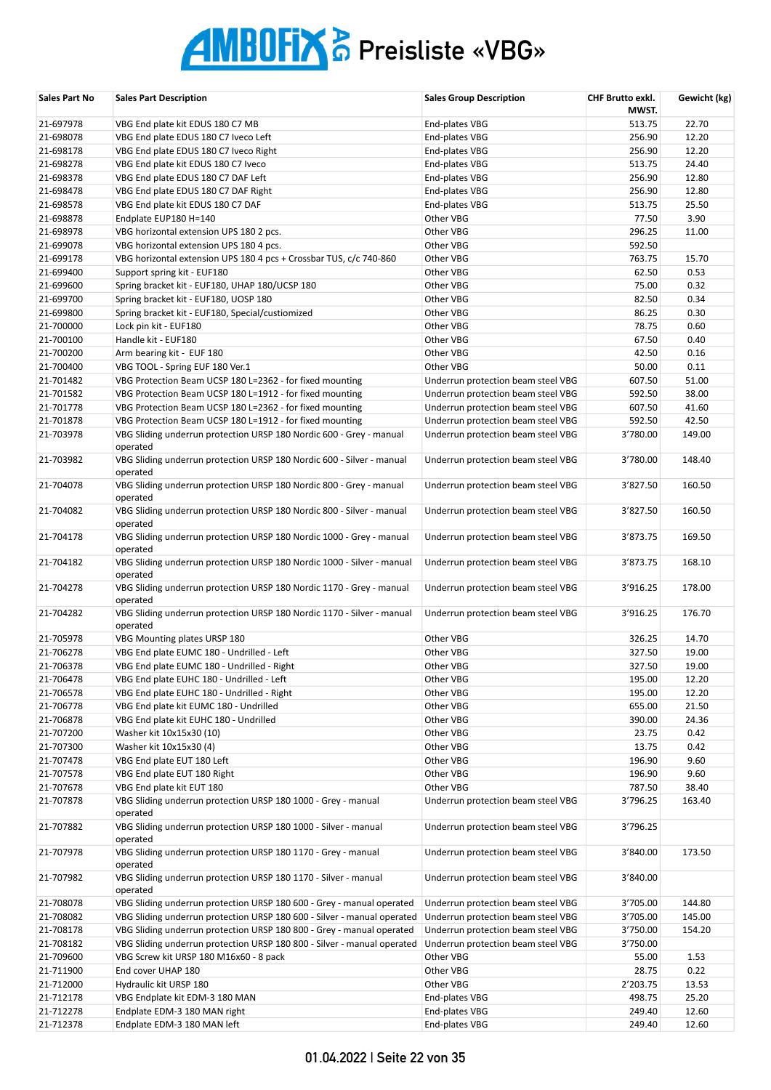| Sales Part No | <b>Sales Part Description</b>                                                      | <b>Sales Group Description</b>     | CHF Brutto exkl.<br>MWST. | Gewicht (kg) |
|---------------|------------------------------------------------------------------------------------|------------------------------------|---------------------------|--------------|
| 21-697978     | VBG End plate kit EDUS 180 C7 MB                                                   | End-plates VBG                     | 513.75                    | 22.70        |
| 21-698078     | VBG End plate EDUS 180 C7 Iveco Left                                               | End-plates VBG                     | 256.90                    | 12.20        |
| 21-698178     | VBG End plate EDUS 180 C7 Iveco Right                                              | End-plates VBG                     | 256.90                    | 12.20        |
| 21-698278     | VBG End plate kit EDUS 180 C7 Iveco                                                | End-plates VBG                     | 513.75                    | 24.40        |
| 21-698378     | VBG End plate EDUS 180 C7 DAF Left                                                 | End-plates VBG                     | 256.90                    | 12.80        |
| 21-698478     | VBG End plate EDUS 180 C7 DAF Right                                                | End-plates VBG                     | 256.90                    | 12.80        |
| 21-698578     | VBG End plate kit EDUS 180 C7 DAF                                                  | End-plates VBG                     | 513.75                    | 25.50        |
| 21-698878     | Endplate EUP180 H=140                                                              | Other VBG                          | 77.50                     | 3.90         |
| 21-698978     | VBG horizontal extension UPS 180 2 pcs.                                            | Other VBG                          | 296.25                    | 11.00        |
| 21-699078     | VBG horizontal extension UPS 180 4 pcs.                                            | Other VBG                          | 592.50                    |              |
| 21-699178     | VBG horizontal extension UPS 180 4 pcs + Crossbar TUS, c/c 740-860                 | Other VBG                          | 763.75                    | 15.70        |
| 21-699400     | Support spring kit - EUF180                                                        | Other VBG                          | 62.50                     | 0.53         |
| 21-699600     | Spring bracket kit - EUF180, UHAP 180/UCSP 180                                     | Other VBG                          | 75.00                     | 0.32         |
|               |                                                                                    |                                    |                           |              |
| 21-699700     | Spring bracket kit - EUF180, UOSP 180                                              | Other VBG                          | 82.50                     | 0.34         |
| 21-699800     | Spring bracket kit - EUF180, Special/custiomized                                   | Other VBG                          | 86.25                     | 0.30         |
| 21-700000     | Lock pin kit - EUF180                                                              | Other VBG                          | 78.75                     | 0.60         |
| 21-700100     | Handle kit - EUF180                                                                | Other VBG                          | 67.50                     | 0.40         |
| 21-700200     | Arm bearing kit - EUF 180                                                          | Other VBG                          | 42.50                     | 0.16         |
| 21-700400     | VBG TOOL - Spring EUF 180 Ver.1                                                    | Other VBG                          | 50.00                     | 0.11         |
| 21-701482     | VBG Protection Beam UCSP 180 L=2362 - for fixed mounting                           | Underrun protection beam steel VBG | 607.50                    | 51.00        |
| 21-701582     | VBG Protection Beam UCSP 180 L=1912 - for fixed mounting                           | Underrun protection beam steel VBG | 592.50                    | 38.00        |
| 21-701778     | VBG Protection Beam UCSP 180 L=2362 - for fixed mounting                           | Underrun protection beam steel VBG | 607.50                    | 41.60        |
| 21-701878     | VBG Protection Beam UCSP 180 L=1912 - for fixed mounting                           | Underrun protection beam steel VBG | 592.50                    | 42.50        |
| 21-703978     | VBG Sliding underrun protection URSP 180 Nordic 600 - Grey - manual<br>operated    | Underrun protection beam steel VBG | 3'780.00                  | 149.00       |
| 21-703982     | VBG Sliding underrun protection URSP 180 Nordic 600 - Silver - manual<br>operated  | Underrun protection beam steel VBG | 3'780.00                  | 148.40       |
| 21-704078     | VBG Sliding underrun protection URSP 180 Nordic 800 - Grey - manual<br>operated    | Underrun protection beam steel VBG | 3'827.50                  | 160.50       |
| 21-704082     | VBG Sliding underrun protection URSP 180 Nordic 800 - Silver - manual<br>operated  | Underrun protection beam steel VBG | 3'827.50                  | 160.50       |
| 21-704178     | VBG Sliding underrun protection URSP 180 Nordic 1000 - Grey - manual<br>operated   | Underrun protection beam steel VBG | 3'873.75                  | 169.50       |
| 21-704182     | VBG Sliding underrun protection URSP 180 Nordic 1000 - Silver - manual<br>operated | Underrun protection beam steel VBG | 3'873.75                  | 168.10       |
| 21-704278     | VBG Sliding underrun protection URSP 180 Nordic 1170 - Grey - manual<br>operated   | Underrun protection beam steel VBG | 3'916.25                  | 178.00       |
| 21-704282     | VBG Sliding underrun protection URSP 180 Nordic 1170 - Silver - manual<br>operated | Underrun protection beam steel VBG | 3'916.25                  | 176.70       |
| 21-705978     | VBG Mounting plates URSP 180                                                       | Other VBG                          | 326.25                    | 14.70        |
| 21-706278     | VBG End plate EUMC 180 - Undrilled - Left                                          | Other VBG                          | 327.50                    | 19.00        |
| 21-706378     | VBG End plate EUMC 180 - Undrilled - Right                                         | Other VBG                          | 327.50                    | 19.00        |
| 21-706478     | VBG End plate EUHC 180 - Undrilled - Left                                          | Other VBG                          | 195.00                    | 12.20        |
| 21-706578     | VBG End plate EUHC 180 - Undrilled - Right                                         | Other VBG                          | 195.00                    | 12.20        |
| 21-706778     | VBG End plate kit EUMC 180 - Undrilled                                             | Other VBG                          | 655.00                    | 21.50        |
| 21-706878     | VBG End plate kit EUHC 180 - Undrilled                                             | Other VBG                          | 390.00                    | 24.36        |
| 21-707200     | Washer kit 10x15x30 (10)                                                           | Other VBG                          | 23.75                     | 0.42         |
| 21-707300     | Washer kit 10x15x30 (4)                                                            | Other VBG                          | 13.75                     | 0.42         |
| 21-707478     | VBG End plate EUT 180 Left                                                         | Other VBG                          | 196.90                    | 9.60         |
| 21-707578     | VBG End plate EUT 180 Right                                                        | Other VBG                          | 196.90                    | 9.60         |
| 21-707678     | VBG End plate kit EUT 180                                                          | Other VBG                          | 787.50                    | 38.40        |
| 21-707878     | VBG Sliding underrun protection URSP 180 1000 - Grey - manual<br>operated          | Underrun protection beam steel VBG | 3'796.25                  | 163.40       |
| 21-707882     | VBG Sliding underrun protection URSP 180 1000 - Silver - manual<br>operated        | Underrun protection beam steel VBG | 3'796.25                  |              |
| 21-707978     | VBG Sliding underrun protection URSP 180 1170 - Grey - manual<br>operated          | Underrun protection beam steel VBG | 3'840.00                  | 173.50       |
| 21-707982     | VBG Sliding underrun protection URSP 180 1170 - Silver - manual<br>operated        | Underrun protection beam steel VBG | 3'840.00                  |              |
| 21-708078     | VBG Sliding underrun protection URSP 180 600 - Grey - manual operated              | Underrun protection beam steel VBG | 3'705.00                  | 144.80       |
| 21-708082     | VBG Sliding underrun protection URSP 180 600 - Silver - manual operated            | Underrun protection beam steel VBG | 3'705.00                  | 145.00       |
| 21-708178     | VBG Sliding underrun protection URSP 180 800 - Grey - manual operated              | Underrun protection beam steel VBG | 3'750.00                  | 154.20       |
| 21-708182     | VBG Sliding underrun protection URSP 180 800 - Silver - manual operated            | Underrun protection beam steel VBG | 3'750.00                  |              |
| 21-709600     | VBG Screw kit URSP 180 M16x60 - 8 pack                                             | Other VBG                          | 55.00                     | 1.53         |
| 21-711900     | End cover UHAP 180                                                                 | Other VBG                          | 28.75                     | 0.22         |
| 21-712000     | Hydraulic kit URSP 180                                                             | Other VBG                          | 2'203.75                  | 13.53        |
| 21-712178     | VBG Endplate kit EDM-3 180 MAN                                                     | End-plates VBG                     | 498.75                    | 25.20        |
| 21-712278     | Endplate EDM-3 180 MAN right                                                       | End-plates VBG                     | 249.40                    | 12.60        |
| 21-712378     | Endplate EDM-3 180 MAN left                                                        | End-plates VBG                     | 249.40                    | 12.60        |
|               |                                                                                    |                                    |                           |              |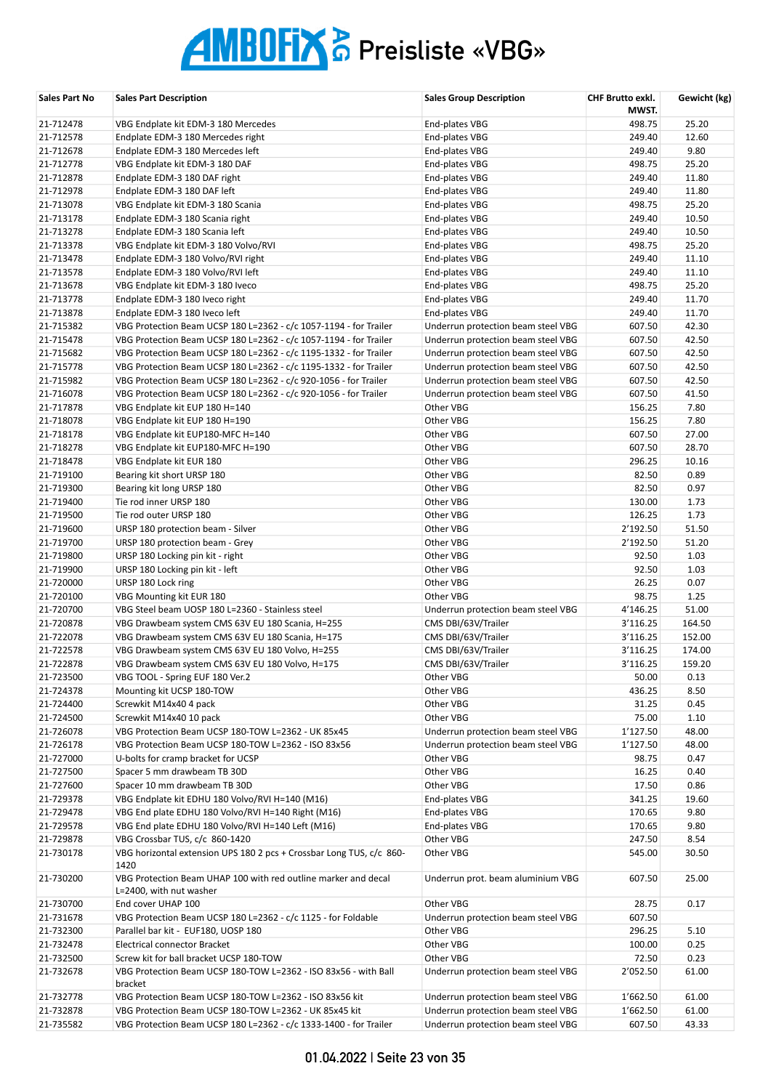| Sales Part No | <b>Sales Part Description</b>                                                             | <b>Sales Group Description</b>     | CHF Brutto exkl.<br>MWST. | Gewicht (kg) |
|---------------|-------------------------------------------------------------------------------------------|------------------------------------|---------------------------|--------------|
| 21-712478     | VBG Endplate kit EDM-3 180 Mercedes                                                       | End-plates VBG                     | 498.75                    | 25.20        |
| 21-712578     | Endplate EDM-3 180 Mercedes right                                                         | End-plates VBG                     | 249.40                    | 12.60        |
| 21-712678     | Endplate EDM-3 180 Mercedes left                                                          | End-plates VBG                     | 249.40                    | 9.80         |
| 21-712778     | VBG Endplate kit EDM-3 180 DAF                                                            | End-plates VBG                     | 498.75                    | 25.20        |
| 21-712878     | Endplate EDM-3 180 DAF right                                                              | End-plates VBG                     | 249.40                    | 11.80        |
| 21-712978     | Endplate EDM-3 180 DAF left                                                               | End-plates VBG                     | 249.40                    | 11.80        |
| 21-713078     | VBG Endplate kit EDM-3 180 Scania                                                         | End-plates VBG                     | 498.75                    | 25.20        |
| 21-713178     | Endplate EDM-3 180 Scania right                                                           | End-plates VBG                     | 249.40                    | 10.50        |
| 21-713278     | Endplate EDM-3 180 Scania left                                                            | End-plates VBG                     | 249.40                    | 10.50        |
| 21-713378     | VBG Endplate kit EDM-3 180 Volvo/RVI                                                      | End-plates VBG                     | 498.75                    | 25.20        |
| 21-713478     | Endplate EDM-3 180 Volvo/RVI right                                                        | End-plates VBG                     | 249.40                    | 11.10        |
| 21-713578     | Endplate EDM-3 180 Volvo/RVI left                                                         | End-plates VBG                     | 249.40                    | 11.10        |
| 21-713678     | VBG Endplate kit EDM-3 180 Iveco                                                          | End-plates VBG                     | 498.75                    | 25.20        |
| 21-713778     | Endplate EDM-3 180 Iveco right                                                            | End-plates VBG                     | 249.40                    | 11.70        |
| 21-713878     | Endplate EDM-3 180 Iveco left                                                             | End-plates VBG                     | 249.40                    | 11.70        |
| 21-715382     | VBG Protection Beam UCSP 180 L=2362 - c/c 1057-1194 - for Trailer                         | Underrun protection beam steel VBG | 607.50                    | 42.30        |
| 21-715478     | VBG Protection Beam UCSP 180 L=2362 - c/c 1057-1194 - for Trailer                         | Underrun protection beam steel VBG | 607.50                    | 42.50        |
| 21-715682     | VBG Protection Beam UCSP 180 L=2362 - c/c 1195-1332 - for Trailer                         | Underrun protection beam steel VBG | 607.50                    | 42.50        |
| 21-715778     | VBG Protection Beam UCSP 180 L=2362 - c/c 1195-1332 - for Trailer                         | Underrun protection beam steel VBG | 607.50                    | 42.50        |
| 21-715982     | VBG Protection Beam UCSP 180 L=2362 - c/c 920-1056 - for Trailer                          | Underrun protection beam steel VBG | 607.50                    | 42.50        |
| 21-716078     | VBG Protection Beam UCSP 180 L=2362 - c/c 920-1056 - for Trailer                          | Underrun protection beam steel VBG | 607.50                    | 41.50        |
| 21-717878     | VBG Endplate kit EUP 180 H=140                                                            | Other VBG                          | 156.25                    | 7.80         |
| 21-718078     | VBG Endplate kit EUP 180 H=190                                                            | Other VBG                          | 156.25                    | 7.80         |
| 21-718178     | VBG Endplate kit EUP180-MFC H=140                                                         | Other VBG                          | 607.50                    | 27.00        |
| 21-718278     | VBG Endplate kit EUP180-MFC H=190                                                         | Other VBG                          | 607.50                    | 28.70        |
| 21-718478     | VBG Endplate kit EUR 180                                                                  | Other VBG                          | 296.25                    | 10.16        |
| 21-719100     | Bearing kit short URSP 180                                                                | Other VBG                          | 82.50                     | 0.89         |
| 21-719300     | Bearing kit long URSP 180                                                                 | Other VBG                          | 82.50                     | 0.97         |
| 21-719400     | Tie rod inner URSP 180                                                                    | Other VBG                          | 130.00                    | 1.73         |
| 21-719500     | Tie rod outer URSP 180                                                                    | Other VBG                          | 126.25                    | 1.73         |
| 21-719600     | URSP 180 protection beam - Silver                                                         | Other VBG                          | 2'192.50                  | 51.50        |
| 21-719700     | URSP 180 protection beam - Grey                                                           | Other VBG                          | 2'192.50                  | 51.20        |
| 21-719800     | URSP 180 Locking pin kit - right                                                          | Other VBG                          | 92.50                     | 1.03         |
| 21-719900     | URSP 180 Locking pin kit - left                                                           | Other VBG                          | 92.50                     | 1.03         |
| 21-720000     | URSP 180 Lock ring                                                                        | Other VBG                          | 26.25                     | 0.07         |
| 21-720100     | VBG Mounting kit EUR 180                                                                  | Other VBG                          | 98.75                     | 1.25         |
| 21-720700     | VBG Steel beam UOSP 180 L=2360 - Stainless steel                                          | Underrun protection beam steel VBG | 4'146.25                  | 51.00        |
| 21-720878     | VBG Drawbeam system CMS 63V EU 180 Scania, H=255                                          | CMS DBI/63V/Trailer                | 3'116.25                  | 164.50       |
| 21-722078     | VBG Drawbeam system CMS 63V EU 180 Scania, H=175                                          | CMS DBI/63V/Trailer                | 3'116.25                  | 152.00       |
| 21-722578     | VBG Drawbeam system CMS 63V EU 180 Volvo, H=255                                           | CMS DBI/63V/Trailer                | 3'116.25                  | 174.00       |
| 21-722878     | VBG Drawbeam system CMS 63V EU 180 Volvo, H=175                                           | CMS DBI/63V/Trailer                | 3'116.25                  | 159.20       |
| 21-723500     | VBG TOOL - Spring EUF 180 Ver.2                                                           | Other VBG                          | 50.00                     | 0.13         |
| 21-724378     | Mounting kit UCSP 180-TOW                                                                 | Other VBG                          | 436.25                    | 8.50         |
| 21-724400     | Screwkit M14x40 4 pack                                                                    | Other VBG                          | 31.25                     | 0.45         |
| 21-724500     | Screwkit M14x40 10 pack                                                                   | Other VBG                          | 75.00                     | 1.10         |
| 21-726078     | VBG Protection Beam UCSP 180-TOW L=2362 - UK 85x45                                        | Underrun protection beam steel VBG | 1'127.50                  | 48.00        |
| 21-726178     | VBG Protection Beam UCSP 180-TOW L=2362 - ISO 83x56                                       | Underrun protection beam steel VBG | 1'127.50                  | 48.00        |
| 21-727000     | U-bolts for cramp bracket for UCSP                                                        | Other VBG                          | 98.75                     | 0.47         |
| 21-727500     | Spacer 5 mm drawbeam TB 30D                                                               | Other VBG                          | 16.25                     | 0.40         |
| 21-727600     | Spacer 10 mm drawbeam TB 30D                                                              | Other VBG                          | 17.50                     | 0.86         |
| 21-729378     | VBG Endplate kit EDHU 180 Volvo/RVI H=140 (M16)                                           | End-plates VBG                     | 341.25                    | 19.60        |
| 21-729478     | VBG End plate EDHU 180 Volvo/RVI H=140 Right (M16)                                        | End-plates VBG                     | 170.65                    | 9.80         |
| 21-729578     | VBG End plate EDHU 180 Volvo/RVI H=140 Left (M16)                                         | End-plates VBG                     | 170.65                    | 9.80         |
| 21-729878     | VBG Crossbar TUS, c/c 860-1420                                                            | Other VBG                          | 247.50                    | 8.54         |
| 21-730178     | VBG horizontal extension UPS 180 2 pcs + Crossbar Long TUS, c/c 860-<br>1420              | Other VBG                          | 545.00                    | 30.50        |
| 21-730200     | VBG Protection Beam UHAP 100 with red outline marker and decal<br>L=2400, with nut washer | Underrun prot. beam aluminium VBG  | 607.50                    | 25.00        |
| 21-730700     | End cover UHAP 100                                                                        | Other VBG                          | 28.75                     | 0.17         |
| 21-731678     | VBG Protection Beam UCSP 180 L=2362 - c/c 1125 - for Foldable                             | Underrun protection beam steel VBG | 607.50                    |              |
| 21-732300     | Parallel bar kit - EUF180, UOSP 180                                                       | Other VBG                          | 296.25                    | 5.10         |
| 21-732478     | Electrical connector Bracket                                                              | Other VBG                          | 100.00                    | 0.25         |
| 21-732500     | Screw kit for ball bracket UCSP 180-TOW                                                   | Other VBG                          | 72.50                     | 0.23         |
| 21-732678     | VBG Protection Beam UCSP 180-TOW L=2362 - ISO 83x56 - with Ball<br>bracket                | Underrun protection beam steel VBG | 2'052.50                  | 61.00        |
| 21-732778     | VBG Protection Beam UCSP 180-TOW L=2362 - ISO 83x56 kit                                   | Underrun protection beam steel VBG | 1'662.50                  | 61.00        |
| 21-732878     | VBG Protection Beam UCSP 180-TOW L=2362 - UK 85x45 kit                                    | Underrun protection beam steel VBG | 1'662.50                  | 61.00        |
| 21-735582     | VBG Protection Beam UCSP 180 L=2362 - c/c 1333-1400 - for Trailer                         | Underrun protection beam steel VBG | 607.50                    | 43.33        |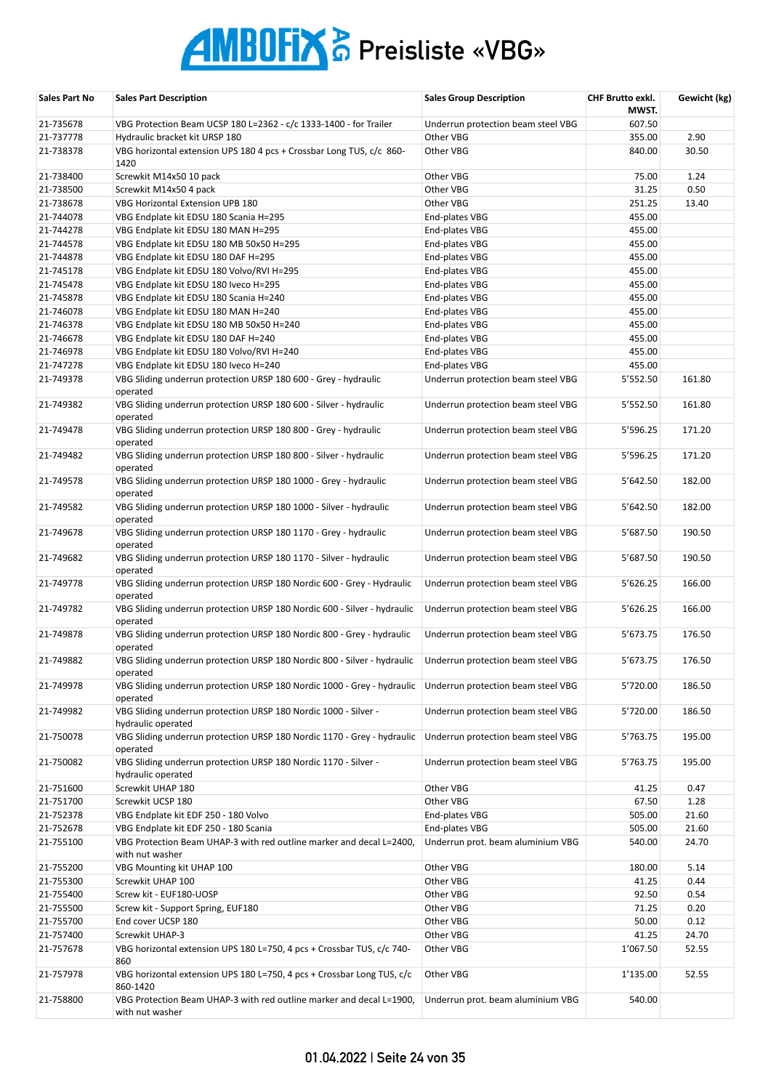| Sales Part No | <b>Sales Part Description</b>                                                           | <b>Sales Group Description</b>     | CHF Brutto exkl.<br>MWST. | Gewicht (kg) |
|---------------|-----------------------------------------------------------------------------------------|------------------------------------|---------------------------|--------------|
| 21-735678     | VBG Protection Beam UCSP 180 L=2362 - c/c 1333-1400 - for Trailer                       | Underrun protection beam steel VBG | 607.50                    |              |
| 21-737778     | Hydraulic bracket kit URSP 180                                                          | Other VBG                          | 355.00                    | 2.90         |
| 21-738378     | VBG horizontal extension UPS 180 4 pcs + Crossbar Long TUS, c/c 860-<br>1420            | Other VBG                          | 840.00                    | 30.50        |
| 21-738400     | Screwkit M14x50 10 pack                                                                 | Other VBG                          | 75.00                     | 1.24         |
| 21-738500     | Screwkit M14x50 4 pack                                                                  | Other VBG                          | 31.25                     | 0.50         |
| 21-738678     | VBG Horizontal Extension UPB 180                                                        | Other VBG                          | 251.25                    | 13.40        |
| 21-744078     | VBG Endplate kit EDSU 180 Scania H=295                                                  | End-plates VBG                     | 455.00                    |              |
| 21-744278     | VBG Endplate kit EDSU 180 MAN H=295                                                     | End-plates VBG                     | 455.00                    |              |
| 21-744578     | VBG Endplate kit EDSU 180 MB 50x50 H=295                                                | End-plates VBG                     | 455.00                    |              |
| 21-744878     | VBG Endplate kit EDSU 180 DAF H=295                                                     | End-plates VBG                     | 455.00                    |              |
| 21-745178     | VBG Endplate kit EDSU 180 Volvo/RVI H=295                                               | End-plates VBG                     | 455.00                    |              |
| 21-745478     | VBG Endplate kit EDSU 180 Iveco H=295                                                   | End-plates VBG                     | 455.00                    |              |
| 21-745878     |                                                                                         |                                    |                           |              |
|               | VBG Endplate kit EDSU 180 Scania H=240                                                  | End-plates VBG                     | 455.00                    |              |
| 21-746078     | VBG Endplate kit EDSU 180 MAN H=240                                                     | End-plates VBG                     | 455.00                    |              |
| 21-746378     | VBG Endplate kit EDSU 180 MB 50x50 H=240                                                | End-plates VBG                     | 455.00                    |              |
| 21-746678     | VBG Endplate kit EDSU 180 DAF H=240                                                     | End-plates VBG                     | 455.00                    |              |
| 21-746978     | VBG Endplate kit EDSU 180 Volvo/RVI H=240                                               | End-plates VBG                     | 455.00                    |              |
| 21-747278     | VBG Endplate kit EDSU 180 Iveco H=240                                                   | End-plates VBG                     | 455.00                    |              |
| 21-749378     | VBG Sliding underrun protection URSP 180 600 - Grey - hydraulic<br>operated             | Underrun protection beam steel VBG | 5'552.50                  | 161.80       |
| 21-749382     | VBG Sliding underrun protection URSP 180 600 - Silver - hydraulic<br>operated           | Underrun protection beam steel VBG | 5'552.50                  | 161.80       |
| 21-749478     | VBG Sliding underrun protection URSP 180 800 - Grey - hydraulic<br>operated             | Underrun protection beam steel VBG | 5'596.25                  | 171.20       |
| 21-749482     | VBG Sliding underrun protection URSP 180 800 - Silver - hydraulic<br>operated           | Underrun protection beam steel VBG | 5'596.25                  | 171.20       |
| 21-749578     | VBG Sliding underrun protection URSP 180 1000 - Grey - hydraulic<br>operated            | Underrun protection beam steel VBG | 5'642.50                  | 182.00       |
| 21-749582     | VBG Sliding underrun protection URSP 180 1000 - Silver - hydraulic<br>operated          | Underrun protection beam steel VBG | 5'642.50                  | 182.00       |
| 21-749678     | VBG Sliding underrun protection URSP 180 1170 - Grey - hydraulic<br>operated            | Underrun protection beam steel VBG | 5'687.50                  | 190.50       |
| 21-749682     | VBG Sliding underrun protection URSP 180 1170 - Silver - hydraulic<br>operated          | Underrun protection beam steel VBG | 5'687.50                  | 190.50       |
| 21-749778     | VBG Sliding underrun protection URSP 180 Nordic 600 - Grey - Hydraulic<br>operated      | Underrun protection beam steel VBG | 5'626.25                  | 166.00       |
| 21-749782     | VBG Sliding underrun protection URSP 180 Nordic 600 - Silver - hydraulic<br>operated    | Underrun protection beam steel VBG | 5'626.25                  | 166.00       |
| 21-749878     | VBG Sliding underrun protection URSP 180 Nordic 800 - Grey - hydraulic<br>operated      | Underrun protection beam steel VBG | 5'673.75                  | 176.50       |
| 21-749882     | VBG Sliding underrun protection URSP 180 Nordic 800 - Silver - hydraulic<br>operated    | Underrun protection beam steel VBG | 5'673.75                  | 176.50       |
| 21-749978     | VBG Sliding underrun protection URSP 180 Nordic 1000 - Grey - hydraulic<br>operated     | Underrun protection beam steel VBG | 5'720.00                  | 186.50       |
| 21-749982     | VBG Sliding underrun protection URSP 180 Nordic 1000 - Silver -<br>hydraulic operated   | Underrun protection beam steel VBG | 5'720.00                  | 186.50       |
| 21-750078     | VBG Sliding underrun protection URSP 180 Nordic 1170 - Grey - hydraulic<br>operated     | Underrun protection beam steel VBG | 5'763.75                  | 195.00       |
| 21-750082     | VBG Sliding underrun protection URSP 180 Nordic 1170 - Silver -<br>hydraulic operated   | Underrun protection beam steel VBG | 5'763.75                  | 195.00       |
| 21-751600     | Screwkit UHAP 180                                                                       | Other VBG                          | 41.25                     | 0.47         |
| 21-751700     | Screwkit UCSP 180                                                                       | Other VBG                          | 67.50                     | 1.28         |
| 21-752378     | VBG Endplate kit EDF 250 - 180 Volvo                                                    | End-plates VBG                     | 505.00                    | 21.60        |
| 21-752678     | VBG Endplate kit EDF 250 - 180 Scania                                                   | End-plates VBG                     | 505.00                    | 21.60        |
| 21-755100     | VBG Protection Beam UHAP-3 with red outline marker and decal L=2400,<br>with nut washer | Underrun prot. beam aluminium VBG  | 540.00                    | 24.70        |
| 21-755200     | VBG Mounting kit UHAP 100                                                               | Other VBG                          | 180.00                    | 5.14         |
| 21-755300     | Screwkit UHAP 100                                                                       | Other VBG                          | 41.25                     | 0.44         |
| 21-755400     | Screw kit - EUF180-UOSP                                                                 | Other VBG                          | 92.50                     | 0.54         |
| 21-755500     | Screw kit - Support Spring, EUF180                                                      | Other VBG                          | 71.25                     | 0.20         |
| 21-755700     | End cover UCSP 180                                                                      | Other VBG                          | 50.00                     | 0.12         |
| 21-757400     | Screwkit UHAP-3                                                                         | Other VBG                          | 41.25                     | 24.70        |
| 21-757678     | VBG horizontal extension UPS 180 L=750, 4 pcs + Crossbar TUS, c/c 740-<br>860           | Other VBG                          | 1'067.50                  | 52.55        |
| 21-757978     | VBG horizontal extension UPS 180 L=750, 4 pcs + Crossbar Long TUS, c/c<br>860-1420      | Other VBG                          | 1'135.00                  | 52.55        |
| 21-758800     | VBG Protection Beam UHAP-3 with red outline marker and decal L=1900,<br>with nut washer | Underrun prot. beam aluminium VBG  | 540.00                    |              |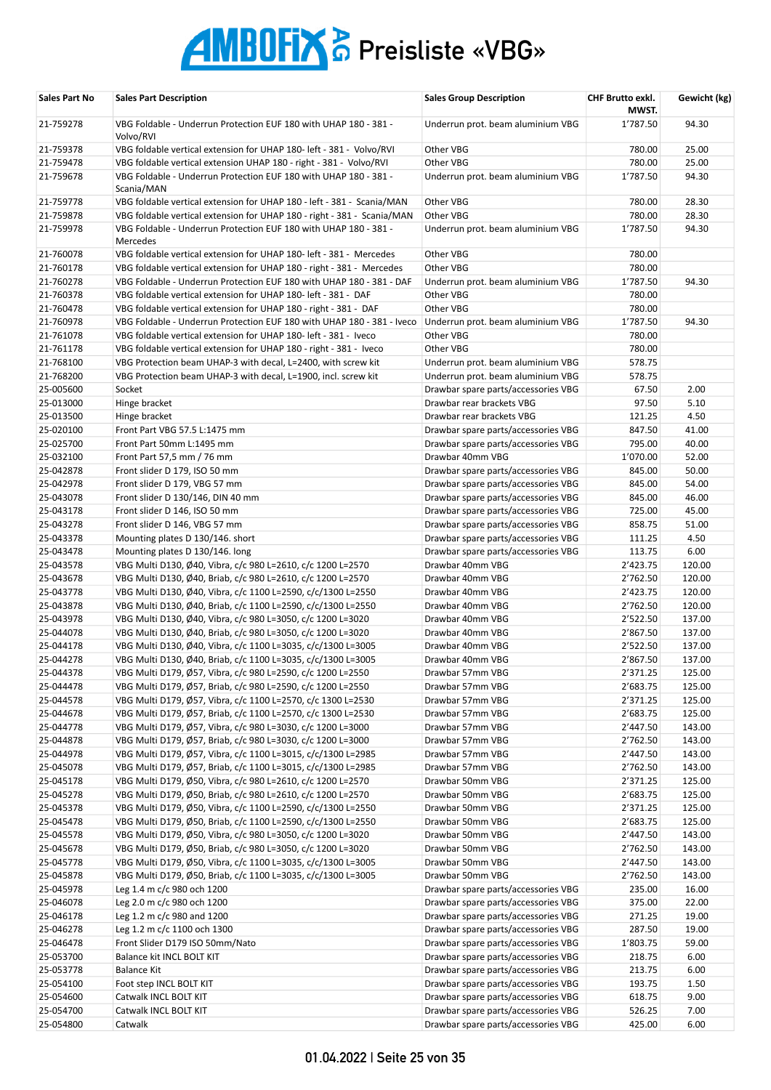| Sales Part No          | <b>Sales Part Description</b>                                                                                                              | <b>Sales Group Description</b>                 | <b>CHF Brutto exkl.</b><br>MWST. | Gewicht (kg)     |
|------------------------|--------------------------------------------------------------------------------------------------------------------------------------------|------------------------------------------------|----------------------------------|------------------|
| 21-759278              | VBG Foldable - Underrun Protection EUF 180 with UHAP 180 - 381 -<br>Volvo/RVI                                                              | Underrun prot. beam aluminium VBG              | 1'787.50                         | 94.30            |
| 21-759378              | VBG foldable vertical extension for UHAP 180- left - 381 - Volvo/RVI                                                                       | Other VBG                                      | 780.00                           | 25.00            |
| 21-759478              | VBG foldable vertical extension UHAP 180 - right - 381 - Volvo/RVI                                                                         | Other VBG                                      | 780.00                           | 25.00            |
| 21-759678              | VBG Foldable - Underrun Protection EUF 180 with UHAP 180 - 381 -<br>Scania/MAN                                                             | Underrun prot. beam aluminium VBG              | 1'787.50                         | 94.30            |
| 21-759778              | VBG foldable vertical extension for UHAP 180 - left - 381 - Scania/MAN                                                                     | Other VBG                                      | 780.00                           | 28.30            |
| 21-759878              | VBG foldable vertical extension for UHAP 180 - right - 381 - Scania/MAN                                                                    | Other VBG                                      | 780.00                           | 28.30            |
| 21-759978              | VBG Foldable - Underrun Protection EUF 180 with UHAP 180 - 381 -<br>Mercedes                                                               | Underrun prot. beam aluminium VBG              | 1'787.50                         | 94.30            |
| 21-760078              | VBG foldable vertical extension for UHAP 180- left - 381 - Mercedes                                                                        | Other VBG                                      | 780.00                           |                  |
| 21-760178              | VBG foldable vertical extension for UHAP 180 - right - 381 - Mercedes                                                                      | Other VBG                                      | 780.00                           |                  |
| 21-760278              | VBG Foldable - Underrun Protection EUF 180 with UHAP 180 - 381 - DAF                                                                       | Underrun prot. beam aluminium VBG              | 1'787.50                         | 94.30            |
| 21-760378              | VBG foldable vertical extension for UHAP 180- left - 381 - DAF                                                                             | Other VBG                                      | 780.00                           |                  |
| 21-760478              | VBG foldable vertical extension for UHAP 180 - right - 381 - DAF                                                                           | Other VBG                                      | 780.00                           |                  |
| 21-760978<br>21-761078 | VBG Foldable - Underrun Protection EUF 180 with UHAP 180 - 381 - Iveco<br>VBG foldable vertical extension for UHAP 180- left - 381 - Iveco | Underrun prot. beam aluminium VBG<br>Other VBG | 1'787.50<br>780.00               | 94.30            |
| 21-761178              | VBG foldable vertical extension for UHAP 180 - right - 381 - Iveco                                                                         | Other VBG                                      | 780.00                           |                  |
| 21-768100              | VBG Protection beam UHAP-3 with decal, L=2400, with screw kit                                                                              | Underrun prot. beam aluminium VBG              | 578.75                           |                  |
| 21-768200              | VBG Protection beam UHAP-3 with decal, L=1900, incl. screw kit                                                                             | Underrun prot. beam aluminium VBG              | 578.75                           |                  |
| 25-005600              | Socket                                                                                                                                     | Drawbar spare parts/accessories VBG            | 67.50                            | 2.00             |
| 25-013000              | Hinge bracket                                                                                                                              | Drawbar rear brackets VBG                      | 97.50                            | 5.10             |
| 25-013500              | Hinge bracket                                                                                                                              | Drawbar rear brackets VBG                      | 121.25                           | 4.50             |
| 25-020100              | Front Part VBG 57.5 L:1475 mm                                                                                                              | Drawbar spare parts/accessories VBG            | 847.50                           | 41.00            |
| 25-025700              | Front Part 50mm L:1495 mm                                                                                                                  | Drawbar spare parts/accessories VBG            | 795.00                           | 40.00            |
| 25-032100              | Front Part 57,5 mm / 76 mm                                                                                                                 | Drawbar 40mm VBG                               | 1'070.00                         | 52.00            |
| 25-042878              | Front slider D 179, ISO 50 mm                                                                                                              | Drawbar spare parts/accessories VBG            | 845.00                           | 50.00            |
| 25-042978              | Front slider D 179, VBG 57 mm                                                                                                              | Drawbar spare parts/accessories VBG            | 845.00                           | 54.00            |
| 25-043078              | Front slider D 130/146, DIN 40 mm                                                                                                          | Drawbar spare parts/accessories VBG            | 845.00                           | 46.00            |
| 25-043178              | Front slider D 146, ISO 50 mm                                                                                                              | Drawbar spare parts/accessories VBG            | 725.00                           | 45.00            |
| 25-043278              | Front slider D 146, VBG 57 mm                                                                                                              | Drawbar spare parts/accessories VBG            | 858.75                           | 51.00            |
| 25-043378              | Mounting plates D 130/146. short                                                                                                           | Drawbar spare parts/accessories VBG            | 111.25                           | 4.50             |
| 25-043478              | Mounting plates D 130/146. long                                                                                                            | Drawbar spare parts/accessories VBG            | 113.75                           | 6.00             |
| 25-043578              | VBG Multi D130, Ø40, Vibra, c/c 980 L=2610, c/c 1200 L=2570                                                                                | Drawbar 40mm VBG                               | 2'423.75                         | 120.00           |
| 25-043678              | VBG Multi D130, Ø40, Briab, c/c 980 L=2610, c/c 1200 L=2570                                                                                | Drawbar 40mm VBG                               | 2'762.50                         | 120.00           |
| 25-043778<br>25-043878 | VBG Multi D130, Ø40, Vibra, c/c 1100 L=2590, c/c/1300 L=2550                                                                               | Drawbar 40mm VBG<br>Drawbar 40mm VBG           | 2'423.75<br>2'762.50             | 120.00<br>120.00 |
| 25-043978              | VBG Multi D130, Ø40, Briab, c/c 1100 L=2590, c/c/1300 L=2550<br>VBG Multi D130, Ø40, Vibra, c/c 980 L=3050, c/c 1200 L=3020                | Drawbar 40mm VBG                               | 2'522.50                         | 137.00           |
| 25-044078              | VBG Multi D130, Ø40, Briab, c/c 980 L=3050, c/c 1200 L=3020                                                                                | Drawbar 40mm VBG                               | 2'867.50                         | 137.00           |
| 25-044178              | VBG Multi D130, Ø40, Vibra, c/c 1100 L=3035, c/c/1300 L=3005                                                                               | Drawbar 40mm VBG                               | 2'522.50                         | 137.00           |
| 25-044278              | VBG Multi D130, Ø40, Briab, c/c 1100 L=3035, c/c/1300 L=3005                                                                               | Drawbar 40mm VBG                               | 2'867.50                         | 137.00           |
| 25-044378              | VBG Multi D179, Ø57, Vibra, c/c 980 L=2590, c/c 1200 L=2550                                                                                | Drawbar 57mm VBG                               | 2'371.25                         | 125.00           |
| 25-044478              | VBG Multi D179, Ø57, Briab, c/c 980 L=2590, c/c 1200 L=2550                                                                                | Drawbar 57mm VBG                               | 2'683.75                         | 125.00           |
| 25-044578              | VBG Multi D179, Ø57, Vibra, c/c 1100 L=2570, c/c 1300 L=2530                                                                               | Drawbar 57mm VBG                               | 2'371.25                         | 125.00           |
| 25-044678              | VBG Multi D179, Ø57, Briab, c/c 1100 L=2570, c/c 1300 L=2530                                                                               | Drawbar 57mm VBG                               | 2'683.75                         | 125.00           |
| 25-044778              | VBG Multi D179, Ø57, Vibra, c/c 980 L=3030, c/c 1200 L=3000                                                                                | Drawbar 57mm VBG                               | 2'447.50                         | 143.00           |
| 25-044878              | VBG Multi D179, Ø57, Briab, c/c 980 L=3030, c/c 1200 L=3000                                                                                | Drawbar 57mm VBG                               | 2'762.50                         | 143.00           |
| 25-044978              | VBG Multi D179, Ø57, Vibra, c/c 1100 L=3015, c/c/1300 L=2985                                                                               | Drawbar 57mm VBG                               | 2'447.50                         | 143.00           |
| 25-045078              | VBG Multi D179, Ø57, Briab, c/c 1100 L=3015, c/c/1300 L=2985                                                                               | Drawbar 57mm VBG                               | 2'762.50                         | 143.00           |
| 25-045178              | VBG Multi D179, Ø50, Vibra, c/c 980 L=2610, c/c 1200 L=2570                                                                                | Drawbar 50mm VBG                               | 2'371.25                         | 125.00           |
| 25-045278              | VBG Multi D179, Ø50, Briab, c/c 980 L=2610, c/c 1200 L=2570                                                                                | Drawbar 50mm VBG                               | 2'683.75                         | 125.00           |
| 25-045378              | VBG Multi D179, Ø50, Vibra, c/c 1100 L=2590, c/c/1300 L=2550                                                                               | Drawbar 50mm VBG                               | 2'371.25                         | 125.00           |
| 25-045478              | VBG Multi D179, Ø50, Briab, c/c 1100 L=2590, c/c/1300 L=2550                                                                               | Drawbar 50mm VBG                               | 2'683.75                         | 125.00           |
| 25-045578<br>25-045678 | VBG Multi D179, Ø50, Vibra, c/c 980 L=3050, c/c 1200 L=3020<br>VBG Multi D179, Ø50, Briab, c/c 980 L=3050, c/c 1200 L=3020                 | Drawbar 50mm VBG<br>Drawbar 50mm VBG           | 2'447.50<br>2'762.50             | 143.00<br>143.00 |
| 25-045778              | VBG Multi D179, Ø50, Vibra, c/c 1100 L=3035, c/c/1300 L=3005                                                                               | Drawbar 50mm VBG                               | 2'447.50                         | 143.00           |
| 25-045878              | VBG Multi D179, Ø50, Briab, c/c 1100 L=3035, c/c/1300 L=3005                                                                               | Drawbar 50mm VBG                               | 2'762.50                         | 143.00           |
| 25-045978              | Leg 1.4 m c/c 980 och 1200                                                                                                                 | Drawbar spare parts/accessories VBG            | 235.00                           | 16.00            |
| 25-046078              | Leg 2.0 m c/c 980 och 1200                                                                                                                 | Drawbar spare parts/accessories VBG            | 375.00                           | 22.00            |
| 25-046178              | Leg 1.2 m c/c 980 and 1200                                                                                                                 | Drawbar spare parts/accessories VBG            | 271.25                           | 19.00            |
| 25-046278              | Leg 1.2 m c/c 1100 och 1300                                                                                                                | Drawbar spare parts/accessories VBG            | 287.50                           | 19.00            |
| 25-046478              | Front Slider D179 ISO 50mm/Nato                                                                                                            | Drawbar spare parts/accessories VBG            | 1'803.75                         | 59.00            |
| 25-053700              | Balance kit INCL BOLT KIT                                                                                                                  | Drawbar spare parts/accessories VBG            | 218.75                           | 6.00             |
| 25-053778              | <b>Balance Kit</b>                                                                                                                         | Drawbar spare parts/accessories VBG            | 213.75                           | 6.00             |
| 25-054100              | Foot step INCL BOLT KIT                                                                                                                    | Drawbar spare parts/accessories VBG            | 193.75                           | 1.50             |
| 25-054600              | Catwalk INCL BOLT KIT                                                                                                                      | Drawbar spare parts/accessories VBG            | 618.75                           | 9.00             |
| 25-054700              | Catwalk INCL BOLT KIT                                                                                                                      | Drawbar spare parts/accessories VBG            | 526.25                           | 7.00             |
| 25-054800              | Catwalk                                                                                                                                    | Drawbar spare parts/accessories VBG            | 425.00                           | 6.00             |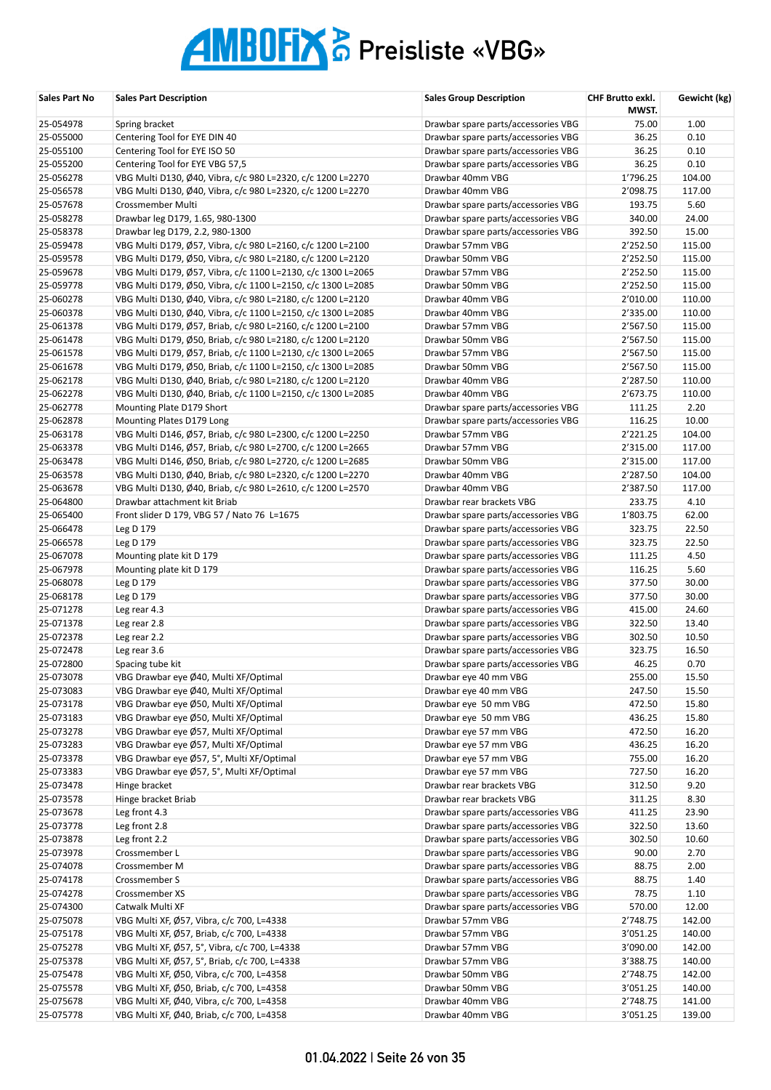| Sales Part No          | <b>Sales Part Description</b>                                | <b>Sales Group Description</b>                                             | <b>CHF Brutto exkl.</b><br>MWST. | Gewicht (kg)   |
|------------------------|--------------------------------------------------------------|----------------------------------------------------------------------------|----------------------------------|----------------|
| 25-054978              | Spring bracket                                               | Drawbar spare parts/accessories VBG                                        | 75.00                            | 1.00           |
| 25-055000              | Centering Tool for EYE DIN 40                                | Drawbar spare parts/accessories VBG                                        | 36.25                            | 0.10           |
| 25-055100              | Centering Tool for EYE ISO 50                                | Drawbar spare parts/accessories VBG                                        | 36.25                            | 0.10           |
| 25-055200              | Centering Tool for EYE VBG 57,5                              | Drawbar spare parts/accessories VBG                                        | 36.25                            | 0.10           |
| 25-056278              | VBG Multi D130, Ø40, Vibra, c/c 980 L=2320, c/c 1200 L=2270  | Drawbar 40mm VBG                                                           | 1'796.25                         | 104.00         |
| 25-056578              | VBG Multi D130, Ø40, Vibra, c/c 980 L=2320, c/c 1200 L=2270  | Drawbar 40mm VBG                                                           | 2'098.75                         | 117.00         |
| 25-057678              | Crossmember Multi                                            | Drawbar spare parts/accessories VBG                                        | 193.75                           | 5.60           |
| 25-058278              | Drawbar leg D179, 1.65, 980-1300                             | Drawbar spare parts/accessories VBG                                        | 340.00                           | 24.00          |
| 25-058378              | Drawbar leg D179, 2.2, 980-1300                              | Drawbar spare parts/accessories VBG                                        | 392.50                           | 15.00          |
| 25-059478              | VBG Multi D179, Ø57, Vibra, c/c 980 L=2160, c/c 1200 L=2100  | Drawbar 57mm VBG                                                           | 2'252.50                         | 115.00         |
| 25-059578              | VBG Multi D179, Ø50, Vibra, c/c 980 L=2180, c/c 1200 L=2120  | Drawbar 50mm VBG                                                           | 2'252.50                         | 115.00         |
| 25-059678              | VBG Multi D179, Ø57, Vibra, c/c 1100 L=2130, c/c 1300 L=2065 | Drawbar 57mm VBG                                                           | 2'252.50                         | 115.00         |
| 25-059778              | VBG Multi D179, Ø50, Vibra, c/c 1100 L=2150, c/c 1300 L=2085 | Drawbar 50mm VBG                                                           | 2'252.50                         | 115.00         |
| 25-060278              | VBG Multi D130, Ø40, Vibra, c/c 980 L=2180, c/c 1200 L=2120  | Drawbar 40mm VBG                                                           | 2'010.00                         | 110.00         |
| 25-060378              | VBG Multi D130, Ø40, Vibra, c/c 1100 L=2150, c/c 1300 L=2085 | Drawbar 40mm VBG                                                           | 2'335.00                         | 110.00         |
| 25-061378              | VBG Multi D179, Ø57, Briab, c/c 980 L=2160, c/c 1200 L=2100  | Drawbar 57mm VBG                                                           | 2'567.50                         | 115.00         |
| 25-061478              | VBG Multi D179, Ø50, Briab, c/c 980 L=2180, c/c 1200 L=2120  | Drawbar 50mm VBG                                                           | 2'567.50                         | 115.00         |
| 25-061578              | VBG Multi D179, Ø57, Briab, c/c 1100 L=2130, c/c 1300 L=2065 | Drawbar 57mm VBG                                                           | 2'567.50                         | 115.00         |
| 25-061678              | VBG Multi D179, Ø50, Briab, c/c 1100 L=2150, c/c 1300 L=2085 | Drawbar 50mm VBG                                                           | 2'567.50                         | 115.00         |
| 25-062178              | VBG Multi D130, Ø40, Briab, c/c 980 L=2180, c/c 1200 L=2120  | Drawbar 40mm VBG                                                           | 2'287.50                         | 110.00         |
| 25-062278              | VBG Multi D130, Ø40, Briab, c/c 1100 L=2150, c/c 1300 L=2085 | Drawbar 40mm VBG                                                           | 2'673.75                         | 110.00         |
| 25-062778              | Mounting Plate D179 Short                                    | Drawbar spare parts/accessories VBG                                        | 111.25                           | 2.20           |
| 25-062878              | Mounting Plates D179 Long                                    | Drawbar spare parts/accessories VBG                                        | 116.25                           | 10.00          |
| 25-063178              | VBG Multi D146, Ø57, Briab, c/c 980 L=2300, c/c 1200 L=2250  | Drawbar 57mm VBG                                                           | 2'221.25                         | 104.00         |
| 25-063378              | VBG Multi D146, Ø57, Briab, c/c 980 L=2700, c/c 1200 L=2665  | Drawbar 57mm VBG                                                           | 2'315.00                         | 117.00         |
| 25-063478              | VBG Multi D146, Ø50, Briab, c/c 980 L=2720, c/c 1200 L=2685  | Drawbar 50mm VBG                                                           | 2'315.00                         | 117.00         |
| 25-063578              | VBG Multi D130, Ø40, Briab, c/c 980 L=2320, c/c 1200 L=2270  | Drawbar 40mm VBG                                                           | 2'287.50                         | 104.00         |
| 25-063678              | VBG Multi D130, Ø40, Briab, c/c 980 L=2610, c/c 1200 L=2570  | Drawbar 40mm VBG                                                           | 2'387.50                         | 117.00         |
| 25-064800              | Drawbar attachment kit Briab                                 | Drawbar rear brackets VBG                                                  | 233.75                           | 4.10           |
| 25-065400              | Front slider D 179, VBG 57 / Nato 76 L=1675                  | Drawbar spare parts/accessories VBG                                        | 1'803.75                         | 62.00          |
| 25-066478              | Leg D 179                                                    | Drawbar spare parts/accessories VBG                                        | 323.75                           | 22.50          |
| 25-066578              | Leg D 179                                                    | Drawbar spare parts/accessories VBG                                        | 323.75                           | 22.50          |
| 25-067078              | Mounting plate kit D 179                                     | Drawbar spare parts/accessories VBG                                        | 111.25                           | 4.50           |
| 25-067978<br>25-068078 | Mounting plate kit D 179                                     | Drawbar spare parts/accessories VBG                                        | 116.25<br>377.50                 | 5.60<br>30.00  |
|                        | Leg D 179                                                    | Drawbar spare parts/accessories VBG                                        |                                  |                |
| 25-068178              | Leg D 179<br>Leg rear 4.3                                    | Drawbar spare parts/accessories VBG                                        | 377.50                           | 30.00          |
| 25-071278<br>25-071378 | Leg rear 2.8                                                 | Drawbar spare parts/accessories VBG<br>Drawbar spare parts/accessories VBG | 415.00<br>322.50                 | 24.60<br>13.40 |
| 25-072378              | Leg rear 2.2                                                 | Drawbar spare parts/accessories VBG                                        | 302.50                           | 10.50          |
| 25-072478              | Leg rear 3.6                                                 | Drawbar spare parts/accessories VBG                                        | 323.75                           | 16.50          |
| 25-072800              | Spacing tube kit                                             | Drawbar spare parts/accessories VBG                                        | 46.25                            | 0.70           |
| 25-073078              | VBG Drawbar eye Ø40, Multi XF/Optimal                        | Drawbar eye 40 mm VBG                                                      | 255.00                           | 15.50          |
| 25-073083              | VBG Drawbar eye Ø40, Multi XF/Optimal                        | Drawbar eye 40 mm VBG                                                      | 247.50                           | 15.50          |
| 25-073178              | VBG Drawbar eye Ø50, Multi XF/Optimal                        | Drawbar eye 50 mm VBG                                                      | 472.50                           | 15.80          |
| 25-073183              | VBG Drawbar eye Ø50, Multi XF/Optimal                        | Drawbar eye 50 mm VBG                                                      | 436.25                           | 15.80          |
| 25-073278              | VBG Drawbar eye Ø57, Multi XF/Optimal                        | Drawbar eye 57 mm VBG                                                      | 472.50                           | 16.20          |
| 25-073283              | VBG Drawbar eye Ø57, Multi XF/Optimal                        | Drawbar eye 57 mm VBG                                                      | 436.25                           | 16.20          |
| 25-073378              | VBG Drawbar eye Ø57, 5°, Multi XF/Optimal                    | Drawbar eye 57 mm VBG                                                      | 755.00                           | 16.20          |
| 25-073383              | VBG Drawbar eye Ø57, 5°, Multi XF/Optimal                    | Drawbar eye 57 mm VBG                                                      | 727.50                           | 16.20          |
| 25-073478              | Hinge bracket                                                | Drawbar rear brackets VBG                                                  | 312.50                           | 9.20           |
| 25-073578              | Hinge bracket Briab                                          | Drawbar rear brackets VBG                                                  | 311.25                           | 8.30           |
| 25-073678              | Leg front 4.3                                                | Drawbar spare parts/accessories VBG                                        | 411.25                           | 23.90          |
| 25-073778              | Leg front 2.8                                                | Drawbar spare parts/accessories VBG                                        | 322.50                           | 13.60          |
| 25-073878              | Leg front 2.2                                                | Drawbar spare parts/accessories VBG                                        | 302.50                           | 10.60          |
| 25-073978              | Crossmember L                                                | Drawbar spare parts/accessories VBG                                        | 90.00                            | 2.70           |
| 25-074078              | Crossmember M                                                | Drawbar spare parts/accessories VBG                                        | 88.75                            | 2.00           |
| 25-074178              | Crossmember S                                                | Drawbar spare parts/accessories VBG                                        | 88.75                            | 1.40           |
| 25-074278              | Crossmember XS                                               | Drawbar spare parts/accessories VBG                                        | 78.75                            | 1.10           |
| 25-074300              | Catwalk Multi XF                                             | Drawbar spare parts/accessories VBG                                        | 570.00                           | 12.00          |
| 25-075078              | VBG Multi XF, Ø57, Vibra, c/c 700, L=4338                    | Drawbar 57mm VBG                                                           | 2'748.75                         | 142.00         |
| 25-075178              | VBG Multi XF, Ø57, Briab, c/c 700, L=4338                    | Drawbar 57mm VBG                                                           | 3'051.25                         | 140.00         |
| 25-075278              | VBG Multi XF, Ø57, 5°, Vibra, c/c 700, L=4338                | Drawbar 57mm VBG                                                           | 3'090.00                         | 142.00         |
| 25-075378              | VBG Multi XF, Ø57, 5°, Briab, c/c 700, L=4338                | Drawbar 57mm VBG                                                           | 3'388.75                         | 140.00         |
| 25-075478              | VBG Multi XF, Ø50, Vibra, c/c 700, L=4358                    | Drawbar 50mm VBG                                                           | 2'748.75                         | 142.00         |
| 25-075578              | VBG Multi XF, Ø50, Briab, c/c 700, L=4358                    | Drawbar 50mm VBG                                                           | 3'051.25                         | 140.00         |
| 25-075678              | VBG Multi XF, Ø40, Vibra, c/c 700, L=4358                    | Drawbar 40mm VBG                                                           | 2'748.75                         | 141.00         |
| 25-075778              | VBG Multi XF, Ø40, Briab, c/c 700, L=4358                    | Drawbar 40mm VBG                                                           | 3'051.25                         | 139.00         |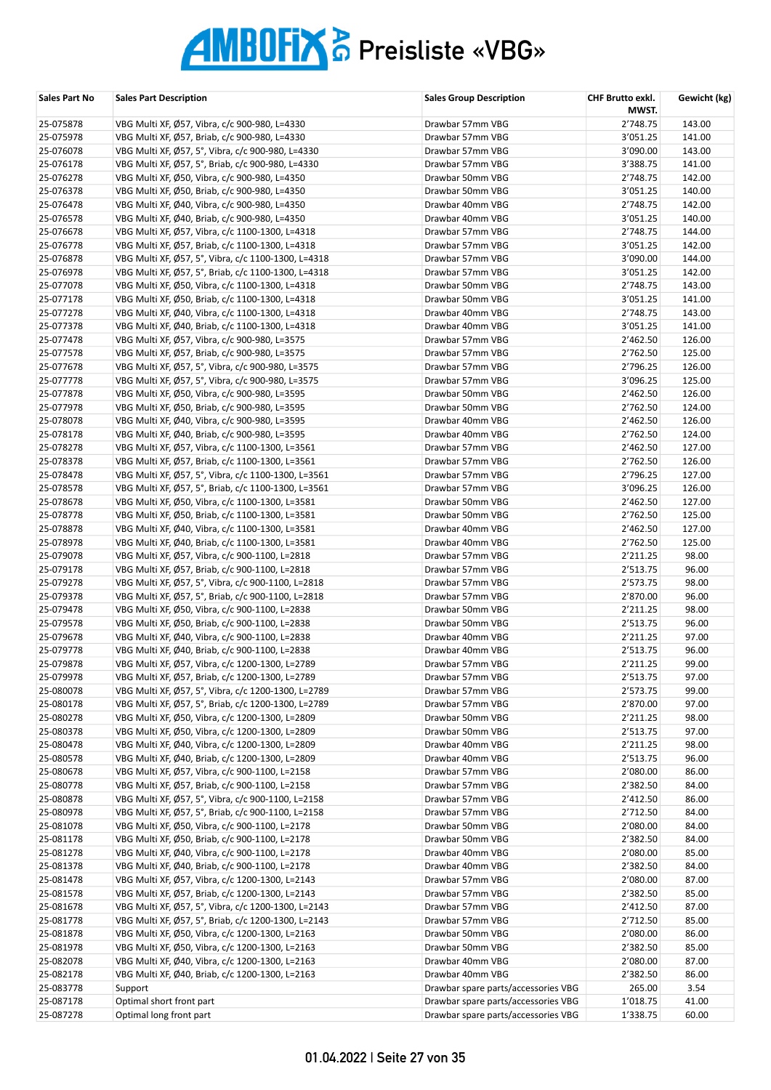| Sales Part No | <b>Sales Part Description</b>                       | <b>Sales Group Description</b>      | CHF Brutto exkl.<br>MWST. | Gewicht (kg) |
|---------------|-----------------------------------------------------|-------------------------------------|---------------------------|--------------|
| 25-075878     | VBG Multi XF, Ø57, Vibra, c/c 900-980, L=4330       | Drawbar 57mm VBG                    | 2'748.75                  | 143.00       |
| 25-075978     | VBG Multi XF, Ø57, Briab, c/c 900-980, L=4330       | Drawbar 57mm VBG                    | 3'051.25                  | 141.00       |
| 25-076078     | VBG Multi XF, Ø57, 5°, Vibra, c/c 900-980, L=4330   | Drawbar 57mm VBG                    | 3'090.00                  | 143.00       |
| 25-076178     | VBG Multi XF, Ø57, 5°, Briab, c/c 900-980, L=4330   | Drawbar 57mm VBG                    | 3'388.75                  | 141.00       |
| 25-076278     | VBG Multi XF, Ø50, Vibra, c/c 900-980, L=4350       | Drawbar 50mm VBG                    | 2'748.75                  | 142.00       |
| 25-076378     | VBG Multi XF, Ø50, Briab, c/c 900-980, L=4350       | Drawbar 50mm VBG                    | 3'051.25                  | 140.00       |
| 25-076478     | VBG Multi XF, Ø40, Vibra, c/c 900-980, L=4350       | Drawbar 40mm VBG                    | 2'748.75                  | 142.00       |
| 25-076578     | VBG Multi XF, Ø40, Briab, c/c 900-980, L=4350       | Drawbar 40mm VBG                    | 3'051.25                  | 140.00       |
| 25-076678     | VBG Multi XF, Ø57, Vibra, c/c 1100-1300, L=4318     | Drawbar 57mm VBG                    | 2'748.75                  | 144.00       |
| 25-076778     | VBG Multi XF, Ø57, Briab, c/c 1100-1300, L=4318     | Drawbar 57mm VBG                    | 3'051.25                  | 142.00       |
| 25-076878     | VBG Multi XF, Ø57, 5°, Vibra, c/c 1100-1300, L=4318 | Drawbar 57mm VBG                    | 3'090.00                  | 144.00       |
| 25-076978     | VBG Multi XF, Ø57, 5°, Briab, c/c 1100-1300, L=4318 | Drawbar 57mm VBG                    | 3'051.25                  | 142.00       |
| 25-077078     | VBG Multi XF, Ø50, Vibra, c/c 1100-1300, L=4318     | Drawbar 50mm VBG                    | 2'748.75                  | 143.00       |
| 25-077178     | VBG Multi XF, Ø50, Briab, c/c 1100-1300, L=4318     | Drawbar 50mm VBG                    | 3'051.25                  | 141.00       |
| 25-077278     | VBG Multi XF, Ø40, Vibra, c/c 1100-1300, L=4318     | Drawbar 40mm VBG                    | 2'748.75                  | 143.00       |
| 25-077378     | VBG Multi XF, Ø40, Briab, c/c 1100-1300, L=4318     | Drawbar 40mm VBG                    | 3'051.25                  | 141.00       |
| 25-077478     | VBG Multi XF, Ø57, Vibra, c/c 900-980, L=3575       | Drawbar 57mm VBG                    | 2'462.50                  | 126.00       |
| 25-077578     | VBG Multi XF, Ø57, Briab, c/c 900-980, L=3575       | Drawbar 57mm VBG                    | 2'762.50                  | 125.00       |
| 25-077678     | VBG Multi XF, Ø57, 5°, Vibra, c/c 900-980, L=3575   | Drawbar 57mm VBG                    | 2'796.25                  | 126.00       |
| 25-077778     | VBG Multi XF, Ø57, 5°, Vibra, c/c 900-980, L=3575   | Drawbar 57mm VBG                    | 3'096.25                  | 125.00       |
| 25-077878     | VBG Multi XF, Ø50, Vibra, c/c 900-980, L=3595       | Drawbar 50mm VBG                    | 2'462.50                  | 126.00       |
| 25-077978     | VBG Multi XF, Ø50, Briab, c/c 900-980, L=3595       | Drawbar 50mm VBG                    | 2'762.50                  | 124.00       |
| 25-078078     | VBG Multi XF, Ø40, Vibra, c/c 900-980, L=3595       | Drawbar 40mm VBG                    | 2'462.50                  | 126.00       |
| 25-078178     | VBG Multi XF, Ø40, Briab, c/c 900-980, L=3595       | Drawbar 40mm VBG                    | 2'762.50                  | 124.00       |
| 25-078278     | VBG Multi XF, Ø57, Vibra, c/c 1100-1300, L=3561     | Drawbar 57mm VBG                    | 2'462.50                  | 127.00       |
| 25-078378     | VBG Multi XF, Ø57, Briab, c/c 1100-1300, L=3561     | Drawbar 57mm VBG                    | 2'762.50                  | 126.00       |
| 25-078478     | VBG Multi XF, Ø57, 5°, Vibra, c/c 1100-1300, L=3561 | Drawbar 57mm VBG                    | 2'796.25                  | 127.00       |
| 25-078578     | VBG Multi XF, Ø57, 5°, Briab, c/c 1100-1300, L=3561 | Drawbar 57mm VBG                    | 3'096.25                  | 126.00       |
| 25-078678     | VBG Multi XF, Ø50, Vibra, c/c 1100-1300, L=3581     | Drawbar 50mm VBG                    | 2'462.50                  | 127.00       |
| 25-078778     | VBG Multi XF, Ø50, Briab, c/c 1100-1300, L=3581     | Drawbar 50mm VBG                    | 2'762.50                  | 125.00       |
| 25-078878     | VBG Multi XF, Ø40, Vibra, c/c 1100-1300, L=3581     | Drawbar 40mm VBG                    | 2'462.50                  | 127.00       |
| 25-078978     | VBG Multi XF, Ø40, Briab, c/c 1100-1300, L=3581     | Drawbar 40mm VBG                    | 2'762.50                  | 125.00       |
| 25-079078     | VBG Multi XF, Ø57, Vibra, c/c 900-1100, L=2818      | Drawbar 57mm VBG                    | 2'211.25                  | 98.00        |
| 25-079178     | VBG Multi XF, Ø57, Briab, c/c 900-1100, L=2818      | Drawbar 57mm VBG                    | 2'513.75                  | 96.00        |
| 25-079278     | VBG Multi XF, Ø57, 5°, Vibra, c/c 900-1100, L=2818  | Drawbar 57mm VBG                    | 2'573.75                  | 98.00        |
| 25-079378     | VBG Multi XF, Ø57, 5°, Briab, c/c 900-1100, L=2818  | Drawbar 57mm VBG                    | 2'870.00                  | 96.00        |
| 25-079478     | VBG Multi XF, Ø50, Vibra, c/c 900-1100, L=2838      | Drawbar 50mm VBG                    | 2'211.25                  | 98.00        |
| 25-079578     | VBG Multi XF, Ø50, Briab, c/c 900-1100, L=2838      | Drawbar 50mm VBG                    | 2'513.75                  | 96.00        |
| 25-079678     | VBG Multi XF, Ø40, Vibra, c/c 900-1100, L=2838      | Drawbar 40mm VBG                    | 2'211.25                  | 97.00        |
| 25-079778     | VBG Multi XF, Ø40, Briab, c/c 900-1100, L=2838      | Drawbar 40mm VBG                    | 2'513.75                  | 96.00        |
| 25-079878     | VBG Multi XF, Ø57, Vibra, c/c 1200-1300, L=2789     | Drawbar 57mm VBG                    | 2'211.25                  | 99.00        |
| 25-079978     | VBG Multi XF, Ø57, Briab, c/c 1200-1300, L=2789     | Drawbar 57mm VBG                    | 2'513.75                  | 97.00        |
| 25-080078     | VBG Multi XF, Ø57, 5°, Vibra, c/c 1200-1300, L=2789 | Drawbar 57mm VBG                    | 2'573.75                  | 99.00        |
| 25-080178     | VBG Multi XF, Ø57, 5°, Briab, c/c 1200-1300, L=2789 | Drawbar 57mm VBG                    | 2'870.00                  | 97.00        |
| 25-080278     | VBG Multi XF, Ø50, Vibra, c/c 1200-1300, L=2809     | Drawbar 50mm VBG                    | 2'211.25                  | 98.00        |
| 25-080378     | VBG Multi XF, Ø50, Vibra, c/c 1200-1300, L=2809     | Drawbar 50mm VBG                    | 2'513.75                  | 97.00        |
| 25-080478     | VBG Multi XF, Ø40, Vibra, c/c 1200-1300, L=2809     | Drawbar 40mm VBG                    | 2'211.25                  | 98.00        |
| 25-080578     | VBG Multi XF, Ø40, Briab, c/c 1200-1300, L=2809     | Drawbar 40mm VBG                    | 2'513.75                  | 96.00        |
| 25-080678     | VBG Multi XF, Ø57, Vibra, c/c 900-1100, L=2158      | Drawbar 57mm VBG                    | 2'080.00                  | 86.00        |
| 25-080778     | VBG Multi XF, Ø57, Briab, c/c 900-1100, L=2158      | Drawbar 57mm VBG                    | 2'382.50                  | 84.00        |
| 25-080878     | VBG Multi XF, Ø57, 5°, Vibra, c/c 900-1100, L=2158  | Drawbar 57mm VBG                    | 2'412.50                  | 86.00        |
| 25-080978     | VBG Multi XF, Ø57, 5°, Briab, c/c 900-1100, L=2158  | Drawbar 57mm VBG                    | 2'712.50                  | 84.00        |
| 25-081078     | VBG Multi XF, Ø50, Vibra, c/c 900-1100, L=2178      | Drawbar 50mm VBG                    | 2'080.00                  | 84.00        |
| 25-081178     | VBG Multi XF, Ø50, Briab, c/c 900-1100, L=2178      | Drawbar 50mm VBG                    | 2'382.50                  | 84.00        |
| 25-081278     | VBG Multi XF, Ø40, Vibra, c/c 900-1100, L=2178      | Drawbar 40mm VBG                    | 2'080.00                  | 85.00        |
| 25-081378     | VBG Multi XF, Ø40, Briab, c/c 900-1100, L=2178      | Drawbar 40mm VBG                    | 2'382.50                  | 84.00        |
| 25-081478     | VBG Multi XF, Ø57, Vibra, c/c 1200-1300, L=2143     | Drawbar 57mm VBG                    | 2'080.00                  | 87.00        |
| 25-081578     | VBG Multi XF, Ø57, Briab, c/c 1200-1300, L=2143     | Drawbar 57mm VBG                    | 2'382.50                  | 85.00        |
| 25-081678     | VBG Multi XF, Ø57, 5°, Vibra, c/c 1200-1300, L=2143 | Drawbar 57mm VBG                    | 2'412.50                  | 87.00        |
| 25-081778     | VBG Multi XF, Ø57, 5°, Briab, c/c 1200-1300, L=2143 | Drawbar 57mm VBG                    | 2'712.50                  | 85.00        |
| 25-081878     | VBG Multi XF, Ø50, Vibra, c/c 1200-1300, L=2163     | Drawbar 50mm VBG                    | 2'080.00                  | 86.00        |
| 25-081978     | VBG Multi XF, Ø50, Vibra, c/c 1200-1300, L=2163     | Drawbar 50mm VBG                    | 2'382.50                  | 85.00        |
| 25-082078     | VBG Multi XF, Ø40, Vibra, c/c 1200-1300, L=2163     | Drawbar 40mm VBG                    | 2'080.00                  | 87.00        |
| 25-082178     | VBG Multi XF, Ø40, Briab, c/c 1200-1300, L=2163     | Drawbar 40mm VBG                    | 2'382.50                  | 86.00        |
| 25-083778     | Support                                             | Drawbar spare parts/accessories VBG | 265.00                    | 3.54         |
| 25-087178     | Optimal short front part                            | Drawbar spare parts/accessories VBG | 1'018.75                  | 41.00        |
| 25-087278     | Optimal long front part                             | Drawbar spare parts/accessories VBG | 1'338.75                  | 60.00        |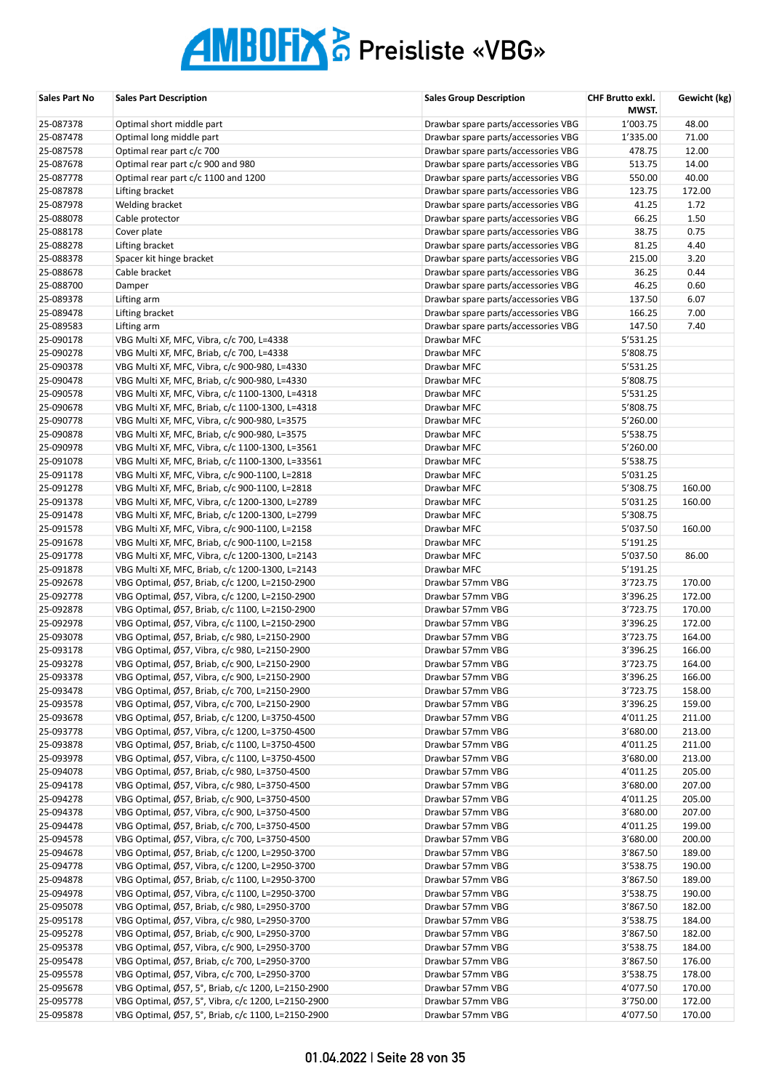| Sales Part No          | <b>Sales Part Description</b>                                                                    | <b>Sales Group Description</b>       | CHF Brutto exkl.<br>MWST. | Gewicht (kg)     |
|------------------------|--------------------------------------------------------------------------------------------------|--------------------------------------|---------------------------|------------------|
| 25-087378              | Optimal short middle part                                                                        | Drawbar spare parts/accessories VBG  | 1'003.75                  | 48.00            |
| 25-087478              | Optimal long middle part                                                                         | Drawbar spare parts/accessories VBG  | 1'335.00                  | 71.00            |
| 25-087578              | Optimal rear part c/c 700                                                                        | Drawbar spare parts/accessories VBG  | 478.75                    | 12.00            |
| 25-087678              | Optimal rear part c/c 900 and 980                                                                | Drawbar spare parts/accessories VBG  | 513.75                    | 14.00            |
| 25-087778              | Optimal rear part c/c 1100 and 1200                                                              | Drawbar spare parts/accessories VBG  | 550.00                    | 40.00            |
| 25-087878              | Lifting bracket                                                                                  | Drawbar spare parts/accessories VBG  | 123.75                    | 172.00           |
| 25-087978              | Welding bracket                                                                                  | Drawbar spare parts/accessories VBG  | 41.25                     | 1.72             |
| 25-088078              | Cable protector                                                                                  | Drawbar spare parts/accessories VBG  | 66.25                     | 1.50             |
| 25-088178              | Cover plate                                                                                      | Drawbar spare parts/accessories VBG  | 38.75                     | 0.75             |
| 25-088278              | Lifting bracket                                                                                  | Drawbar spare parts/accessories VBG  | 81.25                     | 4.40             |
| 25-088378              | Spacer kit hinge bracket                                                                         | Drawbar spare parts/accessories VBG  | 215.00                    | 3.20             |
| 25-088678              | Cable bracket                                                                                    | Drawbar spare parts/accessories VBG  | 36.25                     | 0.44             |
| 25-088700              | Damper                                                                                           | Drawbar spare parts/accessories VBG  | 46.25                     | 0.60             |
| 25-089378              | Lifting arm                                                                                      | Drawbar spare parts/accessories VBG  | 137.50                    | 6.07             |
| 25-089478              | Lifting bracket                                                                                  | Drawbar spare parts/accessories VBG  | 166.25                    | 7.00             |
| 25-089583              | Lifting arm                                                                                      | Drawbar spare parts/accessories VBG  | 147.50                    | 7.40             |
| 25-090178              | VBG Multi XF, MFC, Vibra, c/c 700, L=4338                                                        | Drawbar MFC                          | 5'531.25                  |                  |
| 25-090278              | VBG Multi XF, MFC, Briab, c/c 700, L=4338                                                        | Drawbar MFC                          | 5'808.75                  |                  |
| 25-090378              | VBG Multi XF, MFC, Vibra, c/c 900-980, L=4330                                                    | Drawbar MFC                          | 5'531.25                  |                  |
| 25-090478              | VBG Multi XF, MFC, Briab, c/c 900-980, L=4330                                                    | Drawbar MFC                          | 5'808.75                  |                  |
| 25-090578              | VBG Multi XF, MFC, Vibra, c/c 1100-1300, L=4318                                                  | Drawbar MFC                          | 5'531.25                  |                  |
| 25-090678              | VBG Multi XF, MFC, Briab, c/c 1100-1300, L=4318                                                  | Drawbar MFC                          | 5'808.75                  |                  |
| 25-090778              | VBG Multi XF, MFC, Vibra, c/c 900-980, L=3575                                                    | Drawbar MFC                          | 5'260.00                  |                  |
| 25-090878              | VBG Multi XF, MFC, Briab, c/c 900-980, L=3575                                                    | Drawbar MFC                          | 5'538.75                  |                  |
| 25-090978              | VBG Multi XF, MFC, Vibra, c/c 1100-1300, L=3561                                                  | Drawbar MFC                          | 5'260.00                  |                  |
| 25-091078              | VBG Multi XF, MFC, Briab, c/c 1100-1300, L=33561                                                 | Drawbar MFC                          | 5'538.75                  |                  |
| 25-091178              | VBG Multi XF, MFC, Vibra, c/c 900-1100, L=2818                                                   | Drawbar MFC                          | 5'031.25                  |                  |
| 25-091278              | VBG Multi XF, MFC, Briab, c/c 900-1100, L=2818                                                   | Drawbar MFC                          | 5'308.75                  | 160.00           |
| 25-091378              | VBG Multi XF, MFC, Vibra, c/c 1200-1300, L=2789                                                  | Drawbar MFC                          | 5'031.25                  | 160.00           |
| 25-091478              | VBG Multi XF, MFC, Briab, c/c 1200-1300, L=2799                                                  | Drawbar MFC                          | 5'308.75                  |                  |
| 25-091578              | VBG Multi XF, MFC, Vibra, c/c 900-1100, L=2158                                                   | Drawbar MFC                          | 5'037.50                  | 160.00           |
| 25-091678              | VBG Multi XF, MFC, Briab, c/c 900-1100, L=2158                                                   | Drawbar MFC                          | 5'191.25                  |                  |
| 25-091778              | VBG Multi XF, MFC, Vibra, c/c 1200-1300, L=2143                                                  | Drawbar MFC                          | 5'037.50                  | 86.00            |
| 25-091878              | VBG Multi XF, MFC, Briab, c/c 1200-1300, L=2143                                                  | Drawbar MFC                          | 5'191.25                  |                  |
| 25-092678              | VBG Optimal, Ø57, Briab, c/c 1200, L=2150-2900                                                   | Drawbar 57mm VBG                     | 3'723.75                  | 170.00           |
| 25-092778              | VBG Optimal, Ø57, Vibra, c/c 1200, L=2150-2900                                                   | Drawbar 57mm VBG                     | 3'396.25                  | 172.00           |
| 25-092878              | VBG Optimal, Ø57, Briab, c/c 1100, L=2150-2900                                                   | Drawbar 57mm VBG                     | 3'723.75                  | 170.00           |
| 25-092978              | VBG Optimal, Ø57, Vibra, c/c 1100, L=2150-2900                                                   | Drawbar 57mm VBG                     | 3'396.25                  | 172.00           |
| 25-093078              | VBG Optimal, Ø57, Briab, c/c 980, L=2150-2900                                                    | Drawbar 57mm VBG                     | 3'723.75                  | 164.00           |
| 25-093178              | VBG Optimal, Ø57, Vibra, c/c 980, L=2150-2900                                                    | Drawbar 57mm VBG                     | 3'396.25                  | 166.00           |
| 25-093278              | VBG Optimal, Ø57, Briab, c/c 900, L=2150-2900                                                    | Drawbar 57mm VBG                     | 3'723.75                  | 164.00           |
| 25-093378              | VBG Optimal, Ø57, Vibra, c/c 900, L=2150-2900                                                    | Drawbar 57mm VBG                     | 3'396.25                  | 166.00           |
| 25-093478              | VBG Optimal, Ø57, Briab, c/c 700, L=2150-2900                                                    | Drawbar 57mm VBG                     | 3'723.75                  | 158.00           |
| 25-093578              | VBG Optimal, Ø57, Vibra, c/c 700, L=2150-2900                                                    | Drawbar 57mm VBG                     | 3'396.25                  | 159.00           |
| 25-093678              | VBG Optimal, Ø57, Briab, c/c 1200, L=3750-4500<br>VBG Optimal, Ø57, Vibra, c/c 1200, L=3750-4500 | Drawbar 57mm VBG<br>Drawbar 57mm VBG | 4'011.25                  | 211.00           |
| 25-093778<br>25-093878 | VBG Optimal, Ø57, Briab, c/c 1100, L=3750-4500                                                   |                                      | 3'680.00<br>4'011.25      | 213.00<br>211.00 |
|                        | VBG Optimal, Ø57, Vibra, c/c 1100, L=3750-4500                                                   | Drawbar 57mm VBG<br>Drawbar 57mm VBG | 3'680.00                  | 213.00           |
| 25-093978              | VBG Optimal, Ø57, Briab, c/c 980, L=3750-4500                                                    |                                      | 4'011.25                  | 205.00           |
| 25-094078<br>25-094178 | VBG Optimal, Ø57, Vibra, c/c 980, L=3750-4500                                                    | Drawbar 57mm VBG<br>Drawbar 57mm VBG | 3'680.00                  | 207.00           |
| 25-094278              | VBG Optimal, Ø57, Briab, c/c 900, L=3750-4500                                                    | Drawbar 57mm VBG                     | 4'011.25                  | 205.00           |
| 25-094378              | VBG Optimal, Ø57, Vibra, c/c 900, L=3750-4500                                                    | Drawbar 57mm VBG                     | 3'680.00                  | 207.00           |
| 25-094478              | VBG Optimal, Ø57, Briab, c/c 700, L=3750-4500                                                    | Drawbar 57mm VBG                     | 4'011.25                  | 199.00           |
| 25-094578              | VBG Optimal, Ø57, Vibra, c/c 700, L=3750-4500                                                    | Drawbar 57mm VBG                     | 3'680.00                  | 200.00           |
| 25-094678              | VBG Optimal, Ø57, Briab, c/c 1200, L=2950-3700                                                   | Drawbar 57mm VBG                     | 3'867.50                  | 189.00           |
| 25-094778              | VBG Optimal, Ø57, Vibra, c/c 1200, L=2950-3700                                                   | Drawbar 57mm VBG                     | 3'538.75                  | 190.00           |
| 25-094878              | VBG Optimal, Ø57, Briab, c/c 1100, L=2950-3700                                                   | Drawbar 57mm VBG                     | 3'867.50                  | 189.00           |
| 25-094978              | VBG Optimal, Ø57, Vibra, c/c 1100, L=2950-3700                                                   | Drawbar 57mm VBG                     | 3'538.75                  | 190.00           |
| 25-095078              | VBG Optimal, Ø57, Briab, c/c 980, L=2950-3700                                                    | Drawbar 57mm VBG                     | 3'867.50                  | 182.00           |
| 25-095178              | VBG Optimal, Ø57, Vibra, c/c 980, L=2950-3700                                                    | Drawbar 57mm VBG                     | 3'538.75                  | 184.00           |
| 25-095278              | VBG Optimal, Ø57, Briab, c/c 900, L=2950-3700                                                    | Drawbar 57mm VBG                     | 3'867.50                  | 182.00           |
| 25-095378              | VBG Optimal, Ø57, Vibra, c/c 900, L=2950-3700                                                    | Drawbar 57mm VBG                     | 3'538.75                  | 184.00           |
| 25-095478              | VBG Optimal, Ø57, Briab, c/c 700, L=2950-3700                                                    | Drawbar 57mm VBG                     | 3'867.50                  | 176.00           |
| 25-095578              | VBG Optimal, Ø57, Vibra, c/c 700, L=2950-3700                                                    | Drawbar 57mm VBG                     | 3'538.75                  | 178.00           |
| 25-095678              | VBG Optimal, Ø57, 5°, Briab, c/c 1200, L=2150-2900                                               | Drawbar 57mm VBG                     | 4'077.50                  | 170.00           |
| 25-095778              | VBG Optimal, Ø57, 5°, Vibra, c/c 1200, L=2150-2900                                               | Drawbar 57mm VBG                     | 3'750.00                  | 172.00           |
| 25-095878              | VBG Optimal, Ø57, 5°, Briab, c/c 1100, L=2150-2900                                               | Drawbar 57mm VBG                     | 4'077.50                  | 170.00           |
|                        |                                                                                                  |                                      |                           |                  |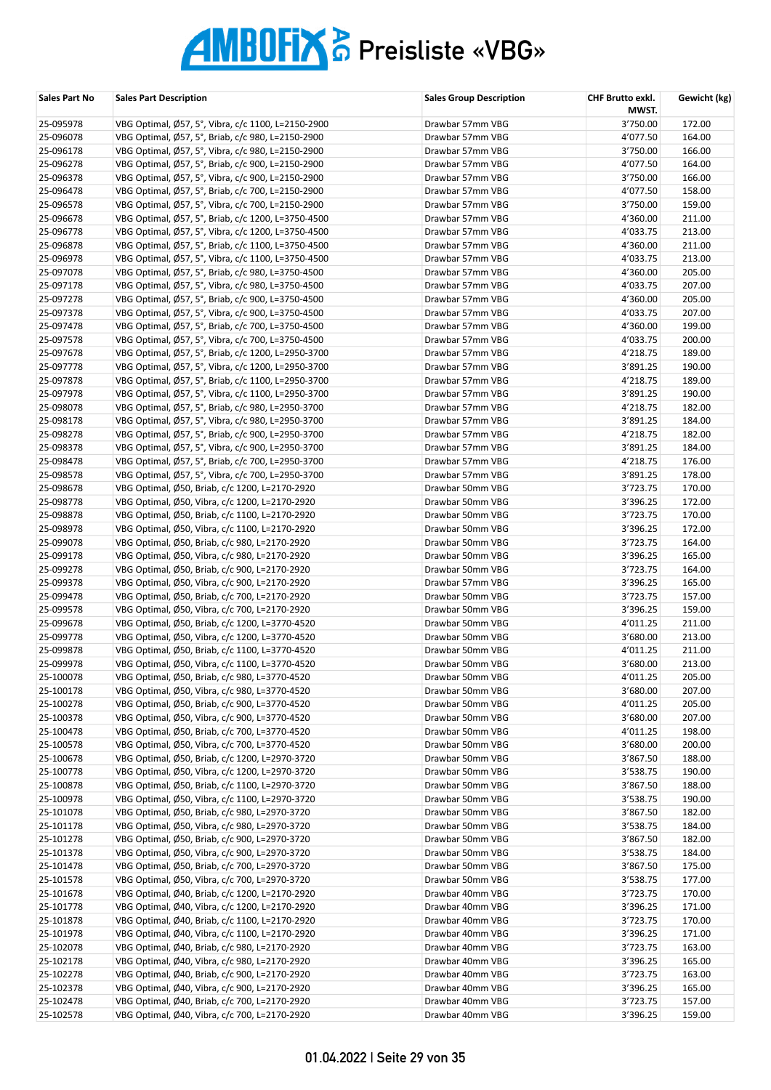| Sales Part No          | <b>Sales Part Description</b>                                                                  | <b>Sales Group Description</b>       | CHF Brutto exkl.<br>MWST. | Gewicht (kg)     |
|------------------------|------------------------------------------------------------------------------------------------|--------------------------------------|---------------------------|------------------|
| 25-095978              | VBG Optimal, Ø57, 5°, Vibra, c/c 1100, L=2150-2900                                             | Drawbar 57mm VBG                     | 3'750.00                  | 172.00           |
| 25-096078              | VBG Optimal, Ø57, 5°, Briab, c/c 980, L=2150-2900                                              | Drawbar 57mm VBG                     | 4'077.50                  | 164.00           |
| 25-096178              | VBG Optimal, Ø57, 5°, Vibra, c/c 980, L=2150-2900                                              | Drawbar 57mm VBG                     | 3'750.00                  | 166.00           |
| 25-096278              | VBG Optimal, Ø57, 5°, Briab, c/c 900, L=2150-2900                                              | Drawbar 57mm VBG                     | 4'077.50                  | 164.00           |
| 25-096378              | VBG Optimal, Ø57, 5°, Vibra, c/c 900, L=2150-2900                                              | Drawbar 57mm VBG                     | 3'750.00                  | 166.00           |
| 25-096478              | VBG Optimal, Ø57, 5°, Briab, c/c 700, L=2150-2900                                              | Drawbar 57mm VBG                     | 4'077.50                  | 158.00           |
| 25-096578              | VBG Optimal, Ø57, 5°, Vibra, c/c 700, L=2150-2900                                              | Drawbar 57mm VBG                     | 3'750.00                  | 159.00           |
| 25-096678              | VBG Optimal, Ø57, 5°, Briab, c/c 1200, L=3750-4500                                             | Drawbar 57mm VBG                     | 4'360.00                  | 211.00           |
| 25-096778              | VBG Optimal, Ø57, 5°, Vibra, c/c 1200, L=3750-4500                                             | Drawbar 57mm VBG                     | 4'033.75                  | 213.00           |
| 25-096878              | VBG Optimal, Ø57, 5°, Briab, c/c 1100, L=3750-4500                                             | Drawbar 57mm VBG                     | 4'360.00                  | 211.00           |
| 25-096978              | VBG Optimal, Ø57, 5°, Vibra, c/c 1100, L=3750-4500                                             | Drawbar 57mm VBG                     | 4'033.75                  | 213.00           |
| 25-097078              | VBG Optimal, Ø57, 5°, Briab, c/c 980, L=3750-4500                                              | Drawbar 57mm VBG                     | 4'360.00                  | 205.00           |
| 25-097178              | VBG Optimal, Ø57, 5°, Vibra, c/c 980, L=3750-4500                                              | Drawbar 57mm VBG                     | 4'033.75                  | 207.00           |
| 25-097278              | VBG Optimal, Ø57, 5°, Briab, c/c 900, L=3750-4500                                              | Drawbar 57mm VBG                     | 4'360.00                  | 205.00           |
| 25-097378              | VBG Optimal, Ø57, 5°, Vibra, c/c 900, L=3750-4500                                              | Drawbar 57mm VBG                     | 4'033.75                  | 207.00           |
| 25-097478              | VBG Optimal, Ø57, 5°, Briab, c/c 700, L=3750-4500                                              | Drawbar 57mm VBG                     | 4'360.00                  | 199.00           |
| 25-097578              | VBG Optimal, Ø57, 5°, Vibra, c/c 700, L=3750-4500                                              | Drawbar 57mm VBG                     | 4'033.75                  | 200.00           |
| 25-097678              | VBG Optimal, Ø57, 5°, Briab, c/c 1200, L=2950-3700                                             | Drawbar 57mm VBG                     | 4'218.75                  | 189.00           |
| 25-097778              | VBG Optimal, Ø57, 5°, Vibra, c/c 1200, L=2950-3700                                             | Drawbar 57mm VBG                     | 3'891.25                  | 190.00           |
| 25-097878              | VBG Optimal, Ø57, 5°, Briab, c/c 1100, L=2950-3700                                             | Drawbar 57mm VBG                     | 4'218.75                  | 189.00           |
| 25-097978              | VBG Optimal, Ø57, 5°, Vibra, c/c 1100, L=2950-3700                                             | Drawbar 57mm VBG                     | 3'891.25                  | 190.00           |
| 25-098078              | VBG Optimal, Ø57, 5°, Briab, c/c 980, L=2950-3700                                              | Drawbar 57mm VBG                     | 4'218.75                  | 182.00           |
| 25-098178              | VBG Optimal, Ø57, 5°, Vibra, c/c 980, L=2950-3700                                              | Drawbar 57mm VBG                     | 3'891.25                  | 184.00           |
| 25-098278              | VBG Optimal, Ø57, 5°, Briab, c/c 900, L=2950-3700                                              | Drawbar 57mm VBG                     | 4'218.75                  | 182.00           |
| 25-098378              | VBG Optimal, Ø57, 5°, Vibra, c/c 900, L=2950-3700                                              | Drawbar 57mm VBG                     | 3'891.25                  | 184.00           |
| 25-098478              | VBG Optimal, Ø57, 5°, Briab, c/c 700, L=2950-3700                                              | Drawbar 57mm VBG                     | 4'218.75                  | 176.00           |
| 25-098578              | VBG Optimal, Ø57, 5°, Vibra, c/c 700, L=2950-3700                                              | Drawbar 57mm VBG                     | 3'891.25                  | 178.00           |
| 25-098678              | VBG Optimal, Ø50, Briab, c/c 1200, L=2170-2920                                                 | Drawbar 50mm VBG                     | 3'723.75                  | 170.00           |
| 25-098778              | VBG Optimal, Ø50, Vibra, c/c 1200, L=2170-2920                                                 | Drawbar 50mm VBG                     | 3'396.25                  | 172.00           |
| 25-098878              | VBG Optimal, Ø50, Briab, c/c 1100, L=2170-2920                                                 | Drawbar 50mm VBG                     | 3'723.75                  | 170.00           |
| 25-098978              | VBG Optimal, Ø50, Vibra, c/c 1100, L=2170-2920                                                 | Drawbar 50mm VBG                     | 3'396.25                  | 172.00           |
| 25-099078<br>25-099178 | VBG Optimal, Ø50, Briab, c/c 980, L=2170-2920                                                  | Drawbar 50mm VBG<br>Drawbar 50mm VBG | 3'723.75<br>3'396.25      | 164.00<br>165.00 |
| 25-099278              | VBG Optimal, Ø50, Vibra, c/c 980, L=2170-2920<br>VBG Optimal, Ø50, Briab, c/c 900, L=2170-2920 | Drawbar 50mm VBG                     | 3'723.75                  | 164.00           |
| 25-099378              | VBG Optimal, Ø50, Vibra, c/c 900, L=2170-2920                                                  | Drawbar 57mm VBG                     | 3'396.25                  | 165.00           |
| 25-099478              | VBG Optimal, Ø50, Briab, c/c 700, L=2170-2920                                                  | Drawbar 50mm VBG                     | 3'723.75                  | 157.00           |
| 25-099578              | VBG Optimal, Ø50, Vibra, c/c 700, L=2170-2920                                                  | Drawbar 50mm VBG                     | 3'396.25                  | 159.00           |
| 25-099678              | VBG Optimal, Ø50, Briab, c/c 1200, L=3770-4520                                                 | Drawbar 50mm VBG                     | 4'011.25                  | 211.00           |
| 25-099778              | VBG Optimal, Ø50, Vibra, c/c 1200, L=3770-4520                                                 | Drawbar 50mm VBG                     | 3'680.00                  | 213.00           |
| 25-099878              | VBG Optimal, Ø50, Briab, c/c 1100, L=3770-4520                                                 | Drawbar 50mm VBG                     | 4'011.25                  | 211.00           |
| 25-099978              | VBG Optimal, Ø50, Vibra, c/c 1100, L=3770-4520                                                 | Drawbar 50mm VBG                     | 3'680.00                  | 213.00           |
| 25-100078              | VBG Optimal, Ø50, Briab, c/c 980, L=3770-4520                                                  | Drawbar 50mm VBG                     | 4'011.25                  | 205.00           |
| 25-100178              | VBG Optimal, Ø50, Vibra, c/c 980, L=3770-4520                                                  | Drawbar 50mm VBG                     | 3'680.00                  | 207.00           |
| 25-100278              | VBG Optimal, Ø50, Briab, c/c 900, L=3770-4520                                                  | Drawbar 50mm VBG                     | 4'011.25                  | 205.00           |
| 25-100378              | VBG Optimal, Ø50, Vibra, c/c 900, L=3770-4520                                                  | Drawbar 50mm VBG                     | 3'680.00                  | 207.00           |
| 25-100478              | VBG Optimal, Ø50, Briab, c/c 700, L=3770-4520                                                  | Drawbar 50mm VBG                     | 4'011.25                  | 198.00           |
| 25-100578              | VBG Optimal, Ø50, Vibra, c/c 700, L=3770-4520                                                  | Drawbar 50mm VBG                     | 3'680.00                  | 200.00           |
| 25-100678              | VBG Optimal, Ø50, Briab, c/c 1200, L=2970-3720                                                 | Drawbar 50mm VBG                     | 3'867.50                  | 188.00           |
| 25-100778              | VBG Optimal, Ø50, Vibra, c/c 1200, L=2970-3720                                                 | Drawbar 50mm VBG                     | 3'538.75                  | 190.00           |
| 25-100878              | VBG Optimal, Ø50, Briab, c/c 1100, L=2970-3720                                                 | Drawbar 50mm VBG                     | 3'867.50                  | 188.00           |
| 25-100978              | VBG Optimal, Ø50, Vibra, c/c 1100, L=2970-3720                                                 | Drawbar 50mm VBG                     | 3'538.75                  | 190.00           |
| 25-101078              | VBG Optimal, Ø50, Briab, c/c 980, L=2970-3720                                                  | Drawbar 50mm VBG                     | 3'867.50                  | 182.00           |
| 25-101178              | VBG Optimal, Ø50, Vibra, c/c 980, L=2970-3720                                                  | Drawbar 50mm VBG                     | 3'538.75                  | 184.00           |
| 25-101278              | VBG Optimal, Ø50, Briab, c/c 900, L=2970-3720                                                  | Drawbar 50mm VBG                     | 3'867.50                  | 182.00           |
| 25-101378              | VBG Optimal, Ø50, Vibra, c/c 900, L=2970-3720                                                  | Drawbar 50mm VBG                     | 3'538.75                  | 184.00           |
| 25-101478              | VBG Optimal, Ø50, Briab, c/c 700, L=2970-3720                                                  | Drawbar 50mm VBG                     | 3'867.50                  | 175.00           |
| 25-101578              | VBG Optimal, Ø50, Vibra, c/c 700, L=2970-3720                                                  | Drawbar 50mm VBG                     | 3'538.75                  | 177.00           |
| 25-101678              | VBG Optimal, Ø40, Briab, c/c 1200, L=2170-2920                                                 | Drawbar 40mm VBG                     | 3'723.75                  | 170.00           |
| 25-101778              | VBG Optimal, Ø40, Vibra, c/c 1200, L=2170-2920                                                 | Drawbar 40mm VBG                     | 3'396.25                  | 171.00           |
| 25-101878              | VBG Optimal, Ø40, Briab, c/c 1100, L=2170-2920                                                 | Drawbar 40mm VBG                     | 3'723.75                  | 170.00           |
| 25-101978              | VBG Optimal, Ø40, Vibra, c/c 1100, L=2170-2920                                                 | Drawbar 40mm VBG                     | 3'396.25                  | 171.00           |
| 25-102078              | VBG Optimal, Ø40, Briab, c/c 980, L=2170-2920                                                  | Drawbar 40mm VBG                     | 3'723.75                  | 163.00           |
| 25-102178              | VBG Optimal, Ø40, Vibra, c/c 980, L=2170-2920                                                  | Drawbar 40mm VBG                     | 3'396.25                  | 165.00           |
| 25-102278              | VBG Optimal, Ø40, Briab, c/c 900, L=2170-2920                                                  | Drawbar 40mm VBG                     | 3'723.75                  | 163.00           |
| 25-102378              | VBG Optimal, Ø40, Vibra, c/c 900, L=2170-2920                                                  | Drawbar 40mm VBG                     | 3'396.25                  | 165.00           |
| 25-102478              | VBG Optimal, Ø40, Briab, c/c 700, L=2170-2920                                                  | Drawbar 40mm VBG                     | 3'723.75                  | 157.00           |
| 25-102578              | VBG Optimal, Ø40, Vibra, c/c 700, L=2170-2920                                                  | Drawbar 40mm VBG                     | 3'396.25                  | 159.00           |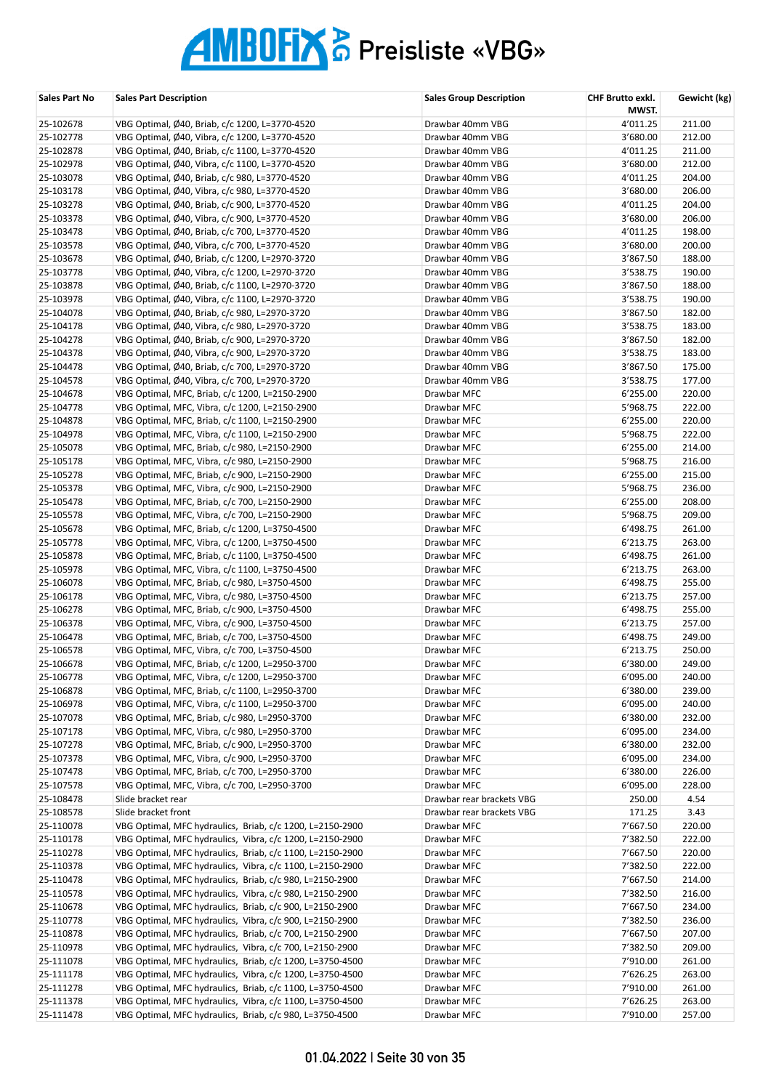| Sales Part No          | <b>Sales Part Description</b>                             | <b>Sales Group Description</b> | <b>CHF Brutto exkl.</b><br>MWST. | Gewicht (kg)   |
|------------------------|-----------------------------------------------------------|--------------------------------|----------------------------------|----------------|
| 25-102678              | VBG Optimal, Ø40, Briab, c/c 1200, L=3770-4520            | Drawbar 40mm VBG               | 4'011.25                         | 211.00         |
| 25-102778              | VBG Optimal, Ø40, Vibra, c/c 1200, L=3770-4520            | Drawbar 40mm VBG               | 3'680.00                         | 212.00         |
| 25-102878              | VBG Optimal, Ø40, Briab, c/c 1100, L=3770-4520            | Drawbar 40mm VBG               | 4'011.25                         | 211.00         |
| 25-102978              | VBG Optimal, Ø40, Vibra, c/c 1100, L=3770-4520            | Drawbar 40mm VBG               | 3'680.00                         | 212.00         |
| 25-103078              | VBG Optimal, Ø40, Briab, c/c 980, L=3770-4520             | Drawbar 40mm VBG               | 4'011.25                         | 204.00         |
| 25-103178              | VBG Optimal, Ø40, Vibra, c/c 980, L=3770-4520             | Drawbar 40mm VBG               | 3'680.00                         | 206.00         |
| 25-103278              | VBG Optimal, Ø40, Briab, c/c 900, L=3770-4520             | Drawbar 40mm VBG               | 4'011.25                         | 204.00         |
| 25-103378              | VBG Optimal, Ø40, Vibra, c/c 900, L=3770-4520             | Drawbar 40mm VBG               | 3'680.00                         | 206.00         |
| 25-103478              | VBG Optimal, Ø40, Briab, c/c 700, L=3770-4520             | Drawbar 40mm VBG               | 4'011.25                         | 198.00         |
| 25-103578              | VBG Optimal, Ø40, Vibra, c/c 700, L=3770-4520             | Drawbar 40mm VBG               | 3'680.00                         | 200.00         |
| 25-103678              | VBG Optimal, Ø40, Briab, c/c 1200, L=2970-3720            | Drawbar 40mm VBG               | 3'867.50                         | 188.00         |
| 25-103778              | VBG Optimal, Ø40, Vibra, c/c 1200, L=2970-3720            | Drawbar 40mm VBG               | 3'538.75                         | 190.00         |
| 25-103878              | VBG Optimal, Ø40, Briab, c/c 1100, L=2970-3720            | Drawbar 40mm VBG               | 3'867.50                         | 188.00         |
| 25-103978              | VBG Optimal, Ø40, Vibra, c/c 1100, L=2970-3720            | Drawbar 40mm VBG               | 3'538.75                         | 190.00         |
| 25-104078              | VBG Optimal, Ø40, Briab, c/c 980, L=2970-3720             | Drawbar 40mm VBG               | 3'867.50                         | 182.00         |
| 25-104178              | VBG Optimal, Ø40, Vibra, c/c 980, L=2970-3720             | Drawbar 40mm VBG               | 3'538.75                         | 183.00         |
| 25-104278              | VBG Optimal, Ø40, Briab, c/c 900, L=2970-3720             | Drawbar 40mm VBG               | 3'867.50                         | 182.00         |
| 25-104378              | VBG Optimal, Ø40, Vibra, c/c 900, L=2970-3720             | Drawbar 40mm VBG               | 3'538.75                         | 183.00         |
| 25-104478              | VBG Optimal, Ø40, Briab, c/c 700, L=2970-3720             | Drawbar 40mm VBG               | 3'867.50                         | 175.00         |
| 25-104578              | VBG Optimal, Ø40, Vibra, c/c 700, L=2970-3720             | Drawbar 40mm VBG               | 3'538.75                         | 177.00         |
| 25-104678              | VBG Optimal, MFC, Briab, c/c 1200, L=2150-2900            | Drawbar MFC                    | 6'255.00                         | 220.00         |
| 25-104778              | VBG Optimal, MFC, Vibra, c/c 1200, L=2150-2900            | Drawbar MFC                    | 5'968.75                         | 222.00         |
| 25-104878              | VBG Optimal, MFC, Briab, c/c 1100, L=2150-2900            | Drawbar MFC                    | 6'255.00                         | 220.00         |
| 25-104978              | VBG Optimal, MFC, Vibra, c/c 1100, L=2150-2900            | Drawbar MFC                    | 5'968.75                         | 222.00         |
| 25-105078              | VBG Optimal, MFC, Briab, c/c 980, L=2150-2900             | Drawbar MFC                    | 6'255.00                         | 214.00         |
| 25-105178              | VBG Optimal, MFC, Vibra, c/c 980, L=2150-2900             | Drawbar MFC                    | 5'968.75                         | 216.00         |
| 25-105278              | VBG Optimal, MFC, Briab, c/c 900, L=2150-2900             | Drawbar MFC                    | 6'255.00                         | 215.00         |
| 25-105378              | VBG Optimal, MFC, Vibra, c/c 900, L=2150-2900             | Drawbar MFC                    | 5'968.75                         | 236.00         |
| 25-105478              | VBG Optimal, MFC, Briab, c/c 700, L=2150-2900             | Drawbar MFC                    | 6'255.00                         | 208.00         |
| 25-105578              | VBG Optimal, MFC, Vibra, c/c 700, L=2150-2900             | Drawbar MFC                    | 5'968.75                         | 209.00         |
| 25-105678              | VBG Optimal, MFC, Briab, c/c 1200, L=3750-4500            | Drawbar MFC                    | 6'498.75                         | 261.00         |
| 25-105778              | VBG Optimal, MFC, Vibra, c/c 1200, L=3750-4500            | Drawbar MFC                    | 6'213.75                         | 263.00         |
| 25-105878              | VBG Optimal, MFC, Briab, c/c 1100, L=3750-4500            | Drawbar MFC                    | 6'498.75                         | 261.00         |
| 25-105978              | VBG Optimal, MFC, Vibra, c/c 1100, L=3750-4500            | Drawbar MFC                    | 6'213.75                         | 263.00         |
| 25-106078              | VBG Optimal, MFC, Briab, c/c 980, L=3750-4500             | Drawbar MFC                    | 6'498.75                         | 255.00         |
| 25-106178              | VBG Optimal, MFC, Vibra, c/c 980, L=3750-4500             | Drawbar MFC                    | 6'213.75                         | 257.00         |
| 25-106278              | VBG Optimal, MFC, Briab, c/c 900, L=3750-4500             | Drawbar MFC                    | 6'498.75                         | 255.00         |
| 25-106378              | VBG Optimal, MFC, Vibra, c/c 900, L=3750-4500             | Drawbar MFC                    | 6'213.75                         | 257.00         |
| 25-106478              | VBG Optimal, MFC, Briab, c/c 700, L=3750-4500             | Drawbar MFC                    | 6'498.75                         | 249.00         |
| 25-106578              | VBG Optimal, MFC, Vibra, c/c 700, L=3750-4500             | Drawbar MFC                    | 6'213.75                         | 250.00         |
| 25-106678              | VBG Optimal, MFC, Briab, c/c 1200, L=2950-3700            | Drawbar MFC                    | 6'380.00                         | 249.00         |
| 25-106778              | VBG Optimal, MFC, Vibra, c/c 1200, L=2950-3700            | Drawbar MFC                    | 6'095.00                         | 240.00         |
| 25-106878              | VBG Optimal, MFC, Briab, c/c 1100, L=2950-3700            | Drawbar MFC                    | 6'380.00                         | 239.00         |
| 25-106978              | VBG Optimal, MFC, Vibra, c/c 1100, L=2950-3700            | Drawbar MFC                    | 6'095.00                         | 240.00         |
| 25-107078              | VBG Optimal, MFC, Briab, c/c 980, L=2950-3700             | Drawbar MFC                    | 6'380.00                         | 232.00         |
| 25-107178              | VBG Optimal, MFC, Vibra, c/c 980, L=2950-3700             | Drawbar MFC                    | 6'095.00                         | 234.00         |
| 25-107278              | VBG Optimal, MFC, Briab, c/c 900, L=2950-3700             | Drawbar MFC                    | 6'380.00                         | 232.00         |
| 25-107378              | VBG Optimal, MFC, Vibra, c/c 900, L=2950-3700             | Drawbar MFC                    | 6'095.00                         | 234.00         |
| 25-107478              | VBG Optimal, MFC, Briab, c/c 700, L=2950-3700             | Drawbar MFC                    | 6'380.00                         | 226.00         |
| 25-107578              | VBG Optimal, MFC, Vibra, c/c 700, L=2950-3700             | Drawbar MFC                    | 6'095.00                         | 228.00         |
| 25-108478              | Slide bracket rear<br>Slide bracket front                 | Drawbar rear brackets VBG      | 250.00                           | 4.54           |
| 25-108578              | VBG Optimal, MFC hydraulics, Briab, c/c 1200, L=2150-2900 | Drawbar rear brackets VBG      | 171.25<br>7'667.50               | 3.43<br>220.00 |
| 25-110078<br>25-110178 | VBG Optimal, MFC hydraulics, Vibra, c/c 1200, L=2150-2900 | Drawbar MFC<br>Drawbar MFC     | 7'382.50                         | 222.00         |
| 25-110278              | VBG Optimal, MFC hydraulics, Briab, c/c 1100, L=2150-2900 | Drawbar MFC                    | 7'667.50                         | 220.00         |
| 25-110378              | VBG Optimal, MFC hydraulics, Vibra, c/c 1100, L=2150-2900 | Drawbar MFC                    | 7'382.50                         | 222.00         |
| 25-110478              | VBG Optimal, MFC hydraulics, Briab, c/c 980, L=2150-2900  | Drawbar MFC                    | 7'667.50                         | 214.00         |
| 25-110578              | VBG Optimal, MFC hydraulics, Vibra, c/c 980, L=2150-2900  | Drawbar MFC                    | 7'382.50                         | 216.00         |
| 25-110678              | VBG Optimal, MFC hydraulics, Briab, c/c 900, L=2150-2900  | Drawbar MFC                    | 7'667.50                         | 234.00         |
| 25-110778              | VBG Optimal, MFC hydraulics, Vibra, c/c 900, L=2150-2900  | Drawbar MFC                    | 7'382.50                         | 236.00         |
| 25-110878              | VBG Optimal, MFC hydraulics, Briab, c/c 700, L=2150-2900  | Drawbar MFC                    | 7'667.50                         | 207.00         |
| 25-110978              | VBG Optimal, MFC hydraulics, Vibra, c/c 700, L=2150-2900  | Drawbar MFC                    | 7'382.50                         | 209.00         |
| 25-111078              | VBG Optimal, MFC hydraulics, Briab, c/c 1200, L=3750-4500 | Drawbar MFC                    | 7'910.00                         | 261.00         |
| 25-111178              | VBG Optimal, MFC hydraulics, Vibra, c/c 1200, L=3750-4500 | Drawbar MFC                    | 7'626.25                         | 263.00         |
| 25-111278              | VBG Optimal, MFC hydraulics, Briab, c/c 1100, L=3750-4500 | Drawbar MFC                    | 7'910.00                         | 261.00         |
| 25-111378              | VBG Optimal, MFC hydraulics, Vibra, c/c 1100, L=3750-4500 | Drawbar MFC                    | 7'626.25                         | 263.00         |
| 25-111478              | VBG Optimal, MFC hydraulics, Briab, c/c 980, L=3750-4500  | Drawbar MFC                    | 7'910.00                         | 257.00         |
|                        |                                                           |                                |                                  |                |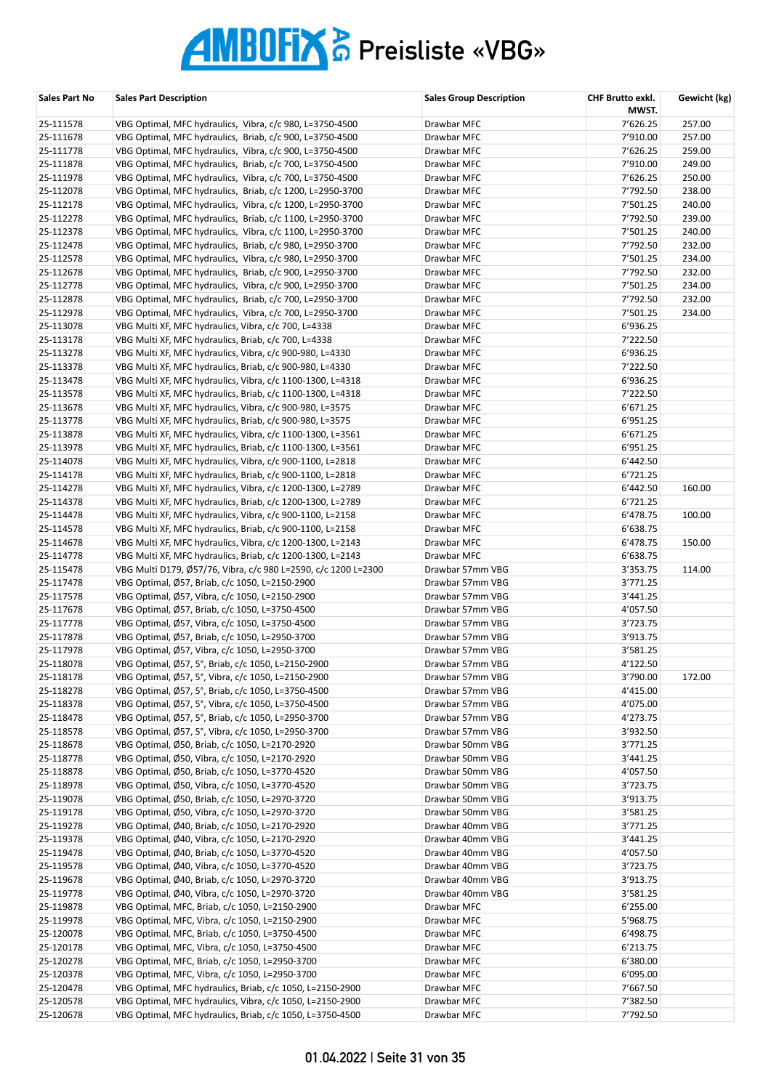| Sales Part No          | <b>Sales Part Description</b>                                                                                        | <b>Sales Group Description</b>       | CHF Brutto exkl.<br>MWST. | Gewicht (kg)     |
|------------------------|----------------------------------------------------------------------------------------------------------------------|--------------------------------------|---------------------------|------------------|
| 25-111578              | VBG Optimal, MFC hydraulics, Vibra, c/c 980, L=3750-4500                                                             | Drawbar MFC                          | 7'626.25                  | 257.00           |
| 25-111678              | VBG Optimal, MFC hydraulics, Briab, c/c 900, L=3750-4500                                                             | Drawbar MFC                          | 7'910.00                  | 257.00           |
| 25-111778              | VBG Optimal, MFC hydraulics, Vibra, c/c 900, L=3750-4500                                                             | Drawbar MFC                          | 7'626.25                  | 259.00           |
| 25-111878              | VBG Optimal, MFC hydraulics, Briab, c/c 700, L=3750-4500                                                             | Drawbar MFC                          | 7'910.00                  | 249.00           |
| 25-111978              | VBG Optimal, MFC hydraulics, Vibra, c/c 700, L=3750-4500                                                             | Drawbar MFC                          | 7'626.25                  | 250.00           |
| 25-112078              | VBG Optimal, MFC hydraulics, Briab, c/c 1200, L=2950-3700                                                            | Drawbar MFC                          | 7'792.50                  | 238.00           |
| 25-112178              | VBG Optimal, MFC hydraulics, Vibra, c/c 1200, L=2950-3700                                                            | Drawbar MFC                          | 7'501.25                  | 240.00           |
| 25-112278              | VBG Optimal, MFC hydraulics, Briab, c/c 1100, L=2950-3700                                                            | Drawbar MFC                          | 7'792.50                  | 239.00           |
| 25-112378              | VBG Optimal, MFC hydraulics, Vibra, c/c 1100, L=2950-3700                                                            | Drawbar MFC                          | 7'501.25                  | 240.00           |
| 25-112478              | VBG Optimal, MFC hydraulics, Briab, c/c 980, L=2950-3700                                                             | Drawbar MFC                          | 7'792.50                  | 232.00           |
| 25-112578              | VBG Optimal, MFC hydraulics, Vibra, c/c 980, L=2950-3700                                                             | Drawbar MFC                          | 7'501.25                  | 234.00           |
| 25-112678              | VBG Optimal, MFC hydraulics, Briab, c/c 900, L=2950-3700                                                             | Drawbar MFC                          | 7'792.50                  | 232.00           |
| 25-112778              | VBG Optimal, MFC hydraulics, Vibra, c/c 900, L=2950-3700                                                             | Drawbar MFC                          | 7'501.25                  | 234.00           |
| 25-112878<br>25-112978 | VBG Optimal, MFC hydraulics, Briab, c/c 700, L=2950-3700<br>VBG Optimal, MFC hydraulics, Vibra, c/c 700, L=2950-3700 | Drawbar MFC<br>Drawbar MFC           | 7'792.50<br>7'501.25      | 232.00<br>234.00 |
| 25-113078              | VBG Multi XF, MFC hydraulics, Vibra, c/c 700, L=4338                                                                 | Drawbar MFC                          | 6'936.25                  |                  |
| 25-113178              | VBG Multi XF, MFC hydraulics, Briab, c/c 700, L=4338                                                                 | Drawbar MFC                          | 7'222.50                  |                  |
| 25-113278              | VBG Multi XF, MFC hydraulics, Vibra, c/c 900-980, L=4330                                                             | Drawbar MFC                          | 6'936.25                  |                  |
| 25-113378              | VBG Multi XF, MFC hydraulics, Briab, c/c 900-980, L=4330                                                             | Drawbar MFC                          | 7'222.50                  |                  |
| 25-113478              | VBG Multi XF, MFC hydraulics, Vibra, c/c 1100-1300, L=4318                                                           | Drawbar MFC                          | 6'936.25                  |                  |
| 25-113578              | VBG Multi XF, MFC hydraulics, Briab, c/c 1100-1300, L=4318                                                           | Drawbar MFC                          | 7'222.50                  |                  |
| 25-113678              | VBG Multi XF, MFC hydraulics, Vibra, c/c 900-980, L=3575                                                             | Drawbar MFC                          | 6'671.25                  |                  |
| 25-113778              | VBG Multi XF, MFC hydraulics, Briab, c/c 900-980, L=3575                                                             | Drawbar MFC                          | 6'951.25                  |                  |
| 25-113878              | VBG Multi XF, MFC hydraulics, Vibra, c/c 1100-1300, L=3561                                                           | Drawbar MFC                          | 6'671.25                  |                  |
| 25-113978              | VBG Multi XF, MFC hydraulics, Briab, c/c 1100-1300, L=3561                                                           | Drawbar MFC                          | 6'951.25                  |                  |
| 25-114078              | VBG Multi XF, MFC hydraulics, Vibra, c/c 900-1100, L=2818                                                            | Drawbar MFC                          | 6'442.50                  |                  |
| 25-114178              | VBG Multi XF, MFC hydraulics, Briab, c/c 900-1100, L=2818                                                            | Drawbar MFC                          | 6'721.25                  |                  |
| 25-114278              | VBG Multi XF, MFC hydraulics, Vibra, c/c 1200-1300, L=2789                                                           | Drawbar MFC                          | 6'442.50                  | 160.00           |
| 25-114378              | VBG Multi XF, MFC hydraulics, Briab, c/c 1200-1300, L=2789                                                           | Drawbar MFC                          | 6'721.25                  |                  |
| 25-114478              | VBG Multi XF, MFC hydraulics, Vibra, c/c 900-1100, L=2158                                                            | Drawbar MFC                          | 6'478.75                  | 100.00           |
| 25-114578              | VBG Multi XF, MFC hydraulics, Briab, c/c 900-1100, L=2158                                                            | Drawbar MFC                          | 6'638.75                  |                  |
| 25-114678              | VBG Multi XF, MFC hydraulics, Vibra, c/c 1200-1300, L=2143                                                           | Drawbar MFC                          | 6'478.75                  | 150.00           |
| 25-114778              | VBG Multi XF, MFC hydraulics, Briab, c/c 1200-1300, L=2143                                                           | Drawbar MFC                          | 6'638.75                  |                  |
| 25-115478              | VBG Multi D179, Ø57/76, Vibra, c/c 980 L=2590, c/c 1200 L=2300                                                       | Drawbar 57mm VBG                     | 3'353.75                  | 114.00           |
| 25-117478              | VBG Optimal, Ø57, Briab, c/c 1050, L=2150-2900<br>VBG Optimal, Ø57, Vibra, c/c 1050, L=2150-2900                     | Drawbar 57mm VBG                     | 3'771.25                  |                  |
| 25-117578<br>25-117678 | VBG Optimal, Ø57, Briab, c/c 1050, L=3750-4500                                                                       | Drawbar 57mm VBG<br>Drawbar 57mm VBG | 3'441.25<br>4'057.50      |                  |
| 25-117778              | VBG Optimal, Ø57, Vibra, c/c 1050, L=3750-4500                                                                       | Drawbar 57mm VBG                     | 3'723.75                  |                  |
| 25-117878              | VBG Optimal, Ø57, Briab, c/c 1050, L=2950-3700                                                                       | Drawbar 57mm VBG                     | 3'913.75                  |                  |
| 25-117978              | VBG Optimal, Ø57, Vibra, c/c 1050, L=2950-3700                                                                       | Drawbar 57mm VBG                     | 3'581.25                  |                  |
| 25-118078              | VBG Optimal, Ø57, 5°, Briab, c/c 1050, L=2150-2900                                                                   | Drawbar 57mm VBG                     | 4'122.50                  |                  |
| 25-118178              | VBG Optimal, Ø57, 5°, Vibra, c/c 1050, L=2150-2900                                                                   | Drawbar 57mm VBG                     | 3'790.00                  | 172.00           |
| 25-118278              | VBG Optimal, Ø57, 5°, Briab, c/c 1050, L=3750-4500                                                                   | Drawbar 57mm VBG                     | 4'415.00                  |                  |
| 25-118378              | VBG Optimal, Ø57, 5°, Vibra, c/c 1050, L=3750-4500                                                                   | Drawbar 57mm VBG                     | 4'075.00                  |                  |
| 25-118478              | VBG Optimal, Ø57, 5°, Briab, c/c 1050, L=2950-3700                                                                   | Drawbar 57mm VBG                     | 4'273.75                  |                  |
| 25-118578              | VBG Optimal, Ø57, 5°, Vibra, c/c 1050, L=2950-3700                                                                   | Drawbar 57mm VBG                     | 3'932.50                  |                  |
| 25-118678              | VBG Optimal, Ø50, Briab, c/c 1050, L=2170-2920                                                                       | Drawbar 50mm VBG                     | 3'771.25                  |                  |
| 25-118778              | VBG Optimal, Ø50, Vibra, c/c 1050, L=2170-2920                                                                       | Drawbar 50mm VBG                     | 3'441.25                  |                  |
| 25-118878              | VBG Optimal, Ø50, Briab, c/c 1050, L=3770-4520                                                                       | Drawbar 50mm VBG                     | 4'057.50                  |                  |
| 25-118978              | VBG Optimal, Ø50, Vibra, c/c 1050, L=3770-4520                                                                       | Drawbar 50mm VBG                     | 3'723.75                  |                  |
| 25-119078              | VBG Optimal, Ø50, Briab, c/c 1050, L=2970-3720                                                                       | Drawbar 50mm VBG                     | 3'913.75                  |                  |
| 25-119178              | VBG Optimal, Ø50, Vibra, c/c 1050, L=2970-3720                                                                       | Drawbar 50mm VBG                     | 3'581.25                  |                  |
| 25-119278              | VBG Optimal, Ø40, Briab, c/c 1050, L=2170-2920                                                                       | Drawbar 40mm VBG                     | 3'771.25                  |                  |
| 25-119378              | VBG Optimal, Ø40, Vibra, c/c 1050, L=2170-2920                                                                       | Drawbar 40mm VBG                     | 3'441.25                  |                  |
| 25-119478              | VBG Optimal, Ø40, Briab, c/c 1050, L=3770-4520                                                                       | Drawbar 40mm VBG                     | 4'057.50                  |                  |
| 25-119578<br>25-119678 | VBG Optimal, Ø40, Vibra, c/c 1050, L=3770-4520<br>VBG Optimal, Ø40, Briab, c/c 1050, L=2970-3720                     | Drawbar 40mm VBG<br>Drawbar 40mm VBG | 3'723.75<br>3'913.75      |                  |
| 25-119778              | VBG Optimal, Ø40, Vibra, c/c 1050, L=2970-3720                                                                       | Drawbar 40mm VBG                     | 3'581.25                  |                  |
| 25-119878              | VBG Optimal, MFC, Briab, c/c 1050, L=2150-2900                                                                       | Drawbar MFC                          | 6'255.00                  |                  |
| 25-119978              | VBG Optimal, MFC, Vibra, c/c 1050, L=2150-2900                                                                       | Drawbar MFC                          | 5'968.75                  |                  |
| 25-120078              | VBG Optimal, MFC, Briab, c/c 1050, L=3750-4500                                                                       | Drawbar MFC                          | 6'498.75                  |                  |
| 25-120178              | VBG Optimal, MFC, Vibra, c/c 1050, L=3750-4500                                                                       | Drawbar MFC                          | 6'213.75                  |                  |
| 25-120278              | VBG Optimal, MFC, Briab, c/c 1050, L=2950-3700                                                                       | Drawbar MFC                          | 6'380.00                  |                  |
| 25-120378              | VBG Optimal, MFC, Vibra, c/c 1050, L=2950-3700                                                                       | Drawbar MFC                          | 6'095.00                  |                  |
| 25-120478              | VBG Optimal, MFC hydraulics, Briab, c/c 1050, L=2150-2900                                                            | Drawbar MFC                          | 7'667.50                  |                  |
| 25-120578              | VBG Optimal, MFC hydraulics, Vibra, c/c 1050, L=2150-2900                                                            | Drawbar MFC                          | 7'382.50                  |                  |
| 25-120678              | VBG Optimal, MFC hydraulics, Briab, c/c 1050, L=3750-4500                                                            | Drawbar MFC                          | 7'792.50                  |                  |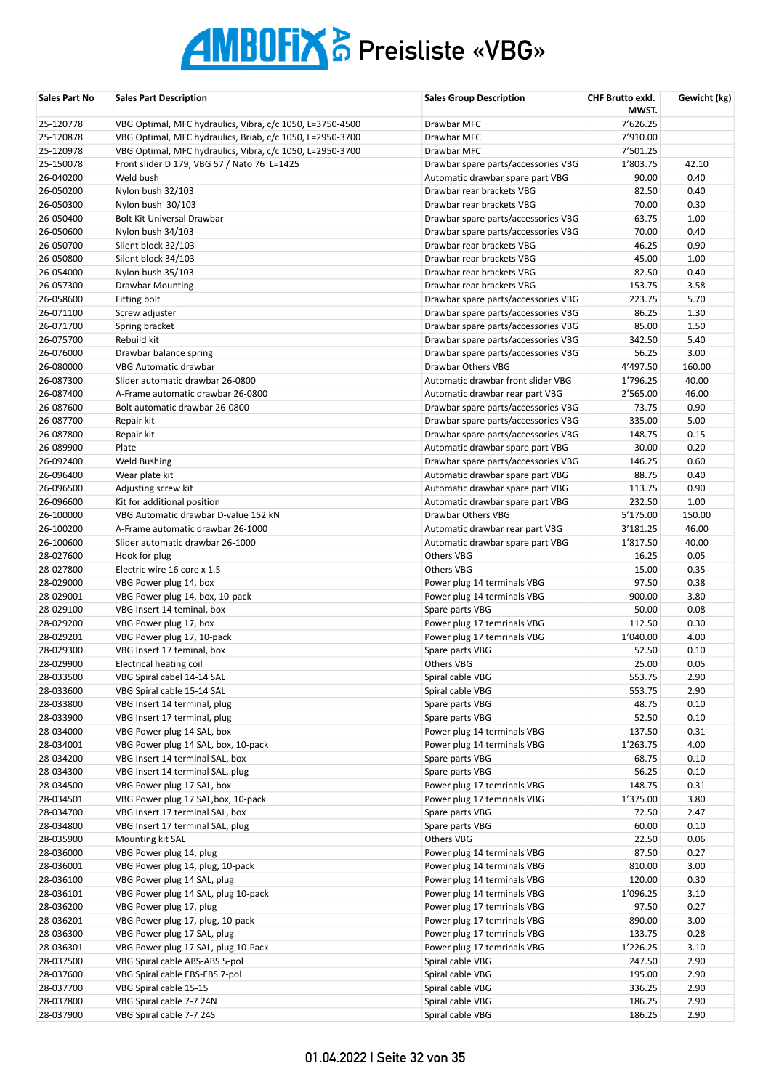| Sales Part No          | <b>Sales Part Description</b>                                    | <b>Sales Group Description</b>                                             | CHF Brutto exkl. | Gewicht (kg) |
|------------------------|------------------------------------------------------------------|----------------------------------------------------------------------------|------------------|--------------|
|                        |                                                                  |                                                                            | MWST.            |              |
| 25-120778              | VBG Optimal, MFC hydraulics, Vibra, c/c 1050, L=3750-4500        | Drawbar MFC                                                                | 7'626.25         |              |
| 25-120878              | VBG Optimal, MFC hydraulics, Briab, c/c 1050, L=2950-3700        | Drawbar MFC                                                                | 7'910.00         |              |
| 25-120978              | VBG Optimal, MFC hydraulics, Vibra, c/c 1050, L=2950-3700        | Drawbar MFC                                                                | 7'501.25         |              |
| 25-150078              | Front slider D 179, VBG 57 / Nato 76 L=1425                      | Drawbar spare parts/accessories VBG                                        | 1'803.75         | 42.10        |
| 26-040200              | Weld bush                                                        | Automatic drawbar spare part VBG                                           | 90.00            | 0.40         |
| 26-050200<br>26-050300 | Nylon bush 32/103                                                | Drawbar rear brackets VBG<br>Drawbar rear brackets VBG                     | 82.50            | 0.40         |
|                        | Nylon bush 30/103                                                |                                                                            | 70.00            | 0.30         |
| 26-050400<br>26-050600 | Bolt Kit Universal Drawbar<br>Nylon bush 34/103                  | Drawbar spare parts/accessories VBG<br>Drawbar spare parts/accessories VBG | 63.75<br>70.00   | 1.00<br>0.40 |
| 26-050700              | Silent block 32/103                                              | Drawbar rear brackets VBG                                                  | 46.25            | 0.90         |
| 26-050800              | Silent block 34/103                                              | Drawbar rear brackets VBG                                                  | 45.00            | 1.00         |
| 26-054000              | Nylon bush 35/103                                                | Drawbar rear brackets VBG                                                  | 82.50            | 0.40         |
| 26-057300              | <b>Drawbar Mounting</b>                                          | Drawbar rear brackets VBG                                                  | 153.75           | 3.58         |
| 26-058600              | Fitting bolt                                                     | Drawbar spare parts/accessories VBG                                        | 223.75           | 5.70         |
| 26-071100              | Screw adjuster                                                   | Drawbar spare parts/accessories VBG                                        | 86.25            | 1.30         |
| 26-071700              | Spring bracket                                                   | Drawbar spare parts/accessories VBG                                        | 85.00            | 1.50         |
| 26-075700              | Rebuild kit                                                      | Drawbar spare parts/accessories VBG                                        | 342.50           | 5.40         |
| 26-076000              | Drawbar balance spring                                           | Drawbar spare parts/accessories VBG                                        | 56.25            | 3.00         |
| 26-080000              | <b>VBG Automatic drawbar</b>                                     | Drawbar Others VBG                                                         | 4'497.50         | 160.00       |
| 26-087300              | Slider automatic drawbar 26-0800                                 | Automatic drawbar front slider VBG                                         | 1'796.25         | 40.00        |
| 26-087400              | A-Frame automatic drawbar 26-0800                                | Automatic drawbar rear part VBG                                            | 2'565.00         | 46.00        |
| 26-087600              | Bolt automatic drawbar 26-0800                                   | Drawbar spare parts/accessories VBG                                        | 73.75            | 0.90         |
| 26-087700              | Repair kit                                                       | Drawbar spare parts/accessories VBG                                        | 335.00           | 5.00         |
| 26-087800              | Repair kit                                                       | Drawbar spare parts/accessories VBG                                        | 148.75           | 0.15         |
| 26-089900              | Plate                                                            | Automatic drawbar spare part VBG                                           | 30.00            | 0.20         |
| 26-092400              | <b>Weld Bushing</b>                                              | Drawbar spare parts/accessories VBG                                        | 146.25           | 0.60         |
| 26-096400              | Wear plate kit                                                   | Automatic drawbar spare part VBG                                           | 88.75            | 0.40         |
| 26-096500              | Adjusting screw kit                                              | Automatic drawbar spare part VBG                                           | 113.75           | 0.90         |
| 26-096600              | Kit for additional position                                      | Automatic drawbar spare part VBG                                           | 232.50           | 1.00         |
| 26-100000              | VBG Automatic drawbar D-value 152 kN                             | Drawbar Others VBG                                                         | 5'175.00         | 150.00       |
| 26-100200              | A-Frame automatic drawbar 26-1000                                | Automatic drawbar rear part VBG                                            | 3'181.25         | 46.00        |
| 26-100600              | Slider automatic drawbar 26-1000                                 | Automatic drawbar spare part VBG                                           | 1'817.50         | 40.00        |
| 28-027600              | Hook for plug                                                    | <b>Others VBG</b>                                                          | 16.25            | 0.05         |
| 28-027800              | Electric wire 16 core x 1.5                                      | Others VBG                                                                 | 15.00            | 0.35         |
| 28-029000              | VBG Power plug 14, box                                           | Power plug 14 terminals VBG                                                | 97.50            | 0.38         |
| 28-029001              | VBG Power plug 14, box, 10-pack                                  | Power plug 14 terminals VBG                                                | 900.00           | 3.80         |
| 28-029100              | VBG Insert 14 teminal, box                                       | Spare parts VBG                                                            | 50.00            | 0.08         |
| 28-029200              | VBG Power plug 17, box                                           | Power plug 17 temrinals VBG                                                | 112.50           | 0.30         |
| 28-029201              | VBG Power plug 17, 10-pack                                       | Power plug 17 temrinals VBG                                                | 1'040.00         | 4.00         |
| 28-029300              | VBG Insert 17 teminal, box                                       | Spare parts VBG                                                            | 52.50            | 0.10         |
| 28-029900              | Electrical heating coil                                          | <b>Others VBG</b>                                                          | 25.00            | 0.05         |
| 28-033500              | VBG Spiral cabel 14-14 SAL                                       | Spiral cable VBG                                                           | 553.75           | 2.90         |
| 28-033600              | VBG Spiral cable 15-14 SAL                                       | Spiral cable VBG                                                           | 553.75           | 2.90         |
| 28-033800              | VBG Insert 14 terminal, plug                                     | Spare parts VBG                                                            | 48.75            | 0.10         |
| 28-033900              | VBG Insert 17 terminal, plug                                     | Spare parts VBG                                                            | 52.50            | 0.10         |
| 28-034000              | VBG Power plug 14 SAL, box                                       | Power plug 14 terminals VBG                                                | 137.50           | 0.31         |
| 28-034001              | VBG Power plug 14 SAL, box, 10-pack                              | Power plug 14 terminals VBG                                                | 1'263.75         | 4.00         |
| 28-034200              | VBG Insert 14 terminal SAL, box                                  | Spare parts VBG                                                            | 68.75            | 0.10         |
| 28-034300              | VBG Insert 14 terminal SAL, plug                                 | Spare parts VBG                                                            | 56.25            | 0.10         |
| 28-034500              | VBG Power plug 17 SAL, box                                       | Power plug 17 temrinals VBG                                                | 148.75           | 0.31         |
| 28-034501              | VBG Power plug 17 SAL, box, 10-pack                              | Power plug 17 temrinals VBG                                                | 1'375.00         | 3.80         |
| 28-034700              | VBG Insert 17 terminal SAL, box                                  | Spare parts VBG                                                            | 72.50            | 2.47         |
| 28-034800              | VBG Insert 17 terminal SAL, plug                                 | Spare parts VBG                                                            | 60.00            | 0.10         |
| 28-035900              | Mounting kit SAL                                                 | Others VBG                                                                 | 22.50            | 0.06         |
| 28-036000              | VBG Power plug 14, plug                                          | Power plug 14 terminals VBG                                                | 87.50            | 0.27         |
| 28-036001              | VBG Power plug 14, plug, 10-pack                                 | Power plug 14 terminals VBG                                                | 810.00           | 3.00         |
| 28-036100              | VBG Power plug 14 SAL, plug                                      | Power plug 14 terminals VBG                                                | 120.00           | 0.30         |
| 28-036101              | VBG Power plug 14 SAL, plug 10-pack                              | Power plug 14 terminals VBG                                                | 1'096.25         | 3.10         |
| 28-036200              | VBG Power plug 17, plug                                          | Power plug 17 temrinals VBG                                                | 97.50            | 0.27         |
| 28-036201<br>28-036300 | VBG Power plug 17, plug, 10-pack<br>VBG Power plug 17 SAL, plug  | Power plug 17 temrinals VBG<br>Power plug 17 temrinals VBG                 | 890.00<br>133.75 | 3.00<br>0.28 |
| 28-036301              | VBG Power plug 17 SAL, plug 10-Pack                              | Power plug 17 temrinals VBG                                                | 1'226.25         | 3.10         |
| 28-037500              |                                                                  | Spiral cable VBG                                                           | 247.50           | 2.90         |
| 28-037600              | VBG Spiral cable ABS-ABS 5-pol<br>VBG Spiral cable EBS-EBS 7-pol | Spiral cable VBG                                                           | 195.00           | 2.90         |
| 28-037700              | VBG Spiral cable 15-15                                           | Spiral cable VBG                                                           | 336.25           | 2.90         |
| 28-037800              | VBG Spiral cable 7-7 24N                                         | Spiral cable VBG                                                           | 186.25           | 2.90         |
| 28-037900              | VBG Spiral cable 7-7 24S                                         | Spiral cable VBG                                                           | 186.25           | 2.90         |
|                        |                                                                  |                                                                            |                  |              |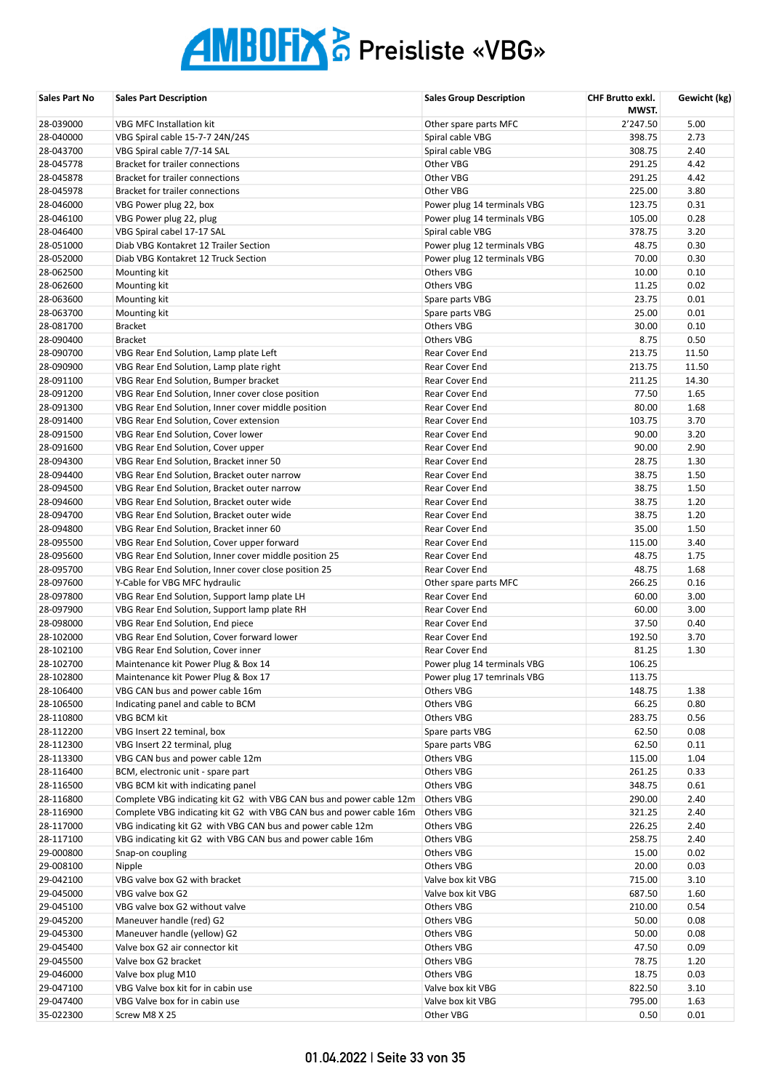| Sales Part No          | <b>Sales Part Description</b>                                                                                            | <b>Sales Group Description</b>         | CHF Brutto exkl.<br>MWST. | Gewicht (kg)  |
|------------------------|--------------------------------------------------------------------------------------------------------------------------|----------------------------------------|---------------------------|---------------|
| 28-039000              | <b>VBG MFC Installation kit</b>                                                                                          | Other spare parts MFC                  | 2'247.50                  | 5.00          |
| 28-040000              | VBG Spiral cable 15-7-7 24N/24S                                                                                          | Spiral cable VBG                       | 398.75                    | 2.73          |
| 28-043700              | VBG Spiral cable 7/7-14 SAL                                                                                              | Spiral cable VBG                       | 308.75                    | 2.40          |
| 28-045778              | Bracket for trailer connections                                                                                          | Other VBG                              | 291.25                    | 4.42          |
| 28-045878              | <b>Bracket for trailer connections</b>                                                                                   | Other VBG                              | 291.25                    | 4.42          |
| 28-045978              | <b>Bracket for trailer connections</b>                                                                                   | Other VBG                              | 225.00                    | 3.80          |
| 28-046000              | VBG Power plug 22, box                                                                                                   | Power plug 14 terminals VBG            | 123.75                    | 0.31          |
| 28-046100              | VBG Power plug 22, plug                                                                                                  | Power plug 14 terminals VBG            | 105.00                    | 0.28          |
| 28-046400              | VBG Spiral cabel 17-17 SAL                                                                                               | Spiral cable VBG                       | 378.75                    | 3.20          |
| 28-051000              | Diab VBG Kontakret 12 Trailer Section                                                                                    | Power plug 12 terminals VBG            | 48.75                     | 0.30          |
| 28-052000              | Diab VBG Kontakret 12 Truck Section                                                                                      | Power plug 12 terminals VBG            | 70.00                     | 0.30          |
| 28-062500              | Mounting kit                                                                                                             | <b>Others VBG</b>                      | 10.00                     | 0.10          |
| 28-062600              | Mounting kit                                                                                                             | <b>Others VBG</b>                      | 11.25                     | 0.02          |
| 28-063600              | Mounting kit                                                                                                             | Spare parts VBG                        | 23.75                     | 0.01          |
| 28-063700              | Mounting kit                                                                                                             | Spare parts VBG                        | 25.00                     | 0.01          |
| 28-081700              | <b>Bracket</b><br><b>Bracket</b>                                                                                         | <b>Others VBG</b><br><b>Others VBG</b> | 30.00                     | 0.10          |
| 28-090400<br>28-090700 | VBG Rear End Solution, Lamp plate Left                                                                                   | Rear Cover End                         | 8.75<br>213.75            | 0.50<br>11.50 |
| 28-090900              | VBG Rear End Solution, Lamp plate right                                                                                  | Rear Cover End                         | 213.75                    | 11.50         |
| 28-091100              | VBG Rear End Solution, Bumper bracket                                                                                    | Rear Cover End                         | 211.25                    | 14.30         |
| 28-091200              | VBG Rear End Solution, Inner cover close position                                                                        | Rear Cover End                         | 77.50                     | 1.65          |
| 28-091300              | VBG Rear End Solution, Inner cover middle position                                                                       | Rear Cover End                         | 80.00                     | 1.68          |
| 28-091400              | VBG Rear End Solution, Cover extension                                                                                   | Rear Cover End                         | 103.75                    | 3.70          |
| 28-091500              | VBG Rear End Solution, Cover lower                                                                                       | Rear Cover End                         | 90.00                     | 3.20          |
| 28-091600              | VBG Rear End Solution, Cover upper                                                                                       | Rear Cover End                         | 90.00                     | 2.90          |
| 28-094300              | VBG Rear End Solution, Bracket inner 50                                                                                  | Rear Cover End                         | 28.75                     | 1.30          |
| 28-094400              | VBG Rear End Solution, Bracket outer narrow                                                                              | Rear Cover End                         | 38.75                     | 1.50          |
| 28-094500              | VBG Rear End Solution, Bracket outer narrow                                                                              | Rear Cover End                         | 38.75                     | 1.50          |
| 28-094600              | VBG Rear End Solution, Bracket outer wide                                                                                | Rear Cover End                         | 38.75                     | 1.20          |
| 28-094700              | VBG Rear End Solution, Bracket outer wide                                                                                | Rear Cover End                         | 38.75                     | 1.20          |
| 28-094800              | VBG Rear End Solution, Bracket inner 60                                                                                  | Rear Cover End                         | 35.00                     | 1.50          |
| 28-095500              | VBG Rear End Solution, Cover upper forward                                                                               | Rear Cover End                         | 115.00                    | 3.40          |
| 28-095600              | VBG Rear End Solution, Inner cover middle position 25                                                                    | Rear Cover End                         | 48.75                     | 1.75          |
| 28-095700              | VBG Rear End Solution, Inner cover close position 25                                                                     | Rear Cover End                         | 48.75                     | 1.68          |
| 28-097600              | Y-Cable for VBG MFC hydraulic                                                                                            | Other spare parts MFC                  | 266.25                    | 0.16          |
| 28-097800              | VBG Rear End Solution, Support lamp plate LH                                                                             | Rear Cover End                         | 60.00                     | 3.00          |
| 28-097900              | VBG Rear End Solution, Support lamp plate RH                                                                             | Rear Cover End                         | 60.00                     | 3.00          |
| 28-098000              | VBG Rear End Solution, End piece                                                                                         | Rear Cover End                         | 37.50                     | 0.40          |
| 28-102000              | VBG Rear End Solution, Cover forward lower                                                                               | Rear Cover End                         | 192.50                    | 3.70          |
| 28-102100              | VBG Rear End Solution, Cover inner                                                                                       | Rear Cover End                         | 81.25                     | 1.30          |
| 28-102700              | Maintenance kit Power Plug & Box 14                                                                                      | Power plug 14 terminals VBG            | 106.25                    |               |
| 28-102800              | Maintenance kit Power Plug & Box 17                                                                                      | Power plug 17 temrinals VBG            | 113.75                    |               |
| 28-106400              | VBG CAN bus and power cable 16m                                                                                          | Others VBG                             | 148.75                    | 1.38          |
| 28-106500              | Indicating panel and cable to BCM                                                                                        | Others VBG                             | 66.25                     | 0.80          |
| 28-110800              | VBG BCM kit                                                                                                              | Others VBG                             | 283.75                    | 0.56          |
| 28-112200              | VBG Insert 22 teminal, box                                                                                               | Spare parts VBG                        | 62.50                     | 0.08          |
| 28-112300              | VBG Insert 22 terminal, plug                                                                                             | Spare parts VBG                        | 62.50                     | 0.11          |
| 28-113300              | VBG CAN bus and power cable 12m                                                                                          | Others VBG                             | 115.00                    | 1.04          |
| 28-116400              | BCM, electronic unit - spare part                                                                                        | Others VBG                             | 261.25                    | 0.33          |
| 28-116500              | VBG BCM kit with indicating panel                                                                                        | Others VBG                             | 348.75                    | 0.61          |
| 28-116800              | Complete VBG indicating kit G2 with VBG CAN bus and power cable 12m                                                      | Others VBG                             | 290.00                    | 2.40          |
| 28-116900<br>28-117000 | Complete VBG indicating kit G2 with VBG CAN bus and power cable 16m                                                      | Others VBG<br><b>Others VBG</b>        | 321.25<br>226.25          | 2.40<br>2.40  |
| 28-117100              | VBG indicating kit G2 with VBG CAN bus and power cable 12m<br>VBG indicating kit G2 with VBG CAN bus and power cable 16m | Others VBG                             | 258.75                    | 2.40          |
| 29-000800              | Snap-on coupling                                                                                                         | Others VBG                             | 15.00                     | 0.02          |
| 29-008100              | Nipple                                                                                                                   | Others VBG                             | 20.00                     | 0.03          |
| 29-042100              | VBG valve box G2 with bracket                                                                                            | Valve box kit VBG                      | 715.00                    | 3.10          |
| 29-045000              | VBG valve box G2                                                                                                         | Valve box kit VBG                      | 687.50                    | 1.60          |
| 29-045100              | VBG valve box G2 without valve                                                                                           | Others VBG                             | 210.00                    | 0.54          |
| 29-045200              | Maneuver handle (red) G2                                                                                                 | Others VBG                             | 50.00                     | 0.08          |
| 29-045300              | Maneuver handle (yellow) G2                                                                                              | Others VBG                             | 50.00                     | 0.08          |
| 29-045400              | Valve box G2 air connector kit                                                                                           | Others VBG                             | 47.50                     | 0.09          |
| 29-045500              | Valve box G2 bracket                                                                                                     | Others VBG                             | 78.75                     | 1.20          |
| 29-046000              | Valve box plug M10                                                                                                       | Others VBG                             | 18.75                     | 0.03          |
| 29-047100              | VBG Valve box kit for in cabin use                                                                                       | Valve box kit VBG                      | 822.50                    | 3.10          |
| 29-047400              | VBG Valve box for in cabin use                                                                                           | Valve box kit VBG                      | 795.00                    | 1.63          |
| 35-022300              | Screw M8 X 25                                                                                                            | Other VBG                              | 0.50                      | 0.01          |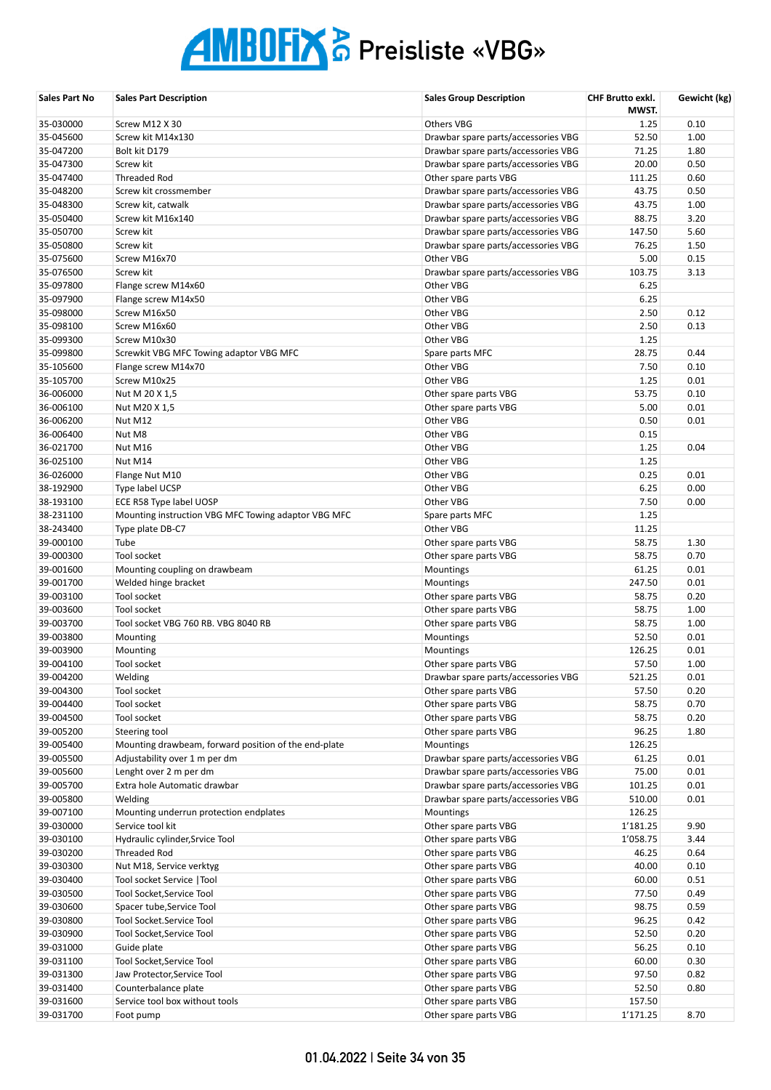| <b>Sales Part No</b>   | <b>Sales Part Description</b>                                         | <b>Sales Group Description</b>                   | CHF Brutto exkl.<br>MWST. | Gewicht (kg) |
|------------------------|-----------------------------------------------------------------------|--------------------------------------------------|---------------------------|--------------|
| 35-030000              | Screw M12 X 30                                                        | <b>Others VBG</b>                                | 1.25                      | 0.10         |
| 35-045600              | Screw kit M14x130                                                     | Drawbar spare parts/accessories VBG              | 52.50                     | 1.00         |
| 35-047200              | Bolt kit D179                                                         | Drawbar spare parts/accessories VBG              | 71.25                     | 1.80         |
| 35-047300              | Screw kit                                                             | Drawbar spare parts/accessories VBG              | 20.00                     | 0.50         |
| 35-047400              | Threaded Rod                                                          | Other spare parts VBG                            | 111.25                    | 0.60         |
| 35-048200              | Screw kit crossmember                                                 | Drawbar spare parts/accessories VBG              | 43.75                     | 0.50         |
| 35-048300              | Screw kit, catwalk                                                    | Drawbar spare parts/accessories VBG              | 43.75                     | 1.00         |
| 35-050400              | Screw kit M16x140                                                     | Drawbar spare parts/accessories VBG              | 88.75                     | 3.20         |
| 35-050700              | Screw kit<br><b>Screw kit</b>                                         | Drawbar spare parts/accessories VBG              | 147.50                    | 5.60         |
| 35-050800<br>35-075600 | Screw M16x70                                                          | Drawbar spare parts/accessories VBG<br>Other VBG | 76.25<br>5.00             | 1.50<br>0.15 |
| 35-076500              | Screw kit                                                             | Drawbar spare parts/accessories VBG              | 103.75                    | 3.13         |
| 35-097800              | Flange screw M14x60                                                   | Other VBG                                        | 6.25                      |              |
| 35-097900              | Flange screw M14x50                                                   | Other VBG                                        | 6.25                      |              |
| 35-098000              | Screw M16x50                                                          | Other VBG                                        | 2.50                      | 0.12         |
| 35-098100              | Screw M16x60                                                          | Other VBG                                        | 2.50                      | 0.13         |
| 35-099300              | Screw M10x30                                                          | Other VBG                                        | 1.25                      |              |
| 35-099800              | Screwkit VBG MFC Towing adaptor VBG MFC                               | Spare parts MFC                                  | 28.75                     | 0.44         |
| 35-105600              | Flange screw M14x70                                                   | Other VBG                                        | 7.50                      | 0.10         |
| 35-105700              | Screw M10x25                                                          | Other VBG                                        | 1.25                      | 0.01         |
| 36-006000              | Nut M 20 X 1,5                                                        | Other spare parts VBG                            | 53.75                     | 0.10         |
| 36-006100              | Nut M20 X 1,5                                                         | Other spare parts VBG                            | 5.00                      | 0.01         |
| 36-006200              | Nut M12                                                               | Other VBG                                        | 0.50                      | 0.01         |
| 36-006400              | Nut M8                                                                | Other VBG                                        | 0.15                      |              |
| 36-021700              | Nut M16                                                               | Other VBG                                        | 1.25                      | 0.04         |
| 36-025100              | Nut M14                                                               | Other VBG                                        | 1.25                      |              |
| 36-026000              | Flange Nut M10                                                        | Other VBG                                        | 0.25                      | 0.01         |
| 38-192900              | Type label UCSP                                                       | Other VBG                                        | 6.25                      | 0.00         |
| 38-193100              | ECE R58 Type label UOSP                                               | Other VBG                                        | 7.50                      | 0.00         |
| 38-231100              | Mounting instruction VBG MFC Towing adaptor VBG MFC                   | Spare parts MFC                                  | 1.25                      |              |
| 38-243400              | Type plate DB-C7                                                      | Other VBG                                        | 11.25                     |              |
| 39-000100              | Tube                                                                  | Other spare parts VBG                            | 58.75                     | 1.30         |
| 39-000300              | Tool socket                                                           | Other spare parts VBG                            | 58.75                     | 0.70         |
| 39-001600              | Mounting coupling on drawbeam                                         | Mountings                                        | 61.25                     | 0.01         |
| 39-001700              | Welded hinge bracket                                                  | Mountings                                        | 247.50                    | 0.01         |
| 39-003100              | Tool socket                                                           | Other spare parts VBG                            | 58.75                     | 0.20         |
| 39-003600              | Tool socket                                                           | Other spare parts VBG                            | 58.75                     | 1.00         |
| 39-003700              | Tool socket VBG 760 RB. VBG 8040 RB                                   | Other spare parts VBG                            | 58.75                     | 1.00         |
| 39-003800              | Mounting                                                              | Mountings                                        | 52.50                     | 0.01         |
| 39-003900              | Mounting                                                              | Mountings                                        | 126.25                    | 0.01         |
| 39-004100              | Tool socket                                                           | Other spare parts VBG                            | 57.50                     | 1.00         |
| 39-004200              | Welding                                                               | Drawbar spare parts/accessories VBG              | 521.25                    | 0.01         |
| 39-004300              | Tool socket                                                           | Other spare parts VBG                            | 57.50                     | 0.20         |
| 39-004400              | Tool socket                                                           | Other spare parts VBG                            | 58.75                     | 0.70         |
| 39-004500              | Tool socket                                                           | Other spare parts VBG                            | 58.75                     | 0.20         |
| 39-005200<br>39-005400 | Steering tool<br>Mounting drawbeam, forward position of the end-plate | Other spare parts VBG<br><b>Mountings</b>        | 96.25<br>126.25           | 1.80         |
| 39-005500              | Adjustability over 1 m per dm                                         | Drawbar spare parts/accessories VBG              | 61.25                     | 0.01         |
| 39-005600              | Lenght over 2 m per dm                                                | Drawbar spare parts/accessories VBG              | 75.00                     | 0.01         |
| 39-005700              | Extra hole Automatic drawbar                                          | Drawbar spare parts/accessories VBG              | 101.25                    | 0.01         |
| 39-005800              | Welding                                                               | Drawbar spare parts/accessories VBG              | 510.00                    | 0.01         |
| 39-007100              | Mounting underrun protection endplates                                | Mountings                                        | 126.25                    |              |
| 39-030000              | Service tool kit                                                      | Other spare parts VBG                            | 1'181.25                  | 9.90         |
| 39-030100              | Hydraulic cylinder, Srvice Tool                                       | Other spare parts VBG                            | 1'058.75                  | 3.44         |
| 39-030200              | Threaded Rod                                                          | Other spare parts VBG                            | 46.25                     | 0.64         |
| 39-030300              | Nut M18, Service verktyg                                              | Other spare parts VBG                            | 40.00                     | 0.10         |
| 39-030400              | Tool socket Service   Tool                                            | Other spare parts VBG                            | 60.00                     | 0.51         |
| 39-030500              | Tool Socket, Service Tool                                             | Other spare parts VBG                            | 77.50                     | 0.49         |
| 39-030600              | Spacer tube, Service Tool                                             | Other spare parts VBG                            | 98.75                     | 0.59         |
| 39-030800              | Tool Socket.Service Tool                                              | Other spare parts VBG                            | 96.25                     | 0.42         |
| 39-030900              | Tool Socket, Service Tool                                             | Other spare parts VBG                            | 52.50                     | 0.20         |
| 39-031000              | Guide plate                                                           | Other spare parts VBG                            | 56.25                     | 0.10         |
| 39-031100              | Tool Socket, Service Tool                                             | Other spare parts VBG                            | 60.00                     | 0.30         |
| 39-031300              | Jaw Protector, Service Tool                                           | Other spare parts VBG                            | 97.50                     | 0.82         |
| 39-031400              | Counterbalance plate                                                  | Other spare parts VBG                            | 52.50                     | 0.80         |
| 39-031600              | Service tool box without tools                                        | Other spare parts VBG                            | 157.50                    |              |
| 39-031700              | Foot pump                                                             | Other spare parts VBG                            | 1'171.25                  | 8.70         |